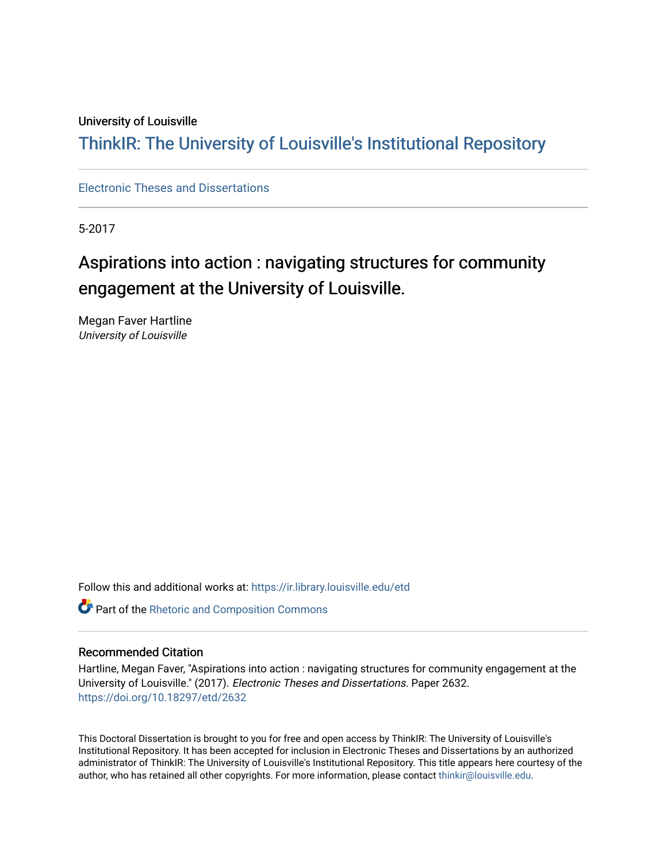## University of Louisville

## ThinkIR: The Univ[ersity of Louisville's Institutional Reposit](https://ir.library.louisville.edu/)ory

[Electronic Theses and Dissertations](https://ir.library.louisville.edu/etd)

5-2017

# Aspirations into action : navigating structures for community engagement at the University of Louisville.

Megan Faver Hartline University of Louisville

Follow this and additional works at: [https://ir.library.louisville.edu/etd](https://ir.library.louisville.edu/etd?utm_source=ir.library.louisville.edu%2Fetd%2F2632&utm_medium=PDF&utm_campaign=PDFCoverPages) 

Part of the [Rhetoric and Composition Commons](http://network.bepress.com/hgg/discipline/573?utm_source=ir.library.louisville.edu%2Fetd%2F2632&utm_medium=PDF&utm_campaign=PDFCoverPages)

#### Recommended Citation

Hartline, Megan Faver, "Aspirations into action : navigating structures for community engagement at the University of Louisville." (2017). Electronic Theses and Dissertations. Paper 2632. <https://doi.org/10.18297/etd/2632>

This Doctoral Dissertation is brought to you for free and open access by ThinkIR: The University of Louisville's Institutional Repository. It has been accepted for inclusion in Electronic Theses and Dissertations by an authorized administrator of ThinkIR: The University of Louisville's Institutional Repository. This title appears here courtesy of the author, who has retained all other copyrights. For more information, please contact [thinkir@louisville.edu.](mailto:thinkir@louisville.edu)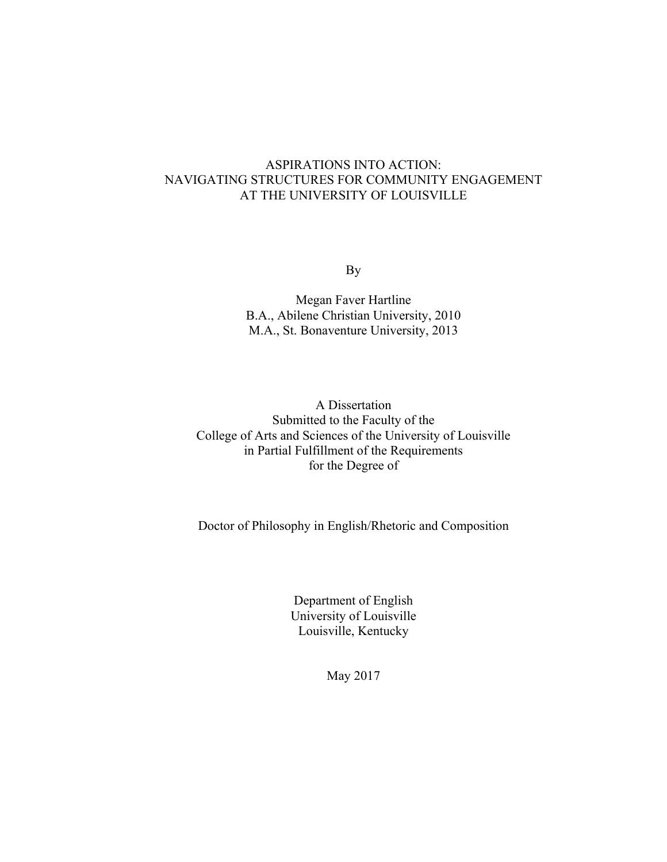## ASPIRATIONS INTO ACTION: NAVIGATING STRUCTURES FOR COMMUNITY ENGAGEMENT AT THE UNIVERSITY OF LOUISVILLE

By

Megan Faver Hartline B.A., Abilene Christian University, 2010 M.A., St. Bonaventure University, 2013

A Dissertation Submitted to the Faculty of the College of Arts and Sciences of the University of Louisville in Partial Fulfillment of the Requirements for the Degree of

Doctor of Philosophy in English/Rhetoric and Composition

Department of English University of Louisville Louisville, Kentucky

May 2017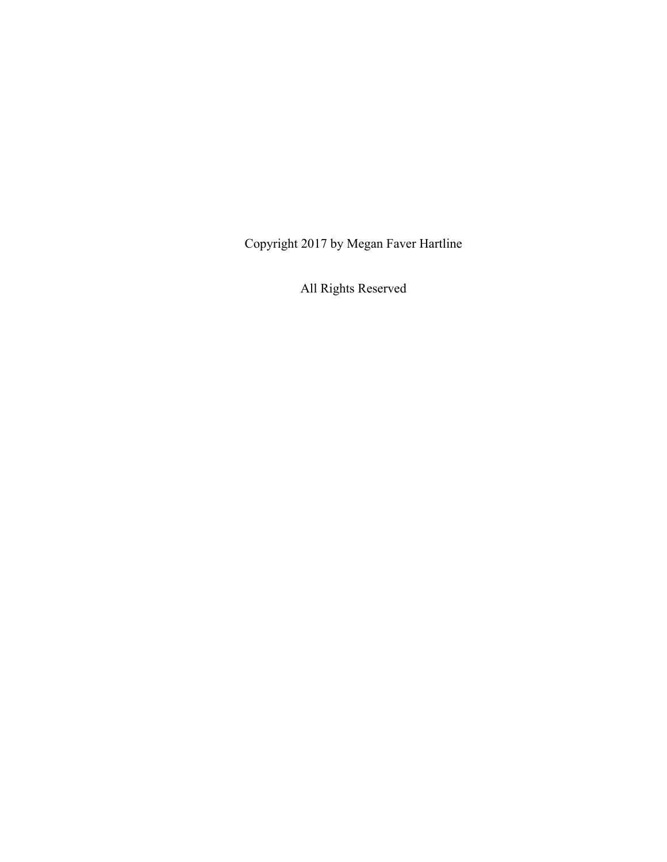Copyright 2017 by Megan Faver Hartline

All Rights Reserved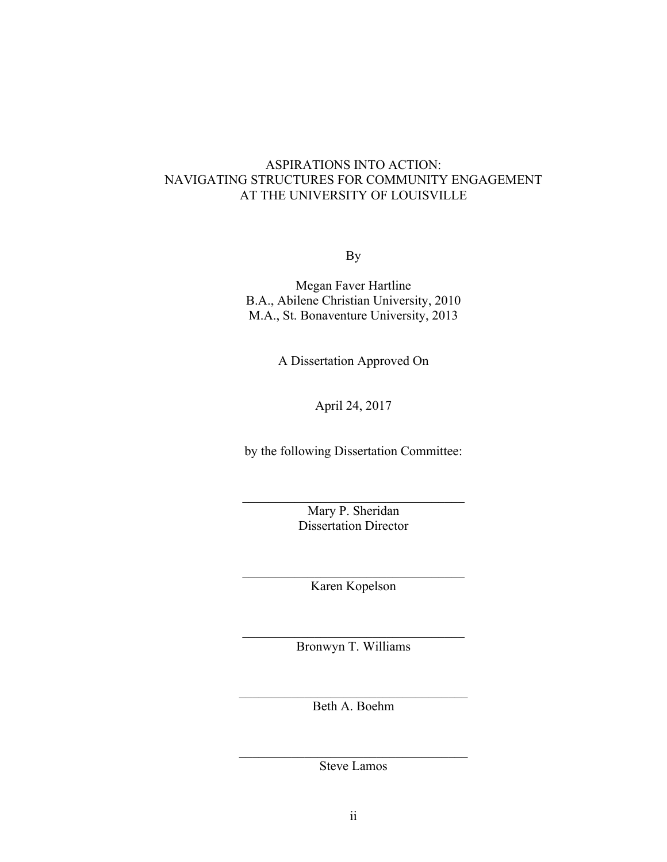## ASPIRATIONS INTO ACTION: NAVIGATING STRUCTURES FOR COMMUNITY ENGAGEMENT AT THE UNIVERSITY OF LOUISVILLE

By

Megan Faver Hartline B.A., Abilene Christian University, 2010 M.A., St. Bonaventure University, 2013

A Dissertation Approved On

April 24, 2017

by the following Dissertation Committee:

Mary P. Sheridan Dissertation Director

 $\mathcal{L}_\text{max}$  , and the set of the set of the set of the set of the set of the set of the set of the set of the set of the set of the set of the set of the set of the set of the set of the set of the set of the set of the

 $\mathcal{L}_\text{max}$ Karen Kopelson

 $\mathcal{L}_\text{max}$  , and the set of the set of the set of the set of the set of the set of the set of the set of the set of the set of the set of the set of the set of the set of the set of the set of the set of the set of the Bronwyn T. Williams

 $\mathcal{L}_\text{max}$  , and the set of the set of the set of the set of the set of the set of the set of the set of the set of the set of the set of the set of the set of the set of the set of the set of the set of the set of the Beth A. Boehm

 $\mathcal{L}_\text{max}$  , and the set of the set of the set of the set of the set of the set of the set of the set of the set of the set of the set of the set of the set of the set of the set of the set of the set of the set of the Steve Lamos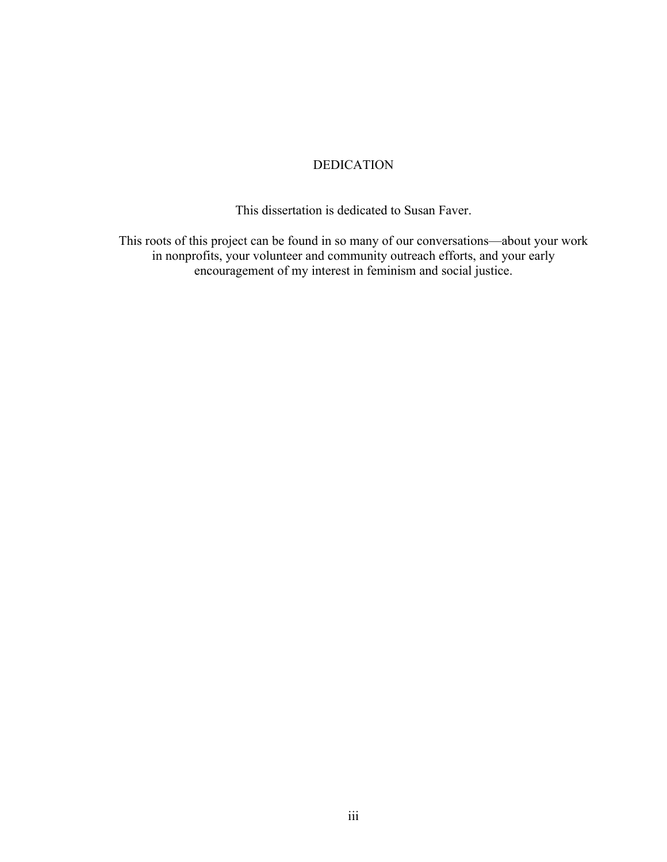## DEDICATION

This dissertation is dedicated to Susan Faver.

This roots of this project can be found in so many of our conversations—about your work in nonprofits, your volunteer and community outreach efforts, and your early encouragement of my interest in feminism and social justice.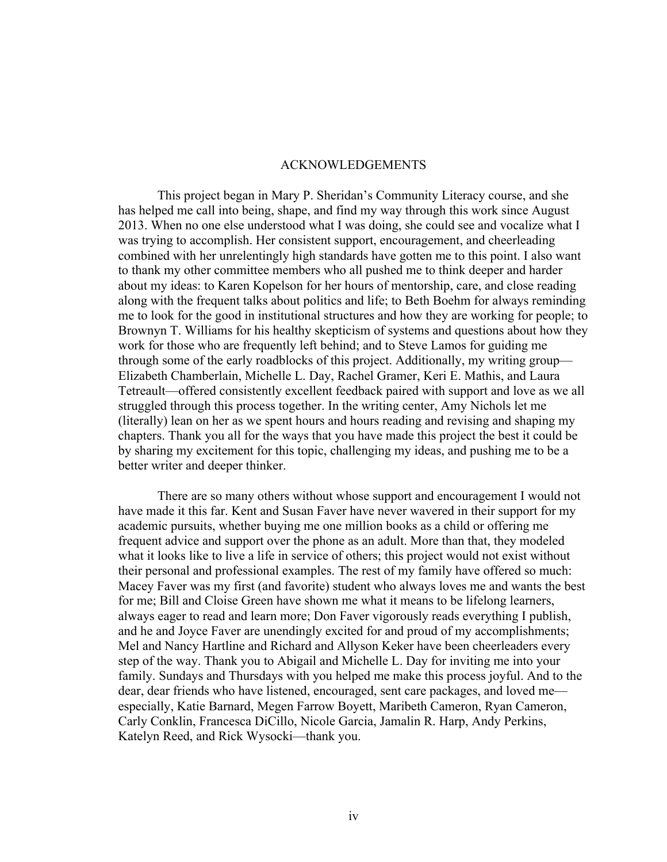## ACKNOWLEDGEMENTS

This project began in Mary P. Sheridan's Community Literacy course, and she has helped me call into being, shape, and find my way through this work since August 2013. When no one else understood what I was doing, she could see and vocalize what I was trying to accomplish. Her consistent support, encouragement, and cheerleading combined with her unrelentingly high standards have gotten me to this point. I also want to thank my other committee members who all pushed me to think deeper and harder about my ideas: to Karen Kopelson for her hours of mentorship, care, and close reading along with the frequent talks about politics and life; to Beth Boehm for always reminding me to look for the good in institutional structures and how they are working for people; to Brownyn T. Williams for his healthy skepticism of systems and questions about how they work for those who are frequently left behind; and to Steve Lamos for guiding me through some of the early roadblocks of this project. Additionally, my writing group— Elizabeth Chamberlain, Michelle L. Day, Rachel Gramer, Keri E. Mathis, and Laura Tetreault—offered consistently excellent feedback paired with support and love as we all struggled through this process together. In the writing center, Amy Nichols let me (literally) lean on her as we spent hours and hours reading and revising and shaping my chapters. Thank you all for the ways that you have made this project the best it could be by sharing my excitement for this topic, challenging my ideas, and pushing me to be a better writer and deeper thinker.

There are so many others without whose support and encouragement I would not have made it this far. Kent and Susan Faver have never wavered in their support for my academic pursuits, whether buying me one million books as a child or offering me frequent advice and support over the phone as an adult. More than that, they modeled what it looks like to live a life in service of others; this project would not exist without their personal and professional examples. The rest of my family have offered so much: Macey Faver was my first (and favorite) student who always loves me and wants the best for me; Bill and Cloise Green have shown me what it means to be lifelong learners, always eager to read and learn more; Don Faver vigorously reads everything I publish, and he and Joyce Faver are unendingly excited for and proud of my accomplishments; Mel and Nancy Hartline and Richard and Allyson Keker have been cheerleaders every step of the way. Thank you to Abigail and Michelle L. Day for inviting me into your family. Sundays and Thursdays with you helped me make this process joyful. And to the dear, dear friends who have listened, encouraged, sent care packages, and loved me especially, Katie Barnard, Megen Farrow Boyett, Maribeth Cameron, Ryan Cameron, Carly Conklin, Francesca DiCillo, Nicole Garcia, Jamalin R. Harp, Andy Perkins, Katelyn Reed, and Rick Wysocki—thank you.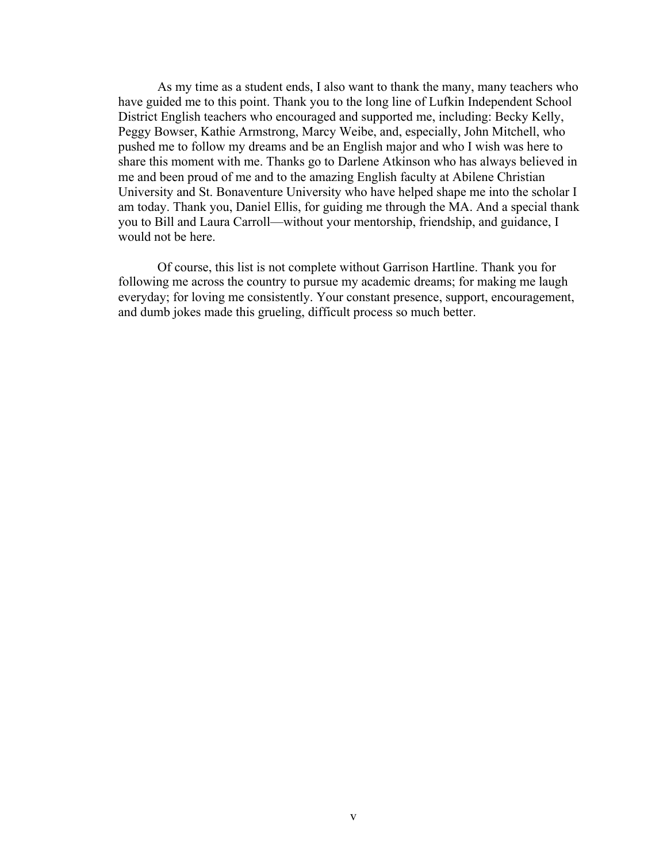As my time as a student ends, I also want to thank the many, many teachers who have guided me to this point. Thank you to the long line of Lufkin Independent School District English teachers who encouraged and supported me, including: Becky Kelly, Peggy Bowser, Kathie Armstrong, Marcy Weibe, and, especially, John Mitchell, who pushed me to follow my dreams and be an English major and who I wish was here to share this moment with me. Thanks go to Darlene Atkinson who has always believed in me and been proud of me and to the amazing English faculty at Abilene Christian University and St. Bonaventure University who have helped shape me into the scholar I am today. Thank you, Daniel Ellis, for guiding me through the MA. And a special thank you to Bill and Laura Carroll—without your mentorship, friendship, and guidance, I would not be here.

Of course, this list is not complete without Garrison Hartline. Thank you for following me across the country to pursue my academic dreams; for making me laugh everyday; for loving me consistently. Your constant presence, support, encouragement, and dumb jokes made this grueling, difficult process so much better.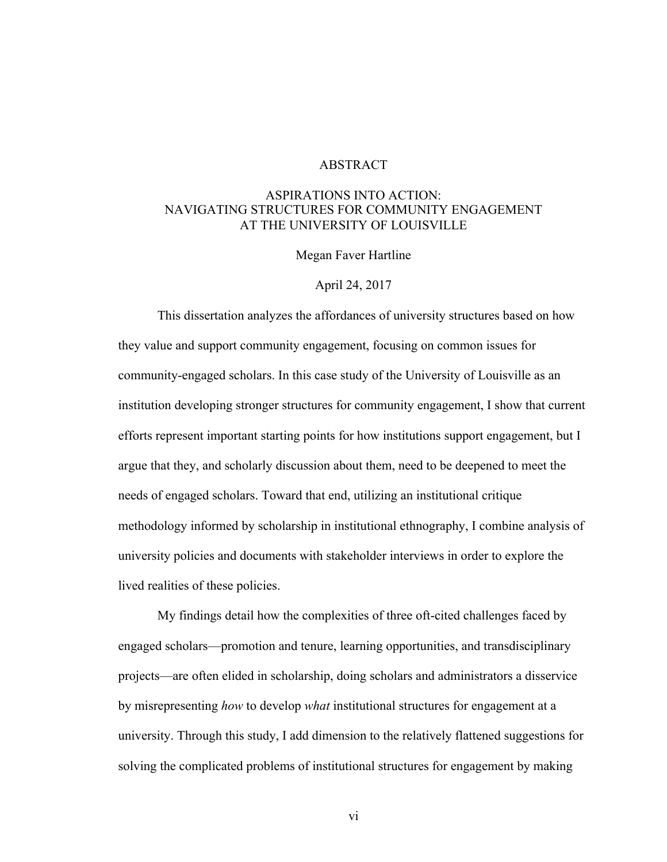## **ABSTRACT**

## ASPIRATIONS INTO ACTION: NAVIGATING STRUCTURES FOR COMMUNITY ENGAGEMENT AT THE UNIVERSITY OF LOUISVILLE

Megan Faver Hartline

### April 24, 2017

This dissertation analyzes the affordances of university structures based on how they value and support community engagement, focusing on common issues for community-engaged scholars. In this case study of the University of Louisville as an institution developing stronger structures for community engagement, I show that current efforts represent important starting points for how institutions support engagement, but I argue that they, and scholarly discussion about them, need to be deepened to meet the needs of engaged scholars. Toward that end, utilizing an institutional critique methodology informed by scholarship in institutional ethnography, I combine analysis of university policies and documents with stakeholder interviews in order to explore the lived realities of these policies.

My findings detail how the complexities of three oft-cited challenges faced by engaged scholars—promotion and tenure, learning opportunities, and transdisciplinary projects—are often elided in scholarship, doing scholars and administrators a disservice by misrepresenting *how* to develop *what* institutional structures for engagement at a university. Through this study, I add dimension to the relatively flattened suggestions for solving the complicated problems of institutional structures for engagement by making

vi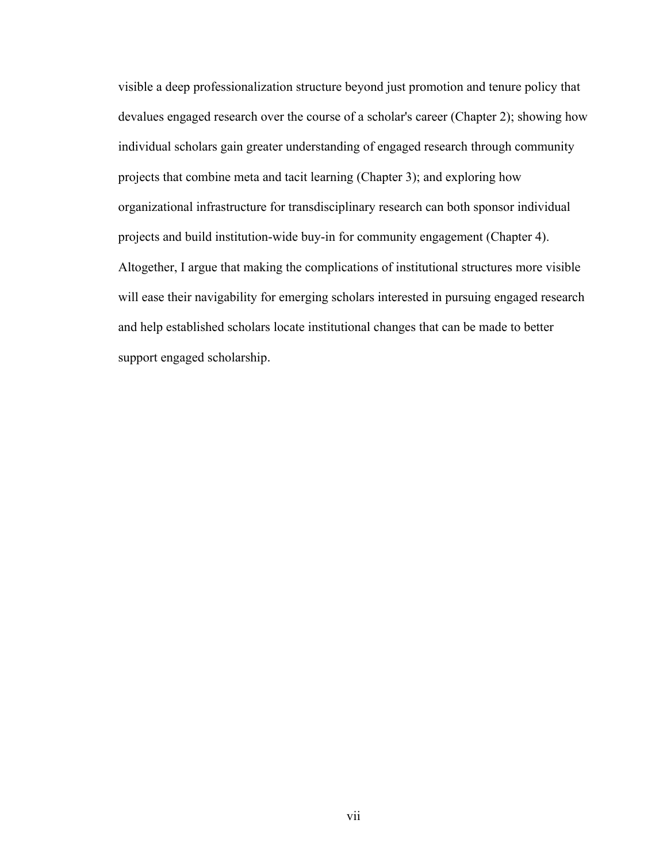visible a deep professionalization structure beyond just promotion and tenure policy that devalues engaged research over the course of a scholar's career (Chapter 2); showing how individual scholars gain greater understanding of engaged research through community projects that combine meta and tacit learning (Chapter 3); and exploring how organizational infrastructure for transdisciplinary research can both sponsor individual projects and build institution-wide buy-in for community engagement (Chapter 4). Altogether, I argue that making the complications of institutional structures more visible will ease their navigability for emerging scholars interested in pursuing engaged research and help established scholars locate institutional changes that can be made to better support engaged scholarship.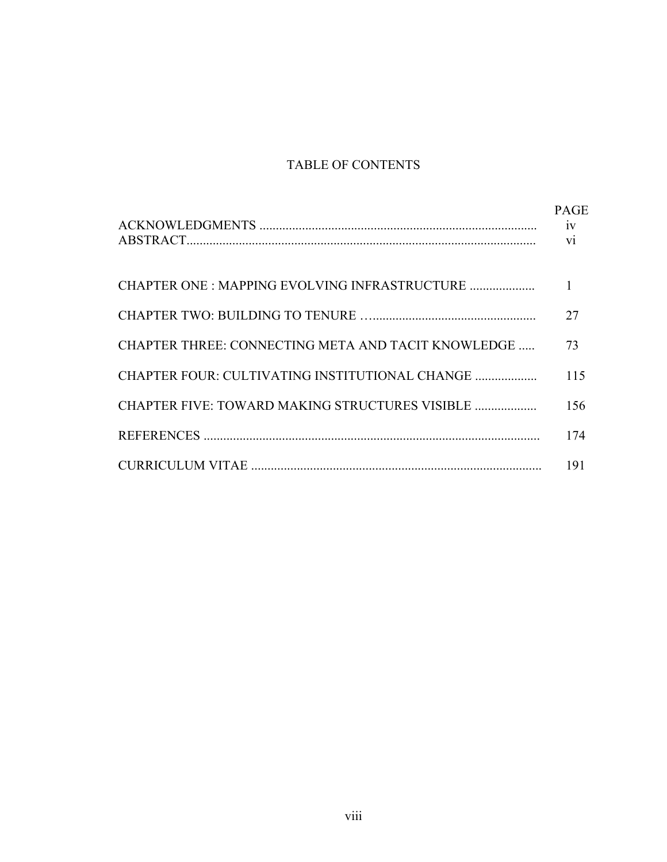## TABLE OF CONTENTS

|                                                    | <b>PAGE</b>  |
|----------------------------------------------------|--------------|
|                                                    | $\mathbf{1}$ |
|                                                    | 27           |
| CHAPTER THREE: CONNECTING META AND TACIT KNOWLEDGE | 73           |
| CHAPTER FOUR: CULTIVATING INSTITUTIONAL CHANGE     | 115          |
| CHAPTER FIVE: TOWARD MAKING STRUCTURES VISIBLE     | 156          |
|                                                    | 174          |
|                                                    | 191          |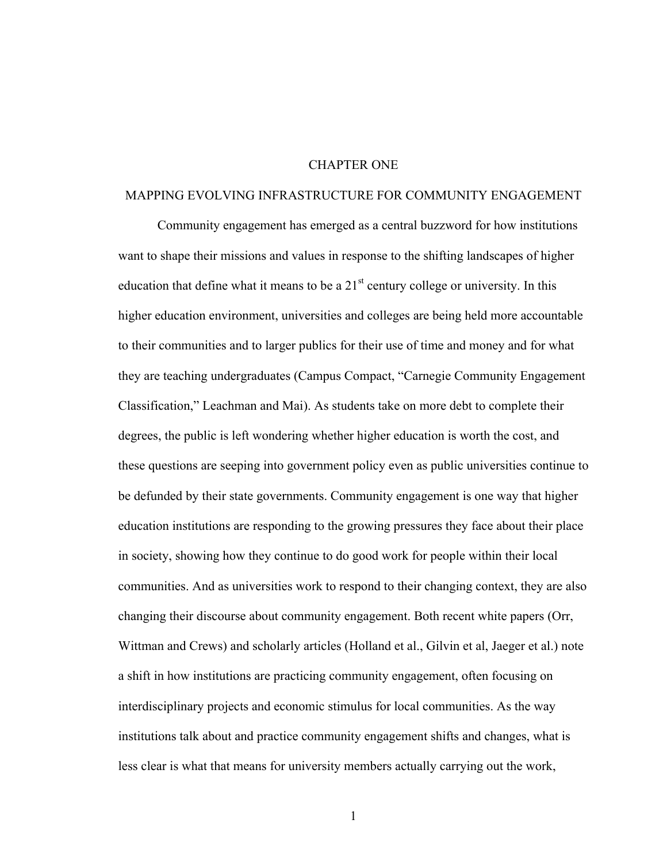## CHAPTER ONE

#### MAPPING EVOLVING INFRASTRUCTURE FOR COMMUNITY ENGAGEMENT

Community engagement has emerged as a central buzzword for how institutions want to shape their missions and values in response to the shifting landscapes of higher education that define what it means to be a  $21<sup>st</sup>$  century college or university. In this higher education environment, universities and colleges are being held more accountable to their communities and to larger publics for their use of time and money and for what they are teaching undergraduates (Campus Compact, "Carnegie Community Engagement Classification," Leachman and Mai). As students take on more debt to complete their degrees, the public is left wondering whether higher education is worth the cost, and these questions are seeping into government policy even as public universities continue to be defunded by their state governments. Community engagement is one way that higher education institutions are responding to the growing pressures they face about their place in society, showing how they continue to do good work for people within their local communities. And as universities work to respond to their changing context, they are also changing their discourse about community engagement. Both recent white papers (Orr, Wittman and Crews) and scholarly articles (Holland et al., Gilvin et al, Jaeger et al.) note a shift in how institutions are practicing community engagement, often focusing on interdisciplinary projects and economic stimulus for local communities. As the way institutions talk about and practice community engagement shifts and changes, what is less clear is what that means for university members actually carrying out the work,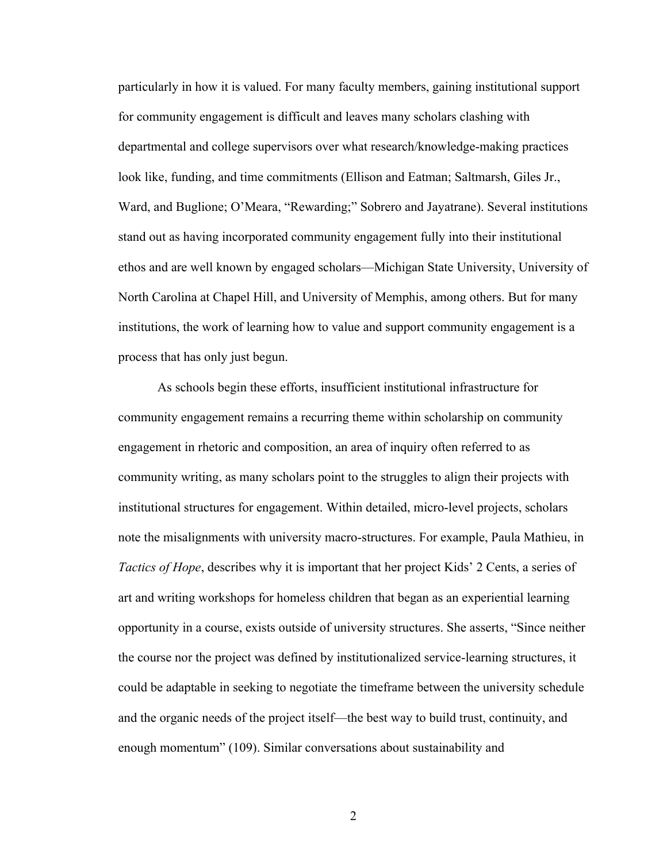particularly in how it is valued. For many faculty members, gaining institutional support for community engagement is difficult and leaves many scholars clashing with departmental and college supervisors over what research/knowledge-making practices look like, funding, and time commitments (Ellison and Eatman; Saltmarsh, Giles Jr., Ward, and Buglione; O'Meara, "Rewarding;" Sobrero and Jayatrane). Several institutions stand out as having incorporated community engagement fully into their institutional ethos and are well known by engaged scholars—Michigan State University, University of North Carolina at Chapel Hill, and University of Memphis, among others. But for many institutions, the work of learning how to value and support community engagement is a process that has only just begun.

As schools begin these efforts, insufficient institutional infrastructure for community engagement remains a recurring theme within scholarship on community engagement in rhetoric and composition, an area of inquiry often referred to as community writing, as many scholars point to the struggles to align their projects with institutional structures for engagement. Within detailed, micro-level projects, scholars note the misalignments with university macro-structures. For example, Paula Mathieu, in *Tactics of Hope*, describes why it is important that her project Kids' 2 Cents, a series of art and writing workshops for homeless children that began as an experiential learning opportunity in a course, exists outside of university structures. She asserts, "Since neither the course nor the project was defined by institutionalized service-learning structures, it could be adaptable in seeking to negotiate the timeframe between the university schedule and the organic needs of the project itself—the best way to build trust, continuity, and enough momentum" (109). Similar conversations about sustainability and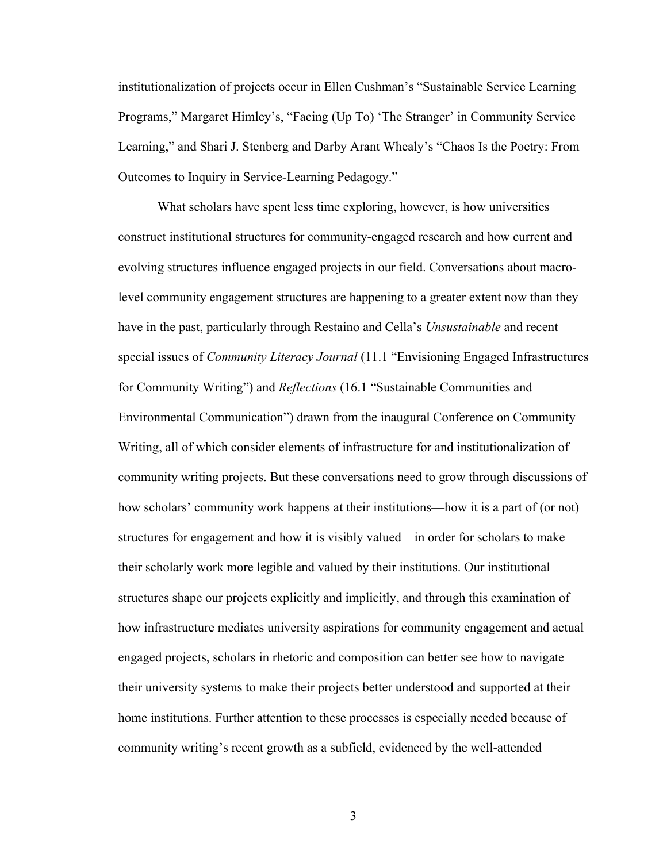institutionalization of projects occur in Ellen Cushman's "Sustainable Service Learning Programs," Margaret Himley's, "Facing (Up To) 'The Stranger' in Community Service Learning," and Shari J. Stenberg and Darby Arant Whealy's "Chaos Is the Poetry: From Outcomes to Inquiry in Service-Learning Pedagogy."

What scholars have spent less time exploring, however, is how universities construct institutional structures for community-engaged research and how current and evolving structures influence engaged projects in our field. Conversations about macrolevel community engagement structures are happening to a greater extent now than they have in the past, particularly through Restaino and Cella's *Unsustainable* and recent special issues of *Community Literacy Journal* (11.1 "Envisioning Engaged Infrastructures for Community Writing") and *Reflections* (16.1 "Sustainable Communities and Environmental Communication") drawn from the inaugural Conference on Community Writing, all of which consider elements of infrastructure for and institutionalization of community writing projects. But these conversations need to grow through discussions of how scholars' community work happens at their institutions—how it is a part of (or not) structures for engagement and how it is visibly valued—in order for scholars to make their scholarly work more legible and valued by their institutions. Our institutional structures shape our projects explicitly and implicitly, and through this examination of how infrastructure mediates university aspirations for community engagement and actual engaged projects, scholars in rhetoric and composition can better see how to navigate their university systems to make their projects better understood and supported at their home institutions. Further attention to these processes is especially needed because of community writing's recent growth as a subfield, evidenced by the well-attended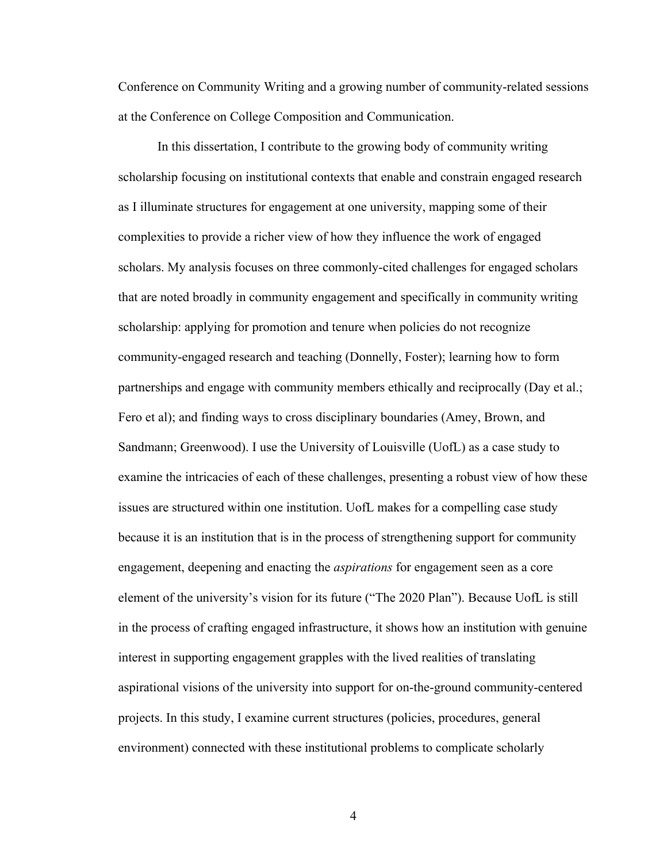Conference on Community Writing and a growing number of community-related sessions at the Conference on College Composition and Communication.

In this dissertation, I contribute to the growing body of community writing scholarship focusing on institutional contexts that enable and constrain engaged research as I illuminate structures for engagement at one university, mapping some of their complexities to provide a richer view of how they influence the work of engaged scholars. My analysis focuses on three commonly-cited challenges for engaged scholars that are noted broadly in community engagement and specifically in community writing scholarship: applying for promotion and tenure when policies do not recognize community-engaged research and teaching (Donnelly, Foster); learning how to form partnerships and engage with community members ethically and reciprocally (Day et al.; Fero et al); and finding ways to cross disciplinary boundaries (Amey, Brown, and Sandmann; Greenwood). I use the University of Louisville (UofL) as a case study to examine the intricacies of each of these challenges, presenting a robust view of how these issues are structured within one institution. UofL makes for a compelling case study because it is an institution that is in the process of strengthening support for community engagement, deepening and enacting the *aspirations* for engagement seen as a core element of the university's vision for its future ("The 2020 Plan"). Because UofL is still in the process of crafting engaged infrastructure, it shows how an institution with genuine interest in supporting engagement grapples with the lived realities of translating aspirational visions of the university into support for on-the-ground community-centered projects. In this study, I examine current structures (policies, procedures, general environment) connected with these institutional problems to complicate scholarly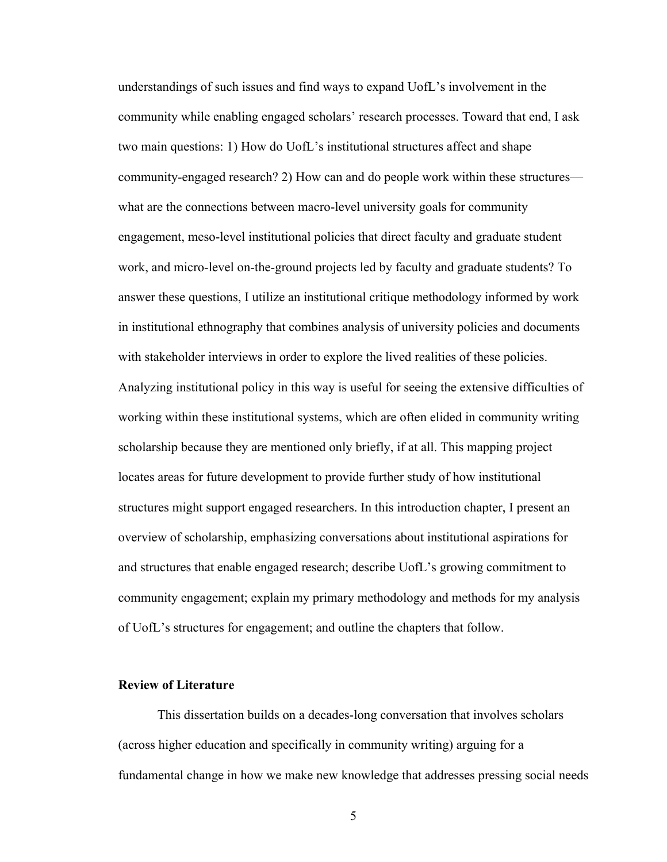understandings of such issues and find ways to expand UofL's involvement in the community while enabling engaged scholars' research processes. Toward that end, I ask two main questions: 1) How do UofL's institutional structures affect and shape community-engaged research? 2) How can and do people work within these structures what are the connections between macro-level university goals for community engagement, meso-level institutional policies that direct faculty and graduate student work, and micro-level on-the-ground projects led by faculty and graduate students? To answer these questions, I utilize an institutional critique methodology informed by work in institutional ethnography that combines analysis of university policies and documents with stakeholder interviews in order to explore the lived realities of these policies. Analyzing institutional policy in this way is useful for seeing the extensive difficulties of working within these institutional systems, which are often elided in community writing scholarship because they are mentioned only briefly, if at all. This mapping project locates areas for future development to provide further study of how institutional structures might support engaged researchers. In this introduction chapter, I present an overview of scholarship, emphasizing conversations about institutional aspirations for and structures that enable engaged research; describe UofL's growing commitment to community engagement; explain my primary methodology and methods for my analysis of UofL's structures for engagement; and outline the chapters that follow.

## **Review of Literature**

This dissertation builds on a decades-long conversation that involves scholars (across higher education and specifically in community writing) arguing for a fundamental change in how we make new knowledge that addresses pressing social needs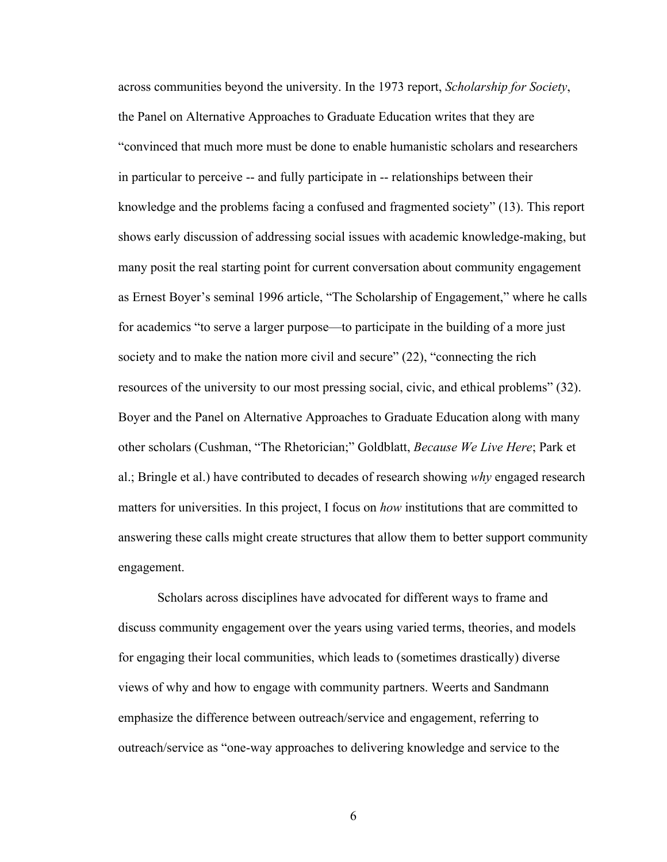across communities beyond the university. In the 1973 report, *Scholarship for Society*, the Panel on Alternative Approaches to Graduate Education writes that they are "convinced that much more must be done to enable humanistic scholars and researchers in particular to perceive -- and fully participate in -- relationships between their knowledge and the problems facing a confused and fragmented society" (13). This report shows early discussion of addressing social issues with academic knowledge-making, but many posit the real starting point for current conversation about community engagement as Ernest Boyer's seminal 1996 article, "The Scholarship of Engagement," where he calls for academics "to serve a larger purpose—to participate in the building of a more just society and to make the nation more civil and secure" (22), "connecting the rich resources of the university to our most pressing social, civic, and ethical problems" (32). Boyer and the Panel on Alternative Approaches to Graduate Education along with many other scholars (Cushman, "The Rhetorician;" Goldblatt, *Because We Live Here*; Park et al.; Bringle et al.) have contributed to decades of research showing *why* engaged research matters for universities. In this project, I focus on *how* institutions that are committed to answering these calls might create structures that allow them to better support community engagement.

Scholars across disciplines have advocated for different ways to frame and discuss community engagement over the years using varied terms, theories, and models for engaging their local communities, which leads to (sometimes drastically) diverse views of why and how to engage with community partners. Weerts and Sandmann emphasize the difference between outreach/service and engagement, referring to outreach/service as "one-way approaches to delivering knowledge and service to the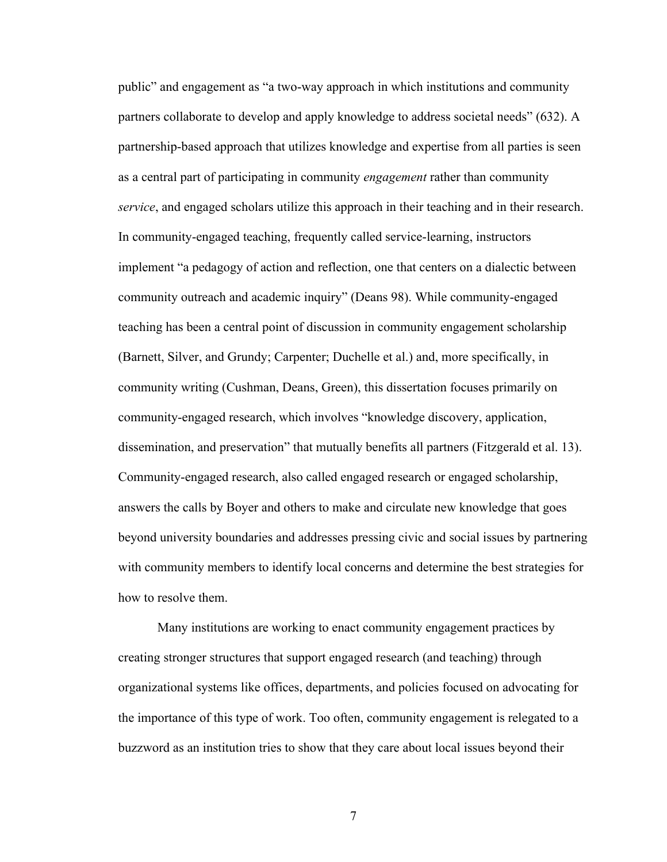public" and engagement as "a two-way approach in which institutions and community partners collaborate to develop and apply knowledge to address societal needs" (632). A partnership-based approach that utilizes knowledge and expertise from all parties is seen as a central part of participating in community *engagement* rather than community *service*, and engaged scholars utilize this approach in their teaching and in their research. In community-engaged teaching, frequently called service-learning, instructors implement "a pedagogy of action and reflection, one that centers on a dialectic between community outreach and academic inquiry" (Deans 98). While community-engaged teaching has been a central point of discussion in community engagement scholarship (Barnett, Silver, and Grundy; Carpenter; Duchelle et al.) and, more specifically, in community writing (Cushman, Deans, Green), this dissertation focuses primarily on community-engaged research, which involves "knowledge discovery, application, dissemination, and preservation" that mutually benefits all partners (Fitzgerald et al. 13). Community-engaged research, also called engaged research or engaged scholarship, answers the calls by Boyer and others to make and circulate new knowledge that goes beyond university boundaries and addresses pressing civic and social issues by partnering with community members to identify local concerns and determine the best strategies for how to resolve them.

Many institutions are working to enact community engagement practices by creating stronger structures that support engaged research (and teaching) through organizational systems like offices, departments, and policies focused on advocating for the importance of this type of work. Too often, community engagement is relegated to a buzzword as an institution tries to show that they care about local issues beyond their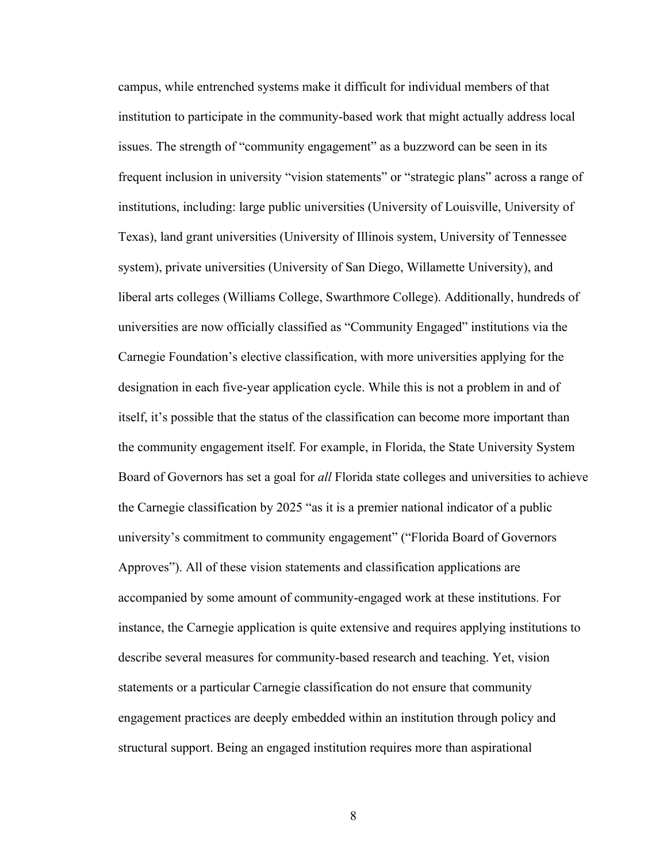campus, while entrenched systems make it difficult for individual members of that institution to participate in the community-based work that might actually address local issues. The strength of "community engagement" as a buzzword can be seen in its frequent inclusion in university "vision statements" or "strategic plans" across a range of institutions, including: large public universities (University of Louisville, University of Texas), land grant universities (University of Illinois system, University of Tennessee system), private universities (University of San Diego, Willamette University), and liberal arts colleges (Williams College, Swarthmore College). Additionally, hundreds of universities are now officially classified as "Community Engaged" institutions via the Carnegie Foundation's elective classification, with more universities applying for the designation in each five-year application cycle. While this is not a problem in and of itself, it's possible that the status of the classification can become more important than the community engagement itself. For example, in Florida, the State University System Board of Governors has set a goal for *all* Florida state colleges and universities to achieve the Carnegie classification by 2025 "as it is a premier national indicator of a public university's commitment to community engagement" ("Florida Board of Governors Approves"). All of these vision statements and classification applications are accompanied by some amount of community-engaged work at these institutions. For instance, the Carnegie application is quite extensive and requires applying institutions to describe several measures for community-based research and teaching. Yet, vision statements or a particular Carnegie classification do not ensure that community engagement practices are deeply embedded within an institution through policy and structural support. Being an engaged institution requires more than aspirational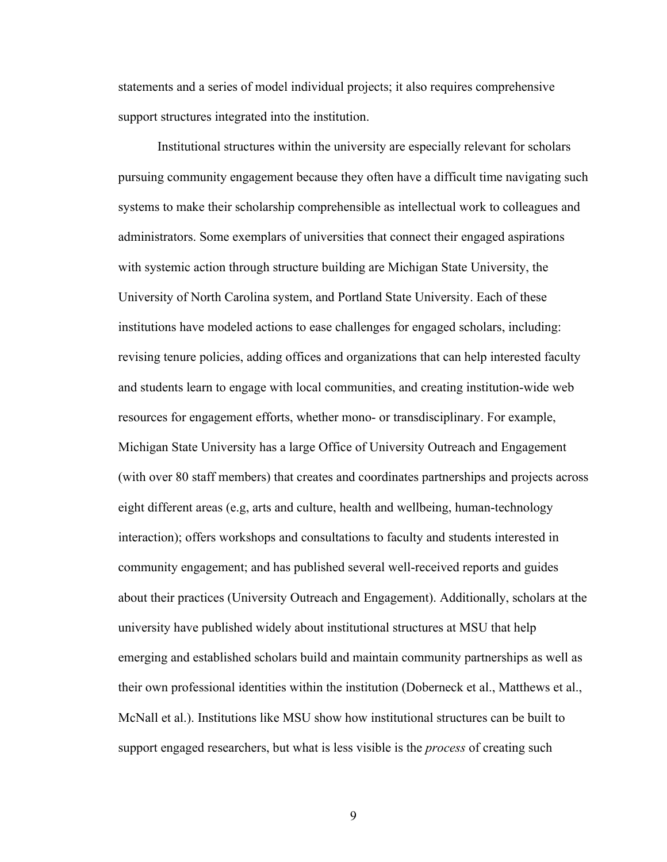statements and a series of model individual projects; it also requires comprehensive support structures integrated into the institution.

Institutional structures within the university are especially relevant for scholars pursuing community engagement because they often have a difficult time navigating such systems to make their scholarship comprehensible as intellectual work to colleagues and administrators. Some exemplars of universities that connect their engaged aspirations with systemic action through structure building are Michigan State University, the University of North Carolina system, and Portland State University. Each of these institutions have modeled actions to ease challenges for engaged scholars, including: revising tenure policies, adding offices and organizations that can help interested faculty and students learn to engage with local communities, and creating institution-wide web resources for engagement efforts, whether mono- or transdisciplinary. For example, Michigan State University has a large Office of University Outreach and Engagement (with over 80 staff members) that creates and coordinates partnerships and projects across eight different areas (e.g, arts and culture, health and wellbeing, human-technology interaction); offers workshops and consultations to faculty and students interested in community engagement; and has published several well-received reports and guides about their practices (University Outreach and Engagement). Additionally, scholars at the university have published widely about institutional structures at MSU that help emerging and established scholars build and maintain community partnerships as well as their own professional identities within the institution (Doberneck et al., Matthews et al., McNall et al.). Institutions like MSU show how institutional structures can be built to support engaged researchers, but what is less visible is the *process* of creating such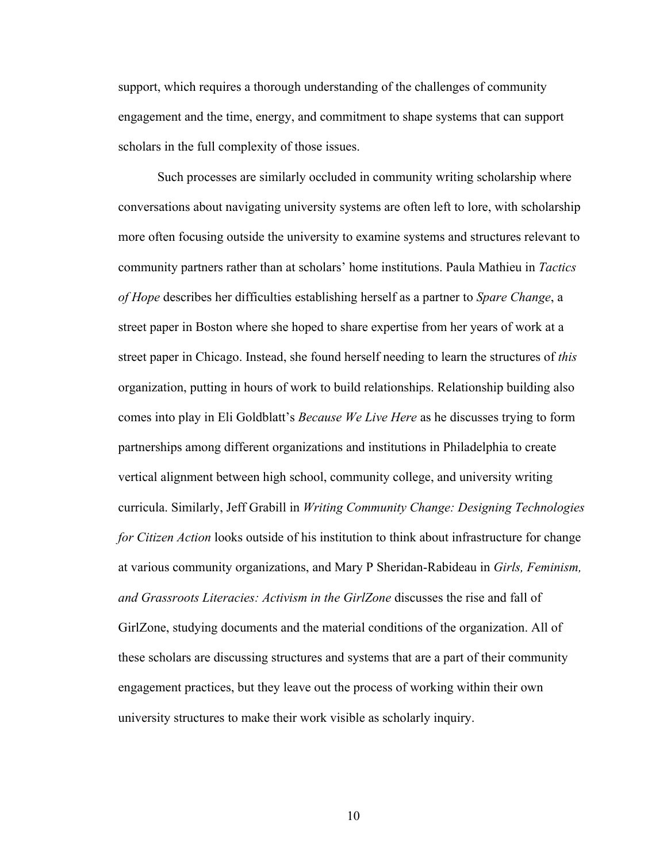support, which requires a thorough understanding of the challenges of community engagement and the time, energy, and commitment to shape systems that can support scholars in the full complexity of those issues.

Such processes are similarly occluded in community writing scholarship where conversations about navigating university systems are often left to lore, with scholarship more often focusing outside the university to examine systems and structures relevant to community partners rather than at scholars' home institutions. Paula Mathieu in *Tactics of Hope* describes her difficulties establishing herself as a partner to *Spare Change*, a street paper in Boston where she hoped to share expertise from her years of work at a street paper in Chicago. Instead, she found herself needing to learn the structures of *this*  organization, putting in hours of work to build relationships. Relationship building also comes into play in Eli Goldblatt's *Because We Live Here* as he discusses trying to form partnerships among different organizations and institutions in Philadelphia to create vertical alignment between high school, community college, and university writing curricula. Similarly, Jeff Grabill in *Writing Community Change: Designing Technologies for Citizen Action* looks outside of his institution to think about infrastructure for change at various community organizations, and Mary P Sheridan-Rabideau in *Girls, Feminism, and Grassroots Literacies: Activism in the GirlZone* discusses the rise and fall of GirlZone, studying documents and the material conditions of the organization. All of these scholars are discussing structures and systems that are a part of their community engagement practices, but they leave out the process of working within their own university structures to make their work visible as scholarly inquiry.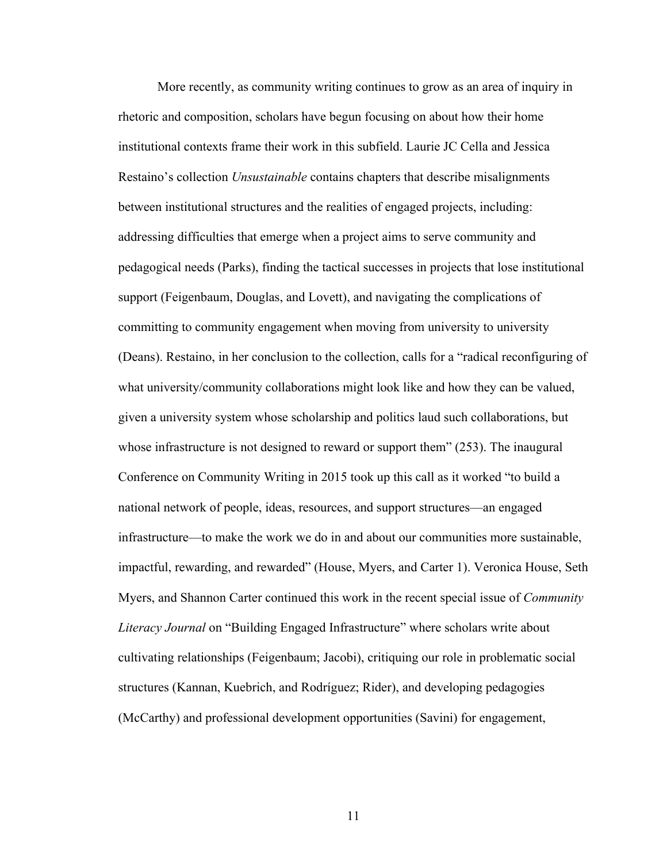More recently, as community writing continues to grow as an area of inquiry in rhetoric and composition, scholars have begun focusing on about how their home institutional contexts frame their work in this subfield. Laurie JC Cella and Jessica Restaino's collection *Unsustainable* contains chapters that describe misalignments between institutional structures and the realities of engaged projects, including: addressing difficulties that emerge when a project aims to serve community and pedagogical needs (Parks), finding the tactical successes in projects that lose institutional support (Feigenbaum, Douglas, and Lovett), and navigating the complications of committing to community engagement when moving from university to university (Deans). Restaino, in her conclusion to the collection, calls for a "radical reconfiguring of what university/community collaborations might look like and how they can be valued, given a university system whose scholarship and politics laud such collaborations, but whose infrastructure is not designed to reward or support them" (253). The inaugural Conference on Community Writing in 2015 took up this call as it worked "to build a national network of people, ideas, resources, and support structures—an engaged infrastructure—to make the work we do in and about our communities more sustainable, impactful, rewarding, and rewarded" (House, Myers, and Carter 1). Veronica House, Seth Myers, and Shannon Carter continued this work in the recent special issue of *Community Literacy Journal* on "Building Engaged Infrastructure" where scholars write about cultivating relationships (Feigenbaum; Jacobi), critiquing our role in problematic social structures (Kannan, Kuebrich, and Rodríguez; Rider), and developing pedagogies (McCarthy) and professional development opportunities (Savini) for engagement,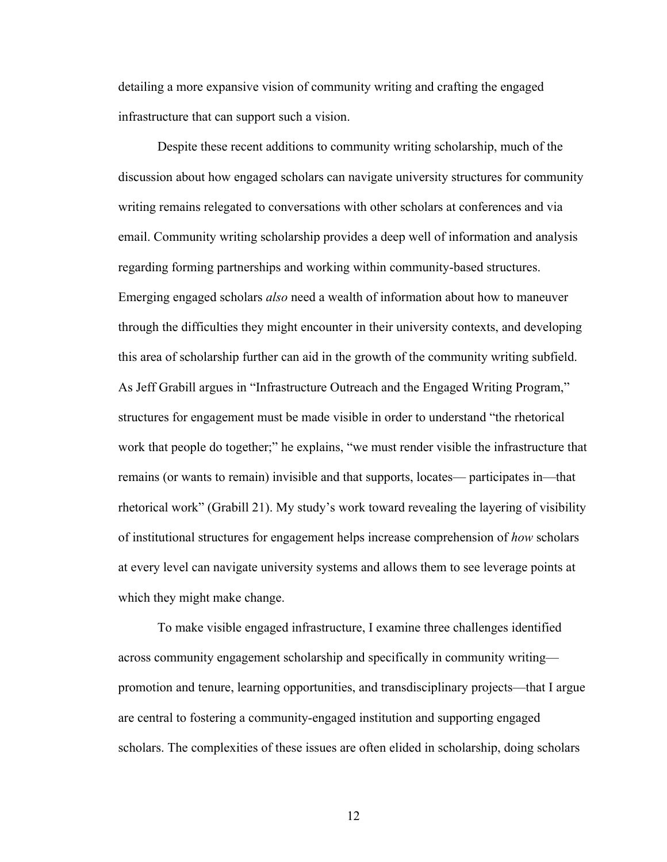detailing a more expansive vision of community writing and crafting the engaged infrastructure that can support such a vision.

Despite these recent additions to community writing scholarship, much of the discussion about how engaged scholars can navigate university structures for community writing remains relegated to conversations with other scholars at conferences and via email. Community writing scholarship provides a deep well of information and analysis regarding forming partnerships and working within community-based structures. Emerging engaged scholars *also* need a wealth of information about how to maneuver through the difficulties they might encounter in their university contexts, and developing this area of scholarship further can aid in the growth of the community writing subfield. As Jeff Grabill argues in "Infrastructure Outreach and the Engaged Writing Program," structures for engagement must be made visible in order to understand "the rhetorical work that people do together;" he explains, "we must render visible the infrastructure that remains (or wants to remain) invisible and that supports, locates— participates in—that rhetorical work" (Grabill 21). My study's work toward revealing the layering of visibility of institutional structures for engagement helps increase comprehension of *how* scholars at every level can navigate university systems and allows them to see leverage points at which they might make change.

To make visible engaged infrastructure, I examine three challenges identified across community engagement scholarship and specifically in community writing promotion and tenure, learning opportunities, and transdisciplinary projects—that I argue are central to fostering a community-engaged institution and supporting engaged scholars. The complexities of these issues are often elided in scholarship, doing scholars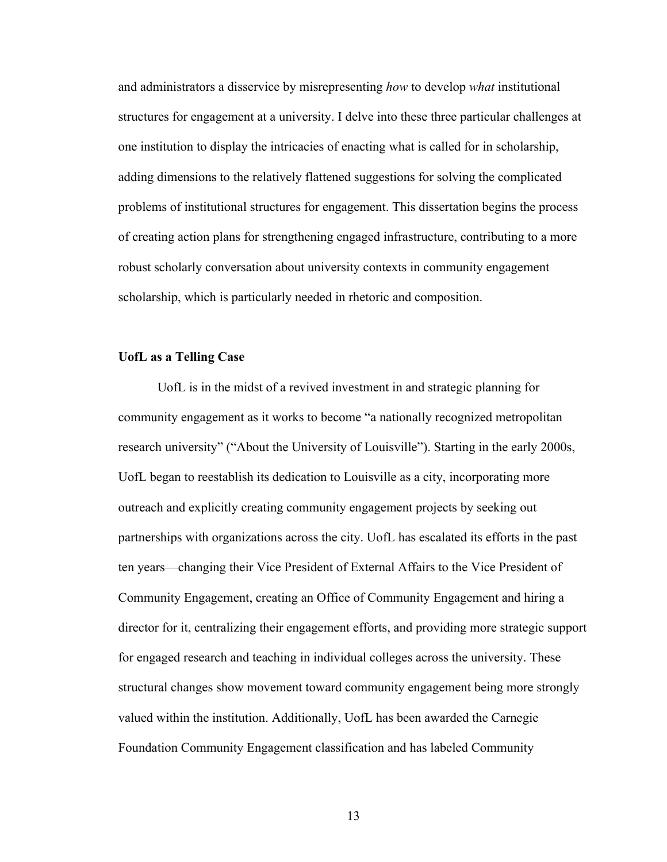and administrators a disservice by misrepresenting *how* to develop *what* institutional structures for engagement at a university. I delve into these three particular challenges at one institution to display the intricacies of enacting what is called for in scholarship, adding dimensions to the relatively flattened suggestions for solving the complicated problems of institutional structures for engagement. This dissertation begins the process of creating action plans for strengthening engaged infrastructure, contributing to a more robust scholarly conversation about university contexts in community engagement scholarship, which is particularly needed in rhetoric and composition.

## **UofL as a Telling Case**

UofL is in the midst of a revived investment in and strategic planning for community engagement as it works to become "a nationally recognized metropolitan research university" ("About the University of Louisville"). Starting in the early 2000s, UofL began to reestablish its dedication to Louisville as a city, incorporating more outreach and explicitly creating community engagement projects by seeking out partnerships with organizations across the city. UofL has escalated its efforts in the past ten years—changing their Vice President of External Affairs to the Vice President of Community Engagement, creating an Office of Community Engagement and hiring a director for it, centralizing their engagement efforts, and providing more strategic support for engaged research and teaching in individual colleges across the university. These structural changes show movement toward community engagement being more strongly valued within the institution. Additionally, UofL has been awarded the Carnegie Foundation Community Engagement classification and has labeled Community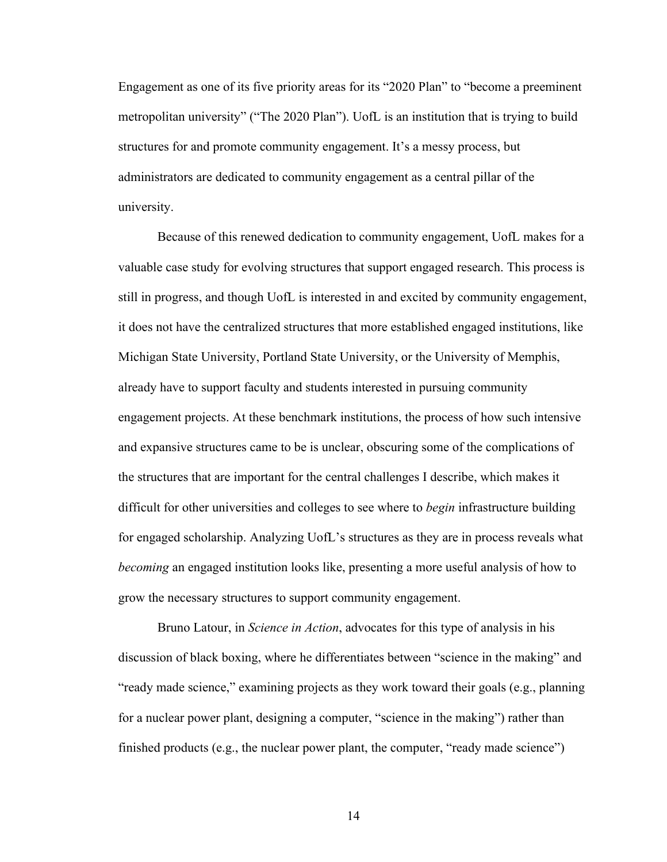Engagement as one of its five priority areas for its "2020 Plan" to "become a preeminent metropolitan university" ("The 2020 Plan"). UofL is an institution that is trying to build structures for and promote community engagement. It's a messy process, but administrators are dedicated to community engagement as a central pillar of the university.

Because of this renewed dedication to community engagement, UofL makes for a valuable case study for evolving structures that support engaged research. This process is still in progress, and though UofL is interested in and excited by community engagement, it does not have the centralized structures that more established engaged institutions, like Michigan State University, Portland State University, or the University of Memphis, already have to support faculty and students interested in pursuing community engagement projects. At these benchmark institutions, the process of how such intensive and expansive structures came to be is unclear, obscuring some of the complications of the structures that are important for the central challenges I describe, which makes it difficult for other universities and colleges to see where to *begin* infrastructure building for engaged scholarship. Analyzing UofL's structures as they are in process reveals what *becoming* an engaged institution looks like, presenting a more useful analysis of how to grow the necessary structures to support community engagement.

Bruno Latour, in *Science in Action*, advocates for this type of analysis in his discussion of black boxing, where he differentiates between "science in the making" and "ready made science," examining projects as they work toward their goals (e.g., planning for a nuclear power plant, designing a computer, "science in the making") rather than finished products (e.g., the nuclear power plant, the computer, "ready made science")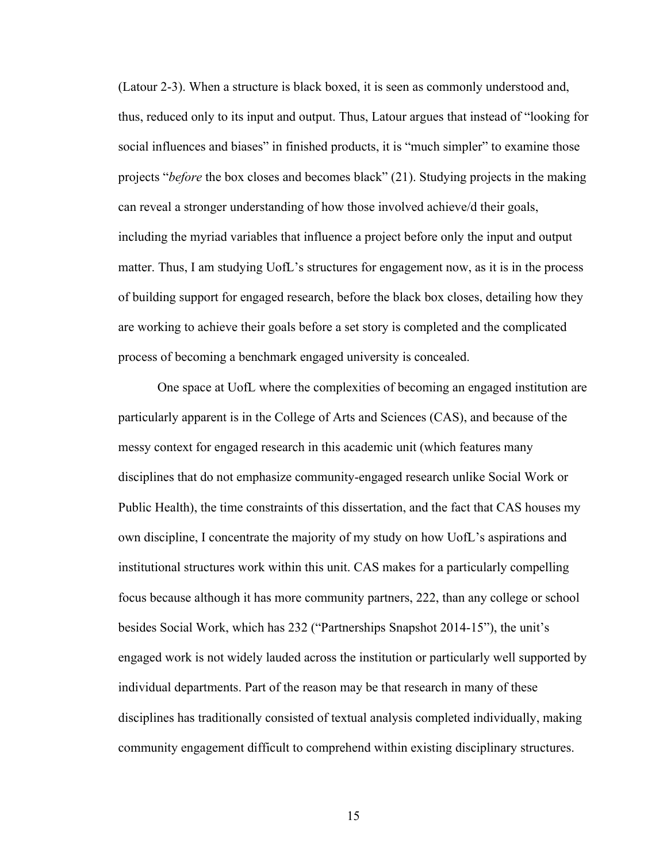(Latour 2-3). When a structure is black boxed, it is seen as commonly understood and, thus, reduced only to its input and output. Thus, Latour argues that instead of "looking for social influences and biases" in finished products, it is "much simpler" to examine those projects "*before* the box closes and becomes black" (21). Studying projects in the making can reveal a stronger understanding of how those involved achieve/d their goals, including the myriad variables that influence a project before only the input and output matter. Thus, I am studying UofL's structures for engagement now, as it is in the process of building support for engaged research, before the black box closes, detailing how they are working to achieve their goals before a set story is completed and the complicated process of becoming a benchmark engaged university is concealed.

One space at UofL where the complexities of becoming an engaged institution are particularly apparent is in the College of Arts and Sciences (CAS), and because of the messy context for engaged research in this academic unit (which features many disciplines that do not emphasize community-engaged research unlike Social Work or Public Health), the time constraints of this dissertation, and the fact that CAS houses my own discipline, I concentrate the majority of my study on how UofL's aspirations and institutional structures work within this unit. CAS makes for a particularly compelling focus because although it has more community partners, 222, than any college or school besides Social Work, which has 232 ("Partnerships Snapshot 2014-15"), the unit's engaged work is not widely lauded across the institution or particularly well supported by individual departments. Part of the reason may be that research in many of these disciplines has traditionally consisted of textual analysis completed individually, making community engagement difficult to comprehend within existing disciplinary structures.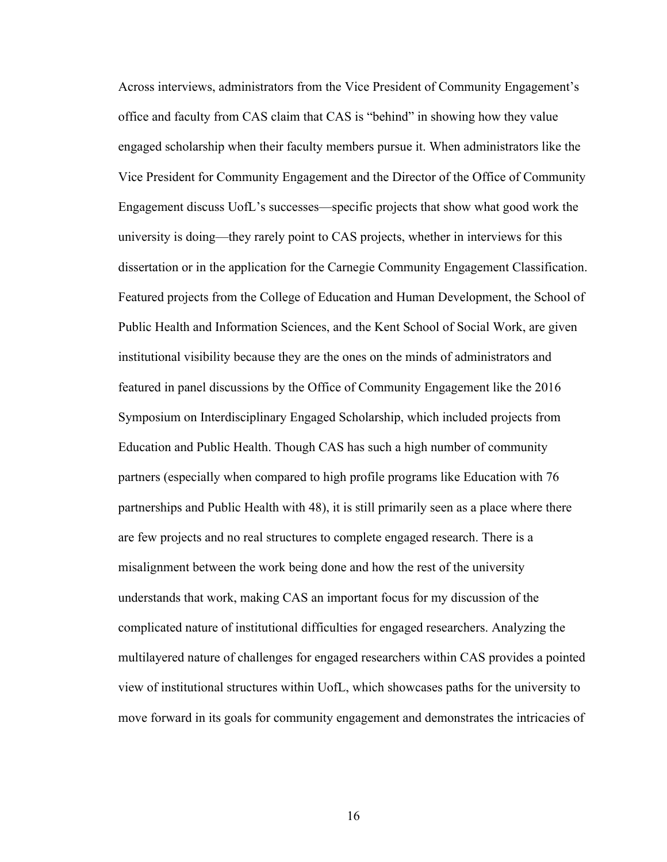Across interviews, administrators from the Vice President of Community Engagement's office and faculty from CAS claim that CAS is "behind" in showing how they value engaged scholarship when their faculty members pursue it. When administrators like the Vice President for Community Engagement and the Director of the Office of Community Engagement discuss UofL's successes—specific projects that show what good work the university is doing—they rarely point to CAS projects, whether in interviews for this dissertation or in the application for the Carnegie Community Engagement Classification. Featured projects from the College of Education and Human Development, the School of Public Health and Information Sciences, and the Kent School of Social Work, are given institutional visibility because they are the ones on the minds of administrators and featured in panel discussions by the Office of Community Engagement like the 2016 Symposium on Interdisciplinary Engaged Scholarship, which included projects from Education and Public Health. Though CAS has such a high number of community partners (especially when compared to high profile programs like Education with 76 partnerships and Public Health with 48), it is still primarily seen as a place where there are few projects and no real structures to complete engaged research. There is a misalignment between the work being done and how the rest of the university understands that work, making CAS an important focus for my discussion of the complicated nature of institutional difficulties for engaged researchers. Analyzing the multilayered nature of challenges for engaged researchers within CAS provides a pointed view of institutional structures within UofL, which showcases paths for the university to move forward in its goals for community engagement and demonstrates the intricacies of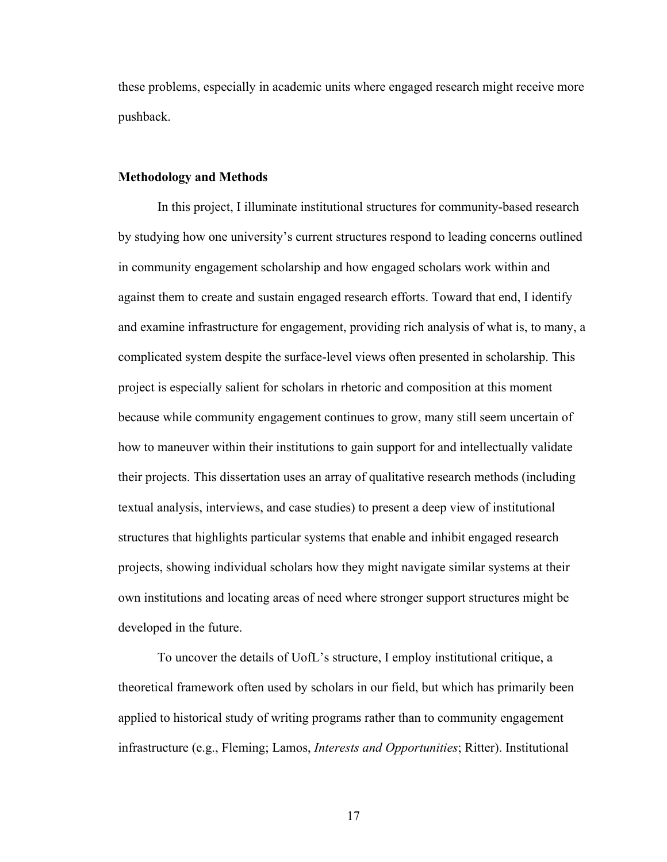these problems, especially in academic units where engaged research might receive more pushback.

#### **Methodology and Methods**

In this project, I illuminate institutional structures for community-based research by studying how one university's current structures respond to leading concerns outlined in community engagement scholarship and how engaged scholars work within and against them to create and sustain engaged research efforts. Toward that end, I identify and examine infrastructure for engagement, providing rich analysis of what is, to many, a complicated system despite the surface-level views often presented in scholarship. This project is especially salient for scholars in rhetoric and composition at this moment because while community engagement continues to grow, many still seem uncertain of how to maneuver within their institutions to gain support for and intellectually validate their projects. This dissertation uses an array of qualitative research methods (including textual analysis, interviews, and case studies) to present a deep view of institutional structures that highlights particular systems that enable and inhibit engaged research projects, showing individual scholars how they might navigate similar systems at their own institutions and locating areas of need where stronger support structures might be developed in the future.

To uncover the details of UofL's structure, I employ institutional critique, a theoretical framework often used by scholars in our field, but which has primarily been applied to historical study of writing programs rather than to community engagement infrastructure (e.g., Fleming; Lamos, *Interests and Opportunities*; Ritter). Institutional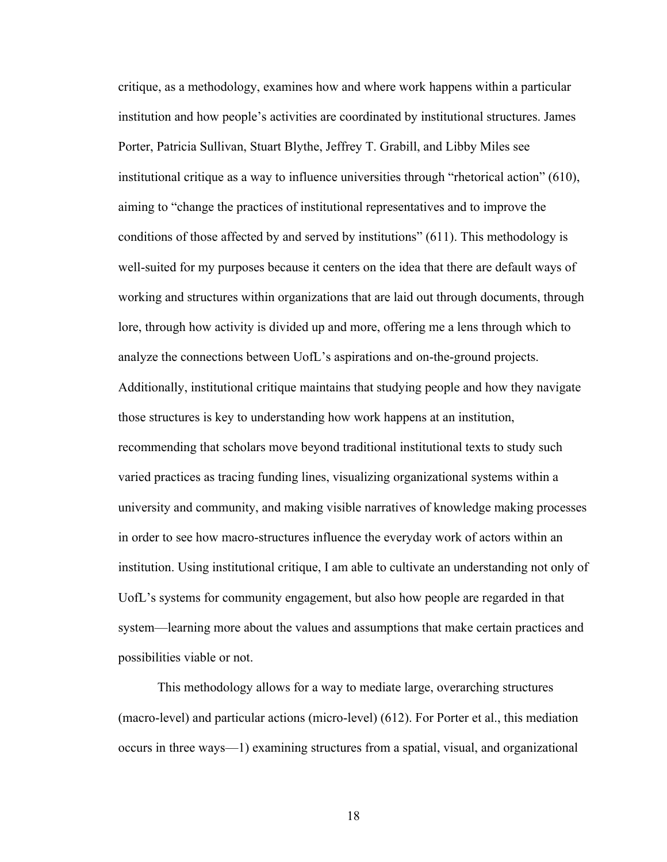critique, as a methodology, examines how and where work happens within a particular institution and how people's activities are coordinated by institutional structures. James Porter, Patricia Sullivan, Stuart Blythe, Jeffrey T. Grabill, and Libby Miles see institutional critique as a way to influence universities through "rhetorical action" (610), aiming to "change the practices of institutional representatives and to improve the conditions of those affected by and served by institutions" (611). This methodology is well-suited for my purposes because it centers on the idea that there are default ways of working and structures within organizations that are laid out through documents, through lore, through how activity is divided up and more, offering me a lens through which to analyze the connections between UofL's aspirations and on-the-ground projects. Additionally, institutional critique maintains that studying people and how they navigate those structures is key to understanding how work happens at an institution, recommending that scholars move beyond traditional institutional texts to study such varied practices as tracing funding lines, visualizing organizational systems within a university and community, and making visible narratives of knowledge making processes in order to see how macro-structures influence the everyday work of actors within an institution. Using institutional critique, I am able to cultivate an understanding not only of UofL's systems for community engagement, but also how people are regarded in that system—learning more about the values and assumptions that make certain practices and possibilities viable or not.

This methodology allows for a way to mediate large, overarching structures (macro-level) and particular actions (micro-level) (612). For Porter et al., this mediation occurs in three ways—1) examining structures from a spatial, visual, and organizational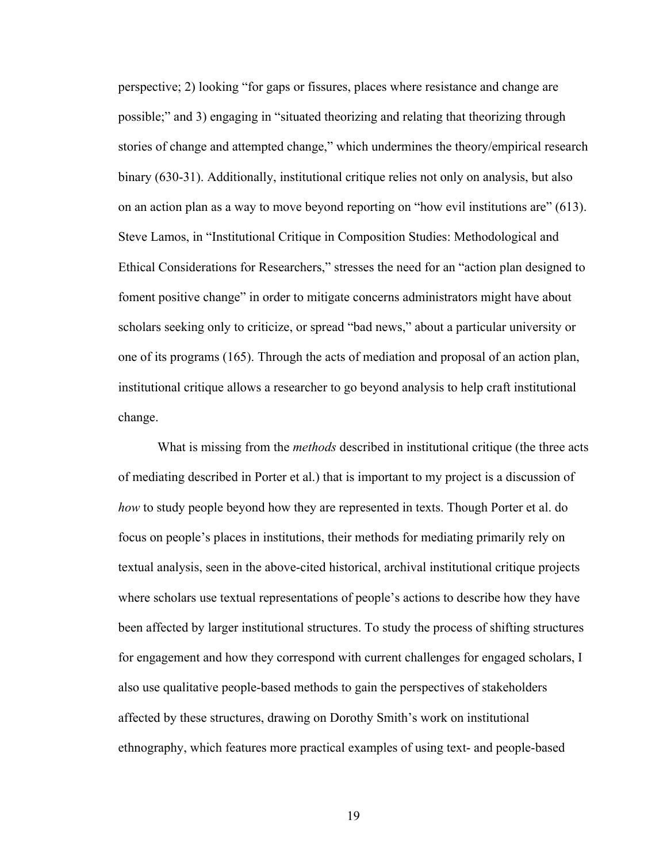perspective; 2) looking "for gaps or fissures, places where resistance and change are possible;" and 3) engaging in "situated theorizing and relating that theorizing through stories of change and attempted change," which undermines the theory/empirical research binary (630-31). Additionally, institutional critique relies not only on analysis, but also on an action plan as a way to move beyond reporting on "how evil institutions are" (613). Steve Lamos, in "Institutional Critique in Composition Studies: Methodological and Ethical Considerations for Researchers," stresses the need for an "action plan designed to foment positive change" in order to mitigate concerns administrators might have about scholars seeking only to criticize, or spread "bad news," about a particular university or one of its programs (165). Through the acts of mediation and proposal of an action plan, institutional critique allows a researcher to go beyond analysis to help craft institutional change.

What is missing from the *methods* described in institutional critique (the three acts of mediating described in Porter et al.) that is important to my project is a discussion of *how* to study people beyond how they are represented in texts. Though Porter et al. do focus on people's places in institutions, their methods for mediating primarily rely on textual analysis, seen in the above-cited historical, archival institutional critique projects where scholars use textual representations of people's actions to describe how they have been affected by larger institutional structures. To study the process of shifting structures for engagement and how they correspond with current challenges for engaged scholars, I also use qualitative people-based methods to gain the perspectives of stakeholders affected by these structures, drawing on Dorothy Smith's work on institutional ethnography, which features more practical examples of using text- and people-based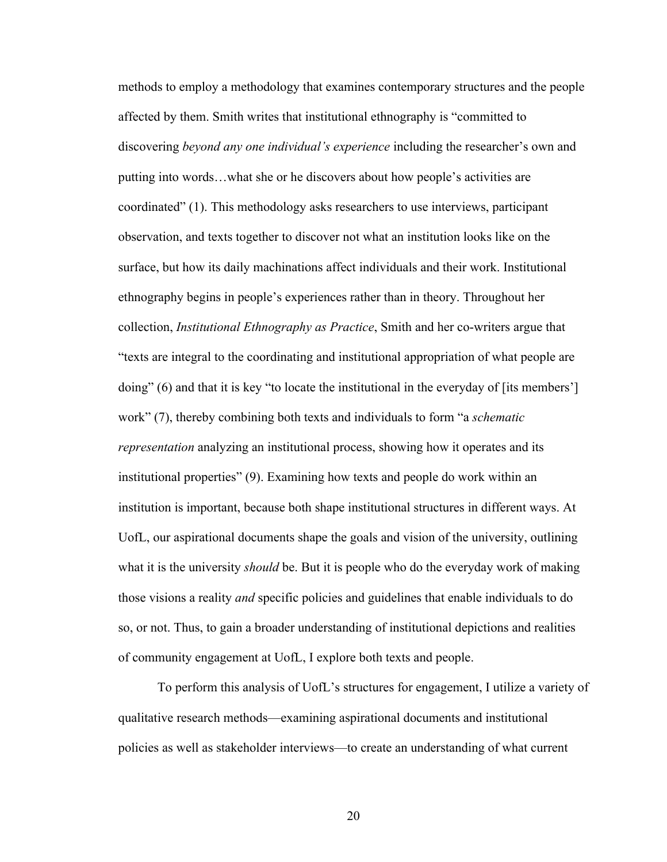methods to employ a methodology that examines contemporary structures and the people affected by them. Smith writes that institutional ethnography is "committed to discovering *beyond any one individual's experience* including the researcher's own and putting into words…what she or he discovers about how people's activities are coordinated" (1). This methodology asks researchers to use interviews, participant observation, and texts together to discover not what an institution looks like on the surface, but how its daily machinations affect individuals and their work. Institutional ethnography begins in people's experiences rather than in theory. Throughout her collection, *Institutional Ethnography as Practice*, Smith and her co-writers argue that "texts are integral to the coordinating and institutional appropriation of what people are doing" (6) and that it is key "to locate the institutional in the everyday of [its members'] work" (7), thereby combining both texts and individuals to form "a *schematic representation* analyzing an institutional process, showing how it operates and its institutional properties" (9). Examining how texts and people do work within an institution is important, because both shape institutional structures in different ways. At UofL, our aspirational documents shape the goals and vision of the university, outlining what it is the university *should* be. But it is people who do the everyday work of making those visions a reality *and* specific policies and guidelines that enable individuals to do so, or not. Thus, to gain a broader understanding of institutional depictions and realities of community engagement at UofL, I explore both texts and people.

To perform this analysis of UofL's structures for engagement, I utilize a variety of qualitative research methods—examining aspirational documents and institutional policies as well as stakeholder interviews—to create an understanding of what current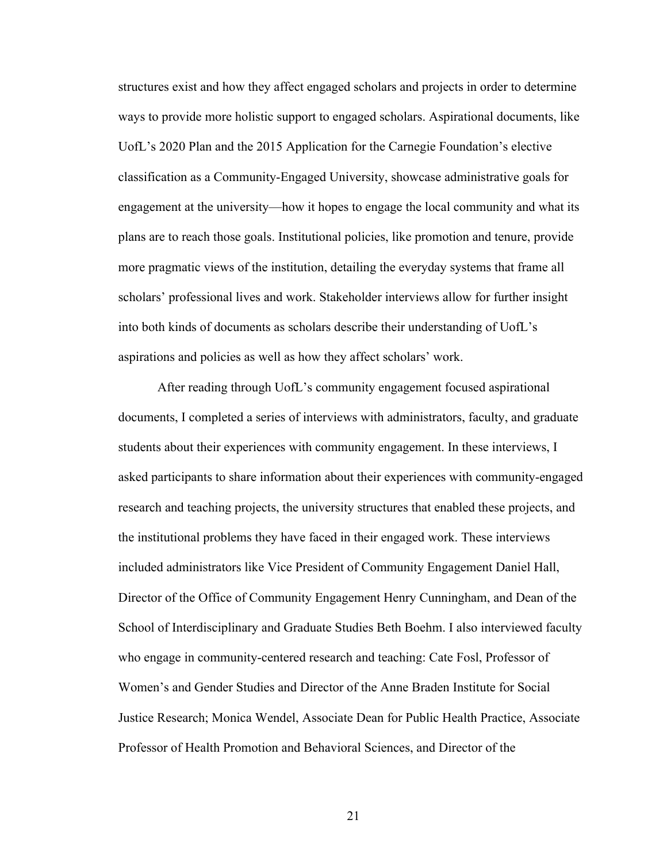structures exist and how they affect engaged scholars and projects in order to determine ways to provide more holistic support to engaged scholars. Aspirational documents, like UofL's 2020 Plan and the 2015 Application for the Carnegie Foundation's elective classification as a Community-Engaged University, showcase administrative goals for engagement at the university—how it hopes to engage the local community and what its plans are to reach those goals. Institutional policies, like promotion and tenure, provide more pragmatic views of the institution, detailing the everyday systems that frame all scholars' professional lives and work. Stakeholder interviews allow for further insight into both kinds of documents as scholars describe their understanding of UofL's aspirations and policies as well as how they affect scholars' work.

After reading through UofL's community engagement focused aspirational documents, I completed a series of interviews with administrators, faculty, and graduate students about their experiences with community engagement. In these interviews, I asked participants to share information about their experiences with community-engaged research and teaching projects, the university structures that enabled these projects, and the institutional problems they have faced in their engaged work. These interviews included administrators like Vice President of Community Engagement Daniel Hall, Director of the Office of Community Engagement Henry Cunningham, and Dean of the School of Interdisciplinary and Graduate Studies Beth Boehm. I also interviewed faculty who engage in community-centered research and teaching: Cate Fosl, Professor of Women's and Gender Studies and Director of the Anne Braden Institute for Social Justice Research; Monica Wendel, Associate Dean for Public Health Practice, Associate Professor of Health Promotion and Behavioral Sciences, and Director of the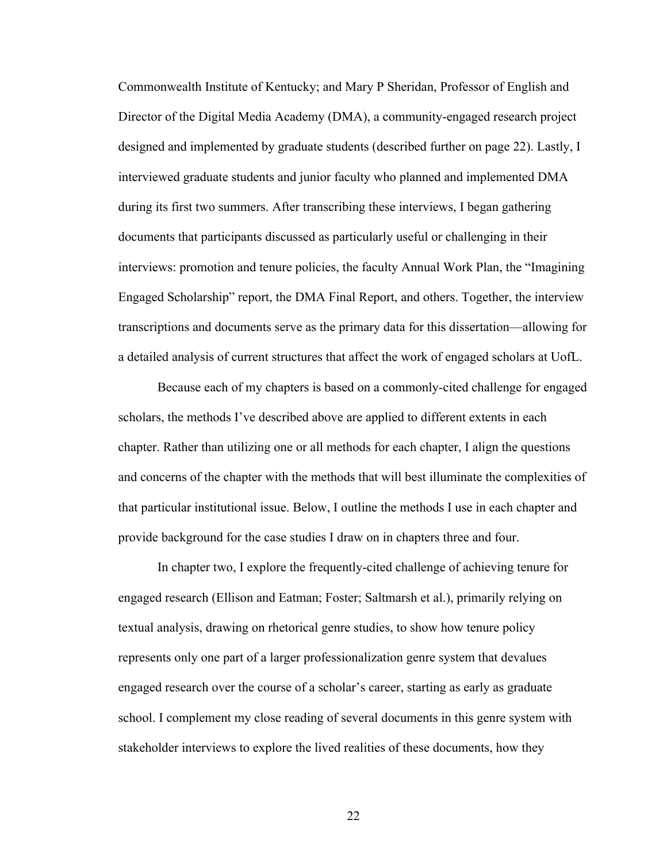Commonwealth Institute of Kentucky; and Mary P Sheridan, Professor of English and Director of the Digital Media Academy (DMA), a community-engaged research project designed and implemented by graduate students (described further on page 22). Lastly, I interviewed graduate students and junior faculty who planned and implemented DMA during its first two summers. After transcribing these interviews, I began gathering documents that participants discussed as particularly useful or challenging in their interviews: promotion and tenure policies, the faculty Annual Work Plan, the "Imagining Engaged Scholarship" report, the DMA Final Report, and others. Together, the interview transcriptions and documents serve as the primary data for this dissertation—allowing for a detailed analysis of current structures that affect the work of engaged scholars at UofL.

Because each of my chapters is based on a commonly-cited challenge for engaged scholars, the methods I've described above are applied to different extents in each chapter. Rather than utilizing one or all methods for each chapter, I align the questions and concerns of the chapter with the methods that will best illuminate the complexities of that particular institutional issue. Below, I outline the methods I use in each chapter and provide background for the case studies I draw on in chapters three and four.

In chapter two, I explore the frequently-cited challenge of achieving tenure for engaged research (Ellison and Eatman; Foster; Saltmarsh et al.), primarily relying on textual analysis, drawing on rhetorical genre studies, to show how tenure policy represents only one part of a larger professionalization genre system that devalues engaged research over the course of a scholar's career, starting as early as graduate school. I complement my close reading of several documents in this genre system with stakeholder interviews to explore the lived realities of these documents, how they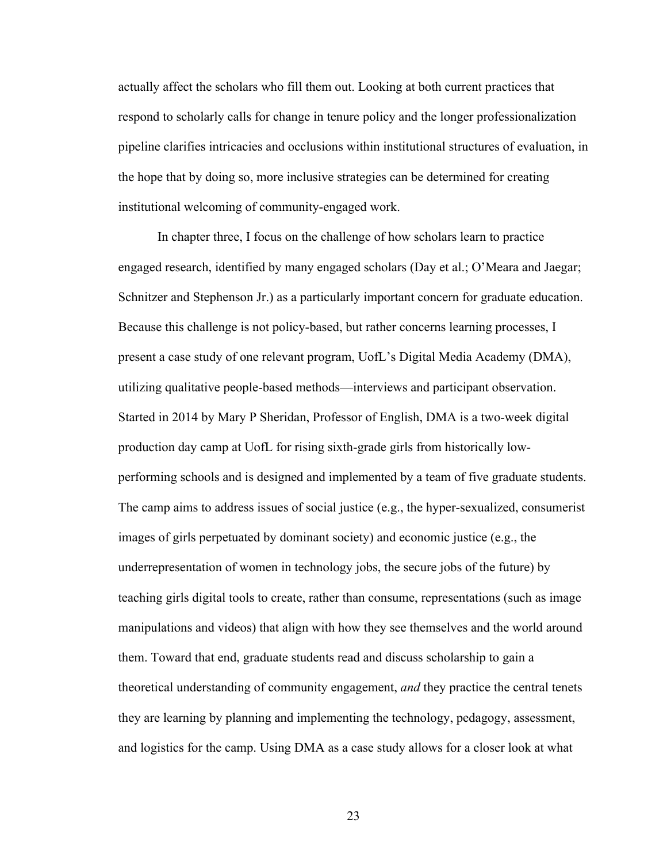actually affect the scholars who fill them out. Looking at both current practices that respond to scholarly calls for change in tenure policy and the longer professionalization pipeline clarifies intricacies and occlusions within institutional structures of evaluation, in the hope that by doing so, more inclusive strategies can be determined for creating institutional welcoming of community-engaged work.

In chapter three, I focus on the challenge of how scholars learn to practice engaged research, identified by many engaged scholars (Day et al.; O'Meara and Jaegar; Schnitzer and Stephenson Jr.) as a particularly important concern for graduate education. Because this challenge is not policy-based, but rather concerns learning processes, I present a case study of one relevant program, UofL's Digital Media Academy (DMA), utilizing qualitative people-based methods—interviews and participant observation. Started in 2014 by Mary P Sheridan, Professor of English, DMA is a two-week digital production day camp at UofL for rising sixth-grade girls from historically lowperforming schools and is designed and implemented by a team of five graduate students. The camp aims to address issues of social justice (e.g., the hyper-sexualized, consumerist images of girls perpetuated by dominant society) and economic justice (e.g., the underrepresentation of women in technology jobs, the secure jobs of the future) by teaching girls digital tools to create, rather than consume, representations (such as image manipulations and videos) that align with how they see themselves and the world around them. Toward that end, graduate students read and discuss scholarship to gain a theoretical understanding of community engagement, *and* they practice the central tenets they are learning by planning and implementing the technology, pedagogy, assessment, and logistics for the camp. Using DMA as a case study allows for a closer look at what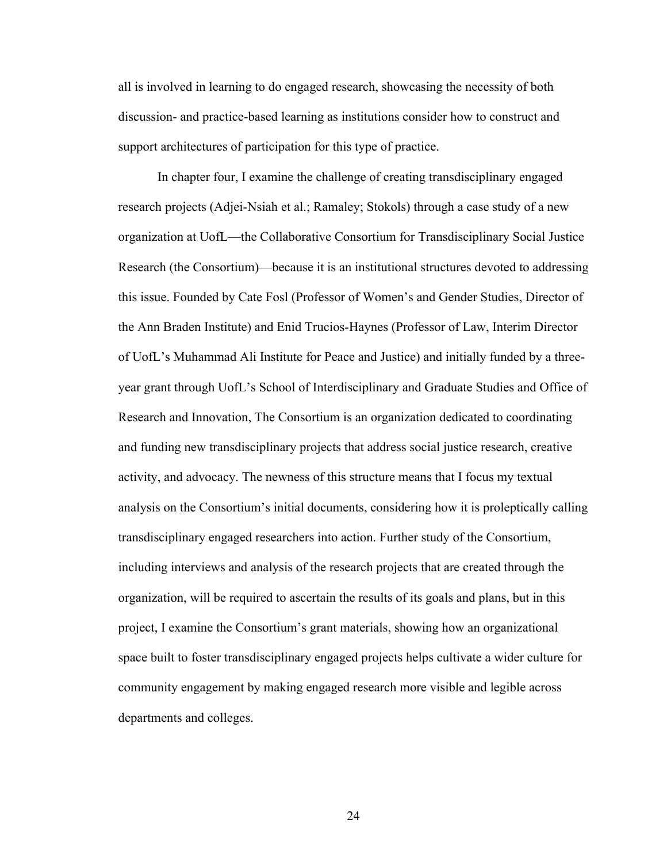all is involved in learning to do engaged research, showcasing the necessity of both discussion- and practice-based learning as institutions consider how to construct and support architectures of participation for this type of practice.

In chapter four, I examine the challenge of creating transdisciplinary engaged research projects (Adjei-Nsiah et al.; Ramaley; Stokols) through a case study of a new organization at UofL—the Collaborative Consortium for Transdisciplinary Social Justice Research (the Consortium)—because it is an institutional structures devoted to addressing this issue. Founded by Cate Fosl (Professor of Women's and Gender Studies, Director of the Ann Braden Institute) and Enid Trucios-Haynes (Professor of Law, Interim Director of UofL's Muhammad Ali Institute for Peace and Justice) and initially funded by a threeyear grant through UofL's School of Interdisciplinary and Graduate Studies and Office of Research and Innovation, The Consortium is an organization dedicated to coordinating and funding new transdisciplinary projects that address social justice research, creative activity, and advocacy. The newness of this structure means that I focus my textual analysis on the Consortium's initial documents, considering how it is proleptically calling transdisciplinary engaged researchers into action. Further study of the Consortium, including interviews and analysis of the research projects that are created through the organization, will be required to ascertain the results of its goals and plans, but in this project, I examine the Consortium's grant materials, showing how an organizational space built to foster transdisciplinary engaged projects helps cultivate a wider culture for community engagement by making engaged research more visible and legible across departments and colleges.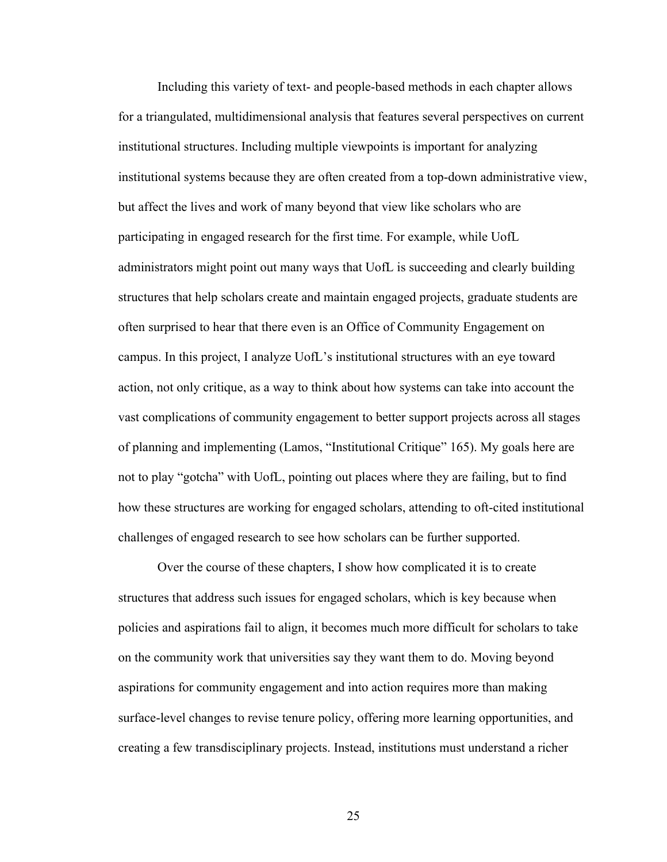Including this variety of text- and people-based methods in each chapter allows for a triangulated, multidimensional analysis that features several perspectives on current institutional structures. Including multiple viewpoints is important for analyzing institutional systems because they are often created from a top-down administrative view, but affect the lives and work of many beyond that view like scholars who are participating in engaged research for the first time. For example, while UofL administrators might point out many ways that UofL is succeeding and clearly building structures that help scholars create and maintain engaged projects, graduate students are often surprised to hear that there even is an Office of Community Engagement on campus. In this project, I analyze UofL's institutional structures with an eye toward action, not only critique, as a way to think about how systems can take into account the vast complications of community engagement to better support projects across all stages of planning and implementing (Lamos, "Institutional Critique" 165). My goals here are not to play "gotcha" with UofL, pointing out places where they are failing, but to find how these structures are working for engaged scholars, attending to oft-cited institutional challenges of engaged research to see how scholars can be further supported.

Over the course of these chapters, I show how complicated it is to create structures that address such issues for engaged scholars, which is key because when policies and aspirations fail to align, it becomes much more difficult for scholars to take on the community work that universities say they want them to do. Moving beyond aspirations for community engagement and into action requires more than making surface-level changes to revise tenure policy, offering more learning opportunities, and creating a few transdisciplinary projects. Instead, institutions must understand a richer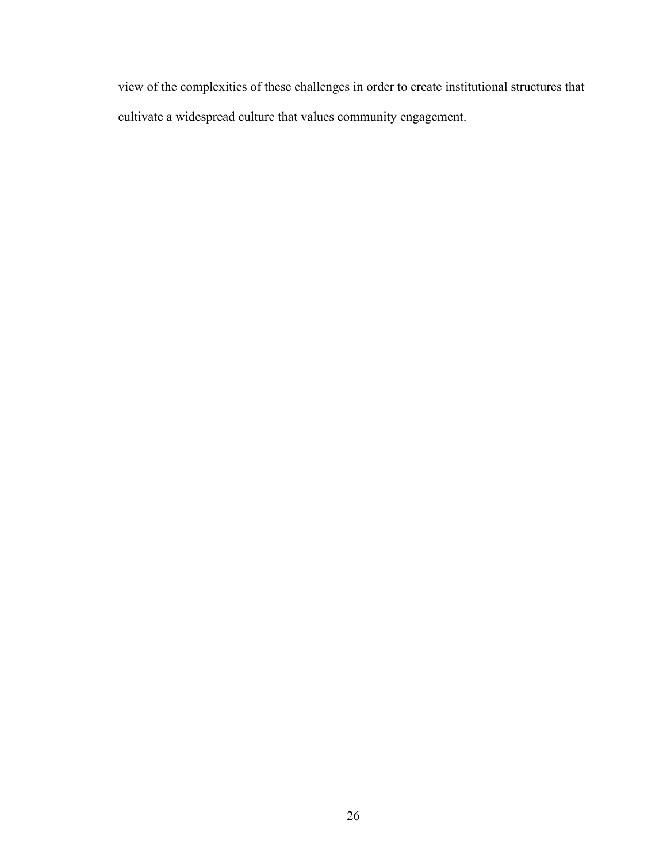view of the complexities of these challenges in order to create institutional structures that cultivate a widespread culture that values community engagement.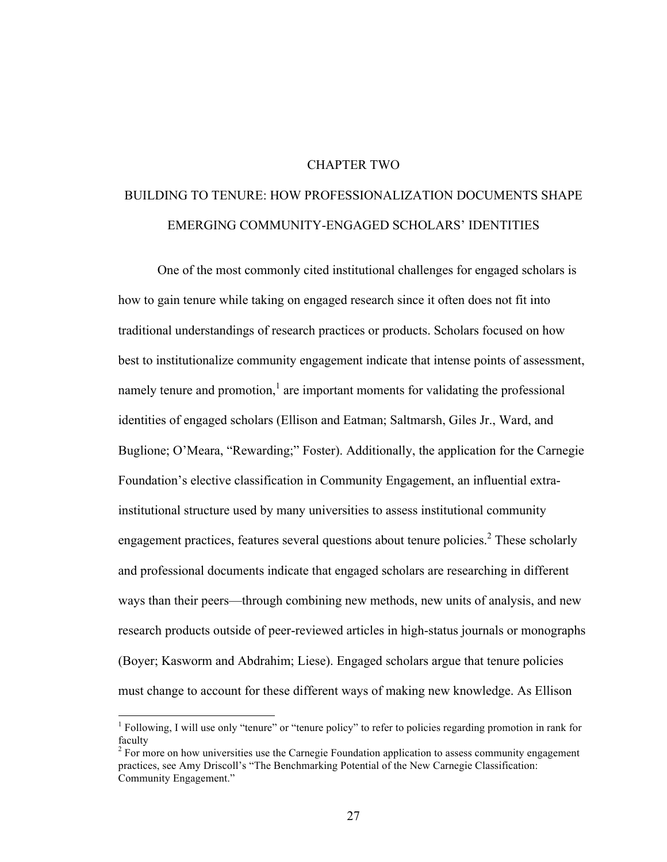# CHAPTER TWO

# BUILDING TO TENURE: HOW PROFESSIONALIZATION DOCUMENTS SHAPE EMERGING COMMUNITY-ENGAGED SCHOLARS' IDENTITIES

One of the most commonly cited institutional challenges for engaged scholars is how to gain tenure while taking on engaged research since it often does not fit into traditional understandings of research practices or products. Scholars focused on how best to institutionalize community engagement indicate that intense points of assessment, namely tenure and promotion, $\frac{1}{1}$  are important moments for validating the professional identities of engaged scholars (Ellison and Eatman; Saltmarsh, Giles Jr., Ward, and Buglione; O'Meara, "Rewarding;" Foster). Additionally, the application for the Carnegie Foundation's elective classification in Community Engagement, an influential extrainstitutional structure used by many universities to assess institutional community engagement practices, features several questions about tenure policies.<sup>2</sup> These scholarly and professional documents indicate that engaged scholars are researching in different ways than their peers—through combining new methods, new units of analysis, and new research products outside of peer-reviewed articles in high-status journals or monographs (Boyer; Kasworm and Abdrahim; Liese). Engaged scholars argue that tenure policies must change to account for these different ways of making new knowledge. As Ellison

 $<sup>1</sup>$  Following, I will use only "tenure" or "tenure policy" to refer to policies regarding promotion in rank for</sup> faculty

 $2 \text{ For more on how universities use the Carnegie Foundation application to assess community engagement}$ practices, see Amy Driscoll's "The Benchmarking Potential of the New Carnegie Classification: Community Engagement."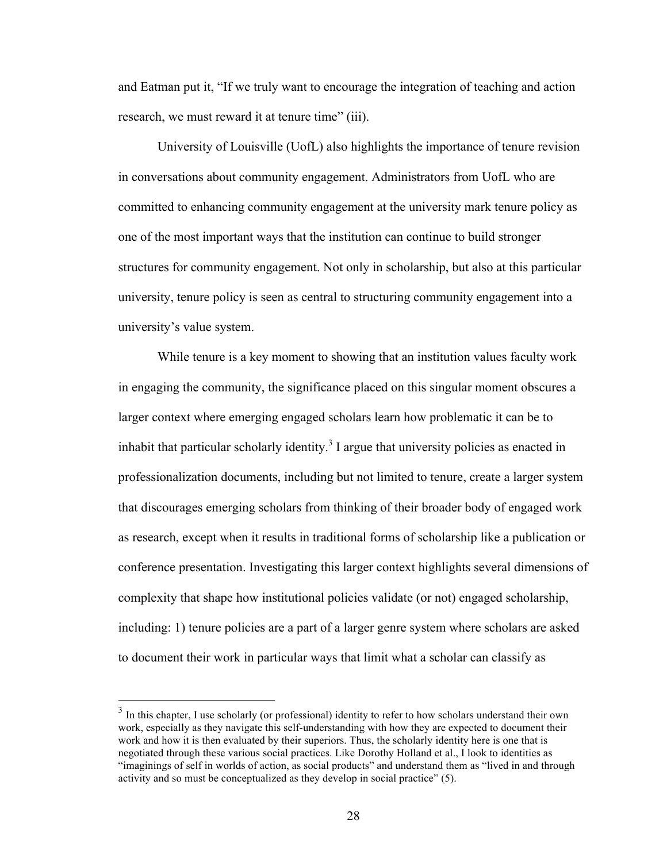and Eatman put it, "If we truly want to encourage the integration of teaching and action research, we must reward it at tenure time" (iii).

University of Louisville (UofL) also highlights the importance of tenure revision in conversations about community engagement. Administrators from UofL who are committed to enhancing community engagement at the university mark tenure policy as one of the most important ways that the institution can continue to build stronger structures for community engagement. Not only in scholarship, but also at this particular university, tenure policy is seen as central to structuring community engagement into a university's value system.

While tenure is a key moment to showing that an institution values faculty work in engaging the community, the significance placed on this singular moment obscures a larger context where emerging engaged scholars learn how problematic it can be to inhabit that particular scholarly identity.<sup>3</sup> I argue that university policies as enacted in professionalization documents, including but not limited to tenure, create a larger system that discourages emerging scholars from thinking of their broader body of engaged work as research, except when it results in traditional forms of scholarship like a publication or conference presentation. Investigating this larger context highlights several dimensions of complexity that shape how institutional policies validate (or not) engaged scholarship, including: 1) tenure policies are a part of a larger genre system where scholars are asked to document their work in particular ways that limit what a scholar can classify as

 $3\,$  In this chapter, I use scholarly (or professional) identity to refer to how scholars understand their own work, especially as they navigate this self-understanding with how they are expected to document their work and how it is then evaluated by their superiors. Thus, the scholarly identity here is one that is negotiated through these various social practices. Like Dorothy Holland et al., I look to identities as "imaginings of self in worlds of action, as social products" and understand them as "lived in and through activity and so must be conceptualized as they develop in social practice" (5).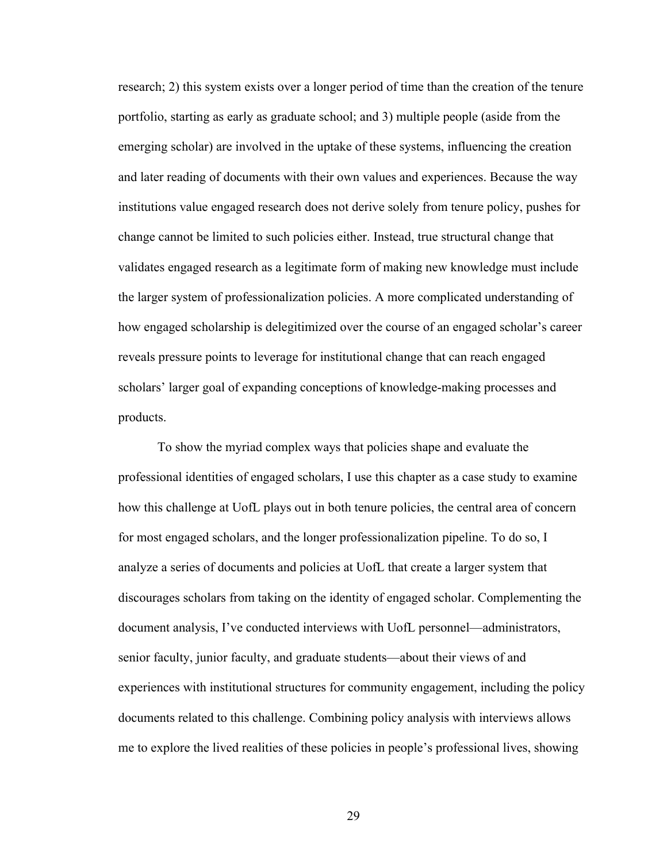research; 2) this system exists over a longer period of time than the creation of the tenure portfolio, starting as early as graduate school; and 3) multiple people (aside from the emerging scholar) are involved in the uptake of these systems, influencing the creation and later reading of documents with their own values and experiences. Because the way institutions value engaged research does not derive solely from tenure policy, pushes for change cannot be limited to such policies either. Instead, true structural change that validates engaged research as a legitimate form of making new knowledge must include the larger system of professionalization policies. A more complicated understanding of how engaged scholarship is delegitimized over the course of an engaged scholar's career reveals pressure points to leverage for institutional change that can reach engaged scholars' larger goal of expanding conceptions of knowledge-making processes and products.

To show the myriad complex ways that policies shape and evaluate the professional identities of engaged scholars, I use this chapter as a case study to examine how this challenge at UofL plays out in both tenure policies, the central area of concern for most engaged scholars, and the longer professionalization pipeline. To do so, I analyze a series of documents and policies at UofL that create a larger system that discourages scholars from taking on the identity of engaged scholar. Complementing the document analysis, I've conducted interviews with UofL personnel—administrators, senior faculty, junior faculty, and graduate students—about their views of and experiences with institutional structures for community engagement, including the policy documents related to this challenge. Combining policy analysis with interviews allows me to explore the lived realities of these policies in people's professional lives, showing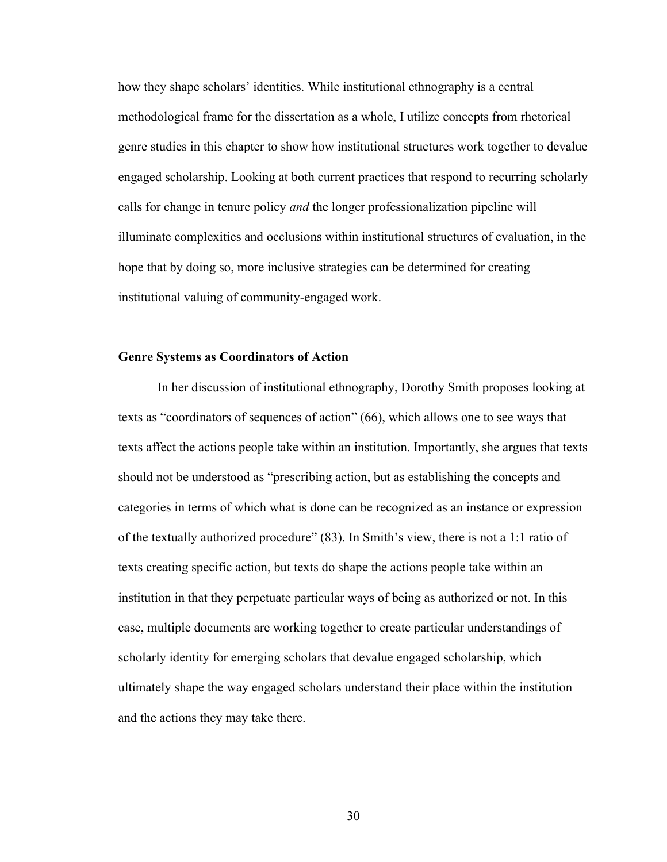how they shape scholars' identities. While institutional ethnography is a central methodological frame for the dissertation as a whole, I utilize concepts from rhetorical genre studies in this chapter to show how institutional structures work together to devalue engaged scholarship. Looking at both current practices that respond to recurring scholarly calls for change in tenure policy *and* the longer professionalization pipeline will illuminate complexities and occlusions within institutional structures of evaluation, in the hope that by doing so, more inclusive strategies can be determined for creating institutional valuing of community-engaged work.

# **Genre Systems as Coordinators of Action**

In her discussion of institutional ethnography, Dorothy Smith proposes looking at texts as "coordinators of sequences of action" (66), which allows one to see ways that texts affect the actions people take within an institution. Importantly, she argues that texts should not be understood as "prescribing action, but as establishing the concepts and categories in terms of which what is done can be recognized as an instance or expression of the textually authorized procedure" (83). In Smith's view, there is not a 1:1 ratio of texts creating specific action, but texts do shape the actions people take within an institution in that they perpetuate particular ways of being as authorized or not. In this case, multiple documents are working together to create particular understandings of scholarly identity for emerging scholars that devalue engaged scholarship, which ultimately shape the way engaged scholars understand their place within the institution and the actions they may take there.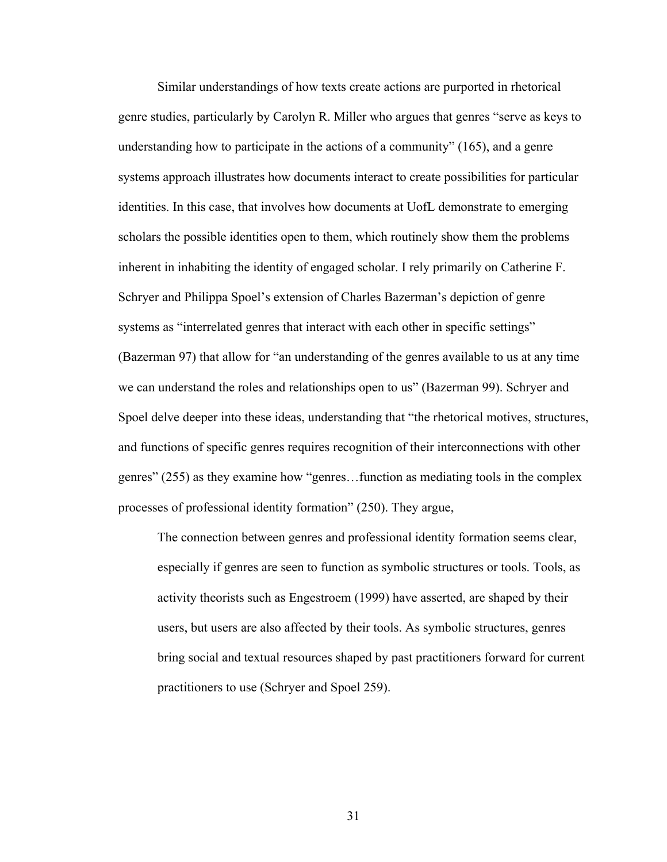Similar understandings of how texts create actions are purported in rhetorical genre studies, particularly by Carolyn R. Miller who argues that genres "serve as keys to understanding how to participate in the actions of a community" (165), and a genre systems approach illustrates how documents interact to create possibilities for particular identities. In this case, that involves how documents at UofL demonstrate to emerging scholars the possible identities open to them, which routinely show them the problems inherent in inhabiting the identity of engaged scholar. I rely primarily on Catherine F. Schryer and Philippa Spoel's extension of Charles Bazerman's depiction of genre systems as "interrelated genres that interact with each other in specific settings" (Bazerman 97) that allow for "an understanding of the genres available to us at any time we can understand the roles and relationships open to us" (Bazerman 99). Schryer and Spoel delve deeper into these ideas, understanding that "the rhetorical motives, structures, and functions of specific genres requires recognition of their interconnections with other genres" (255) as they examine how "genres…function as mediating tools in the complex processes of professional identity formation" (250). They argue,

The connection between genres and professional identity formation seems clear, especially if genres are seen to function as symbolic structures or tools. Tools, as activity theorists such as Engestroem (1999) have asserted, are shaped by their users, but users are also affected by their tools. As symbolic structures, genres bring social and textual resources shaped by past practitioners forward for current practitioners to use (Schryer and Spoel 259).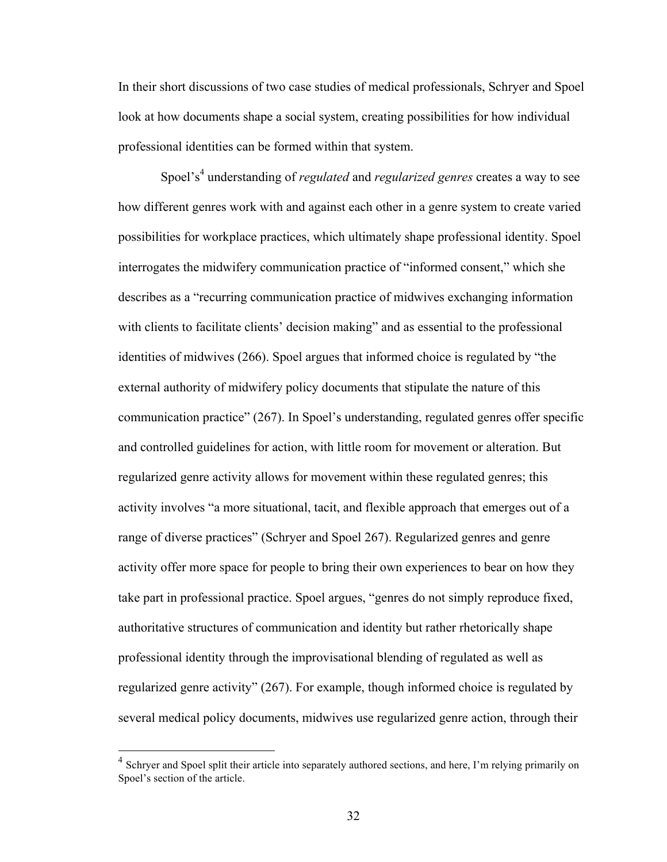In their short discussions of two case studies of medical professionals, Schryer and Spoel look at how documents shape a social system, creating possibilities for how individual professional identities can be formed within that system.

Spoel's<sup>4</sup> understanding of *regulated* and *regularized genres* creates a way to see how different genres work with and against each other in a genre system to create varied possibilities for workplace practices, which ultimately shape professional identity. Spoel interrogates the midwifery communication practice of "informed consent," which she describes as a "recurring communication practice of midwives exchanging information with clients to facilitate clients' decision making" and as essential to the professional identities of midwives (266). Spoel argues that informed choice is regulated by "the external authority of midwifery policy documents that stipulate the nature of this communication practice" (267). In Spoel's understanding, regulated genres offer specific and controlled guidelines for action, with little room for movement or alteration. But regularized genre activity allows for movement within these regulated genres; this activity involves "a more situational, tacit, and flexible approach that emerges out of a range of diverse practices" (Schryer and Spoel 267). Regularized genres and genre activity offer more space for people to bring their own experiences to bear on how they take part in professional practice. Spoel argues, "genres do not simply reproduce fixed, authoritative structures of communication and identity but rather rhetorically shape professional identity through the improvisational blending of regulated as well as regularized genre activity" (267). For example, though informed choice is regulated by several medical policy documents, midwives use regularized genre action, through their

<sup>&</sup>lt;sup>4</sup> Schrver and Spoel split their article into separately authored sections, and here, I'm relying primarily on Spoel's section of the article.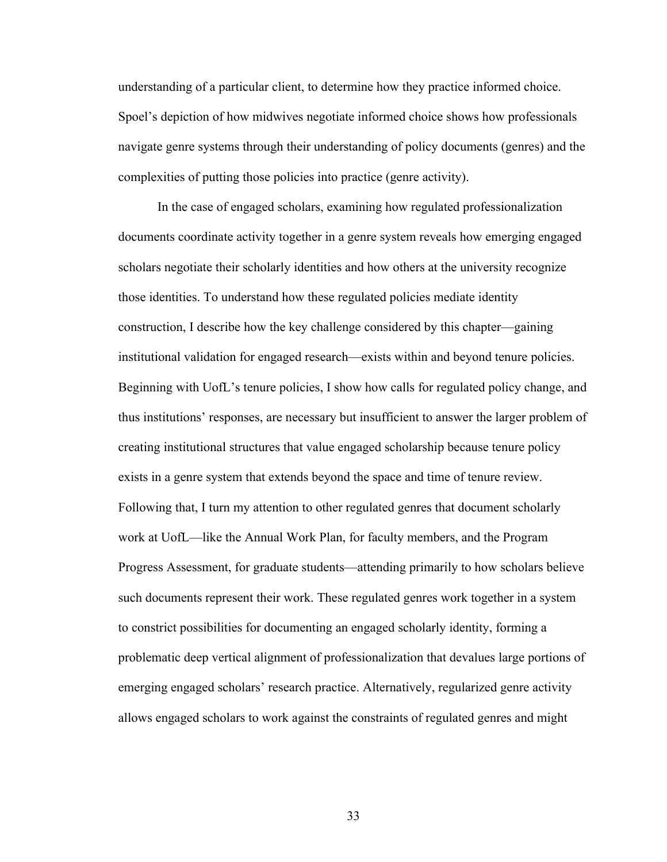understanding of a particular client, to determine how they practice informed choice. Spoel's depiction of how midwives negotiate informed choice shows how professionals navigate genre systems through their understanding of policy documents (genres) and the complexities of putting those policies into practice (genre activity).

In the case of engaged scholars, examining how regulated professionalization documents coordinate activity together in a genre system reveals how emerging engaged scholars negotiate their scholarly identities and how others at the university recognize those identities. To understand how these regulated policies mediate identity construction, I describe how the key challenge considered by this chapter—gaining institutional validation for engaged research—exists within and beyond tenure policies. Beginning with UofL's tenure policies, I show how calls for regulated policy change, and thus institutions' responses, are necessary but insufficient to answer the larger problem of creating institutional structures that value engaged scholarship because tenure policy exists in a genre system that extends beyond the space and time of tenure review. Following that, I turn my attention to other regulated genres that document scholarly work at UofL—like the Annual Work Plan, for faculty members, and the Program Progress Assessment, for graduate students—attending primarily to how scholars believe such documents represent their work. These regulated genres work together in a system to constrict possibilities for documenting an engaged scholarly identity, forming a problematic deep vertical alignment of professionalization that devalues large portions of emerging engaged scholars' research practice. Alternatively, regularized genre activity allows engaged scholars to work against the constraints of regulated genres and might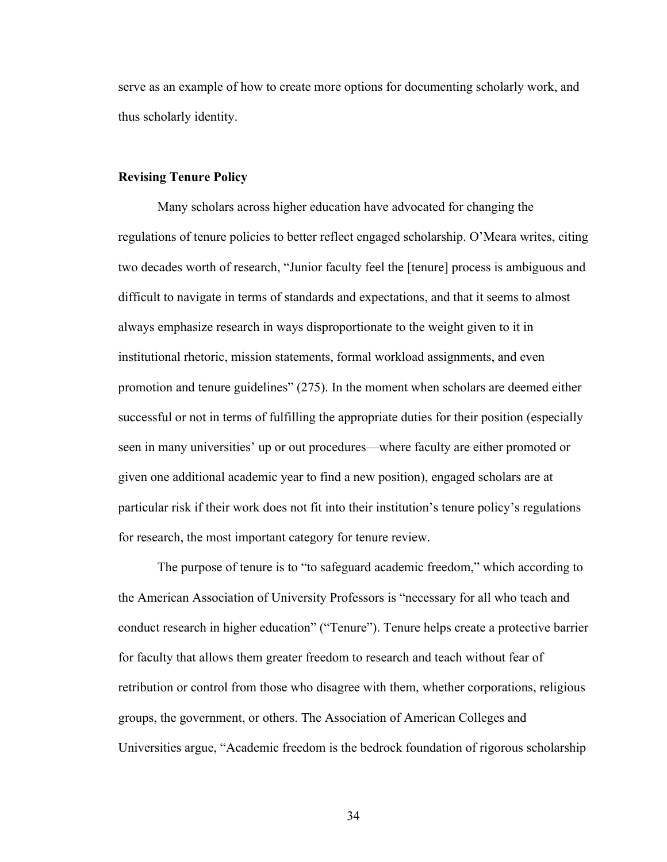serve as an example of how to create more options for documenting scholarly work, and thus scholarly identity.

### **Revising Tenure Policy**

Many scholars across higher education have advocated for changing the regulations of tenure policies to better reflect engaged scholarship. O'Meara writes, citing two decades worth of research, "Junior faculty feel the [tenure] process is ambiguous and difficult to navigate in terms of standards and expectations, and that it seems to almost always emphasize research in ways disproportionate to the weight given to it in institutional rhetoric, mission statements, formal workload assignments, and even promotion and tenure guidelines" (275). In the moment when scholars are deemed either successful or not in terms of fulfilling the appropriate duties for their position (especially seen in many universities' up or out procedures—where faculty are either promoted or given one additional academic year to find a new position), engaged scholars are at particular risk if their work does not fit into their institution's tenure policy's regulations for research, the most important category for tenure review.

The purpose of tenure is to "to safeguard academic freedom," which according to the American Association of University Professors is "necessary for all who teach and conduct research in higher education" ("Tenure"). Tenure helps create a protective barrier for faculty that allows them greater freedom to research and teach without fear of retribution or control from those who disagree with them, whether corporations, religious groups, the government, or others. The Association of American Colleges and Universities argue, "Academic freedom is the bedrock foundation of rigorous scholarship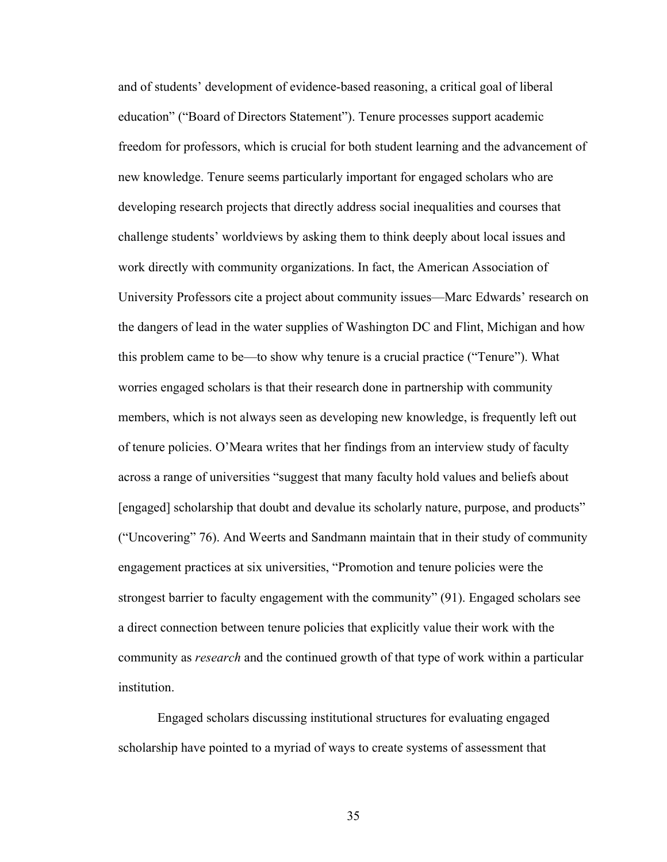and of students' development of evidence-based reasoning, a critical goal of liberal education" ("Board of Directors Statement"). Tenure processes support academic freedom for professors, which is crucial for both student learning and the advancement of new knowledge. Tenure seems particularly important for engaged scholars who are developing research projects that directly address social inequalities and courses that challenge students' worldviews by asking them to think deeply about local issues and work directly with community organizations. In fact, the American Association of University Professors cite a project about community issues—Marc Edwards' research on the dangers of lead in the water supplies of Washington DC and Flint, Michigan and how this problem came to be—to show why tenure is a crucial practice ("Tenure"). What worries engaged scholars is that their research done in partnership with community members, which is not always seen as developing new knowledge, is frequently left out of tenure policies. O'Meara writes that her findings from an interview study of faculty across a range of universities "suggest that many faculty hold values and beliefs about [engaged] scholarship that doubt and devalue its scholarly nature, purpose, and products" ("Uncovering" 76). And Weerts and Sandmann maintain that in their study of community engagement practices at six universities, "Promotion and tenure policies were the strongest barrier to faculty engagement with the community" (91). Engaged scholars see a direct connection between tenure policies that explicitly value their work with the community as *research* and the continued growth of that type of work within a particular institution.

Engaged scholars discussing institutional structures for evaluating engaged scholarship have pointed to a myriad of ways to create systems of assessment that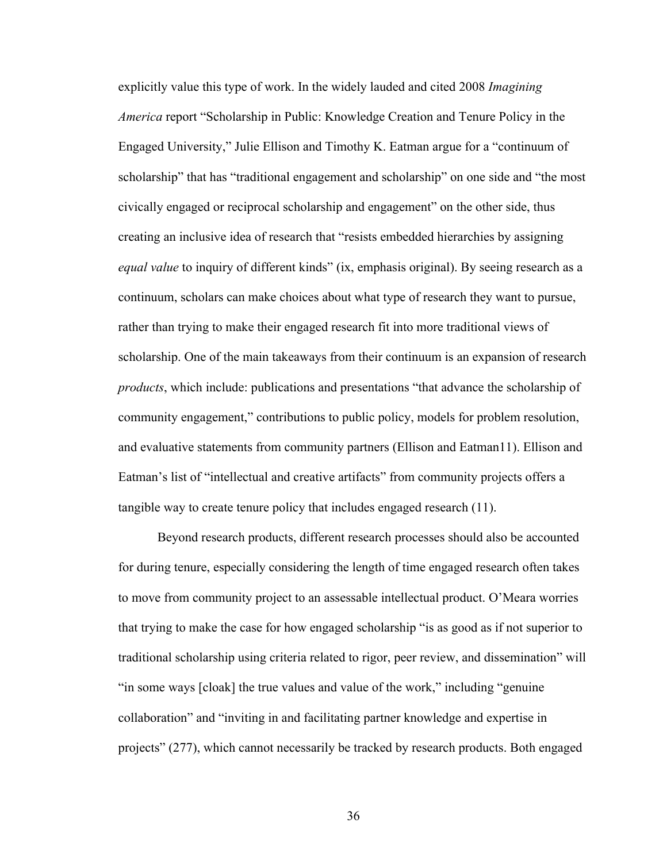explicitly value this type of work. In the widely lauded and cited 2008 *Imagining America* report "Scholarship in Public: Knowledge Creation and Tenure Policy in the Engaged University," Julie Ellison and Timothy K. Eatman argue for a "continuum of scholarship" that has "traditional engagement and scholarship" on one side and "the most civically engaged or reciprocal scholarship and engagement" on the other side, thus creating an inclusive idea of research that "resists embedded hierarchies by assigning *equal value* to inquiry of different kinds" (ix, emphasis original). By seeing research as a continuum, scholars can make choices about what type of research they want to pursue, rather than trying to make their engaged research fit into more traditional views of scholarship. One of the main takeaways from their continuum is an expansion of research *products*, which include: publications and presentations "that advance the scholarship of community engagement," contributions to public policy, models for problem resolution, and evaluative statements from community partners (Ellison and Eatman11). Ellison and Eatman's list of "intellectual and creative artifacts" from community projects offers a tangible way to create tenure policy that includes engaged research (11).

Beyond research products, different research processes should also be accounted for during tenure, especially considering the length of time engaged research often takes to move from community project to an assessable intellectual product. O'Meara worries that trying to make the case for how engaged scholarship "is as good as if not superior to traditional scholarship using criteria related to rigor, peer review, and dissemination" will "in some ways [cloak] the true values and value of the work," including "genuine collaboration" and "inviting in and facilitating partner knowledge and expertise in projects" (277), which cannot necessarily be tracked by research products. Both engaged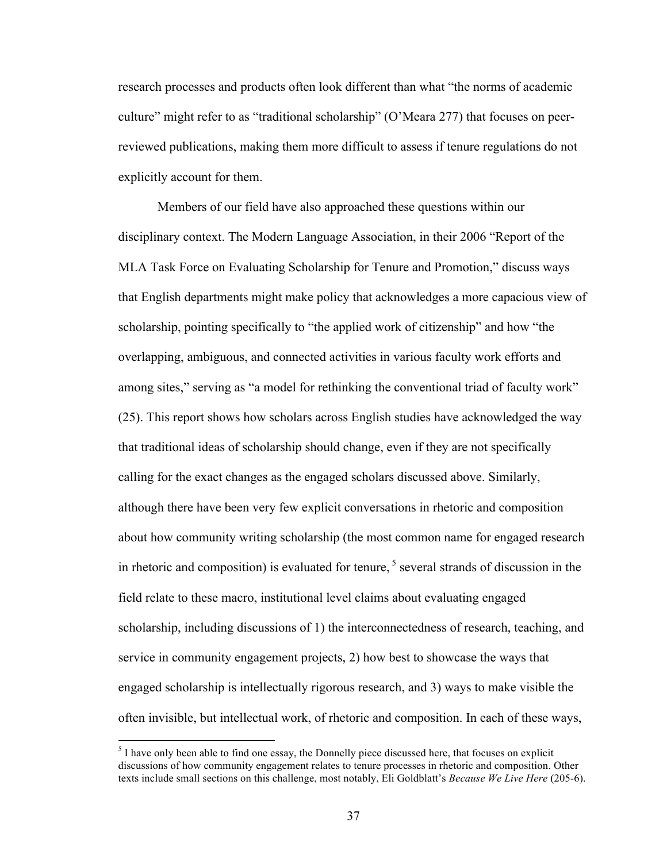research processes and products often look different than what "the norms of academic culture" might refer to as "traditional scholarship" (O'Meara 277) that focuses on peerreviewed publications, making them more difficult to assess if tenure regulations do not explicitly account for them.

Members of our field have also approached these questions within our disciplinary context. The Modern Language Association, in their 2006 "Report of the MLA Task Force on Evaluating Scholarship for Tenure and Promotion," discuss ways that English departments might make policy that acknowledges a more capacious view of scholarship, pointing specifically to "the applied work of citizenship" and how "the overlapping, ambiguous, and connected activities in various faculty work efforts and among sites," serving as "a model for rethinking the conventional triad of faculty work" (25). This report shows how scholars across English studies have acknowledged the way that traditional ideas of scholarship should change, even if they are not specifically calling for the exact changes as the engaged scholars discussed above. Similarly, although there have been very few explicit conversations in rhetoric and composition about how community writing scholarship (the most common name for engaged research in rhetoric and composition) is evaluated for tenure,  $5$  several strands of discussion in the field relate to these macro, institutional level claims about evaluating engaged scholarship, including discussions of 1) the interconnectedness of research, teaching, and service in community engagement projects, 2) how best to showcase the ways that engaged scholarship is intellectually rigorous research, and 3) ways to make visible the often invisible, but intellectual work, of rhetoric and composition. In each of these ways,

<sup>&</sup>lt;sup>5</sup> I have only been able to find one essay, the Donnelly piece discussed here, that focuses on explicit discussions of how community engagement relates to tenure processes in rhetoric and composition. Other texts include small sections on this challenge, most notably, Eli Goldblatt's *Because We Live Here* (205-6).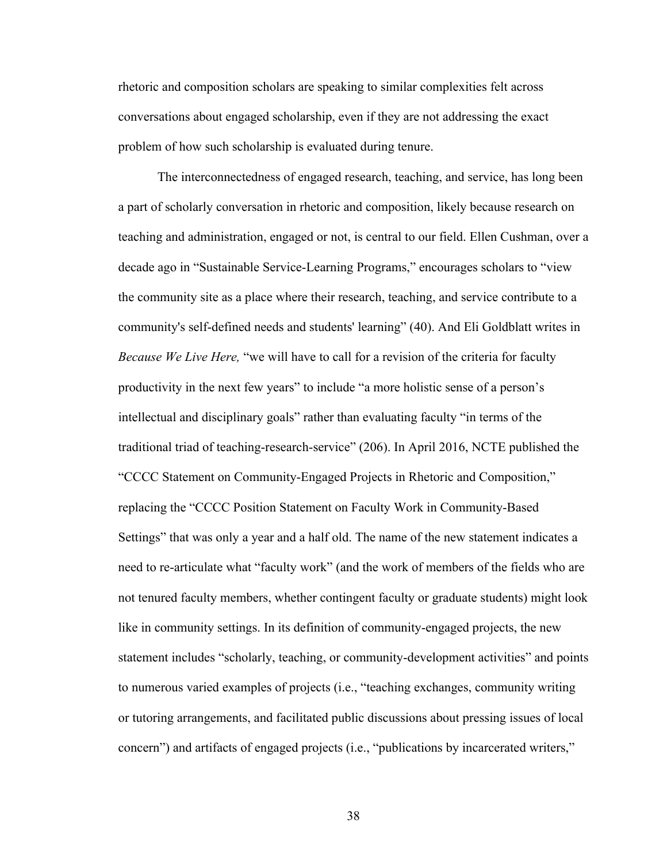rhetoric and composition scholars are speaking to similar complexities felt across conversations about engaged scholarship, even if they are not addressing the exact problem of how such scholarship is evaluated during tenure.

The interconnectedness of engaged research, teaching, and service, has long been a part of scholarly conversation in rhetoric and composition, likely because research on teaching and administration, engaged or not, is central to our field. Ellen Cushman, over a decade ago in "Sustainable Service-Learning Programs," encourages scholars to "view the community site as a place where their research, teaching, and service contribute to a community's self-defined needs and students' learning" (40). And Eli Goldblatt writes in *Because We Live Here,* "we will have to call for a revision of the criteria for faculty productivity in the next few years" to include "a more holistic sense of a person's intellectual and disciplinary goals" rather than evaluating faculty "in terms of the traditional triad of teaching-research-service" (206). In April 2016, NCTE published the "CCCC Statement on Community-Engaged Projects in Rhetoric and Composition," replacing the "CCCC Position Statement on Faculty Work in Community-Based Settings" that was only a year and a half old. The name of the new statement indicates a need to re-articulate what "faculty work" (and the work of members of the fields who are not tenured faculty members, whether contingent faculty or graduate students) might look like in community settings. In its definition of community-engaged projects, the new statement includes "scholarly, teaching, or community-development activities" and points to numerous varied examples of projects (i.e., "teaching exchanges, community writing or tutoring arrangements, and facilitated public discussions about pressing issues of local concern") and artifacts of engaged projects (i.e., "publications by incarcerated writers,"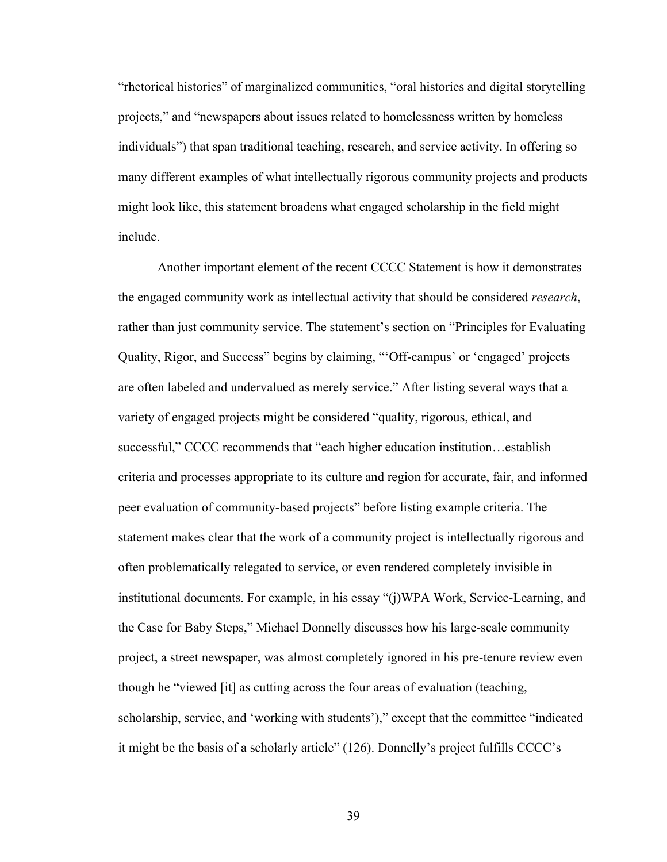"rhetorical histories" of marginalized communities, "oral histories and digital storytelling projects," and "newspapers about issues related to homelessness written by homeless individuals") that span traditional teaching, research, and service activity. In offering so many different examples of what intellectually rigorous community projects and products might look like, this statement broadens what engaged scholarship in the field might include.

Another important element of the recent CCCC Statement is how it demonstrates the engaged community work as intellectual activity that should be considered *research*, rather than just community service. The statement's section on "Principles for Evaluating Quality, Rigor, and Success" begins by claiming, "'Off-campus' or 'engaged' projects are often labeled and undervalued as merely service." After listing several ways that a variety of engaged projects might be considered "quality, rigorous, ethical, and successful," CCCC recommends that "each higher education institution...establish criteria and processes appropriate to its culture and region for accurate, fair, and informed peer evaluation of community-based projects" before listing example criteria. The statement makes clear that the work of a community project is intellectually rigorous and often problematically relegated to service, or even rendered completely invisible in institutional documents. For example, in his essay "(j)WPA Work, Service-Learning, and the Case for Baby Steps," Michael Donnelly discusses how his large-scale community project, a street newspaper, was almost completely ignored in his pre-tenure review even though he "viewed [it] as cutting across the four areas of evaluation (teaching, scholarship, service, and 'working with students')," except that the committee "indicated it might be the basis of a scholarly article" (126). Donnelly's project fulfills CCCC's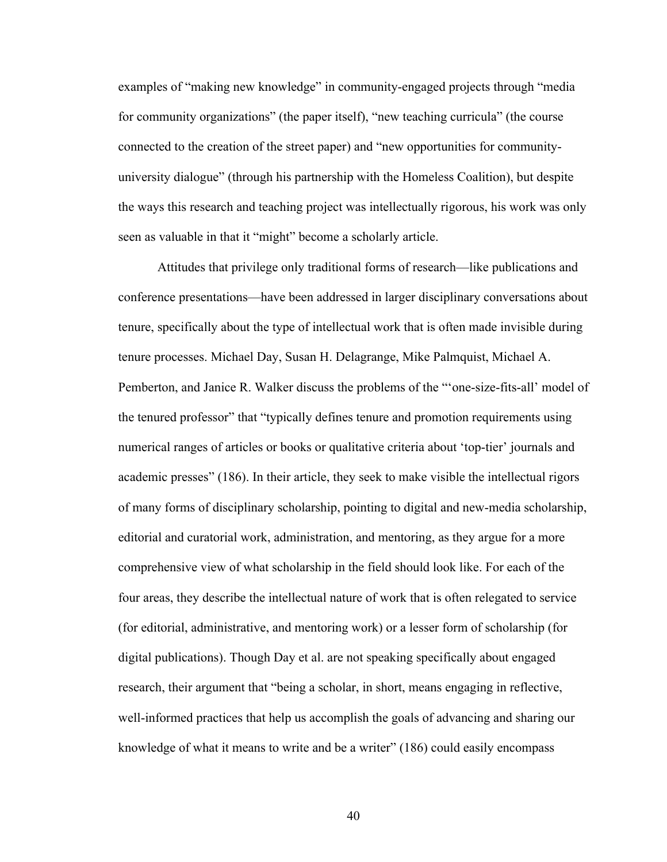examples of "making new knowledge" in community-engaged projects through "media for community organizations" (the paper itself), "new teaching curricula" (the course connected to the creation of the street paper) and "new opportunities for communityuniversity dialogue" (through his partnership with the Homeless Coalition), but despite the ways this research and teaching project was intellectually rigorous, his work was only seen as valuable in that it "might" become a scholarly article.

Attitudes that privilege only traditional forms of research—like publications and conference presentations—have been addressed in larger disciplinary conversations about tenure, specifically about the type of intellectual work that is often made invisible during tenure processes. Michael Day, Susan H. Delagrange, Mike Palmquist, Michael A. Pemberton, and Janice R. Walker discuss the problems of the "'one-size-fits-all' model of the tenured professor" that "typically defines tenure and promotion requirements using numerical ranges of articles or books or qualitative criteria about 'top-tier' journals and academic presses" (186). In their article, they seek to make visible the intellectual rigors of many forms of disciplinary scholarship, pointing to digital and new-media scholarship, editorial and curatorial work, administration, and mentoring, as they argue for a more comprehensive view of what scholarship in the field should look like. For each of the four areas, they describe the intellectual nature of work that is often relegated to service (for editorial, administrative, and mentoring work) or a lesser form of scholarship (for digital publications). Though Day et al. are not speaking specifically about engaged research, their argument that "being a scholar, in short, means engaging in reflective, well-informed practices that help us accomplish the goals of advancing and sharing our knowledge of what it means to write and be a writer" (186) could easily encompass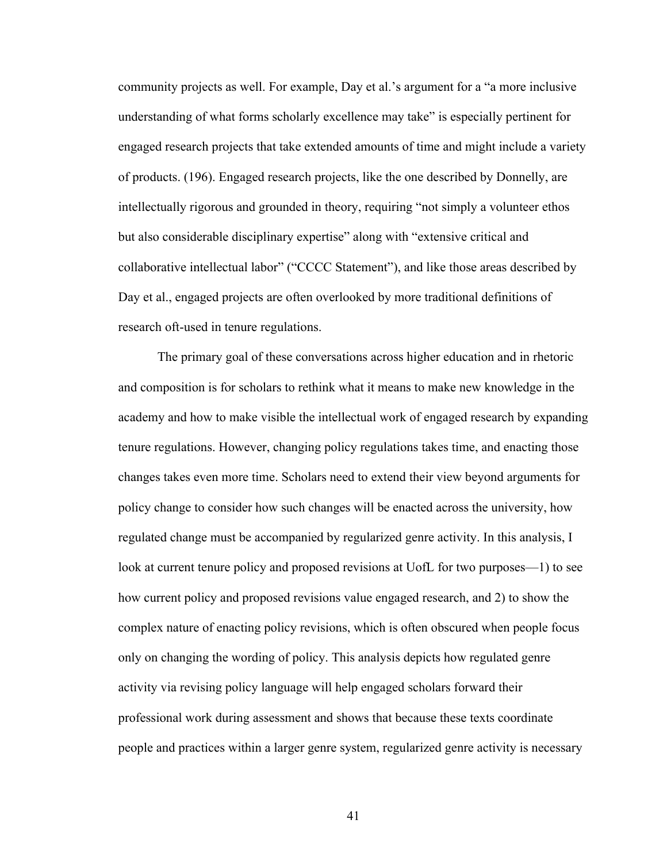community projects as well. For example, Day et al.'s argument for a "a more inclusive understanding of what forms scholarly excellence may take" is especially pertinent for engaged research projects that take extended amounts of time and might include a variety of products. (196). Engaged research projects, like the one described by Donnelly, are intellectually rigorous and grounded in theory, requiring "not simply a volunteer ethos but also considerable disciplinary expertise" along with "extensive critical and collaborative intellectual labor" ("CCCC Statement"), and like those areas described by Day et al., engaged projects are often overlooked by more traditional definitions of research oft-used in tenure regulations.

The primary goal of these conversations across higher education and in rhetoric and composition is for scholars to rethink what it means to make new knowledge in the academy and how to make visible the intellectual work of engaged research by expanding tenure regulations. However, changing policy regulations takes time, and enacting those changes takes even more time. Scholars need to extend their view beyond arguments for policy change to consider how such changes will be enacted across the university, how regulated change must be accompanied by regularized genre activity. In this analysis, I look at current tenure policy and proposed revisions at UofL for two purposes—1) to see how current policy and proposed revisions value engaged research, and 2) to show the complex nature of enacting policy revisions, which is often obscured when people focus only on changing the wording of policy. This analysis depicts how regulated genre activity via revising policy language will help engaged scholars forward their professional work during assessment and shows that because these texts coordinate people and practices within a larger genre system, regularized genre activity is necessary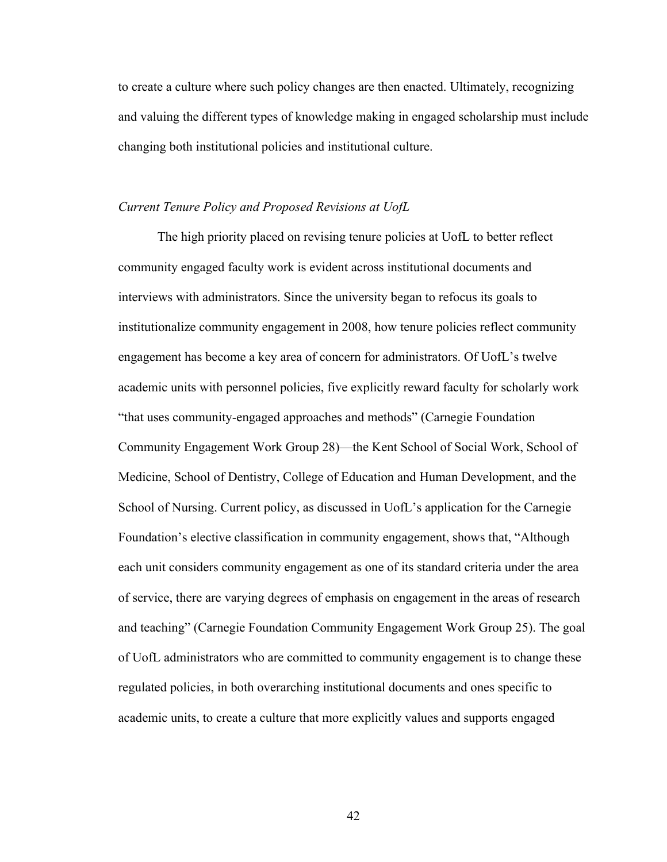to create a culture where such policy changes are then enacted. Ultimately, recognizing and valuing the different types of knowledge making in engaged scholarship must include changing both institutional policies and institutional culture.

## *Current Tenure Policy and Proposed Revisions at UofL*

The high priority placed on revising tenure policies at UofL to better reflect community engaged faculty work is evident across institutional documents and interviews with administrators. Since the university began to refocus its goals to institutionalize community engagement in 2008, how tenure policies reflect community engagement has become a key area of concern for administrators. Of UofL's twelve academic units with personnel policies, five explicitly reward faculty for scholarly work "that uses community-engaged approaches and methods" (Carnegie Foundation Community Engagement Work Group 28)—the Kent School of Social Work, School of Medicine, School of Dentistry, College of Education and Human Development, and the School of Nursing. Current policy, as discussed in UofL's application for the Carnegie Foundation's elective classification in community engagement, shows that, "Although each unit considers community engagement as one of its standard criteria under the area of service, there are varying degrees of emphasis on engagement in the areas of research and teaching" (Carnegie Foundation Community Engagement Work Group 25). The goal of UofL administrators who are committed to community engagement is to change these regulated policies, in both overarching institutional documents and ones specific to academic units, to create a culture that more explicitly values and supports engaged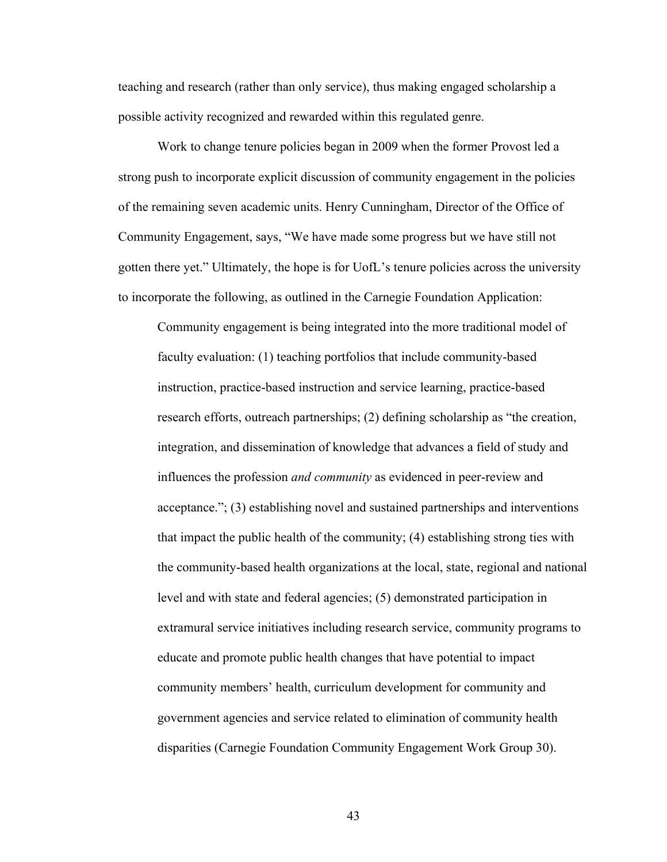teaching and research (rather than only service), thus making engaged scholarship a possible activity recognized and rewarded within this regulated genre.

Work to change tenure policies began in 2009 when the former Provost led a strong push to incorporate explicit discussion of community engagement in the policies of the remaining seven academic units. Henry Cunningham, Director of the Office of Community Engagement, says, "We have made some progress but we have still not gotten there yet." Ultimately, the hope is for UofL's tenure policies across the university to incorporate the following, as outlined in the Carnegie Foundation Application:

Community engagement is being integrated into the more traditional model of faculty evaluation: (1) teaching portfolios that include community-based instruction, practice-based instruction and service learning, practice-based research efforts, outreach partnerships; (2) defining scholarship as "the creation, integration, and dissemination of knowledge that advances a field of study and influences the profession *and community* as evidenced in peer-review and acceptance."; (3) establishing novel and sustained partnerships and interventions that impact the public health of the community; (4) establishing strong ties with the community-based health organizations at the local, state, regional and national level and with state and federal agencies; (5) demonstrated participation in extramural service initiatives including research service, community programs to educate and promote public health changes that have potential to impact community members' health, curriculum development for community and government agencies and service related to elimination of community health disparities (Carnegie Foundation Community Engagement Work Group 30).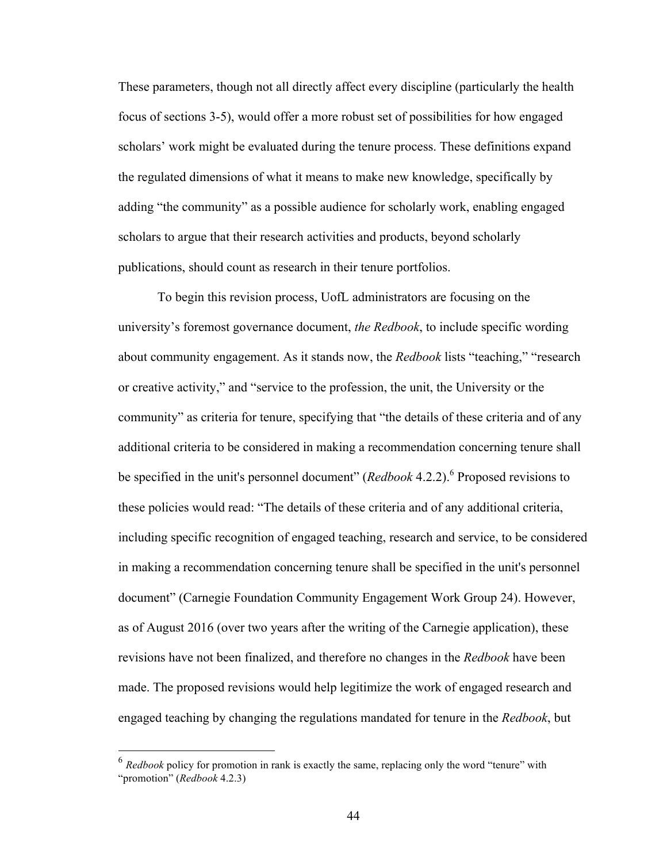These parameters, though not all directly affect every discipline (particularly the health focus of sections 3-5), would offer a more robust set of possibilities for how engaged scholars' work might be evaluated during the tenure process. These definitions expand the regulated dimensions of what it means to make new knowledge, specifically by adding "the community" as a possible audience for scholarly work, enabling engaged scholars to argue that their research activities and products, beyond scholarly publications, should count as research in their tenure portfolios.

To begin this revision process, UofL administrators are focusing on the university's foremost governance document, *the Redbook*, to include specific wording about community engagement. As it stands now, the *Redbook* lists "teaching," "research or creative activity," and "service to the profession, the unit, the University or the community" as criteria for tenure, specifying that "the details of these criteria and of any additional criteria to be considered in making a recommendation concerning tenure shall be specified in the unit's personnel document" (*Redbook* 4.2.2).<sup>6</sup> Proposed revisions to these policies would read: "The details of these criteria and of any additional criteria, including specific recognition of engaged teaching, research and service, to be considered in making a recommendation concerning tenure shall be specified in the unit's personnel document" (Carnegie Foundation Community Engagement Work Group 24). However, as of August 2016 (over two years after the writing of the Carnegie application), these revisions have not been finalized, and therefore no changes in the *Redbook* have been made. The proposed revisions would help legitimize the work of engaged research and engaged teaching by changing the regulations mandated for tenure in the *Redbook*, but

 <sup>6</sup> *Redbook* policy for promotion in rank is exactly the same, replacing only the word "tenure" with "promotion" (*Redbook* 4.2.3)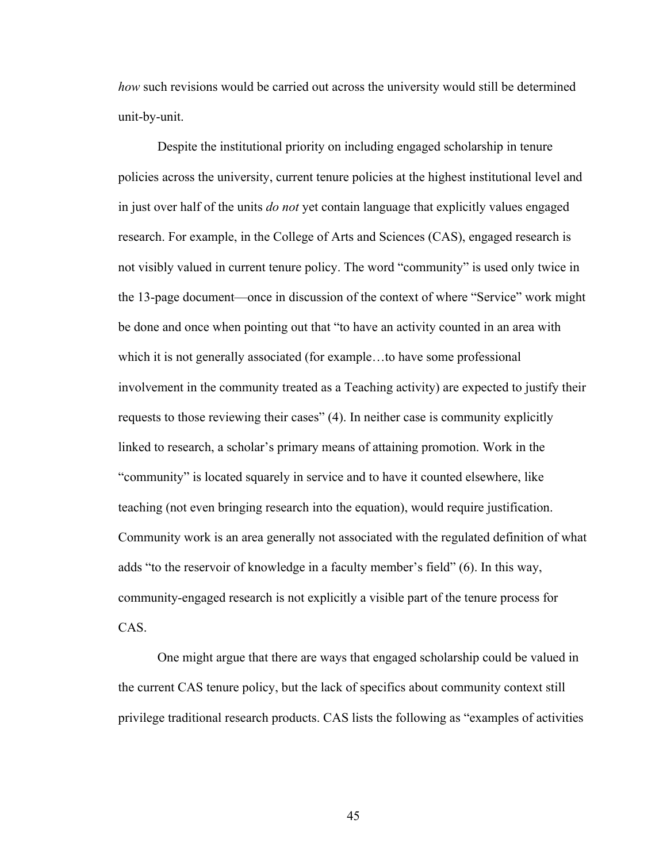*how* such revisions would be carried out across the university would still be determined unit-by-unit.

Despite the institutional priority on including engaged scholarship in tenure policies across the university, current tenure policies at the highest institutional level and in just over half of the units *do not* yet contain language that explicitly values engaged research. For example, in the College of Arts and Sciences (CAS), engaged research is not visibly valued in current tenure policy. The word "community" is used only twice in the 13-page document—once in discussion of the context of where "Service" work might be done and once when pointing out that "to have an activity counted in an area with which it is not generally associated (for example…to have some professional involvement in the community treated as a Teaching activity) are expected to justify their requests to those reviewing their cases" (4). In neither case is community explicitly linked to research, a scholar's primary means of attaining promotion. Work in the "community" is located squarely in service and to have it counted elsewhere, like teaching (not even bringing research into the equation), would require justification. Community work is an area generally not associated with the regulated definition of what adds "to the reservoir of knowledge in a faculty member's field" (6). In this way, community-engaged research is not explicitly a visible part of the tenure process for CAS.

One might argue that there are ways that engaged scholarship could be valued in the current CAS tenure policy, but the lack of specifics about community context still privilege traditional research products. CAS lists the following as "examples of activities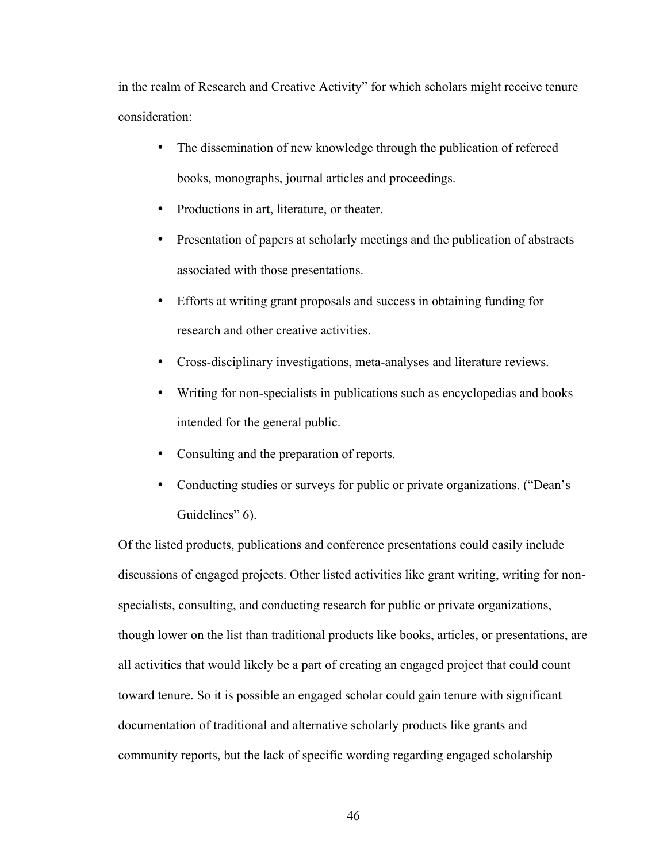in the realm of Research and Creative Activity" for which scholars might receive tenure consideration:

- The dissemination of new knowledge through the publication of refereed books, monographs, journal articles and proceedings.
- Productions in art, literature, or theater.
- Presentation of papers at scholarly meetings and the publication of abstracts associated with those presentations.
- Efforts at writing grant proposals and success in obtaining funding for research and other creative activities.
- Cross-disciplinary investigations, meta-analyses and literature reviews.
- Writing for non-specialists in publications such as encyclopedias and books intended for the general public.
- Consulting and the preparation of reports.
- Conducting studies or surveys for public or private organizations. ("Dean's Guidelines" 6).

Of the listed products, publications and conference presentations could easily include discussions of engaged projects. Other listed activities like grant writing, writing for nonspecialists, consulting, and conducting research for public or private organizations, though lower on the list than traditional products like books, articles, or presentations, are all activities that would likely be a part of creating an engaged project that could count toward tenure. So it is possible an engaged scholar could gain tenure with significant documentation of traditional and alternative scholarly products like grants and community reports, but the lack of specific wording regarding engaged scholarship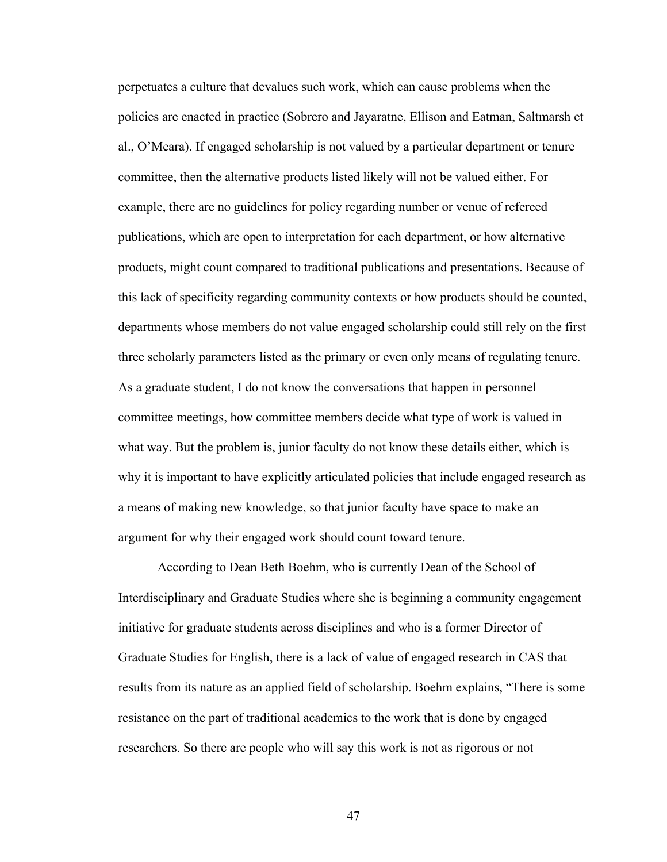perpetuates a culture that devalues such work, which can cause problems when the policies are enacted in practice (Sobrero and Jayaratne, Ellison and Eatman, Saltmarsh et al., O'Meara). If engaged scholarship is not valued by a particular department or tenure committee, then the alternative products listed likely will not be valued either. For example, there are no guidelines for policy regarding number or venue of refereed publications, which are open to interpretation for each department, or how alternative products, might count compared to traditional publications and presentations. Because of this lack of specificity regarding community contexts or how products should be counted, departments whose members do not value engaged scholarship could still rely on the first three scholarly parameters listed as the primary or even only means of regulating tenure. As a graduate student, I do not know the conversations that happen in personnel committee meetings, how committee members decide what type of work is valued in what way. But the problem is, junior faculty do not know these details either, which is why it is important to have explicitly articulated policies that include engaged research as a means of making new knowledge, so that junior faculty have space to make an argument for why their engaged work should count toward tenure.

According to Dean Beth Boehm, who is currently Dean of the School of Interdisciplinary and Graduate Studies where she is beginning a community engagement initiative for graduate students across disciplines and who is a former Director of Graduate Studies for English, there is a lack of value of engaged research in CAS that results from its nature as an applied field of scholarship. Boehm explains, "There is some resistance on the part of traditional academics to the work that is done by engaged researchers. So there are people who will say this work is not as rigorous or not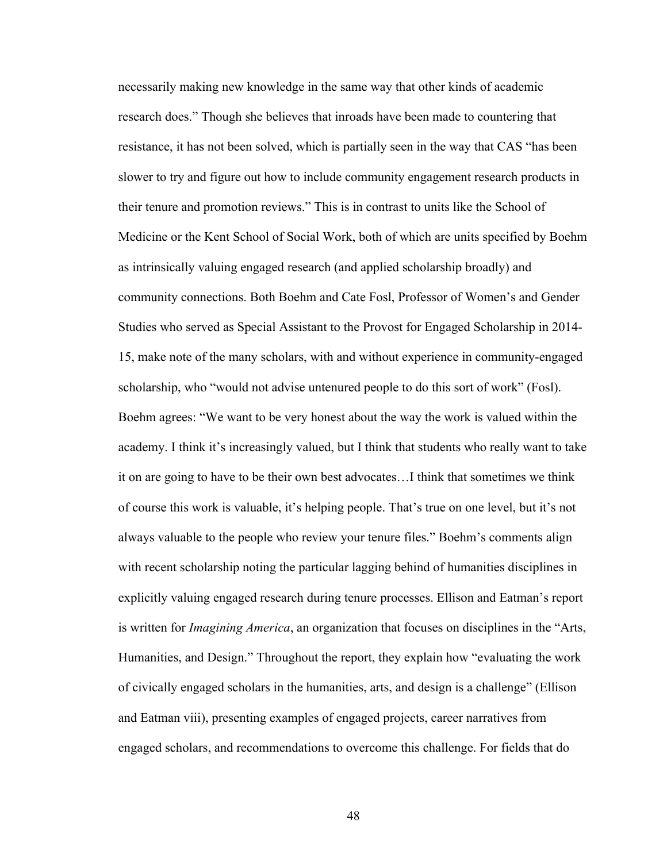necessarily making new knowledge in the same way that other kinds of academic research does." Though she believes that inroads have been made to countering that resistance, it has not been solved, which is partially seen in the way that CAS "has been slower to try and figure out how to include community engagement research products in their tenure and promotion reviews." This is in contrast to units like the School of Medicine or the Kent School of Social Work, both of which are units specified by Boehm as intrinsically valuing engaged research (and applied scholarship broadly) and community connections. Both Boehm and Cate Fosl, Professor of Women's and Gender Studies who served as Special Assistant to the Provost for Engaged Scholarship in 2014- 15, make note of the many scholars, with and without experience in community-engaged scholarship, who "would not advise untenured people to do this sort of work" (Fosl). Boehm agrees: "We want to be very honest about the way the work is valued within the academy. I think it's increasingly valued, but I think that students who really want to take it on are going to have to be their own best advocates…I think that sometimes we think of course this work is valuable, it's helping people. That's true on one level, but it's not always valuable to the people who review your tenure files." Boehm's comments align with recent scholarship noting the particular lagging behind of humanities disciplines in explicitly valuing engaged research during tenure processes. Ellison and Eatman's report is written for *Imagining America*, an organization that focuses on disciplines in the "Arts, Humanities, and Design." Throughout the report, they explain how "evaluating the work of civically engaged scholars in the humanities, arts, and design is a challenge" (Ellison and Eatman viii), presenting examples of engaged projects, career narratives from engaged scholars, and recommendations to overcome this challenge. For fields that do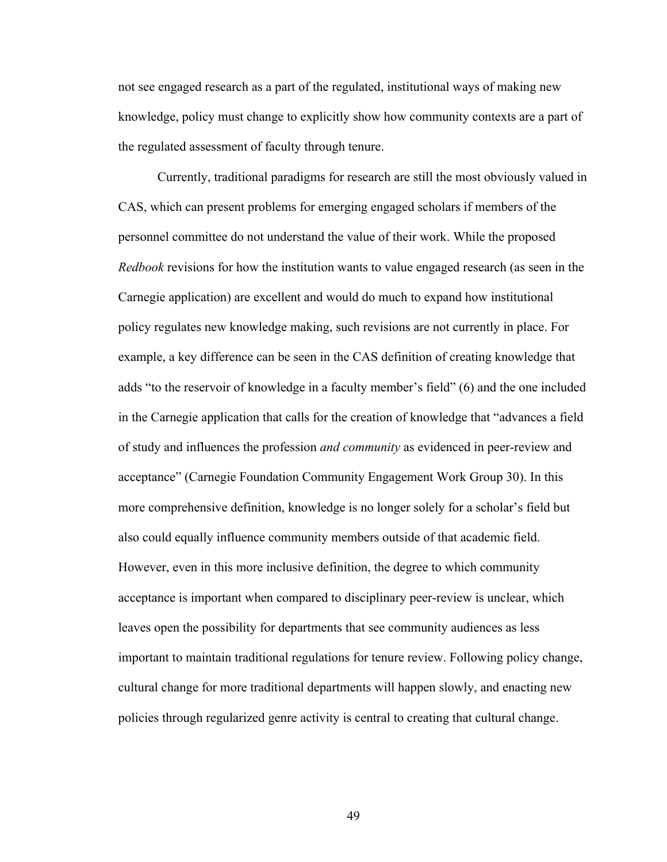not see engaged research as a part of the regulated, institutional ways of making new knowledge, policy must change to explicitly show how community contexts are a part of the regulated assessment of faculty through tenure.

Currently, traditional paradigms for research are still the most obviously valued in CAS, which can present problems for emerging engaged scholars if members of the personnel committee do not understand the value of their work. While the proposed *Redbook* revisions for how the institution wants to value engaged research (as seen in the Carnegie application) are excellent and would do much to expand how institutional policy regulates new knowledge making, such revisions are not currently in place. For example, a key difference can be seen in the CAS definition of creating knowledge that adds "to the reservoir of knowledge in a faculty member's field" (6) and the one included in the Carnegie application that calls for the creation of knowledge that "advances a field of study and influences the profession *and community* as evidenced in peer-review and acceptance" (Carnegie Foundation Community Engagement Work Group 30). In this more comprehensive definition, knowledge is no longer solely for a scholar's field but also could equally influence community members outside of that academic field. However, even in this more inclusive definition, the degree to which community acceptance is important when compared to disciplinary peer-review is unclear, which leaves open the possibility for departments that see community audiences as less important to maintain traditional regulations for tenure review. Following policy change, cultural change for more traditional departments will happen slowly, and enacting new policies through regularized genre activity is central to creating that cultural change.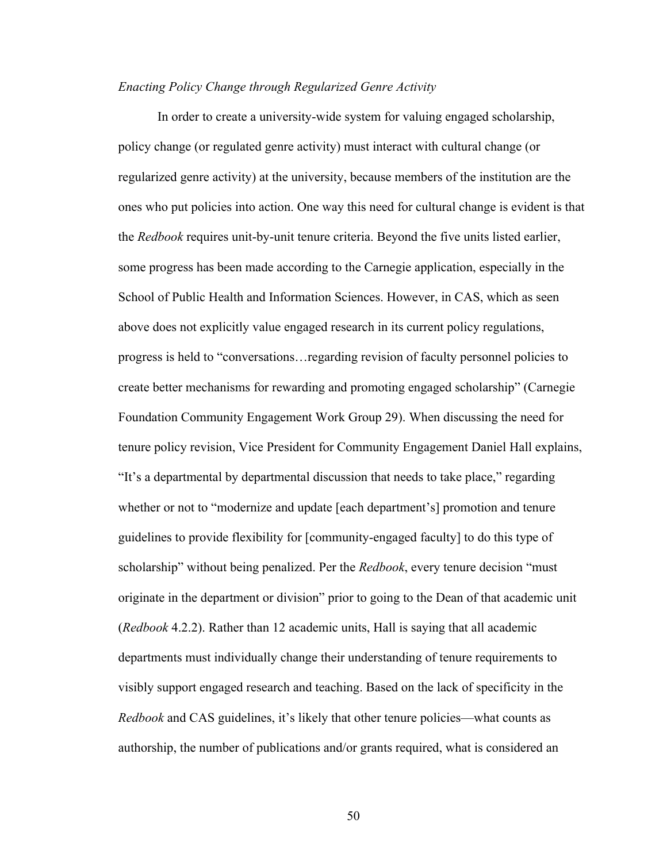### *Enacting Policy Change through Regularized Genre Activity*

In order to create a university-wide system for valuing engaged scholarship, policy change (or regulated genre activity) must interact with cultural change (or regularized genre activity) at the university, because members of the institution are the ones who put policies into action. One way this need for cultural change is evident is that the *Redbook* requires unit-by-unit tenure criteria. Beyond the five units listed earlier, some progress has been made according to the Carnegie application, especially in the School of Public Health and Information Sciences. However, in CAS, which as seen above does not explicitly value engaged research in its current policy regulations, progress is held to "conversations…regarding revision of faculty personnel policies to create better mechanisms for rewarding and promoting engaged scholarship" (Carnegie Foundation Community Engagement Work Group 29). When discussing the need for tenure policy revision, Vice President for Community Engagement Daniel Hall explains, "It's a departmental by departmental discussion that needs to take place," regarding whether or not to "modernize and update [each department's] promotion and tenure guidelines to provide flexibility for [community-engaged faculty] to do this type of scholarship" without being penalized. Per the *Redbook*, every tenure decision "must originate in the department or division" prior to going to the Dean of that academic unit (*Redbook* 4.2.2). Rather than 12 academic units, Hall is saying that all academic departments must individually change their understanding of tenure requirements to visibly support engaged research and teaching. Based on the lack of specificity in the *Redbook* and CAS guidelines, it's likely that other tenure policies—what counts as authorship, the number of publications and/or grants required, what is considered an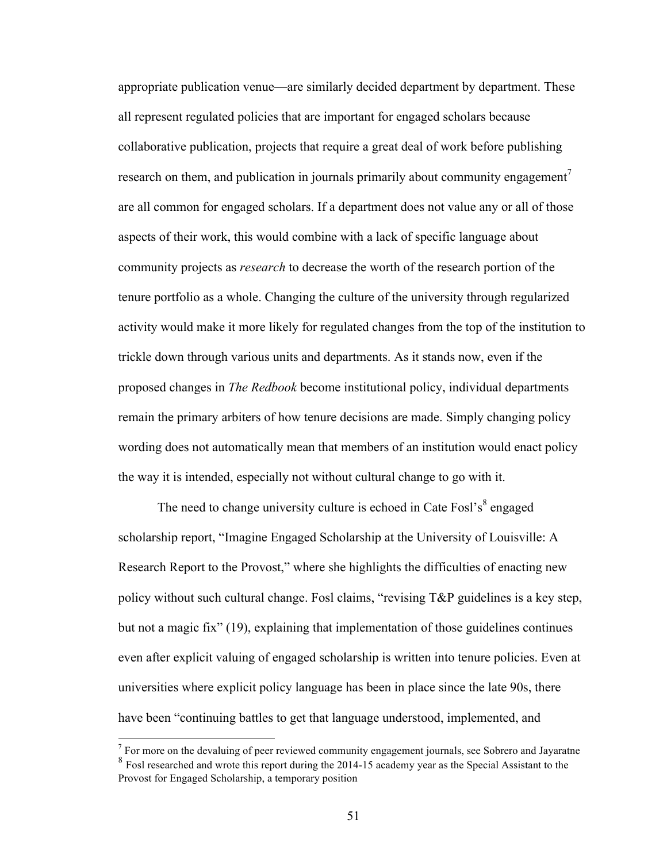appropriate publication venue—are similarly decided department by department. These all represent regulated policies that are important for engaged scholars because collaborative publication, projects that require a great deal of work before publishing research on them, and publication in journals primarily about community engagement<sup>7</sup> are all common for engaged scholars. If a department does not value any or all of those aspects of their work, this would combine with a lack of specific language about community projects as *research* to decrease the worth of the research portion of the tenure portfolio as a whole. Changing the culture of the university through regularized activity would make it more likely for regulated changes from the top of the institution to trickle down through various units and departments. As it stands now, even if the proposed changes in *The Redbook* become institutional policy, individual departments remain the primary arbiters of how tenure decisions are made. Simply changing policy wording does not automatically mean that members of an institution would enact policy the way it is intended, especially not without cultural change to go with it.

The need to change university culture is echoed in Cate Fosl's $\delta$  engaged scholarship report, "Imagine Engaged Scholarship at the University of Louisville: A Research Report to the Provost," where she highlights the difficulties of enacting new policy without such cultural change. Fosl claims, "revising T&P guidelines is a key step, but not a magic fix" (19), explaining that implementation of those guidelines continues even after explicit valuing of engaged scholarship is written into tenure policies. Even at universities where explicit policy language has been in place since the late 90s, there have been "continuing battles to get that language understood, implemented, and

 $<sup>7</sup>$  For more on the devaluing of peer reviewed community engagement journals, see Sobrero and Jayaratne</sup> <sup>8</sup> Fosl researched and wrote this report during the 2014-15 academy year as the Special Assistant to the Provost for Engaged Scholarship, a temporary position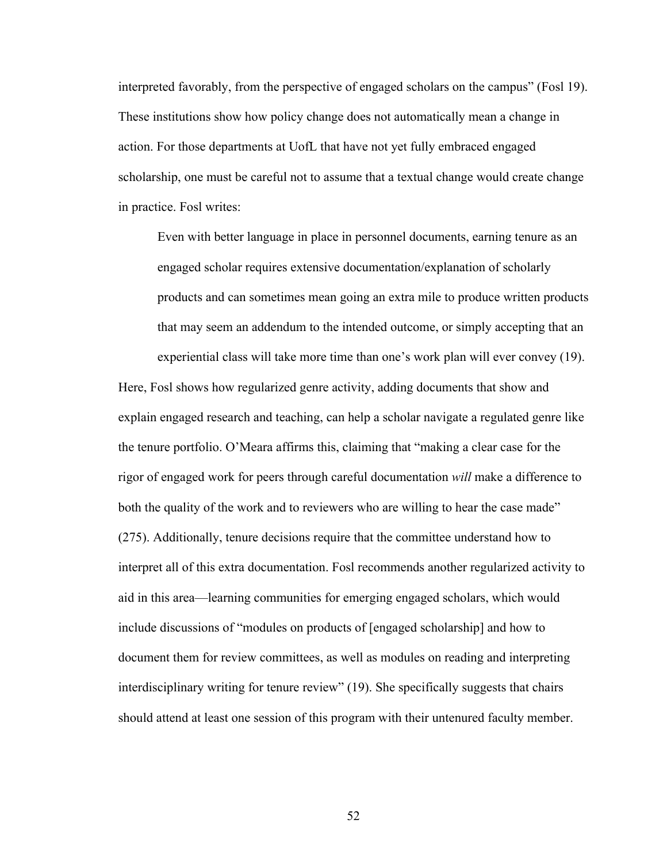interpreted favorably, from the perspective of engaged scholars on the campus" (Fosl 19). These institutions show how policy change does not automatically mean a change in action. For those departments at UofL that have not yet fully embraced engaged scholarship, one must be careful not to assume that a textual change would create change in practice. Fosl writes:

Even with better language in place in personnel documents, earning tenure as an engaged scholar requires extensive documentation/explanation of scholarly products and can sometimes mean going an extra mile to produce written products that may seem an addendum to the intended outcome, or simply accepting that an experiential class will take more time than one's work plan will ever convey (19).

Here, Fosl shows how regularized genre activity, adding documents that show and explain engaged research and teaching, can help a scholar navigate a regulated genre like the tenure portfolio. O'Meara affirms this, claiming that "making a clear case for the rigor of engaged work for peers through careful documentation *will* make a difference to both the quality of the work and to reviewers who are willing to hear the case made" (275). Additionally, tenure decisions require that the committee understand how to interpret all of this extra documentation. Fosl recommends another regularized activity to aid in this area—learning communities for emerging engaged scholars, which would include discussions of "modules on products of [engaged scholarship] and how to document them for review committees, as well as modules on reading and interpreting interdisciplinary writing for tenure review" (19). She specifically suggests that chairs should attend at least one session of this program with their untenured faculty member.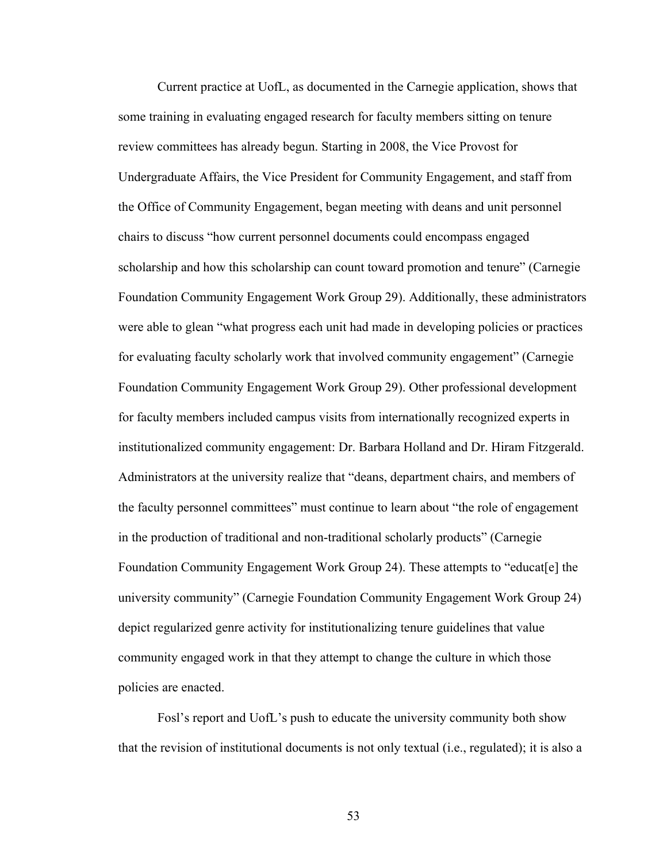Current practice at UofL, as documented in the Carnegie application, shows that some training in evaluating engaged research for faculty members sitting on tenure review committees has already begun. Starting in 2008, the Vice Provost for Undergraduate Affairs, the Vice President for Community Engagement, and staff from the Office of Community Engagement, began meeting with deans and unit personnel chairs to discuss "how current personnel documents could encompass engaged scholarship and how this scholarship can count toward promotion and tenure" (Carnegie Foundation Community Engagement Work Group 29). Additionally, these administrators were able to glean "what progress each unit had made in developing policies or practices for evaluating faculty scholarly work that involved community engagement" (Carnegie Foundation Community Engagement Work Group 29). Other professional development for faculty members included campus visits from internationally recognized experts in institutionalized community engagement: Dr. Barbara Holland and Dr. Hiram Fitzgerald. Administrators at the university realize that "deans, department chairs, and members of the faculty personnel committees" must continue to learn about "the role of engagement in the production of traditional and non-traditional scholarly products" (Carnegie Foundation Community Engagement Work Group 24). These attempts to "educat[e] the university community" (Carnegie Foundation Community Engagement Work Group 24) depict regularized genre activity for institutionalizing tenure guidelines that value community engaged work in that they attempt to change the culture in which those policies are enacted.

Fosl's report and UofL's push to educate the university community both show that the revision of institutional documents is not only textual (i.e., regulated); it is also a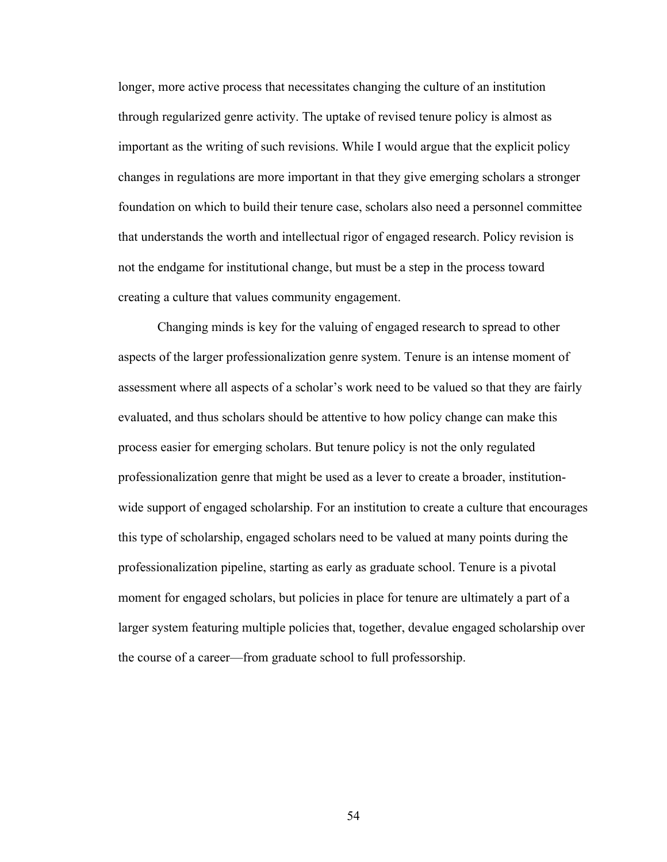longer, more active process that necessitates changing the culture of an institution through regularized genre activity. The uptake of revised tenure policy is almost as important as the writing of such revisions. While I would argue that the explicit policy changes in regulations are more important in that they give emerging scholars a stronger foundation on which to build their tenure case, scholars also need a personnel committee that understands the worth and intellectual rigor of engaged research. Policy revision is not the endgame for institutional change, but must be a step in the process toward creating a culture that values community engagement.

Changing minds is key for the valuing of engaged research to spread to other aspects of the larger professionalization genre system. Tenure is an intense moment of assessment where all aspects of a scholar's work need to be valued so that they are fairly evaluated, and thus scholars should be attentive to how policy change can make this process easier for emerging scholars. But tenure policy is not the only regulated professionalization genre that might be used as a lever to create a broader, institutionwide support of engaged scholarship. For an institution to create a culture that encourages this type of scholarship, engaged scholars need to be valued at many points during the professionalization pipeline, starting as early as graduate school. Tenure is a pivotal moment for engaged scholars, but policies in place for tenure are ultimately a part of a larger system featuring multiple policies that, together, devalue engaged scholarship over the course of a career—from graduate school to full professorship.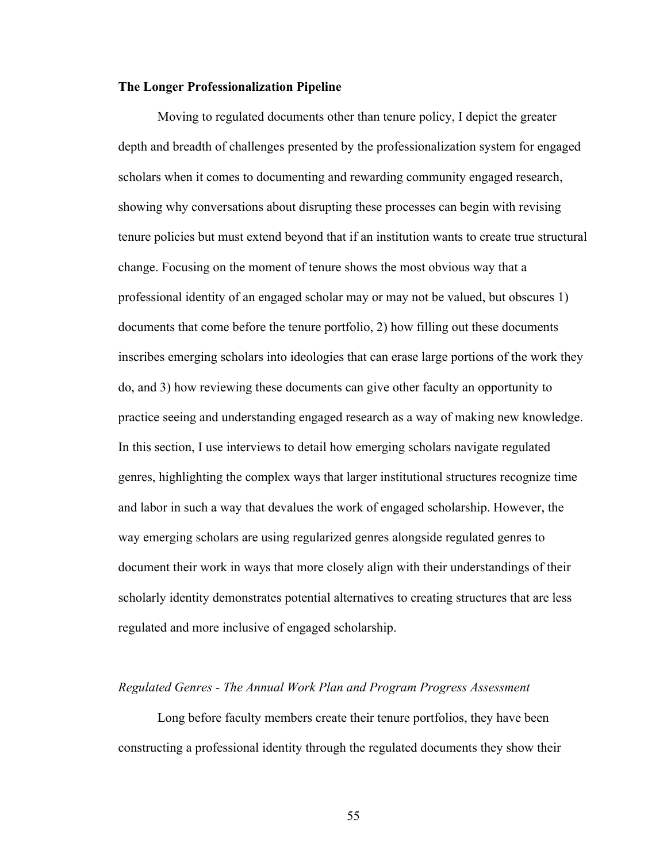#### **The Longer Professionalization Pipeline**

Moving to regulated documents other than tenure policy, I depict the greater depth and breadth of challenges presented by the professionalization system for engaged scholars when it comes to documenting and rewarding community engaged research, showing why conversations about disrupting these processes can begin with revising tenure policies but must extend beyond that if an institution wants to create true structural change. Focusing on the moment of tenure shows the most obvious way that a professional identity of an engaged scholar may or may not be valued, but obscures 1) documents that come before the tenure portfolio, 2) how filling out these documents inscribes emerging scholars into ideologies that can erase large portions of the work they do, and 3) how reviewing these documents can give other faculty an opportunity to practice seeing and understanding engaged research as a way of making new knowledge. In this section, I use interviews to detail how emerging scholars navigate regulated genres, highlighting the complex ways that larger institutional structures recognize time and labor in such a way that devalues the work of engaged scholarship. However, the way emerging scholars are using regularized genres alongside regulated genres to document their work in ways that more closely align with their understandings of their scholarly identity demonstrates potential alternatives to creating structures that are less regulated and more inclusive of engaged scholarship.

#### *Regulated Genres - The Annual Work Plan and Program Progress Assessment*

Long before faculty members create their tenure portfolios, they have been constructing a professional identity through the regulated documents they show their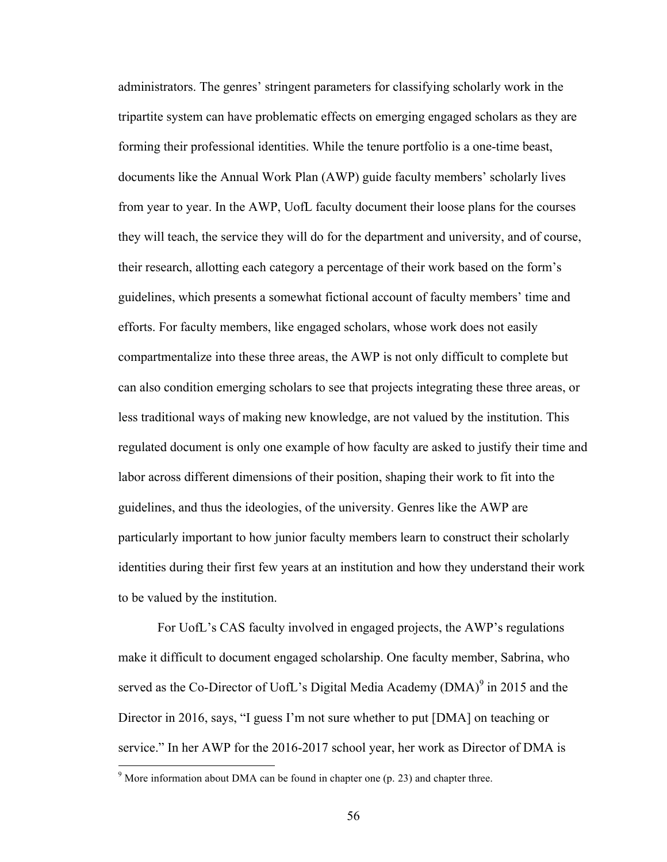administrators. The genres' stringent parameters for classifying scholarly work in the tripartite system can have problematic effects on emerging engaged scholars as they are forming their professional identities. While the tenure portfolio is a one-time beast, documents like the Annual Work Plan (AWP) guide faculty members' scholarly lives from year to year. In the AWP, UofL faculty document their loose plans for the courses they will teach, the service they will do for the department and university, and of course, their research, allotting each category a percentage of their work based on the form's guidelines, which presents a somewhat fictional account of faculty members' time and efforts. For faculty members, like engaged scholars, whose work does not easily compartmentalize into these three areas, the AWP is not only difficult to complete but can also condition emerging scholars to see that projects integrating these three areas, or less traditional ways of making new knowledge, are not valued by the institution. This regulated document is only one example of how faculty are asked to justify their time and labor across different dimensions of their position, shaping their work to fit into the guidelines, and thus the ideologies, of the university. Genres like the AWP are particularly important to how junior faculty members learn to construct their scholarly identities during their first few years at an institution and how they understand their work to be valued by the institution.

For UofL's CAS faculty involved in engaged projects, the AWP's regulations make it difficult to document engaged scholarship. One faculty member, Sabrina, who served as the Co-Director of UofL's Digital Media Academy (DMA)<sup>9</sup> in 2015 and the Director in 2016, says, "I guess I'm not sure whether to put [DMA] on teaching or service." In her AWP for the 2016-2017 school year, her work as Director of DMA is

 $9^9$  More information about DMA can be found in chapter one (p. 23) and chapter three.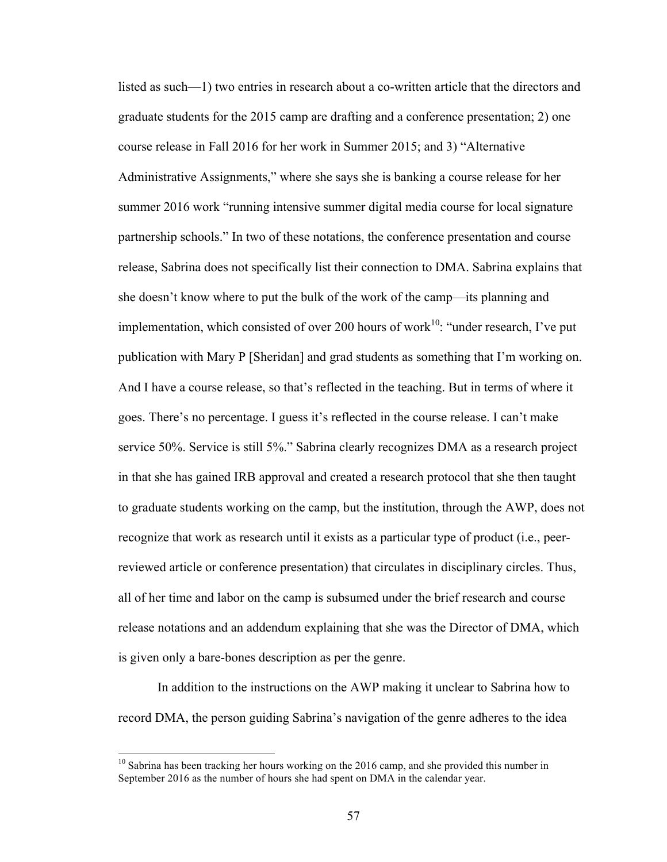listed as such—1) two entries in research about a co-written article that the directors and graduate students for the 2015 camp are drafting and a conference presentation; 2) one course release in Fall 2016 for her work in Summer 2015; and 3) "Alternative Administrative Assignments," where she says she is banking a course release for her summer 2016 work "running intensive summer digital media course for local signature partnership schools." In two of these notations, the conference presentation and course release, Sabrina does not specifically list their connection to DMA. Sabrina explains that she doesn't know where to put the bulk of the work of the camp—its planning and implementation, which consisted of over 200 hours of work<sup>10</sup>: "under research, I've put publication with Mary P [Sheridan] and grad students as something that I'm working on. And I have a course release, so that's reflected in the teaching. But in terms of where it goes. There's no percentage. I guess it's reflected in the course release. I can't make service 50%. Service is still 5%." Sabrina clearly recognizes DMA as a research project in that she has gained IRB approval and created a research protocol that she then taught to graduate students working on the camp, but the institution, through the AWP, does not recognize that work as research until it exists as a particular type of product (i.e., peerreviewed article or conference presentation) that circulates in disciplinary circles. Thus, all of her time and labor on the camp is subsumed under the brief research and course release notations and an addendum explaining that she was the Director of DMA, which is given only a bare-bones description as per the genre.

In addition to the instructions on the AWP making it unclear to Sabrina how to record DMA, the person guiding Sabrina's navigation of the genre adheres to the idea

 $10$  Sabrina has been tracking her hours working on the 2016 camp, and she provided this number in September 2016 as the number of hours she had spent on DMA in the calendar year.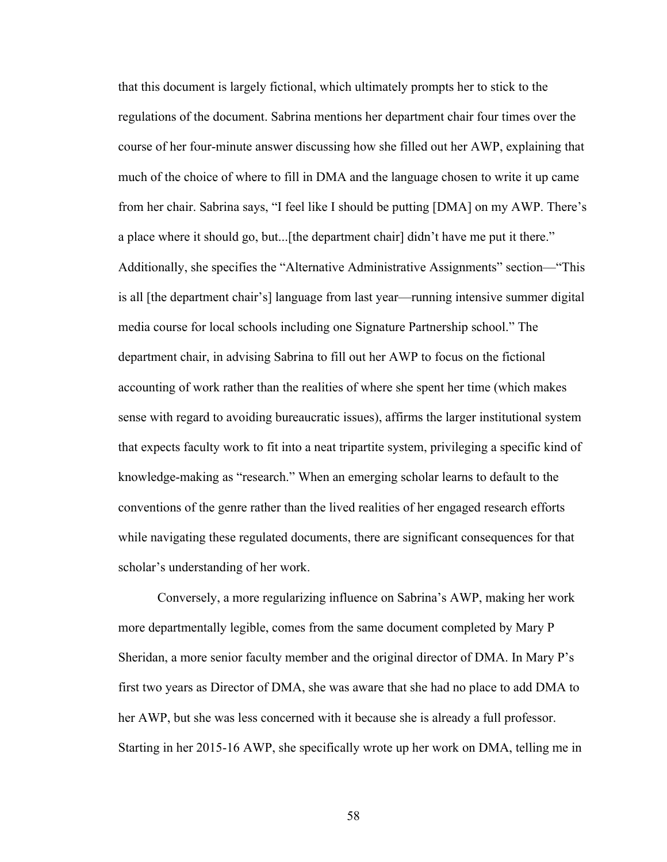that this document is largely fictional, which ultimately prompts her to stick to the regulations of the document. Sabrina mentions her department chair four times over the course of her four-minute answer discussing how she filled out her AWP, explaining that much of the choice of where to fill in DMA and the language chosen to write it up came from her chair. Sabrina says, "I feel like I should be putting [DMA] on my AWP. There's a place where it should go, but...[the department chair] didn't have me put it there." Additionally, she specifies the "Alternative Administrative Assignments" section—"This is all [the department chair's] language from last year—running intensive summer digital media course for local schools including one Signature Partnership school." The department chair, in advising Sabrina to fill out her AWP to focus on the fictional accounting of work rather than the realities of where she spent her time (which makes sense with regard to avoiding bureaucratic issues), affirms the larger institutional system that expects faculty work to fit into a neat tripartite system, privileging a specific kind of knowledge-making as "research." When an emerging scholar learns to default to the conventions of the genre rather than the lived realities of her engaged research efforts while navigating these regulated documents, there are significant consequences for that scholar's understanding of her work.

Conversely, a more regularizing influence on Sabrina's AWP, making her work more departmentally legible, comes from the same document completed by Mary P Sheridan, a more senior faculty member and the original director of DMA. In Mary P's first two years as Director of DMA, she was aware that she had no place to add DMA to her AWP, but she was less concerned with it because she is already a full professor. Starting in her 2015-16 AWP, she specifically wrote up her work on DMA, telling me in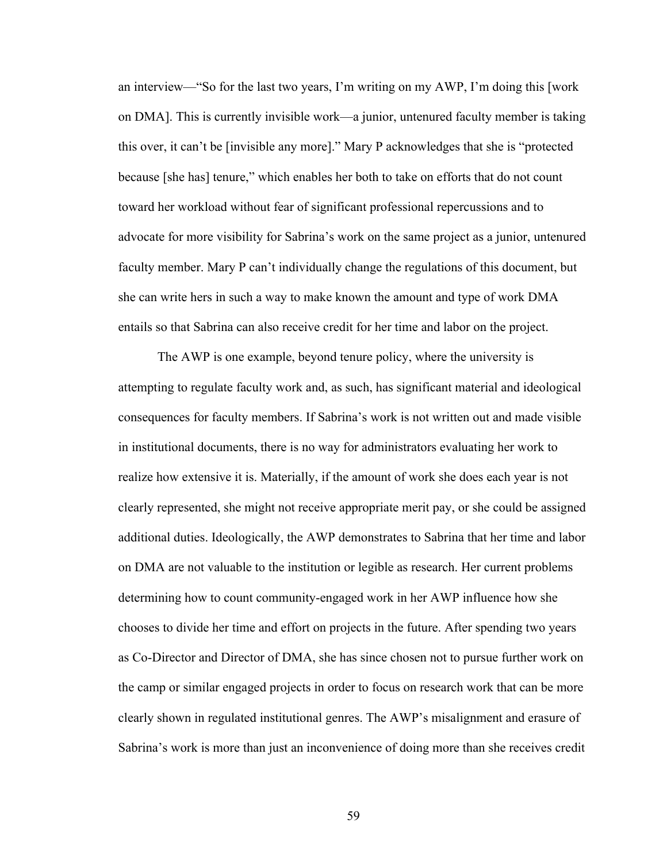an interview—"So for the last two years, I'm writing on my AWP, I'm doing this [work on DMA]. This is currently invisible work—a junior, untenured faculty member is taking this over, it can't be [invisible any more]." Mary P acknowledges that she is "protected because [she has] tenure," which enables her both to take on efforts that do not count toward her workload without fear of significant professional repercussions and to advocate for more visibility for Sabrina's work on the same project as a junior, untenured faculty member. Mary P can't individually change the regulations of this document, but she can write hers in such a way to make known the amount and type of work DMA entails so that Sabrina can also receive credit for her time and labor on the project.

The AWP is one example, beyond tenure policy, where the university is attempting to regulate faculty work and, as such, has significant material and ideological consequences for faculty members. If Sabrina's work is not written out and made visible in institutional documents, there is no way for administrators evaluating her work to realize how extensive it is. Materially, if the amount of work she does each year is not clearly represented, she might not receive appropriate merit pay, or she could be assigned additional duties. Ideologically, the AWP demonstrates to Sabrina that her time and labor on DMA are not valuable to the institution or legible as research. Her current problems determining how to count community-engaged work in her AWP influence how she chooses to divide her time and effort on projects in the future. After spending two years as Co-Director and Director of DMA, she has since chosen not to pursue further work on the camp or similar engaged projects in order to focus on research work that can be more clearly shown in regulated institutional genres. The AWP's misalignment and erasure of Sabrina's work is more than just an inconvenience of doing more than she receives credit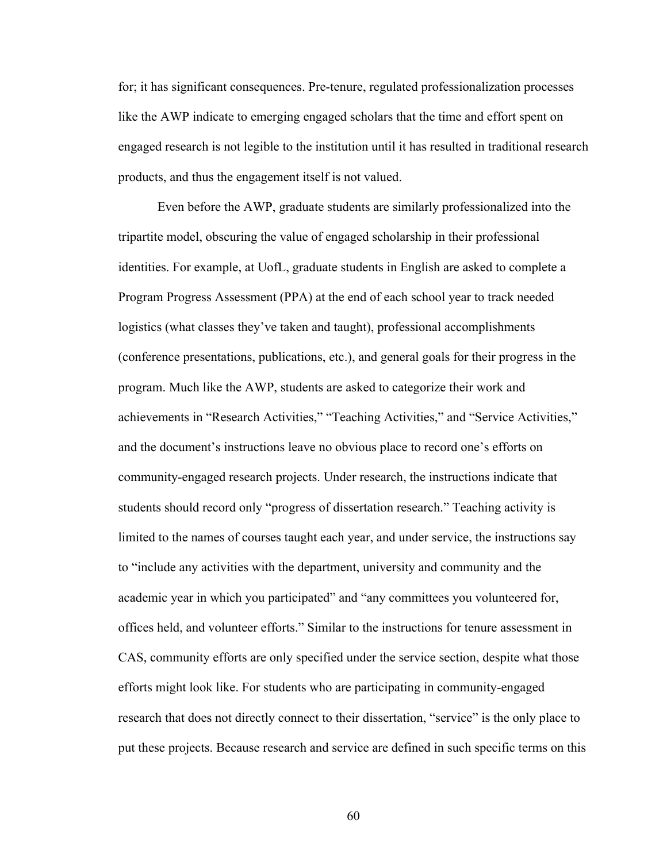for; it has significant consequences. Pre-tenure, regulated professionalization processes like the AWP indicate to emerging engaged scholars that the time and effort spent on engaged research is not legible to the institution until it has resulted in traditional research products, and thus the engagement itself is not valued.

Even before the AWP, graduate students are similarly professionalized into the tripartite model, obscuring the value of engaged scholarship in their professional identities. For example, at UofL, graduate students in English are asked to complete a Program Progress Assessment (PPA) at the end of each school year to track needed logistics (what classes they've taken and taught), professional accomplishments (conference presentations, publications, etc.), and general goals for their progress in the program. Much like the AWP, students are asked to categorize their work and achievements in "Research Activities," "Teaching Activities," and "Service Activities," and the document's instructions leave no obvious place to record one's efforts on community-engaged research projects. Under research, the instructions indicate that students should record only "progress of dissertation research." Teaching activity is limited to the names of courses taught each year, and under service, the instructions say to "include any activities with the department, university and community and the academic year in which you participated" and "any committees you volunteered for, offices held, and volunteer efforts." Similar to the instructions for tenure assessment in CAS, community efforts are only specified under the service section, despite what those efforts might look like. For students who are participating in community-engaged research that does not directly connect to their dissertation, "service" is the only place to put these projects. Because research and service are defined in such specific terms on this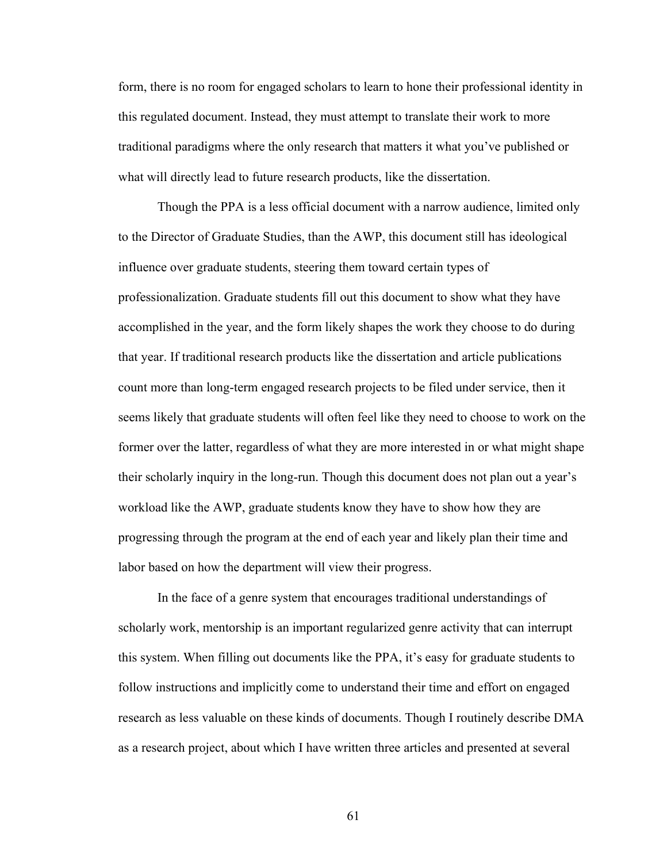form, there is no room for engaged scholars to learn to hone their professional identity in this regulated document. Instead, they must attempt to translate their work to more traditional paradigms where the only research that matters it what you've published or what will directly lead to future research products, like the dissertation.

Though the PPA is a less official document with a narrow audience, limited only to the Director of Graduate Studies, than the AWP, this document still has ideological influence over graduate students, steering them toward certain types of professionalization. Graduate students fill out this document to show what they have accomplished in the year, and the form likely shapes the work they choose to do during that year. If traditional research products like the dissertation and article publications count more than long-term engaged research projects to be filed under service, then it seems likely that graduate students will often feel like they need to choose to work on the former over the latter, regardless of what they are more interested in or what might shape their scholarly inquiry in the long-run. Though this document does not plan out a year's workload like the AWP, graduate students know they have to show how they are progressing through the program at the end of each year and likely plan their time and labor based on how the department will view their progress.

In the face of a genre system that encourages traditional understandings of scholarly work, mentorship is an important regularized genre activity that can interrupt this system. When filling out documents like the PPA, it's easy for graduate students to follow instructions and implicitly come to understand their time and effort on engaged research as less valuable on these kinds of documents. Though I routinely describe DMA as a research project, about which I have written three articles and presented at several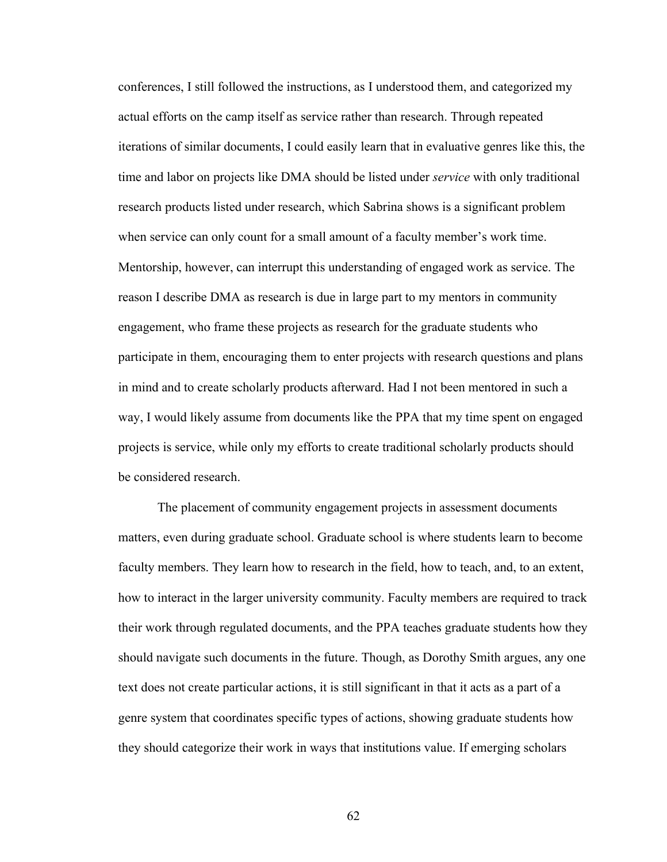conferences, I still followed the instructions, as I understood them, and categorized my actual efforts on the camp itself as service rather than research. Through repeated iterations of similar documents, I could easily learn that in evaluative genres like this, the time and labor on projects like DMA should be listed under *service* with only traditional research products listed under research, which Sabrina shows is a significant problem when service can only count for a small amount of a faculty member's work time. Mentorship, however, can interrupt this understanding of engaged work as service. The reason I describe DMA as research is due in large part to my mentors in community engagement, who frame these projects as research for the graduate students who participate in them, encouraging them to enter projects with research questions and plans in mind and to create scholarly products afterward. Had I not been mentored in such a way, I would likely assume from documents like the PPA that my time spent on engaged projects is service, while only my efforts to create traditional scholarly products should be considered research.

The placement of community engagement projects in assessment documents matters, even during graduate school. Graduate school is where students learn to become faculty members. They learn how to research in the field, how to teach, and, to an extent, how to interact in the larger university community. Faculty members are required to track their work through regulated documents, and the PPA teaches graduate students how they should navigate such documents in the future. Though, as Dorothy Smith argues, any one text does not create particular actions, it is still significant in that it acts as a part of a genre system that coordinates specific types of actions, showing graduate students how they should categorize their work in ways that institutions value. If emerging scholars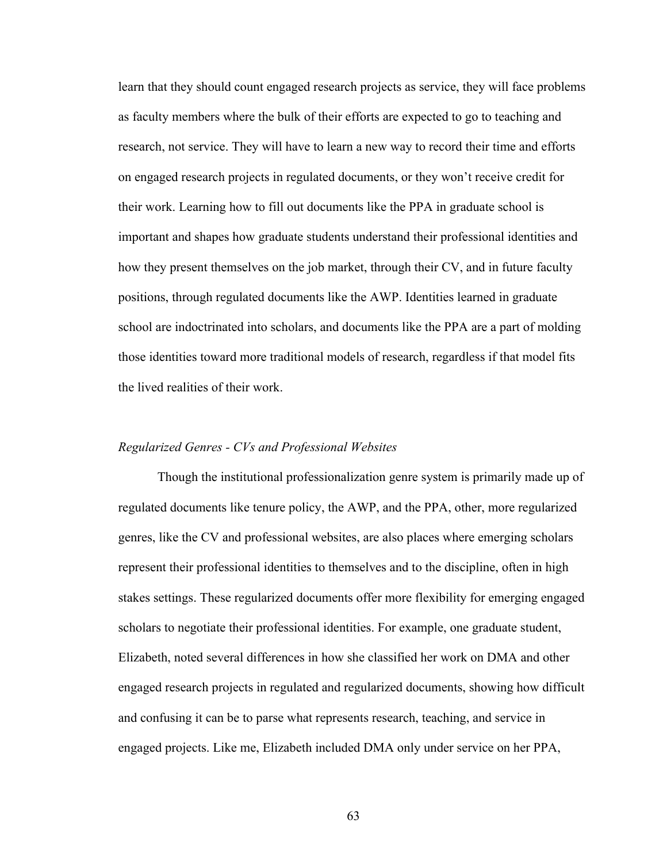learn that they should count engaged research projects as service, they will face problems as faculty members where the bulk of their efforts are expected to go to teaching and research, not service. They will have to learn a new way to record their time and efforts on engaged research projects in regulated documents, or they won't receive credit for their work. Learning how to fill out documents like the PPA in graduate school is important and shapes how graduate students understand their professional identities and how they present themselves on the job market, through their CV, and in future faculty positions, through regulated documents like the AWP. Identities learned in graduate school are indoctrinated into scholars, and documents like the PPA are a part of molding those identities toward more traditional models of research, regardless if that model fits the lived realities of their work.

#### *Regularized Genres - CVs and Professional Websites*

Though the institutional professionalization genre system is primarily made up of regulated documents like tenure policy, the AWP, and the PPA, other, more regularized genres, like the CV and professional websites, are also places where emerging scholars represent their professional identities to themselves and to the discipline, often in high stakes settings. These regularized documents offer more flexibility for emerging engaged scholars to negotiate their professional identities. For example, one graduate student, Elizabeth, noted several differences in how she classified her work on DMA and other engaged research projects in regulated and regularized documents, showing how difficult and confusing it can be to parse what represents research, teaching, and service in engaged projects. Like me, Elizabeth included DMA only under service on her PPA,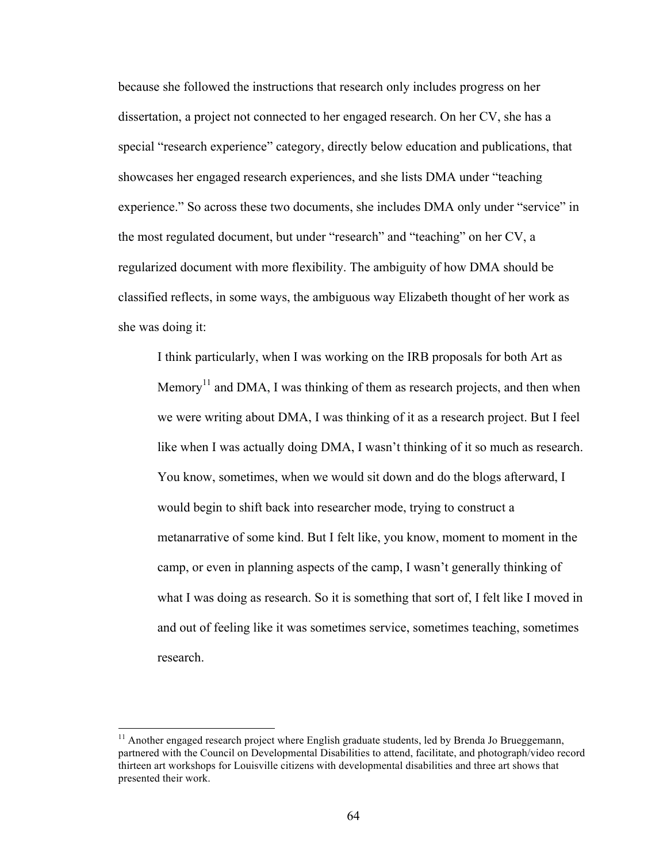because she followed the instructions that research only includes progress on her dissertation, a project not connected to her engaged research. On her CV, she has a special "research experience" category, directly below education and publications, that showcases her engaged research experiences, and she lists DMA under "teaching experience." So across these two documents, she includes DMA only under "service" in the most regulated document, but under "research" and "teaching" on her CV, a regularized document with more flexibility. The ambiguity of how DMA should be classified reflects, in some ways, the ambiguous way Elizabeth thought of her work as she was doing it:

I think particularly, when I was working on the IRB proposals for both Art as Memory<sup>11</sup> and DMA, I was thinking of them as research projects, and then when we were writing about DMA, I was thinking of it as a research project. But I feel like when I was actually doing DMA, I wasn't thinking of it so much as research. You know, sometimes, when we would sit down and do the blogs afterward, I would begin to shift back into researcher mode, trying to construct a metanarrative of some kind. But I felt like, you know, moment to moment in the camp, or even in planning aspects of the camp, I wasn't generally thinking of what I was doing as research. So it is something that sort of, I felt like I moved in and out of feeling like it was sometimes service, sometimes teaching, sometimes research.

 $11$  Another engaged research project where English graduate students, led by Brenda Jo Brueggemann, partnered with the Council on Developmental Disabilities to attend, facilitate, and photograph/video record thirteen art workshops for Louisville citizens with developmental disabilities and three art shows that presented their work.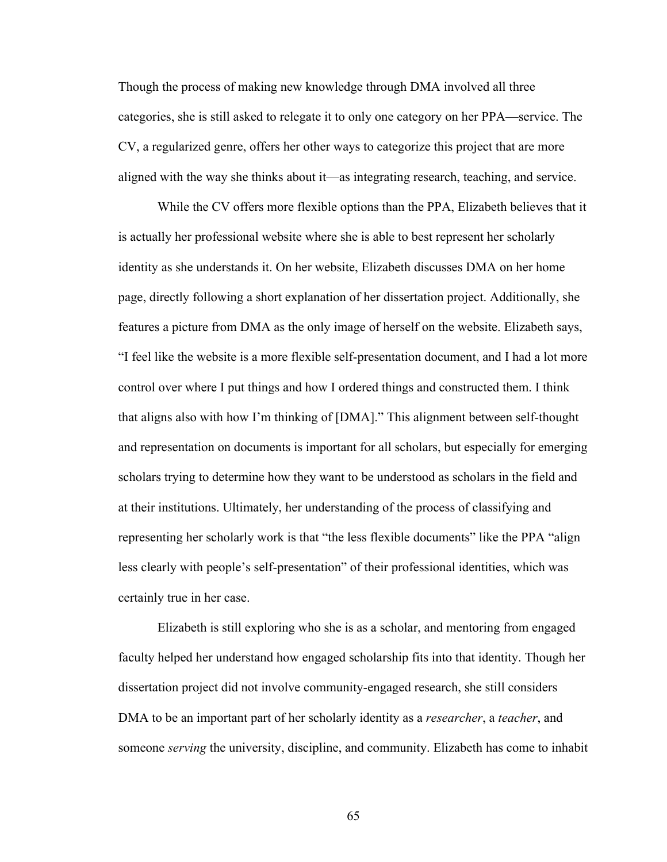Though the process of making new knowledge through DMA involved all three categories, she is still asked to relegate it to only one category on her PPA—service. The CV, a regularized genre, offers her other ways to categorize this project that are more aligned with the way she thinks about it—as integrating research, teaching, and service.

While the CV offers more flexible options than the PPA, Elizabeth believes that it is actually her professional website where she is able to best represent her scholarly identity as she understands it. On her website, Elizabeth discusses DMA on her home page, directly following a short explanation of her dissertation project. Additionally, she features a picture from DMA as the only image of herself on the website. Elizabeth says, "I feel like the website is a more flexible self-presentation document, and I had a lot more control over where I put things and how I ordered things and constructed them. I think that aligns also with how I'm thinking of [DMA]." This alignment between self-thought and representation on documents is important for all scholars, but especially for emerging scholars trying to determine how they want to be understood as scholars in the field and at their institutions. Ultimately, her understanding of the process of classifying and representing her scholarly work is that "the less flexible documents" like the PPA "align less clearly with people's self-presentation" of their professional identities, which was certainly true in her case.

Elizabeth is still exploring who she is as a scholar, and mentoring from engaged faculty helped her understand how engaged scholarship fits into that identity. Though her dissertation project did not involve community-engaged research, she still considers DMA to be an important part of her scholarly identity as a *researcher*, a *teacher*, and someone *serving* the university, discipline, and community. Elizabeth has come to inhabit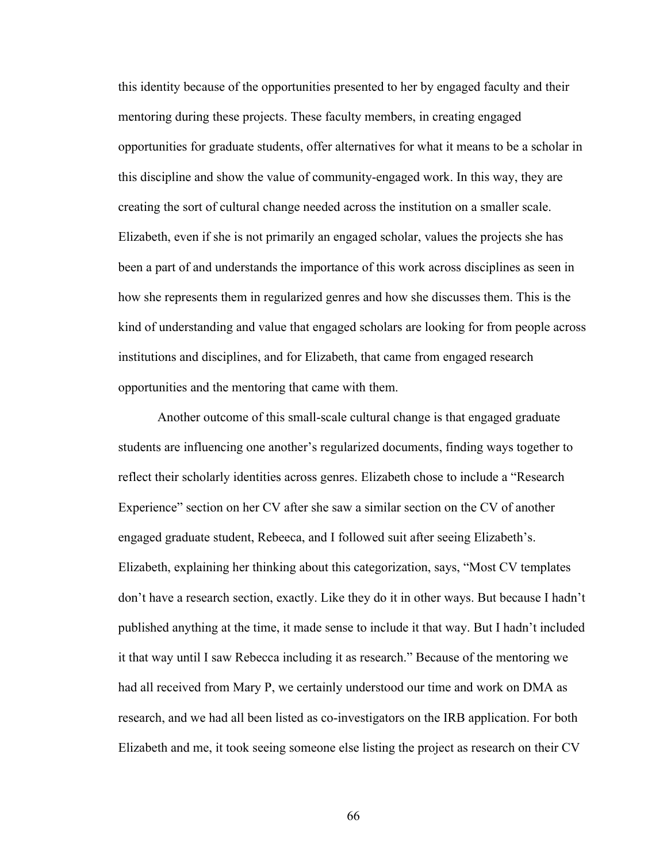this identity because of the opportunities presented to her by engaged faculty and their mentoring during these projects. These faculty members, in creating engaged opportunities for graduate students, offer alternatives for what it means to be a scholar in this discipline and show the value of community-engaged work. In this way, they are creating the sort of cultural change needed across the institution on a smaller scale. Elizabeth, even if she is not primarily an engaged scholar, values the projects she has been a part of and understands the importance of this work across disciplines as seen in how she represents them in regularized genres and how she discusses them. This is the kind of understanding and value that engaged scholars are looking for from people across institutions and disciplines, and for Elizabeth, that came from engaged research opportunities and the mentoring that came with them.

Another outcome of this small-scale cultural change is that engaged graduate students are influencing one another's regularized documents, finding ways together to reflect their scholarly identities across genres. Elizabeth chose to include a "Research Experience" section on her CV after she saw a similar section on the CV of another engaged graduate student, Rebeeca, and I followed suit after seeing Elizabeth's. Elizabeth, explaining her thinking about this categorization, says, "Most CV templates don't have a research section, exactly. Like they do it in other ways. But because I hadn't published anything at the time, it made sense to include it that way. But I hadn't included it that way until I saw Rebecca including it as research." Because of the mentoring we had all received from Mary P, we certainly understood our time and work on DMA as research, and we had all been listed as co-investigators on the IRB application. For both Elizabeth and me, it took seeing someone else listing the project as research on their CV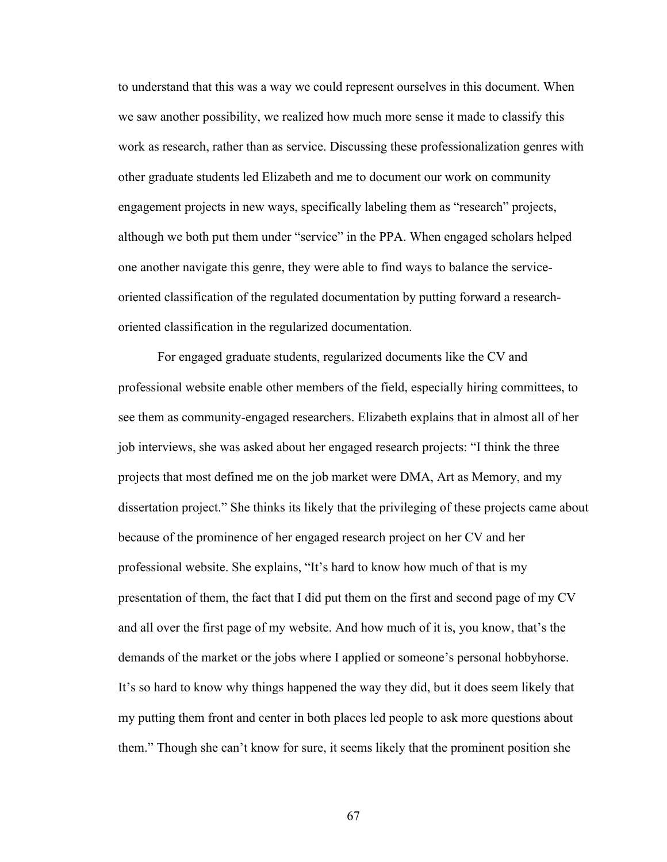to understand that this was a way we could represent ourselves in this document. When we saw another possibility, we realized how much more sense it made to classify this work as research, rather than as service. Discussing these professionalization genres with other graduate students led Elizabeth and me to document our work on community engagement projects in new ways, specifically labeling them as "research" projects, although we both put them under "service" in the PPA. When engaged scholars helped one another navigate this genre, they were able to find ways to balance the serviceoriented classification of the regulated documentation by putting forward a researchoriented classification in the regularized documentation.

For engaged graduate students, regularized documents like the CV and professional website enable other members of the field, especially hiring committees, to see them as community-engaged researchers. Elizabeth explains that in almost all of her job interviews, she was asked about her engaged research projects: "I think the three projects that most defined me on the job market were DMA, Art as Memory, and my dissertation project." She thinks its likely that the privileging of these projects came about because of the prominence of her engaged research project on her CV and her professional website. She explains, "It's hard to know how much of that is my presentation of them, the fact that I did put them on the first and second page of my CV and all over the first page of my website. And how much of it is, you know, that's the demands of the market or the jobs where I applied or someone's personal hobbyhorse. It's so hard to know why things happened the way they did, but it does seem likely that my putting them front and center in both places led people to ask more questions about them." Though she can't know for sure, it seems likely that the prominent position she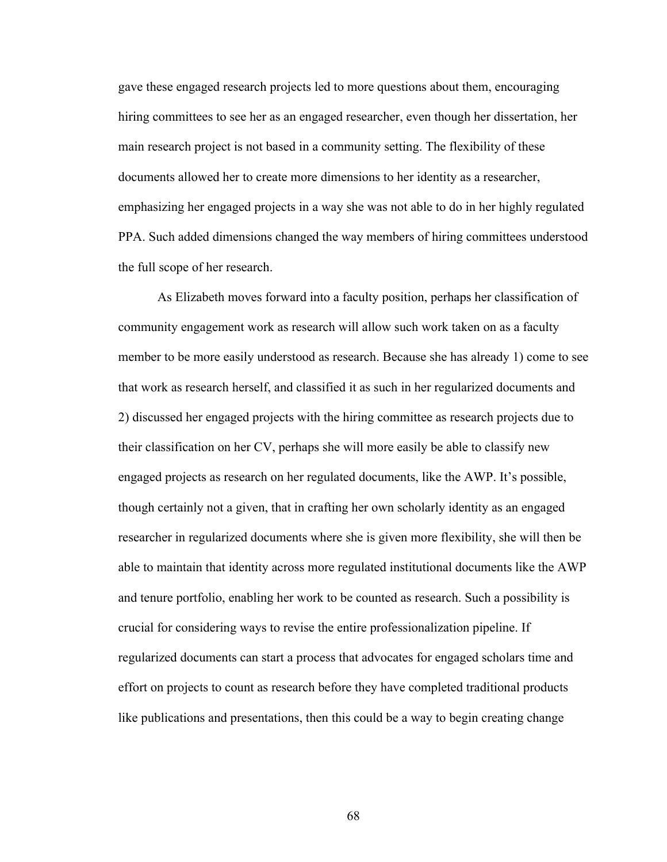gave these engaged research projects led to more questions about them, encouraging hiring committees to see her as an engaged researcher, even though her dissertation, her main research project is not based in a community setting. The flexibility of these documents allowed her to create more dimensions to her identity as a researcher, emphasizing her engaged projects in a way she was not able to do in her highly regulated PPA. Such added dimensions changed the way members of hiring committees understood the full scope of her research.

As Elizabeth moves forward into a faculty position, perhaps her classification of community engagement work as research will allow such work taken on as a faculty member to be more easily understood as research. Because she has already 1) come to see that work as research herself, and classified it as such in her regularized documents and 2) discussed her engaged projects with the hiring committee as research projects due to their classification on her CV, perhaps she will more easily be able to classify new engaged projects as research on her regulated documents, like the AWP. It's possible, though certainly not a given, that in crafting her own scholarly identity as an engaged researcher in regularized documents where she is given more flexibility, she will then be able to maintain that identity across more regulated institutional documents like the AWP and tenure portfolio, enabling her work to be counted as research. Such a possibility is crucial for considering ways to revise the entire professionalization pipeline. If regularized documents can start a process that advocates for engaged scholars time and effort on projects to count as research before they have completed traditional products like publications and presentations, then this could be a way to begin creating change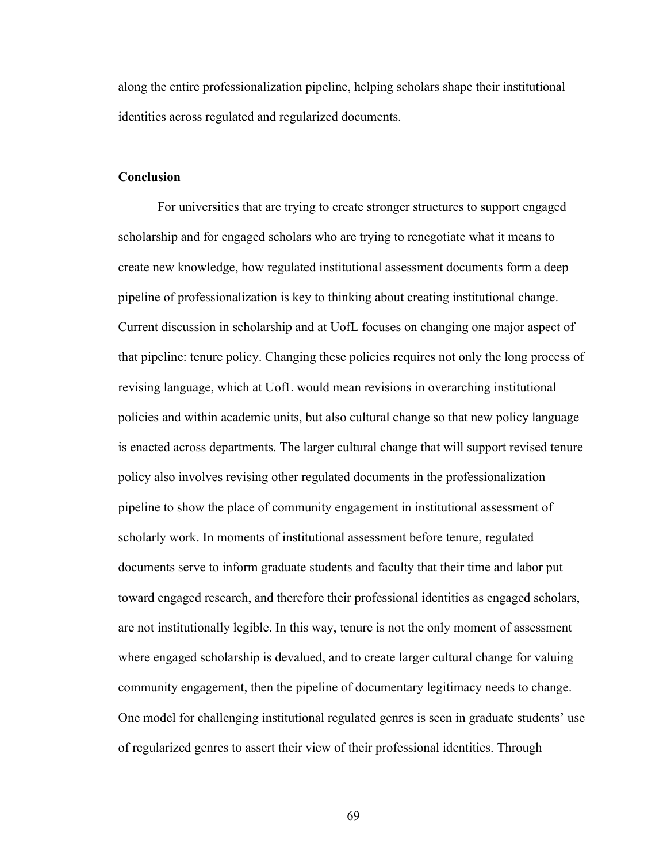along the entire professionalization pipeline, helping scholars shape their institutional identities across regulated and regularized documents.

## **Conclusion**

For universities that are trying to create stronger structures to support engaged scholarship and for engaged scholars who are trying to renegotiate what it means to create new knowledge, how regulated institutional assessment documents form a deep pipeline of professionalization is key to thinking about creating institutional change. Current discussion in scholarship and at UofL focuses on changing one major aspect of that pipeline: tenure policy. Changing these policies requires not only the long process of revising language, which at UofL would mean revisions in overarching institutional policies and within academic units, but also cultural change so that new policy language is enacted across departments. The larger cultural change that will support revised tenure policy also involves revising other regulated documents in the professionalization pipeline to show the place of community engagement in institutional assessment of scholarly work. In moments of institutional assessment before tenure, regulated documents serve to inform graduate students and faculty that their time and labor put toward engaged research, and therefore their professional identities as engaged scholars, are not institutionally legible. In this way, tenure is not the only moment of assessment where engaged scholarship is devalued, and to create larger cultural change for valuing community engagement, then the pipeline of documentary legitimacy needs to change. One model for challenging institutional regulated genres is seen in graduate students' use of regularized genres to assert their view of their professional identities. Through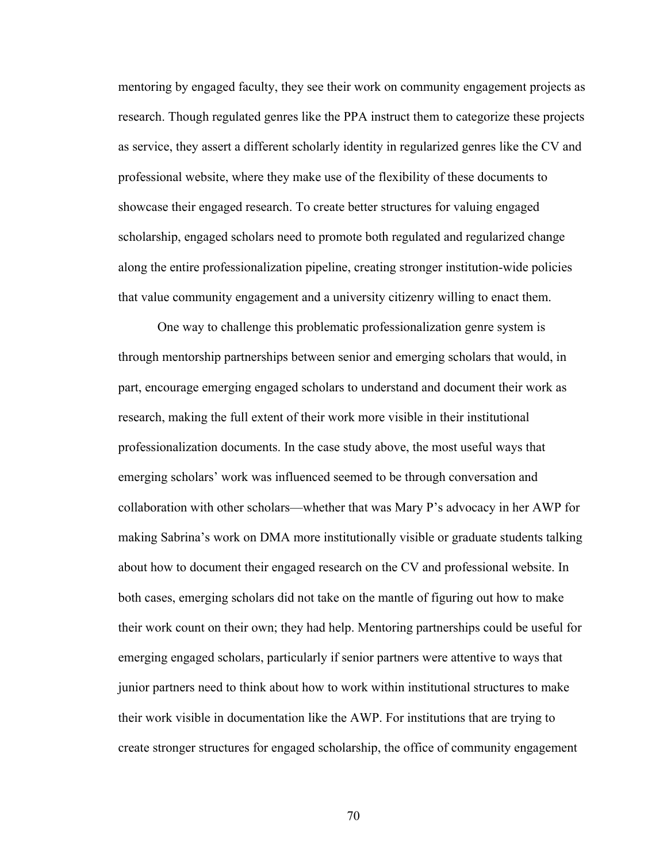mentoring by engaged faculty, they see their work on community engagement projects as research. Though regulated genres like the PPA instruct them to categorize these projects as service, they assert a different scholarly identity in regularized genres like the CV and professional website, where they make use of the flexibility of these documents to showcase their engaged research. To create better structures for valuing engaged scholarship, engaged scholars need to promote both regulated and regularized change along the entire professionalization pipeline, creating stronger institution-wide policies that value community engagement and a university citizenry willing to enact them.

One way to challenge this problematic professionalization genre system is through mentorship partnerships between senior and emerging scholars that would, in part, encourage emerging engaged scholars to understand and document their work as research, making the full extent of their work more visible in their institutional professionalization documents. In the case study above, the most useful ways that emerging scholars' work was influenced seemed to be through conversation and collaboration with other scholars—whether that was Mary P's advocacy in her AWP for making Sabrina's work on DMA more institutionally visible or graduate students talking about how to document their engaged research on the CV and professional website. In both cases, emerging scholars did not take on the mantle of figuring out how to make their work count on their own; they had help. Mentoring partnerships could be useful for emerging engaged scholars, particularly if senior partners were attentive to ways that junior partners need to think about how to work within institutional structures to make their work visible in documentation like the AWP. For institutions that are trying to create stronger structures for engaged scholarship, the office of community engagement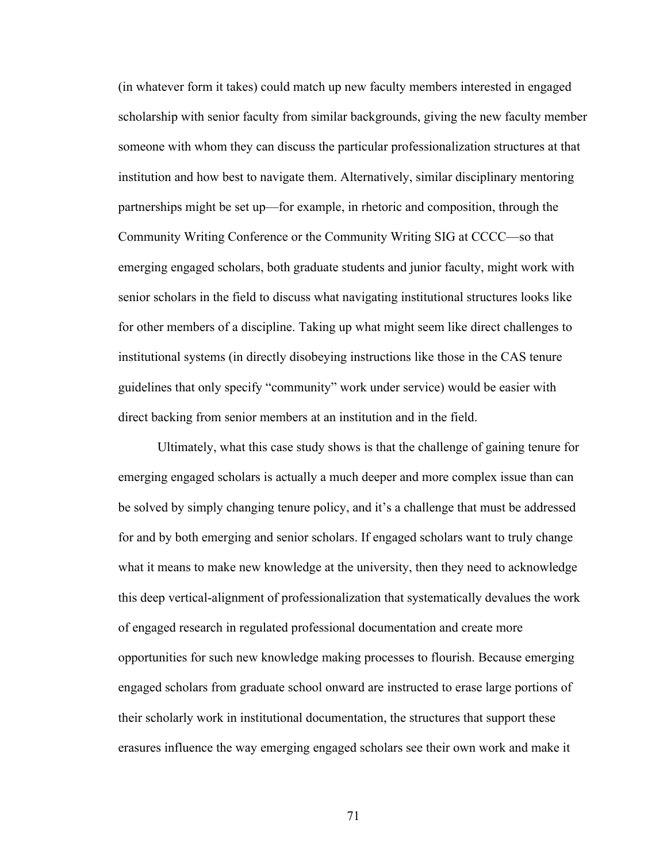(in whatever form it takes) could match up new faculty members interested in engaged scholarship with senior faculty from similar backgrounds, giving the new faculty member someone with whom they can discuss the particular professionalization structures at that institution and how best to navigate them. Alternatively, similar disciplinary mentoring partnerships might be set up—for example, in rhetoric and composition, through the Community Writing Conference or the Community Writing SIG at CCCC—so that emerging engaged scholars, both graduate students and junior faculty, might work with senior scholars in the field to discuss what navigating institutional structures looks like for other members of a discipline. Taking up what might seem like direct challenges to institutional systems (in directly disobeying instructions like those in the CAS tenure guidelines that only specify "community" work under service) would be easier with direct backing from senior members at an institution and in the field.

Ultimately, what this case study shows is that the challenge of gaining tenure for emerging engaged scholars is actually a much deeper and more complex issue than can be solved by simply changing tenure policy, and it's a challenge that must be addressed for and by both emerging and senior scholars. If engaged scholars want to truly change what it means to make new knowledge at the university, then they need to acknowledge this deep vertical-alignment of professionalization that systematically devalues the work of engaged research in regulated professional documentation and create more opportunities for such new knowledge making processes to flourish. Because emerging engaged scholars from graduate school onward are instructed to erase large portions of their scholarly work in institutional documentation, the structures that support these erasures influence the way emerging engaged scholars see their own work and make it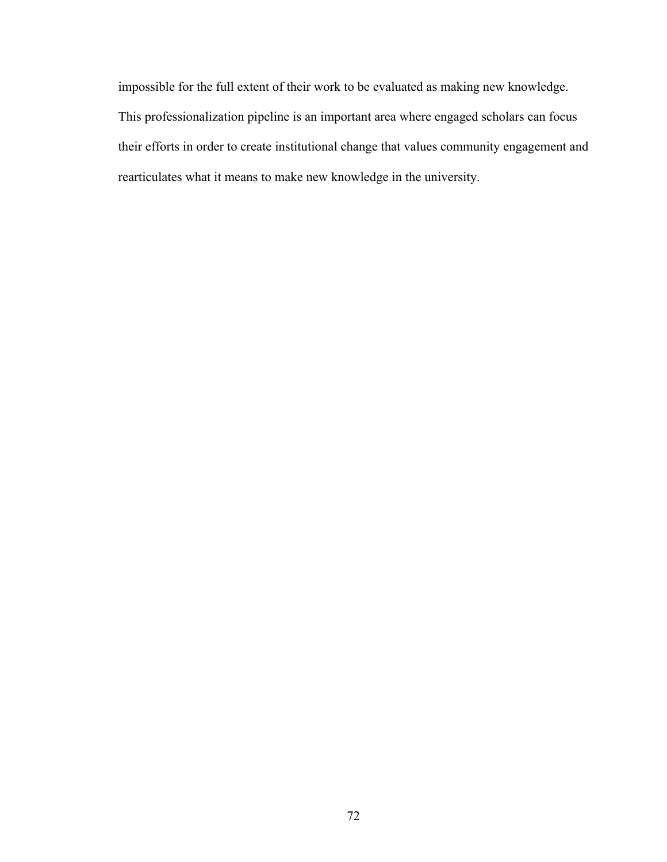impossible for the full extent of their work to be evaluated as making new knowledge. This professionalization pipeline is an important area where engaged scholars can focus their efforts in order to create institutional change that values community engagement and rearticulates what it means to make new knowledge in the university.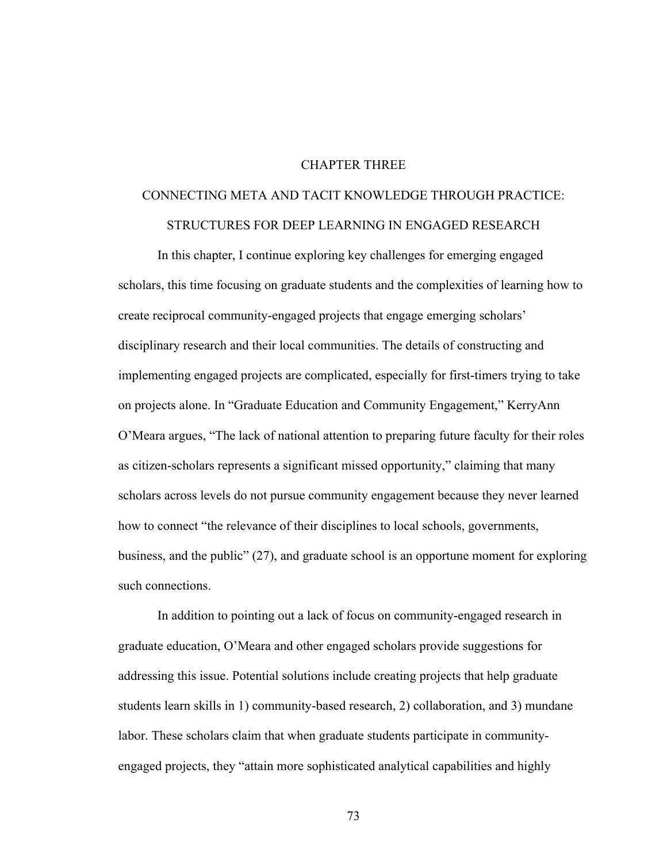## CHAPTER THREE

# CONNECTING META AND TACIT KNOWLEDGE THROUGH PRACTICE: STRUCTURES FOR DEEP LEARNING IN ENGAGED RESEARCH

In this chapter, I continue exploring key challenges for emerging engaged scholars, this time focusing on graduate students and the complexities of learning how to create reciprocal community-engaged projects that engage emerging scholars' disciplinary research and their local communities. The details of constructing and implementing engaged projects are complicated, especially for first-timers trying to take on projects alone. In "Graduate Education and Community Engagement," KerryAnn O'Meara argues, "The lack of national attention to preparing future faculty for their roles as citizen-scholars represents a significant missed opportunity," claiming that many scholars across levels do not pursue community engagement because they never learned how to connect "the relevance of their disciplines to local schools, governments, business, and the public" (27), and graduate school is an opportune moment for exploring such connections.

In addition to pointing out a lack of focus on community-engaged research in graduate education, O'Meara and other engaged scholars provide suggestions for addressing this issue. Potential solutions include creating projects that help graduate students learn skills in 1) community-based research, 2) collaboration, and 3) mundane labor. These scholars claim that when graduate students participate in communityengaged projects, they "attain more sophisticated analytical capabilities and highly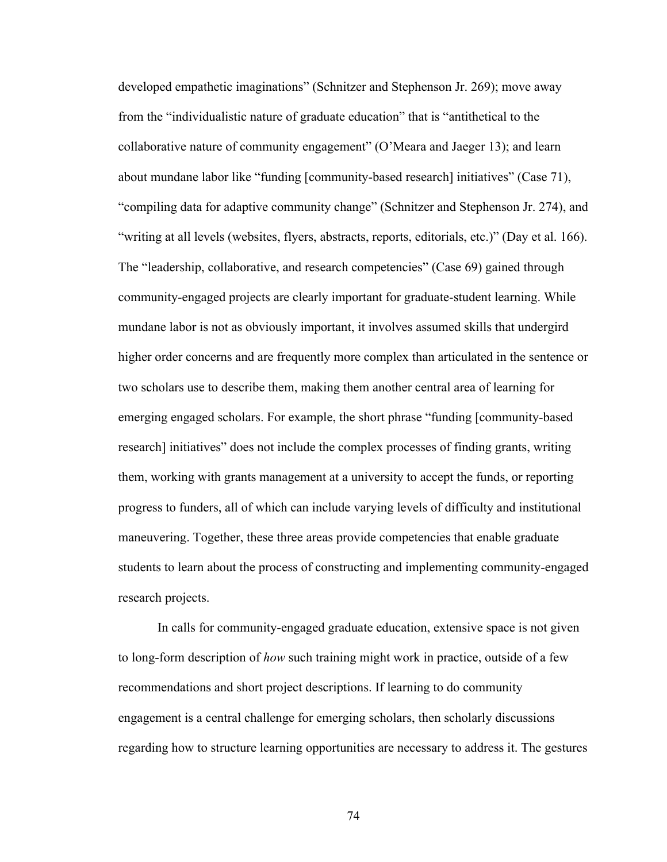developed empathetic imaginations" (Schnitzer and Stephenson Jr. 269); move away from the "individualistic nature of graduate education" that is "antithetical to the collaborative nature of community engagement" (O'Meara and Jaeger 13); and learn about mundane labor like "funding [community-based research] initiatives" (Case 71), "compiling data for adaptive community change" (Schnitzer and Stephenson Jr. 274), and "writing at all levels (websites, flyers, abstracts, reports, editorials, etc.)" (Day et al. 166). The "leadership, collaborative, and research competencies" (Case 69) gained through community-engaged projects are clearly important for graduate-student learning. While mundane labor is not as obviously important, it involves assumed skills that undergird higher order concerns and are frequently more complex than articulated in the sentence or two scholars use to describe them, making them another central area of learning for emerging engaged scholars. For example, the short phrase "funding [community-based research] initiatives" does not include the complex processes of finding grants, writing them, working with grants management at a university to accept the funds, or reporting progress to funders, all of which can include varying levels of difficulty and institutional maneuvering. Together, these three areas provide competencies that enable graduate students to learn about the process of constructing and implementing community-engaged research projects.

In calls for community-engaged graduate education, extensive space is not given to long-form description of *how* such training might work in practice, outside of a few recommendations and short project descriptions. If learning to do community engagement is a central challenge for emerging scholars, then scholarly discussions regarding how to structure learning opportunities are necessary to address it. The gestures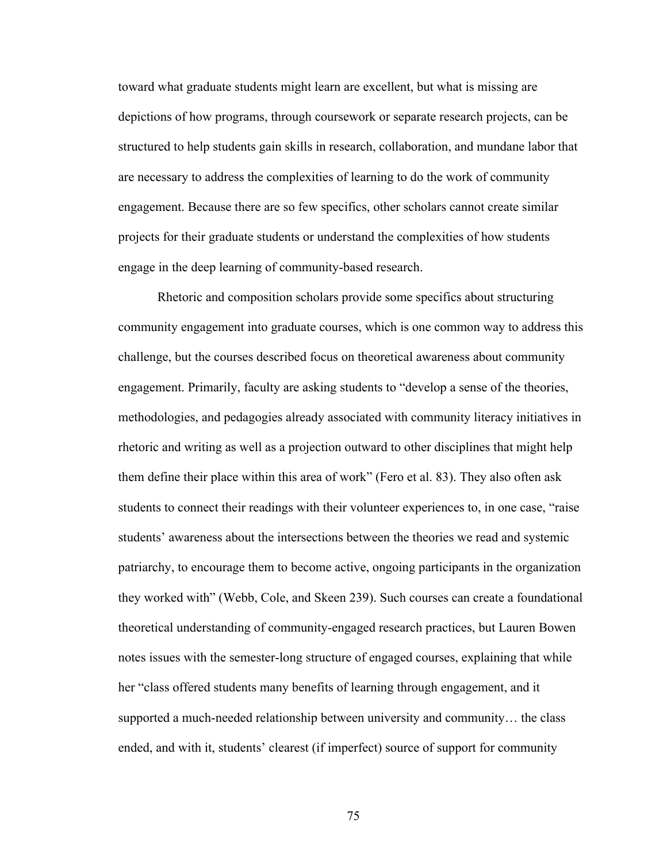toward what graduate students might learn are excellent, but what is missing are depictions of how programs, through coursework or separate research projects, can be structured to help students gain skills in research, collaboration, and mundane labor that are necessary to address the complexities of learning to do the work of community engagement. Because there are so few specifics, other scholars cannot create similar projects for their graduate students or understand the complexities of how students engage in the deep learning of community-based research.

Rhetoric and composition scholars provide some specifics about structuring community engagement into graduate courses, which is one common way to address this challenge, but the courses described focus on theoretical awareness about community engagement. Primarily, faculty are asking students to "develop a sense of the theories, methodologies, and pedagogies already associated with community literacy initiatives in rhetoric and writing as well as a projection outward to other disciplines that might help them define their place within this area of work" (Fero et al. 83). They also often ask students to connect their readings with their volunteer experiences to, in one case, "raise students' awareness about the intersections between the theories we read and systemic patriarchy, to encourage them to become active, ongoing participants in the organization they worked with" (Webb, Cole, and Skeen 239). Such courses can create a foundational theoretical understanding of community-engaged research practices, but Lauren Bowen notes issues with the semester-long structure of engaged courses, explaining that while her "class offered students many benefits of learning through engagement, and it supported a much-needed relationship between university and community… the class ended, and with it, students' clearest (if imperfect) source of support for community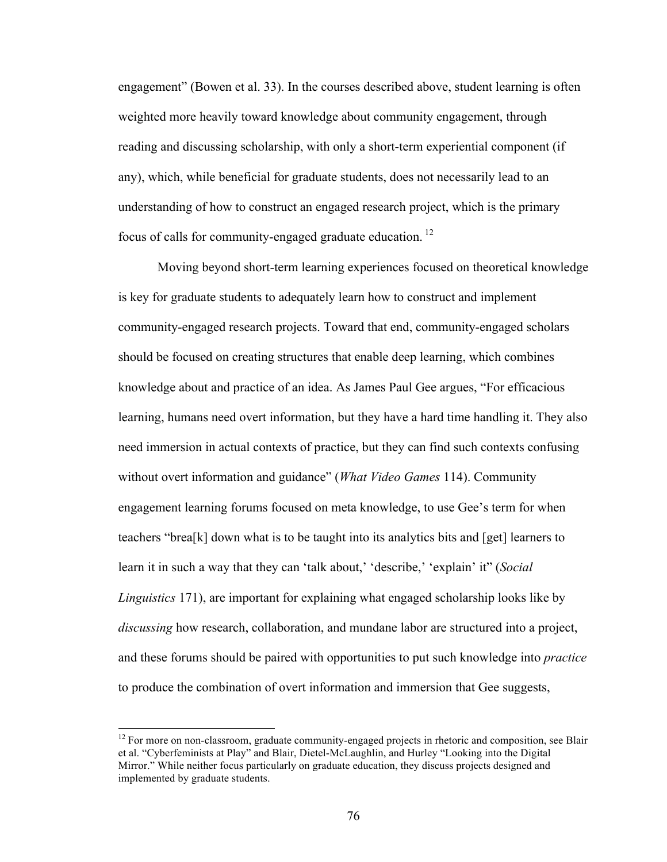engagement" (Bowen et al. 33). In the courses described above, student learning is often weighted more heavily toward knowledge about community engagement, through reading and discussing scholarship, with only a short-term experiential component (if any), which, while beneficial for graduate students, does not necessarily lead to an understanding of how to construct an engaged research project, which is the primary focus of calls for community-engaged graduate education. <sup>12</sup>

Moving beyond short-term learning experiences focused on theoretical knowledge is key for graduate students to adequately learn how to construct and implement community-engaged research projects. Toward that end, community-engaged scholars should be focused on creating structures that enable deep learning, which combines knowledge about and practice of an idea. As James Paul Gee argues, "For efficacious learning, humans need overt information, but they have a hard time handling it. They also need immersion in actual contexts of practice, but they can find such contexts confusing without overt information and guidance" (*What Video Games* 114). Community engagement learning forums focused on meta knowledge, to use Gee's term for when teachers "brea[k] down what is to be taught into its analytics bits and [get] learners to learn it in such a way that they can 'talk about,' 'describe,' 'explain' it" (*Social Linguistics* 171), are important for explaining what engaged scholarship looks like by *discussing* how research, collaboration, and mundane labor are structured into a project, and these forums should be paired with opportunities to put such knowledge into *practice* to produce the combination of overt information and immersion that Gee suggests,

 $12$  For more on non-classroom, graduate community-engaged projects in rhetoric and composition, see Blair et al. "Cyberfeminists at Play" and Blair, Dietel-McLaughlin, and Hurley "Looking into the Digital Mirror." While neither focus particularly on graduate education, they discuss projects designed and implemented by graduate students.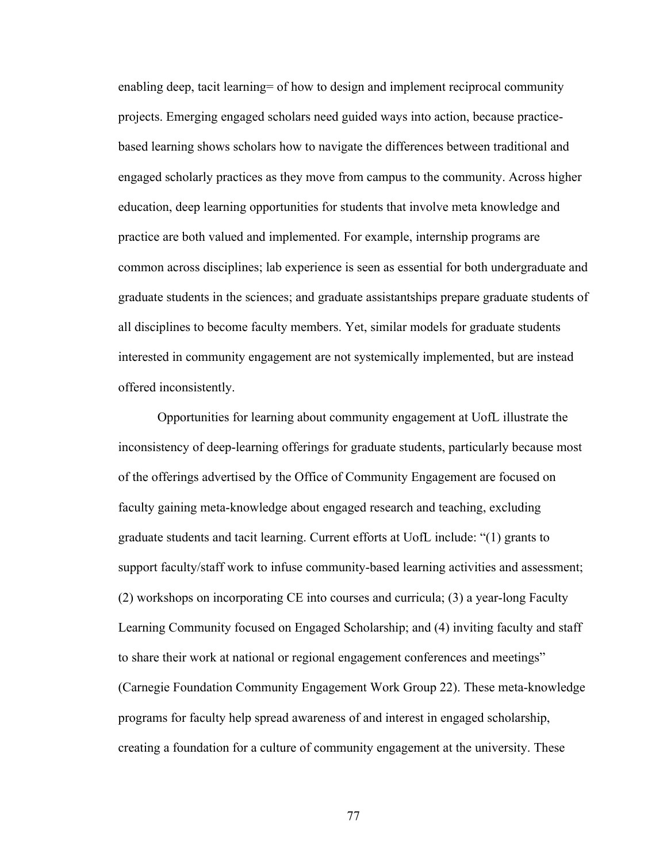enabling deep, tacit learning= of how to design and implement reciprocal community projects. Emerging engaged scholars need guided ways into action, because practicebased learning shows scholars how to navigate the differences between traditional and engaged scholarly practices as they move from campus to the community. Across higher education, deep learning opportunities for students that involve meta knowledge and practice are both valued and implemented. For example, internship programs are common across disciplines; lab experience is seen as essential for both undergraduate and graduate students in the sciences; and graduate assistantships prepare graduate students of all disciplines to become faculty members. Yet, similar models for graduate students interested in community engagement are not systemically implemented, but are instead offered inconsistently.

Opportunities for learning about community engagement at UofL illustrate the inconsistency of deep-learning offerings for graduate students, particularly because most of the offerings advertised by the Office of Community Engagement are focused on faculty gaining meta-knowledge about engaged research and teaching, excluding graduate students and tacit learning. Current efforts at UofL include: "(1) grants to support faculty/staff work to infuse community-based learning activities and assessment; (2) workshops on incorporating CE into courses and curricula; (3) a year-long Faculty Learning Community focused on Engaged Scholarship; and (4) inviting faculty and staff to share their work at national or regional engagement conferences and meetings" (Carnegie Foundation Community Engagement Work Group 22). These meta-knowledge programs for faculty help spread awareness of and interest in engaged scholarship, creating a foundation for a culture of community engagement at the university. These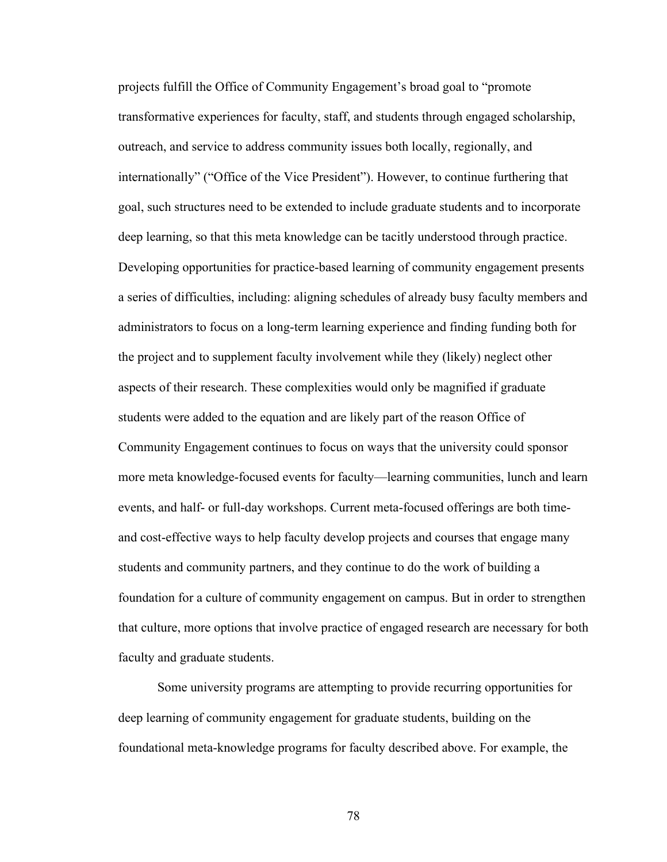projects fulfill the Office of Community Engagement's broad goal to "promote transformative experiences for faculty, staff, and students through engaged scholarship, outreach, and service to address community issues both locally, regionally, and internationally" ("Office of the Vice President"). However, to continue furthering that goal, such structures need to be extended to include graduate students and to incorporate deep learning, so that this meta knowledge can be tacitly understood through practice. Developing opportunities for practice-based learning of community engagement presents a series of difficulties, including: aligning schedules of already busy faculty members and administrators to focus on a long-term learning experience and finding funding both for the project and to supplement faculty involvement while they (likely) neglect other aspects of their research. These complexities would only be magnified if graduate students were added to the equation and are likely part of the reason Office of Community Engagement continues to focus on ways that the university could sponsor more meta knowledge-focused events for faculty—learning communities, lunch and learn events, and half- or full-day workshops. Current meta-focused offerings are both timeand cost-effective ways to help faculty develop projects and courses that engage many students and community partners, and they continue to do the work of building a foundation for a culture of community engagement on campus. But in order to strengthen that culture, more options that involve practice of engaged research are necessary for both faculty and graduate students.

Some university programs are attempting to provide recurring opportunities for deep learning of community engagement for graduate students, building on the foundational meta-knowledge programs for faculty described above. For example, the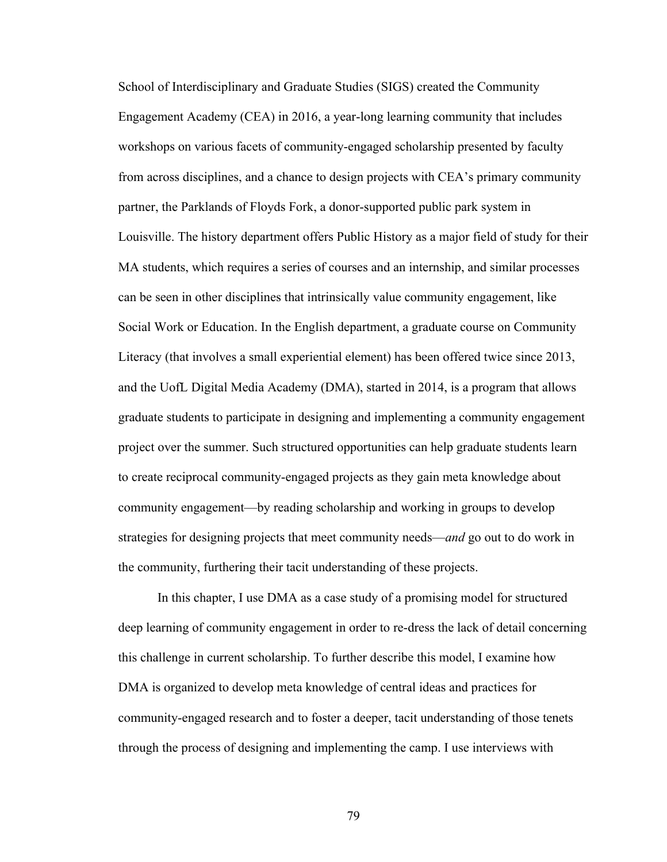School of Interdisciplinary and Graduate Studies (SIGS) created the Community Engagement Academy (CEA) in 2016, a year-long learning community that includes workshops on various facets of community-engaged scholarship presented by faculty from across disciplines, and a chance to design projects with CEA's primary community partner, the Parklands of Floyds Fork, a donor-supported public park system in Louisville. The history department offers Public History as a major field of study for their MA students, which requires a series of courses and an internship, and similar processes can be seen in other disciplines that intrinsically value community engagement, like Social Work or Education. In the English department, a graduate course on Community Literacy (that involves a small experiential element) has been offered twice since 2013, and the UofL Digital Media Academy (DMA), started in 2014, is a program that allows graduate students to participate in designing and implementing a community engagement project over the summer. Such structured opportunities can help graduate students learn to create reciprocal community-engaged projects as they gain meta knowledge about community engagement—by reading scholarship and working in groups to develop strategies for designing projects that meet community needs—*and* go out to do work in the community, furthering their tacit understanding of these projects.

In this chapter, I use DMA as a case study of a promising model for structured deep learning of community engagement in order to re-dress the lack of detail concerning this challenge in current scholarship. To further describe this model, I examine how DMA is organized to develop meta knowledge of central ideas and practices for community-engaged research and to foster a deeper, tacit understanding of those tenets through the process of designing and implementing the camp. I use interviews with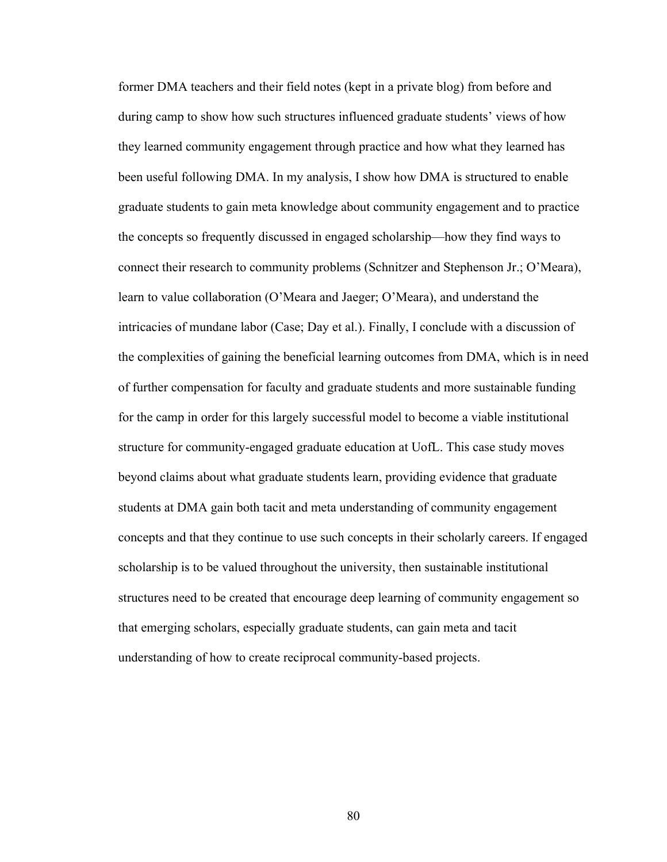former DMA teachers and their field notes (kept in a private blog) from before and during camp to show how such structures influenced graduate students' views of how they learned community engagement through practice and how what they learned has been useful following DMA. In my analysis, I show how DMA is structured to enable graduate students to gain meta knowledge about community engagement and to practice the concepts so frequently discussed in engaged scholarship—how they find ways to connect their research to community problems (Schnitzer and Stephenson Jr.; O'Meara), learn to value collaboration (O'Meara and Jaeger; O'Meara), and understand the intricacies of mundane labor (Case; Day et al.). Finally, I conclude with a discussion of the complexities of gaining the beneficial learning outcomes from DMA, which is in need of further compensation for faculty and graduate students and more sustainable funding for the camp in order for this largely successful model to become a viable institutional structure for community-engaged graduate education at UofL. This case study moves beyond claims about what graduate students learn, providing evidence that graduate students at DMA gain both tacit and meta understanding of community engagement concepts and that they continue to use such concepts in their scholarly careers. If engaged scholarship is to be valued throughout the university, then sustainable institutional structures need to be created that encourage deep learning of community engagement so that emerging scholars, especially graduate students, can gain meta and tacit understanding of how to create reciprocal community-based projects.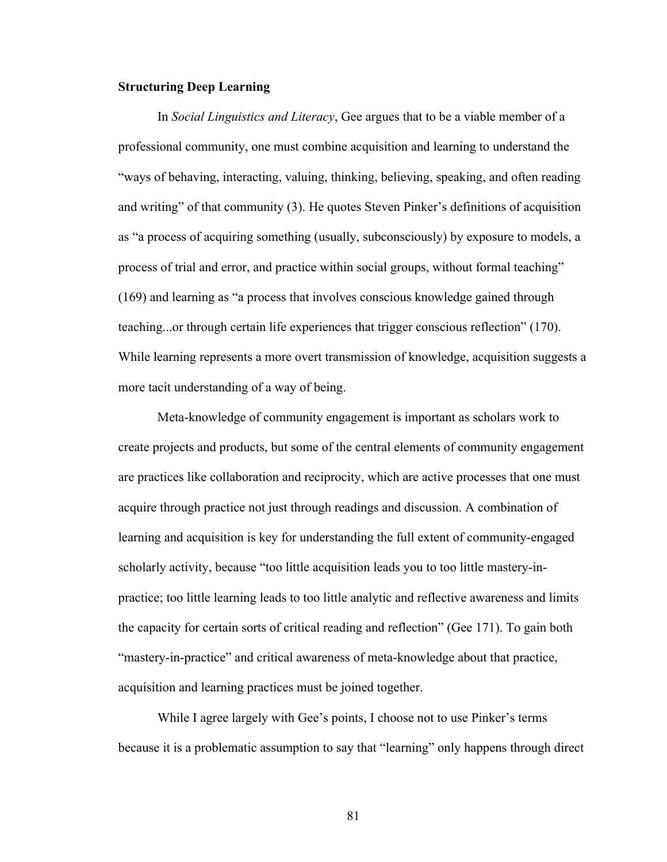### **Structuring Deep Learning**

In *Social Linguistics and Literacy*, Gee argues that to be a viable member of a professional community, one must combine acquisition and learning to understand the "ways of behaving, interacting, valuing, thinking, believing, speaking, and often reading and writing" of that community (3). He quotes Steven Pinker's definitions of acquisition as "a process of acquiring something (usually, subconsciously) by exposure to models, a process of trial and error, and practice within social groups, without formal teaching" (169) and learning as "a process that involves conscious knowledge gained through teaching...or through certain life experiences that trigger conscious reflection" (170). While learning represents a more overt transmission of knowledge, acquisition suggests a more tacit understanding of a way of being.

Meta-knowledge of community engagement is important as scholars work to create projects and products, but some of the central elements of community engagement are practices like collaboration and reciprocity, which are active processes that one must acquire through practice not just through readings and discussion. A combination of learning and acquisition is key for understanding the full extent of community-engaged scholarly activity, because "too little acquisition leads you to too little mastery-inpractice; too little learning leads to too little analytic and reflective awareness and limits the capacity for certain sorts of critical reading and reflection" (Gee 171). To gain both "mastery-in-practice" and critical awareness of meta-knowledge about that practice, acquisition and learning practices must be joined together.

While I agree largely with Gee's points, I choose not to use Pinker's terms because it is a problematic assumption to say that "learning" only happens through direct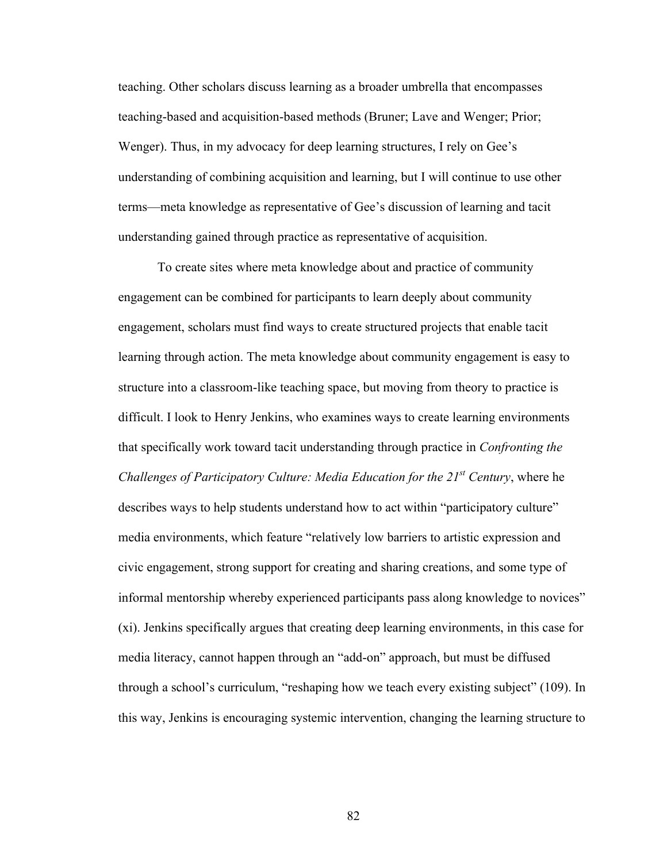teaching. Other scholars discuss learning as a broader umbrella that encompasses teaching-based and acquisition-based methods (Bruner; Lave and Wenger; Prior; Wenger). Thus, in my advocacy for deep learning structures, I rely on Gee's understanding of combining acquisition and learning, but I will continue to use other terms—meta knowledge as representative of Gee's discussion of learning and tacit understanding gained through practice as representative of acquisition.

To create sites where meta knowledge about and practice of community engagement can be combined for participants to learn deeply about community engagement, scholars must find ways to create structured projects that enable tacit learning through action. The meta knowledge about community engagement is easy to structure into a classroom-like teaching space, but moving from theory to practice is difficult. I look to Henry Jenkins, who examines ways to create learning environments that specifically work toward tacit understanding through practice in *Confronting the Challenges of Participatory Culture: Media Education for the 21st Century*, where he describes ways to help students understand how to act within "participatory culture" media environments, which feature "relatively low barriers to artistic expression and civic engagement, strong support for creating and sharing creations, and some type of informal mentorship whereby experienced participants pass along knowledge to novices" (xi). Jenkins specifically argues that creating deep learning environments, in this case for media literacy, cannot happen through an "add-on" approach, but must be diffused through a school's curriculum, "reshaping how we teach every existing subject" (109). In this way, Jenkins is encouraging systemic intervention, changing the learning structure to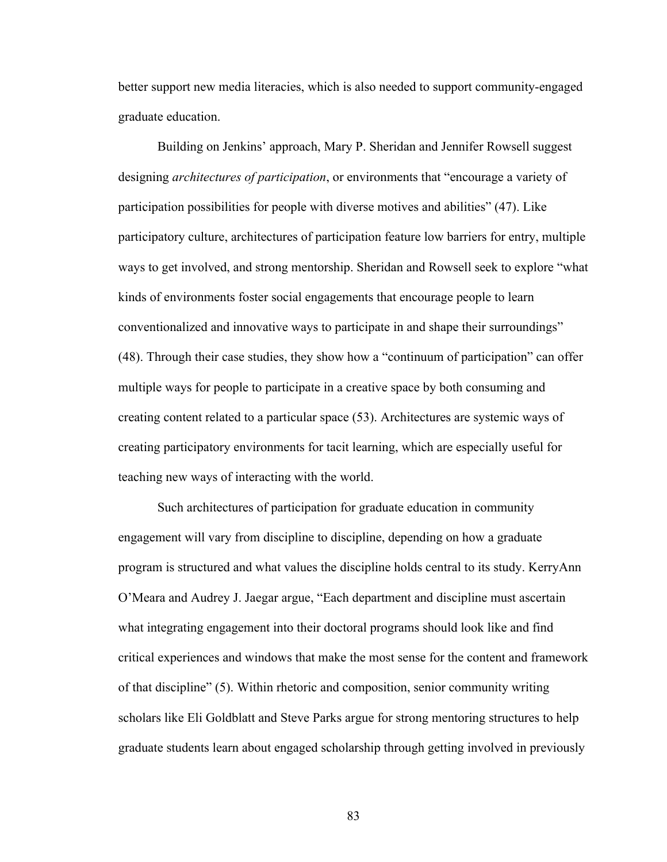better support new media literacies, which is also needed to support community-engaged graduate education.

Building on Jenkins' approach, Mary P. Sheridan and Jennifer Rowsell suggest designing *architectures of participation*, or environments that "encourage a variety of participation possibilities for people with diverse motives and abilities" (47). Like participatory culture, architectures of participation feature low barriers for entry, multiple ways to get involved, and strong mentorship. Sheridan and Rowsell seek to explore "what kinds of environments foster social engagements that encourage people to learn conventionalized and innovative ways to participate in and shape their surroundings" (48). Through their case studies, they show how a "continuum of participation" can offer multiple ways for people to participate in a creative space by both consuming and creating content related to a particular space (53). Architectures are systemic ways of creating participatory environments for tacit learning, which are especially useful for teaching new ways of interacting with the world.

Such architectures of participation for graduate education in community engagement will vary from discipline to discipline, depending on how a graduate program is structured and what values the discipline holds central to its study. KerryAnn O'Meara and Audrey J. Jaegar argue, "Each department and discipline must ascertain what integrating engagement into their doctoral programs should look like and find critical experiences and windows that make the most sense for the content and framework of that discipline" (5). Within rhetoric and composition, senior community writing scholars like Eli Goldblatt and Steve Parks argue for strong mentoring structures to help graduate students learn about engaged scholarship through getting involved in previously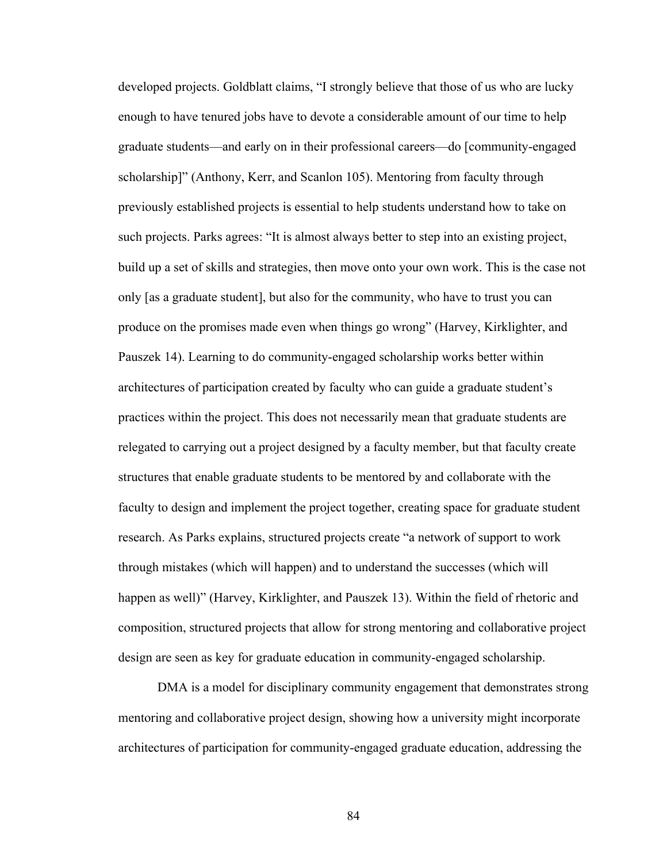developed projects. Goldblatt claims, "I strongly believe that those of us who are lucky enough to have tenured jobs have to devote a considerable amount of our time to help graduate students—and early on in their professional careers—do [community-engaged scholarship]" (Anthony, Kerr, and Scanlon 105). Mentoring from faculty through previously established projects is essential to help students understand how to take on such projects. Parks agrees: "It is almost always better to step into an existing project, build up a set of skills and strategies, then move onto your own work. This is the case not only [as a graduate student], but also for the community, who have to trust you can produce on the promises made even when things go wrong" (Harvey, Kirklighter, and Pauszek 14). Learning to do community-engaged scholarship works better within architectures of participation created by faculty who can guide a graduate student's practices within the project. This does not necessarily mean that graduate students are relegated to carrying out a project designed by a faculty member, but that faculty create structures that enable graduate students to be mentored by and collaborate with the faculty to design and implement the project together, creating space for graduate student research. As Parks explains, structured projects create "a network of support to work through mistakes (which will happen) and to understand the successes (which will happen as well)" (Harvey, Kirklighter, and Pauszek 13). Within the field of rhetoric and composition, structured projects that allow for strong mentoring and collaborative project design are seen as key for graduate education in community-engaged scholarship.

DMA is a model for disciplinary community engagement that demonstrates strong mentoring and collaborative project design, showing how a university might incorporate architectures of participation for community-engaged graduate education, addressing the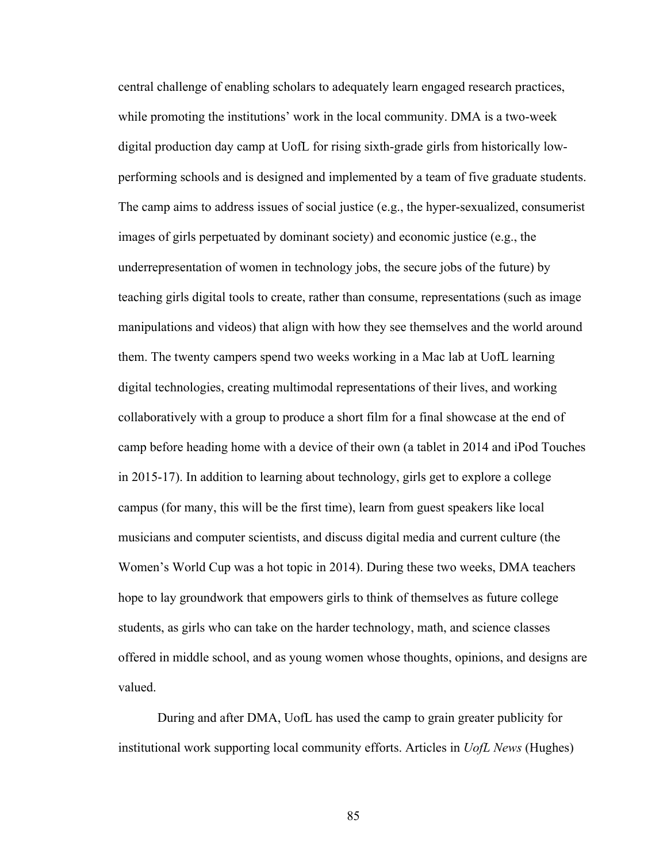central challenge of enabling scholars to adequately learn engaged research practices, while promoting the institutions' work in the local community. DMA is a two-week digital production day camp at UofL for rising sixth-grade girls from historically lowperforming schools and is designed and implemented by a team of five graduate students. The camp aims to address issues of social justice (e.g., the hyper-sexualized, consumerist images of girls perpetuated by dominant society) and economic justice (e.g., the underrepresentation of women in technology jobs, the secure jobs of the future) by teaching girls digital tools to create, rather than consume, representations (such as image manipulations and videos) that align with how they see themselves and the world around them. The twenty campers spend two weeks working in a Mac lab at UofL learning digital technologies, creating multimodal representations of their lives, and working collaboratively with a group to produce a short film for a final showcase at the end of camp before heading home with a device of their own (a tablet in 2014 and iPod Touches in 2015-17). In addition to learning about technology, girls get to explore a college campus (for many, this will be the first time), learn from guest speakers like local musicians and computer scientists, and discuss digital media and current culture (the Women's World Cup was a hot topic in 2014). During these two weeks, DMA teachers hope to lay groundwork that empowers girls to think of themselves as future college students, as girls who can take on the harder technology, math, and science classes offered in middle school, and as young women whose thoughts, opinions, and designs are valued.

During and after DMA, UofL has used the camp to grain greater publicity for institutional work supporting local community efforts. Articles in *UofL News* (Hughes)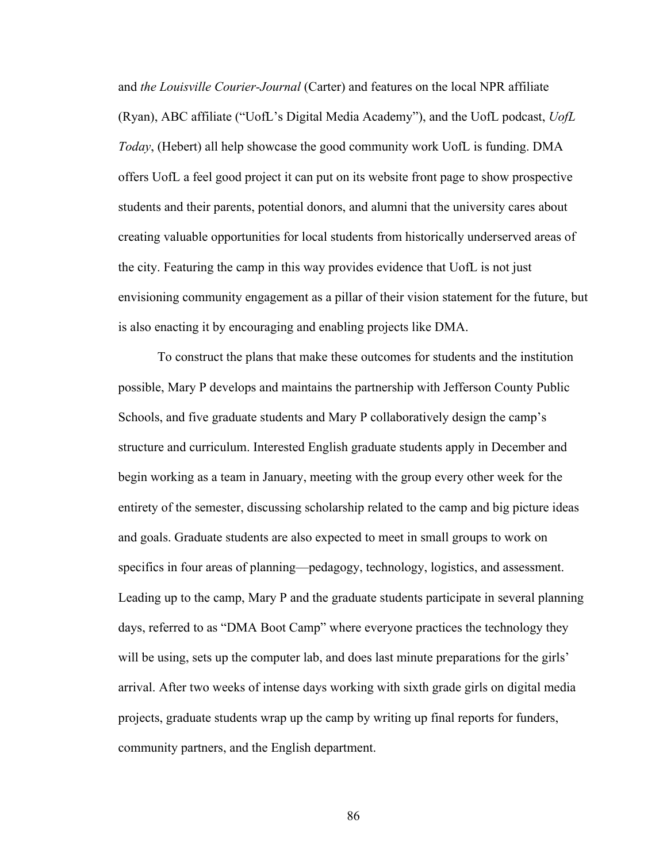and *the Louisville Courier-Journal* (Carter) and features on the local NPR affiliate (Ryan), ABC affiliate ("UofL's Digital Media Academy"), and the UofL podcast, *UofL Today*, (Hebert) all help showcase the good community work UofL is funding. DMA offers UofL a feel good project it can put on its website front page to show prospective students and their parents, potential donors, and alumni that the university cares about creating valuable opportunities for local students from historically underserved areas of the city. Featuring the camp in this way provides evidence that UofL is not just envisioning community engagement as a pillar of their vision statement for the future, but is also enacting it by encouraging and enabling projects like DMA.

To construct the plans that make these outcomes for students and the institution possible, Mary P develops and maintains the partnership with Jefferson County Public Schools, and five graduate students and Mary P collaboratively design the camp's structure and curriculum. Interested English graduate students apply in December and begin working as a team in January, meeting with the group every other week for the entirety of the semester, discussing scholarship related to the camp and big picture ideas and goals. Graduate students are also expected to meet in small groups to work on specifics in four areas of planning—pedagogy, technology, logistics, and assessment. Leading up to the camp, Mary P and the graduate students participate in several planning days, referred to as "DMA Boot Camp" where everyone practices the technology they will be using, sets up the computer lab, and does last minute preparations for the girls' arrival. After two weeks of intense days working with sixth grade girls on digital media projects, graduate students wrap up the camp by writing up final reports for funders, community partners, and the English department.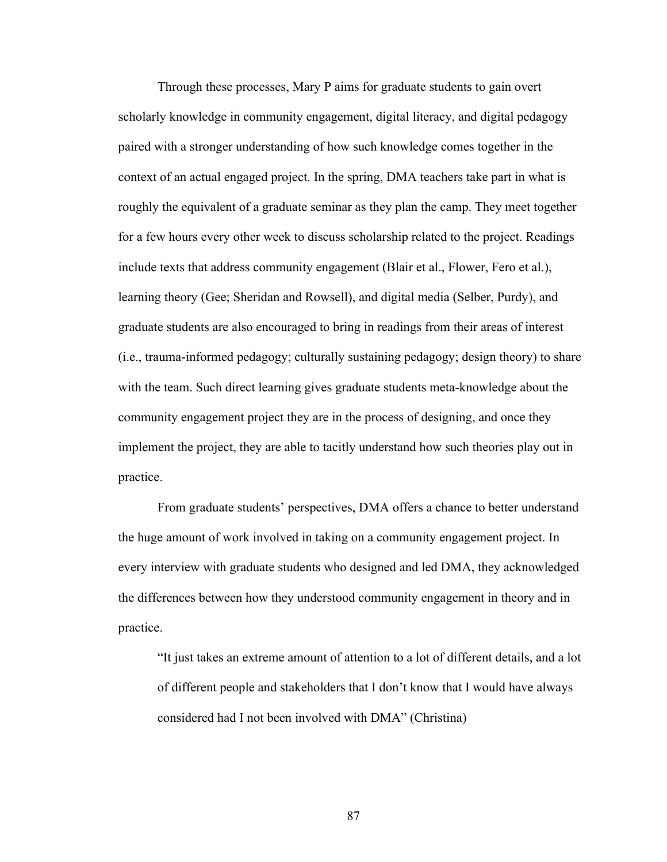Through these processes, Mary P aims for graduate students to gain overt scholarly knowledge in community engagement, digital literacy, and digital pedagogy paired with a stronger understanding of how such knowledge comes together in the context of an actual engaged project. In the spring, DMA teachers take part in what is roughly the equivalent of a graduate seminar as they plan the camp. They meet together for a few hours every other week to discuss scholarship related to the project. Readings include texts that address community engagement (Blair et al., Flower, Fero et al.), learning theory (Gee; Sheridan and Rowsell), and digital media (Selber, Purdy), and graduate students are also encouraged to bring in readings from their areas of interest (i.e., trauma-informed pedagogy; culturally sustaining pedagogy; design theory) to share with the team. Such direct learning gives graduate students meta-knowledge about the community engagement project they are in the process of designing, and once they implement the project, they are able to tacitly understand how such theories play out in practice.

From graduate students' perspectives, DMA offers a chance to better understand the huge amount of work involved in taking on a community engagement project. In every interview with graduate students who designed and led DMA, they acknowledged the differences between how they understood community engagement in theory and in practice.

"It just takes an extreme amount of attention to a lot of different details, and a lot of different people and stakeholders that I don't know that I would have always considered had I not been involved with DMA" (Christina)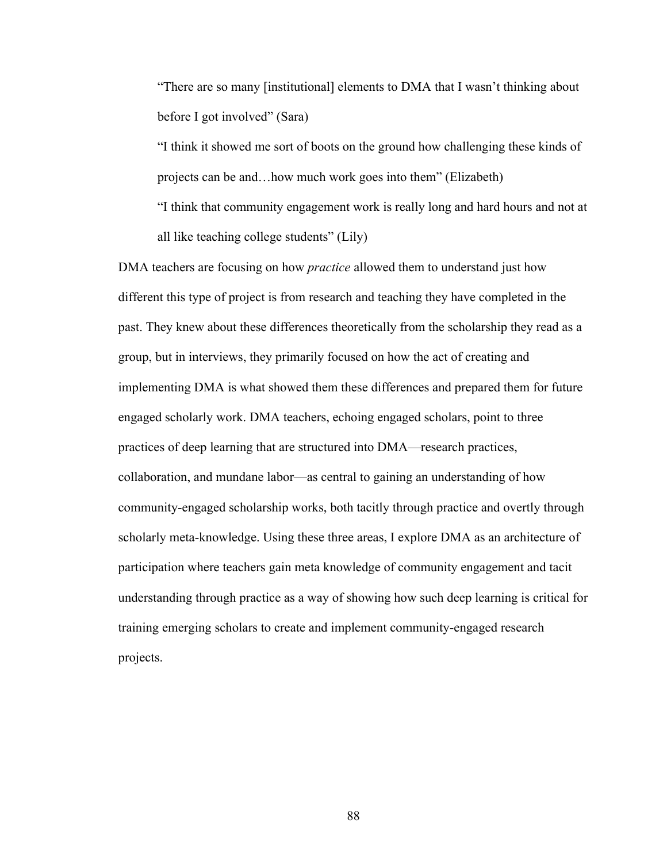"There are so many [institutional] elements to DMA that I wasn't thinking about before I got involved" (Sara)

"I think it showed me sort of boots on the ground how challenging these kinds of projects can be and…how much work goes into them" (Elizabeth) "I think that community engagement work is really long and hard hours and not at all like teaching college students" (Lily)

DMA teachers are focusing on how *practice* allowed them to understand just how different this type of project is from research and teaching they have completed in the past. They knew about these differences theoretically from the scholarship they read as a group, but in interviews, they primarily focused on how the act of creating and implementing DMA is what showed them these differences and prepared them for future engaged scholarly work. DMA teachers, echoing engaged scholars, point to three practices of deep learning that are structured into DMA—research practices, collaboration, and mundane labor—as central to gaining an understanding of how community-engaged scholarship works, both tacitly through practice and overtly through scholarly meta-knowledge. Using these three areas, I explore DMA as an architecture of participation where teachers gain meta knowledge of community engagement and tacit understanding through practice as a way of showing how such deep learning is critical for training emerging scholars to create and implement community-engaged research projects.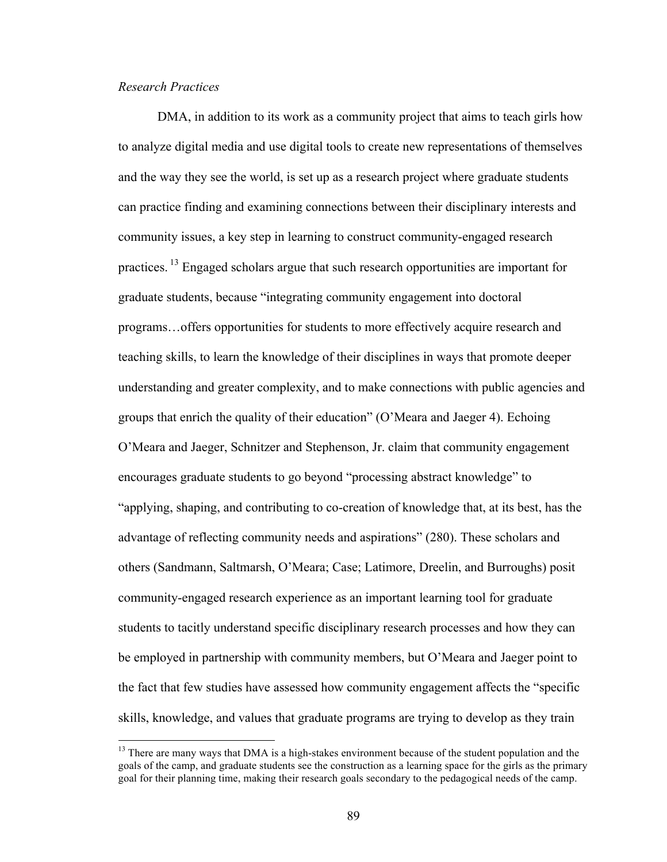# *Research Practices*

DMA, in addition to its work as a community project that aims to teach girls how to analyze digital media and use digital tools to create new representations of themselves and the way they see the world, is set up as a research project where graduate students can practice finding and examining connections between their disciplinary interests and community issues, a key step in learning to construct community-engaged research practices.<sup>13</sup> Engaged scholars argue that such research opportunities are important for graduate students, because "integrating community engagement into doctoral programs…offers opportunities for students to more effectively acquire research and teaching skills, to learn the knowledge of their disciplines in ways that promote deeper understanding and greater complexity, and to make connections with public agencies and groups that enrich the quality of their education" (O'Meara and Jaeger 4). Echoing O'Meara and Jaeger, Schnitzer and Stephenson, Jr. claim that community engagement encourages graduate students to go beyond "processing abstract knowledge" to "applying, shaping, and contributing to co-creation of knowledge that, at its best, has the advantage of reflecting community needs and aspirations" (280). These scholars and others (Sandmann, Saltmarsh, O'Meara; Case; Latimore, Dreelin, and Burroughs) posit community-engaged research experience as an important learning tool for graduate students to tacitly understand specific disciplinary research processes and how they can be employed in partnership with community members, but O'Meara and Jaeger point to the fact that few studies have assessed how community engagement affects the "specific skills, knowledge, and values that graduate programs are trying to develop as they train

<sup>&</sup>lt;sup>13</sup> There are many ways that DMA is a high-stakes environment because of the student population and the goals of the camp, and graduate students see the construction as a learning space for the girls as the primary goal for their planning time, making their research goals secondary to the pedagogical needs of the camp.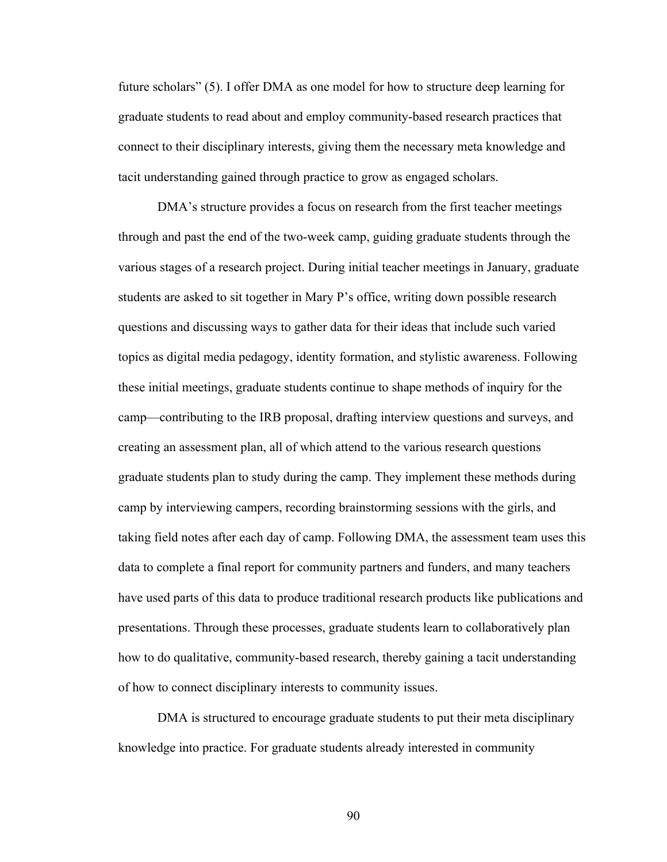future scholars" (5). I offer DMA as one model for how to structure deep learning for graduate students to read about and employ community-based research practices that connect to their disciplinary interests, giving them the necessary meta knowledge and tacit understanding gained through practice to grow as engaged scholars.

DMA's structure provides a focus on research from the first teacher meetings through and past the end of the two-week camp, guiding graduate students through the various stages of a research project. During initial teacher meetings in January, graduate students are asked to sit together in Mary P's office, writing down possible research questions and discussing ways to gather data for their ideas that include such varied topics as digital media pedagogy, identity formation, and stylistic awareness. Following these initial meetings, graduate students continue to shape methods of inquiry for the camp—contributing to the IRB proposal, drafting interview questions and surveys, and creating an assessment plan, all of which attend to the various research questions graduate students plan to study during the camp. They implement these methods during camp by interviewing campers, recording brainstorming sessions with the girls, and taking field notes after each day of camp. Following DMA, the assessment team uses this data to complete a final report for community partners and funders, and many teachers have used parts of this data to produce traditional research products like publications and presentations. Through these processes, graduate students learn to collaboratively plan how to do qualitative, community-based research, thereby gaining a tacit understanding of how to connect disciplinary interests to community issues.

DMA is structured to encourage graduate students to put their meta disciplinary knowledge into practice. For graduate students already interested in community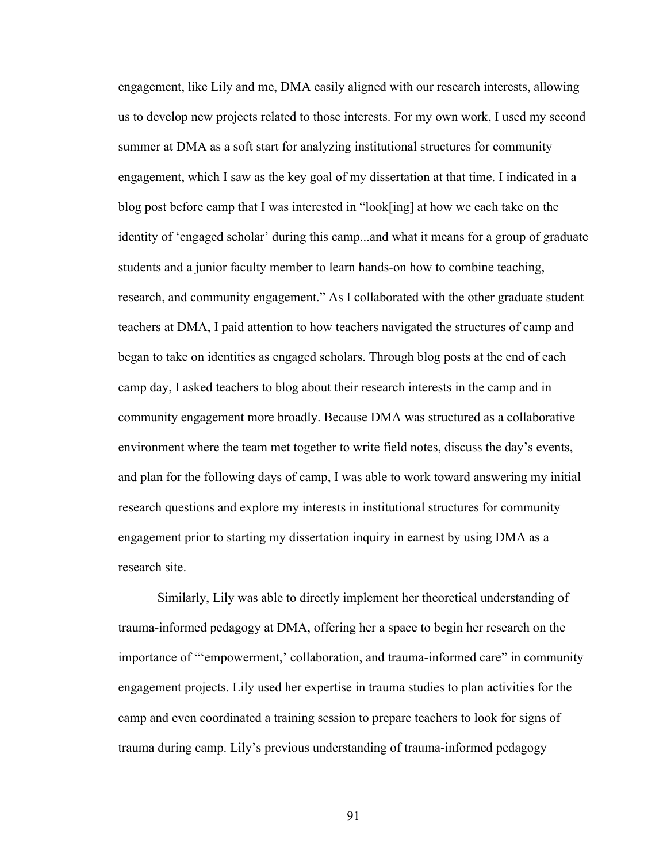engagement, like Lily and me, DMA easily aligned with our research interests, allowing us to develop new projects related to those interests. For my own work, I used my second summer at DMA as a soft start for analyzing institutional structures for community engagement, which I saw as the key goal of my dissertation at that time. I indicated in a blog post before camp that I was interested in "look[ing] at how we each take on the identity of 'engaged scholar' during this camp...and what it means for a group of graduate students and a junior faculty member to learn hands-on how to combine teaching, research, and community engagement." As I collaborated with the other graduate student teachers at DMA, I paid attention to how teachers navigated the structures of camp and began to take on identities as engaged scholars. Through blog posts at the end of each camp day, I asked teachers to blog about their research interests in the camp and in community engagement more broadly. Because DMA was structured as a collaborative environment where the team met together to write field notes, discuss the day's events, and plan for the following days of camp, I was able to work toward answering my initial research questions and explore my interests in institutional structures for community engagement prior to starting my dissertation inquiry in earnest by using DMA as a research site.

Similarly, Lily was able to directly implement her theoretical understanding of trauma-informed pedagogy at DMA, offering her a space to begin her research on the importance of "'empowerment,' collaboration, and trauma-informed care" in community engagement projects. Lily used her expertise in trauma studies to plan activities for the camp and even coordinated a training session to prepare teachers to look for signs of trauma during camp. Lily's previous understanding of trauma-informed pedagogy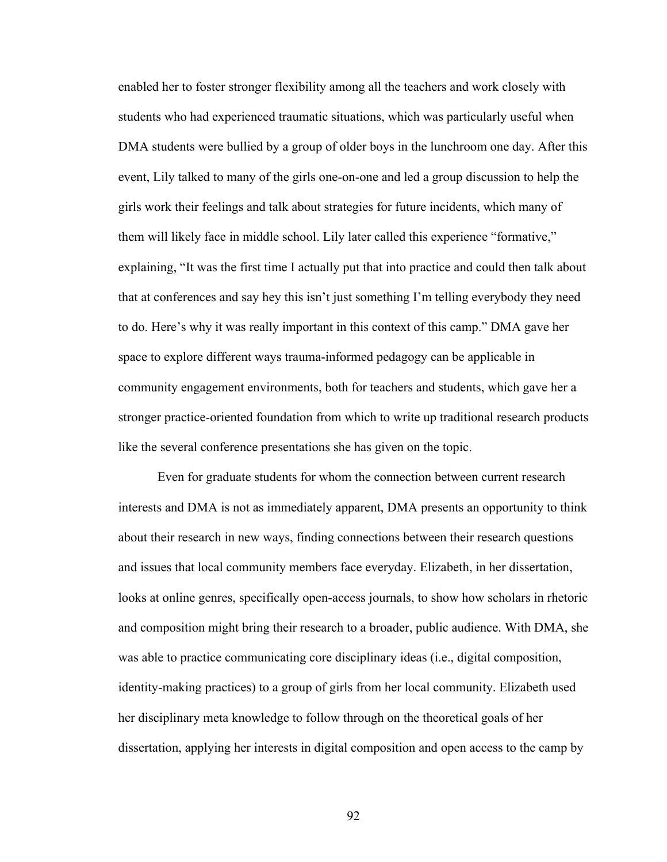enabled her to foster stronger flexibility among all the teachers and work closely with students who had experienced traumatic situations, which was particularly useful when DMA students were bullied by a group of older boys in the lunchroom one day. After this event, Lily talked to many of the girls one-on-one and led a group discussion to help the girls work their feelings and talk about strategies for future incidents, which many of them will likely face in middle school. Lily later called this experience "formative," explaining, "It was the first time I actually put that into practice and could then talk about that at conferences and say hey this isn't just something I'm telling everybody they need to do. Here's why it was really important in this context of this camp." DMA gave her space to explore different ways trauma-informed pedagogy can be applicable in community engagement environments, both for teachers and students, which gave her a stronger practice-oriented foundation from which to write up traditional research products like the several conference presentations she has given on the topic.

Even for graduate students for whom the connection between current research interests and DMA is not as immediately apparent, DMA presents an opportunity to think about their research in new ways, finding connections between their research questions and issues that local community members face everyday. Elizabeth, in her dissertation, looks at online genres, specifically open-access journals, to show how scholars in rhetoric and composition might bring their research to a broader, public audience. With DMA, she was able to practice communicating core disciplinary ideas (i.e., digital composition, identity-making practices) to a group of girls from her local community. Elizabeth used her disciplinary meta knowledge to follow through on the theoretical goals of her dissertation, applying her interests in digital composition and open access to the camp by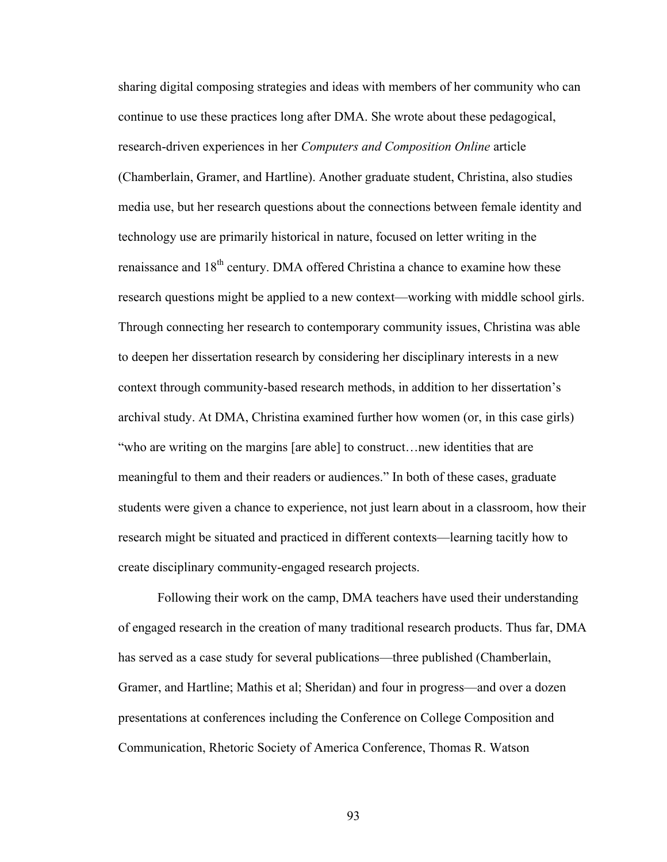sharing digital composing strategies and ideas with members of her community who can continue to use these practices long after DMA. She wrote about these pedagogical, research-driven experiences in her *Computers and Composition Online* article (Chamberlain, Gramer, and Hartline). Another graduate student, Christina, also studies media use, but her research questions about the connections between female identity and technology use are primarily historical in nature, focused on letter writing in the renaissance and 18<sup>th</sup> century. DMA offered Christina a chance to examine how these research questions might be applied to a new context—working with middle school girls. Through connecting her research to contemporary community issues, Christina was able to deepen her dissertation research by considering her disciplinary interests in a new context through community-based research methods, in addition to her dissertation's archival study. At DMA, Christina examined further how women (or, in this case girls) "who are writing on the margins [are able] to construct…new identities that are meaningful to them and their readers or audiences." In both of these cases, graduate students were given a chance to experience, not just learn about in a classroom, how their research might be situated and practiced in different contexts—learning tacitly how to create disciplinary community-engaged research projects.

Following their work on the camp, DMA teachers have used their understanding of engaged research in the creation of many traditional research products. Thus far, DMA has served as a case study for several publications—three published (Chamberlain, Gramer, and Hartline; Mathis et al; Sheridan) and four in progress—and over a dozen presentations at conferences including the Conference on College Composition and Communication, Rhetoric Society of America Conference, Thomas R. Watson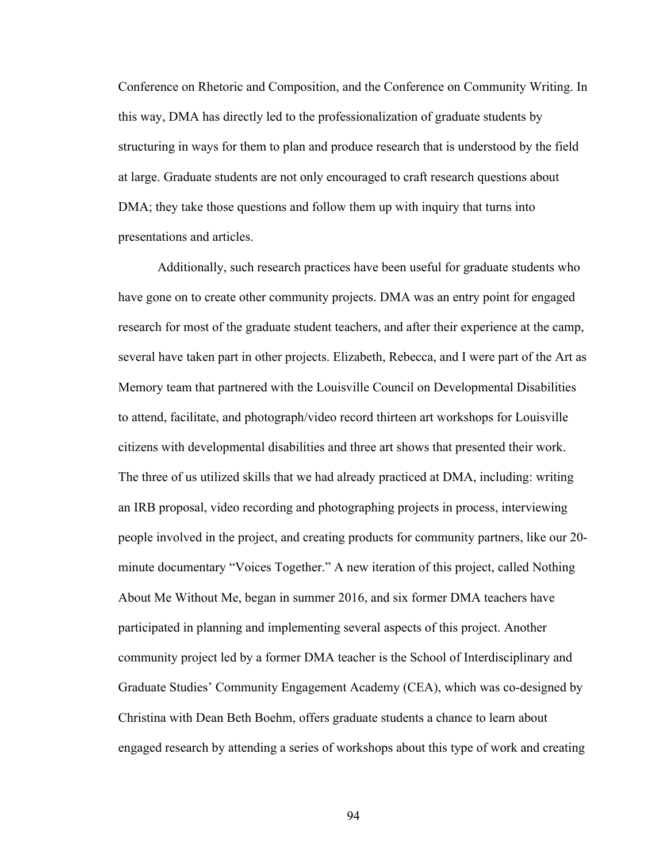Conference on Rhetoric and Composition, and the Conference on Community Writing. In this way, DMA has directly led to the professionalization of graduate students by structuring in ways for them to plan and produce research that is understood by the field at large. Graduate students are not only encouraged to craft research questions about DMA; they take those questions and follow them up with inquiry that turns into presentations and articles.

Additionally, such research practices have been useful for graduate students who have gone on to create other community projects. DMA was an entry point for engaged research for most of the graduate student teachers, and after their experience at the camp, several have taken part in other projects. Elizabeth, Rebecca, and I were part of the Art as Memory team that partnered with the Louisville Council on Developmental Disabilities to attend, facilitate, and photograph/video record thirteen art workshops for Louisville citizens with developmental disabilities and three art shows that presented their work. The three of us utilized skills that we had already practiced at DMA, including: writing an IRB proposal, video recording and photographing projects in process, interviewing people involved in the project, and creating products for community partners, like our 20 minute documentary "Voices Together." A new iteration of this project, called Nothing About Me Without Me, began in summer 2016, and six former DMA teachers have participated in planning and implementing several aspects of this project. Another community project led by a former DMA teacher is the School of Interdisciplinary and Graduate Studies' Community Engagement Academy (CEA), which was co-designed by Christina with Dean Beth Boehm, offers graduate students a chance to learn about engaged research by attending a series of workshops about this type of work and creating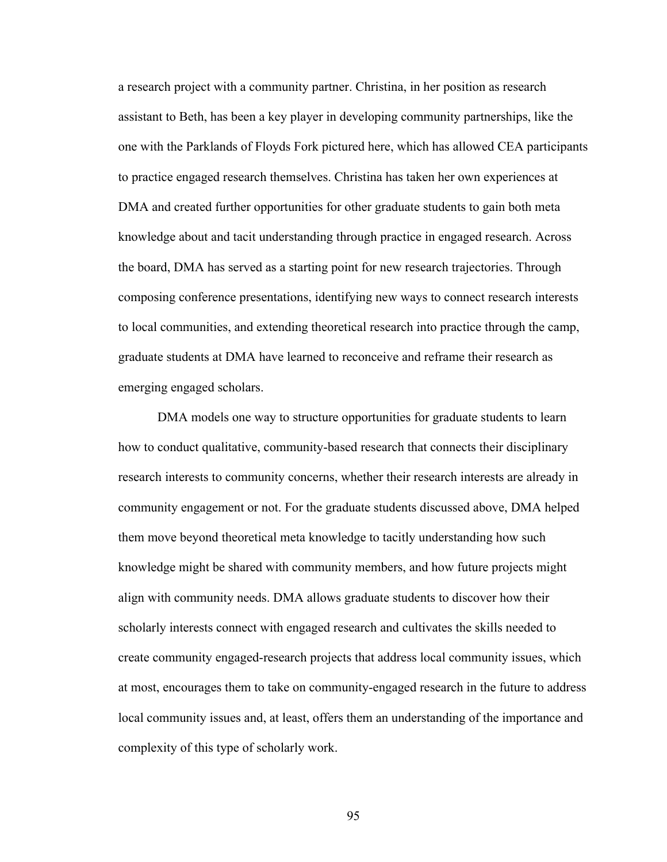a research project with a community partner. Christina, in her position as research assistant to Beth, has been a key player in developing community partnerships, like the one with the Parklands of Floyds Fork pictured here, which has allowed CEA participants to practice engaged research themselves. Christina has taken her own experiences at DMA and created further opportunities for other graduate students to gain both meta knowledge about and tacit understanding through practice in engaged research. Across the board, DMA has served as a starting point for new research trajectories. Through composing conference presentations, identifying new ways to connect research interests to local communities, and extending theoretical research into practice through the camp, graduate students at DMA have learned to reconceive and reframe their research as emerging engaged scholars.

DMA models one way to structure opportunities for graduate students to learn how to conduct qualitative, community-based research that connects their disciplinary research interests to community concerns, whether their research interests are already in community engagement or not. For the graduate students discussed above, DMA helped them move beyond theoretical meta knowledge to tacitly understanding how such knowledge might be shared with community members, and how future projects might align with community needs. DMA allows graduate students to discover how their scholarly interests connect with engaged research and cultivates the skills needed to create community engaged-research projects that address local community issues, which at most, encourages them to take on community-engaged research in the future to address local community issues and, at least, offers them an understanding of the importance and complexity of this type of scholarly work.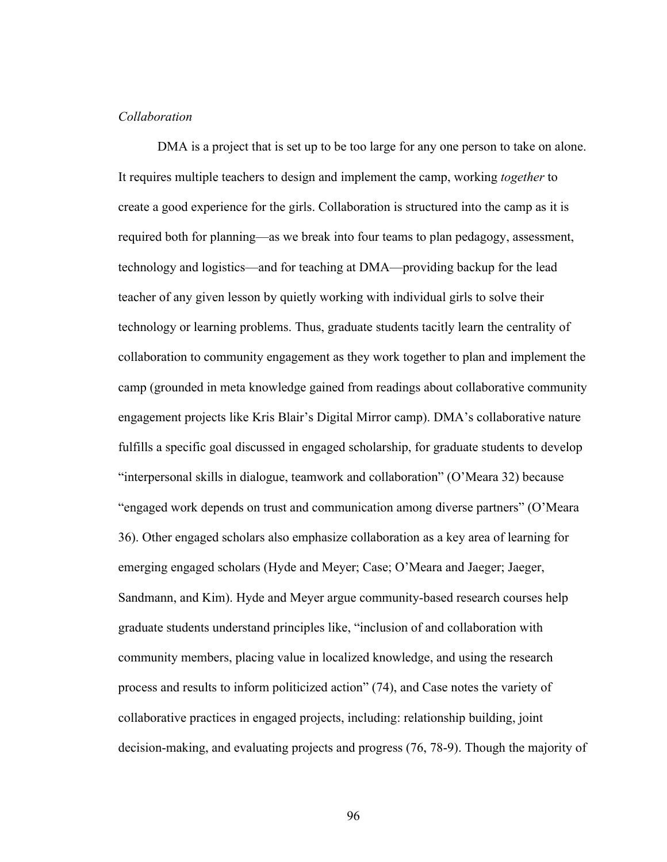## *Collaboration*

DMA is a project that is set up to be too large for any one person to take on alone. It requires multiple teachers to design and implement the camp, working *together* to create a good experience for the girls. Collaboration is structured into the camp as it is required both for planning—as we break into four teams to plan pedagogy, assessment, technology and logistics—and for teaching at DMA—providing backup for the lead teacher of any given lesson by quietly working with individual girls to solve their technology or learning problems. Thus, graduate students tacitly learn the centrality of collaboration to community engagement as they work together to plan and implement the camp (grounded in meta knowledge gained from readings about collaborative community engagement projects like Kris Blair's Digital Mirror camp). DMA's collaborative nature fulfills a specific goal discussed in engaged scholarship, for graduate students to develop "interpersonal skills in dialogue, teamwork and collaboration" (O'Meara 32) because "engaged work depends on trust and communication among diverse partners" (O'Meara 36). Other engaged scholars also emphasize collaboration as a key area of learning for emerging engaged scholars (Hyde and Meyer; Case; O'Meara and Jaeger; Jaeger, Sandmann, and Kim). Hyde and Meyer argue community-based research courses help graduate students understand principles like, "inclusion of and collaboration with community members, placing value in localized knowledge, and using the research process and results to inform politicized action" (74), and Case notes the variety of collaborative practices in engaged projects, including: relationship building, joint decision-making, and evaluating projects and progress (76, 78-9). Though the majority of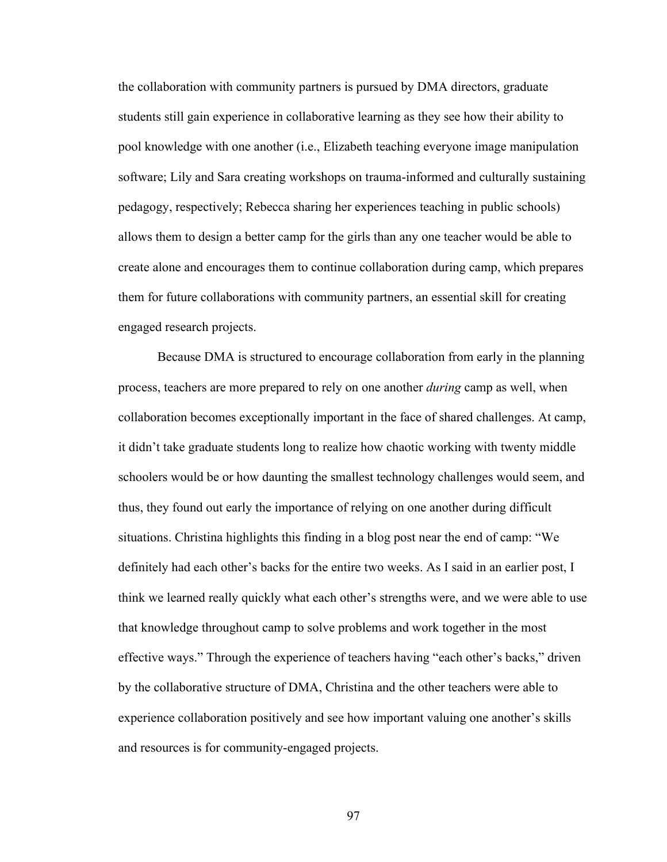the collaboration with community partners is pursued by DMA directors, graduate students still gain experience in collaborative learning as they see how their ability to pool knowledge with one another (i.e., Elizabeth teaching everyone image manipulation software; Lily and Sara creating workshops on trauma-informed and culturally sustaining pedagogy, respectively; Rebecca sharing her experiences teaching in public schools) allows them to design a better camp for the girls than any one teacher would be able to create alone and encourages them to continue collaboration during camp, which prepares them for future collaborations with community partners, an essential skill for creating engaged research projects.

Because DMA is structured to encourage collaboration from early in the planning process, teachers are more prepared to rely on one another *during* camp as well, when collaboration becomes exceptionally important in the face of shared challenges. At camp, it didn't take graduate students long to realize how chaotic working with twenty middle schoolers would be or how daunting the smallest technology challenges would seem, and thus, they found out early the importance of relying on one another during difficult situations. Christina highlights this finding in a blog post near the end of camp: "We definitely had each other's backs for the entire two weeks. As I said in an earlier post, I think we learned really quickly what each other's strengths were, and we were able to use that knowledge throughout camp to solve problems and work together in the most effective ways." Through the experience of teachers having "each other's backs," driven by the collaborative structure of DMA, Christina and the other teachers were able to experience collaboration positively and see how important valuing one another's skills and resources is for community-engaged projects.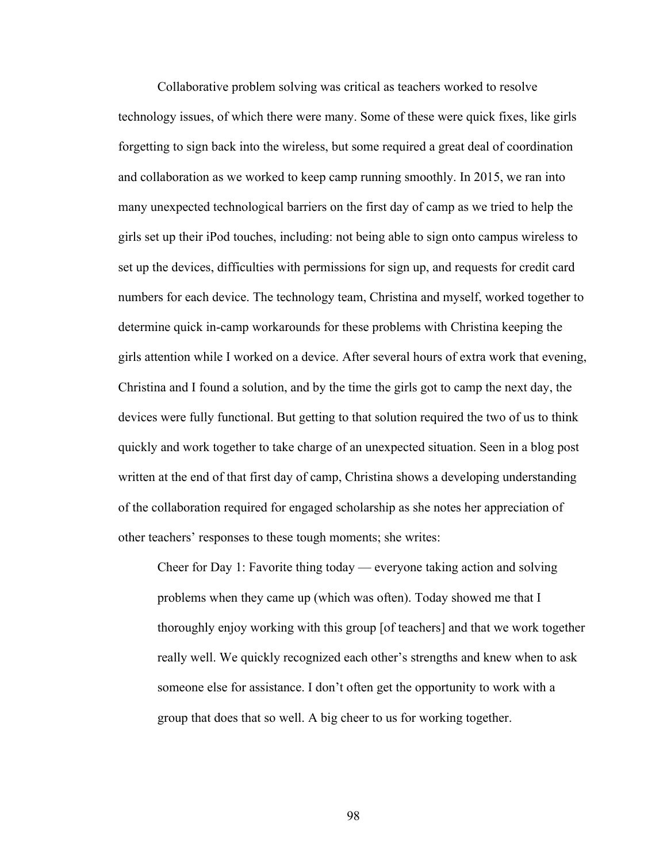Collaborative problem solving was critical as teachers worked to resolve technology issues, of which there were many. Some of these were quick fixes, like girls forgetting to sign back into the wireless, but some required a great deal of coordination and collaboration as we worked to keep camp running smoothly. In 2015, we ran into many unexpected technological barriers on the first day of camp as we tried to help the girls set up their iPod touches, including: not being able to sign onto campus wireless to set up the devices, difficulties with permissions for sign up, and requests for credit card numbers for each device. The technology team, Christina and myself, worked together to determine quick in-camp workarounds for these problems with Christina keeping the girls attention while I worked on a device. After several hours of extra work that evening, Christina and I found a solution, and by the time the girls got to camp the next day, the devices were fully functional. But getting to that solution required the two of us to think quickly and work together to take charge of an unexpected situation. Seen in a blog post written at the end of that first day of camp, Christina shows a developing understanding of the collaboration required for engaged scholarship as she notes her appreciation of other teachers' responses to these tough moments; she writes:

Cheer for Day 1: Favorite thing today — everyone taking action and solving problems when they came up (which was often). Today showed me that I thoroughly enjoy working with this group [of teachers] and that we work together really well. We quickly recognized each other's strengths and knew when to ask someone else for assistance. I don't often get the opportunity to work with a group that does that so well. A big cheer to us for working together.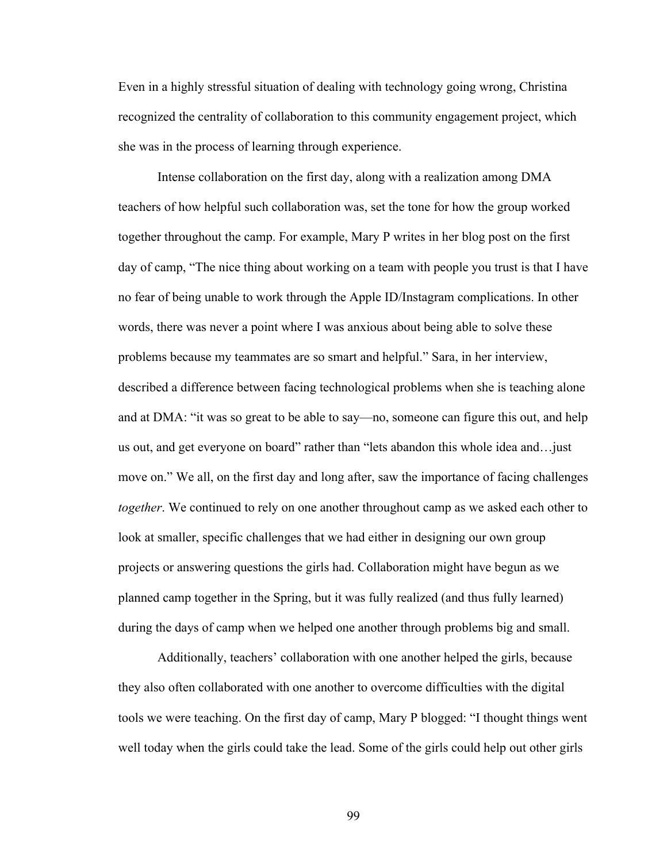Even in a highly stressful situation of dealing with technology going wrong, Christina recognized the centrality of collaboration to this community engagement project, which she was in the process of learning through experience.

Intense collaboration on the first day, along with a realization among DMA teachers of how helpful such collaboration was, set the tone for how the group worked together throughout the camp. For example, Mary P writes in her blog post on the first day of camp, "The nice thing about working on a team with people you trust is that I have no fear of being unable to work through the Apple ID/Instagram complications. In other words, there was never a point where I was anxious about being able to solve these problems because my teammates are so smart and helpful." Sara, in her interview, described a difference between facing technological problems when she is teaching alone and at DMA: "it was so great to be able to say—no, someone can figure this out, and help us out, and get everyone on board" rather than "lets abandon this whole idea and…just move on." We all, on the first day and long after, saw the importance of facing challenges *together*. We continued to rely on one another throughout camp as we asked each other to look at smaller, specific challenges that we had either in designing our own group projects or answering questions the girls had. Collaboration might have begun as we planned camp together in the Spring, but it was fully realized (and thus fully learned) during the days of camp when we helped one another through problems big and small.

Additionally, teachers' collaboration with one another helped the girls, because they also often collaborated with one another to overcome difficulties with the digital tools we were teaching. On the first day of camp, Mary P blogged: "I thought things went well today when the girls could take the lead. Some of the girls could help out other girls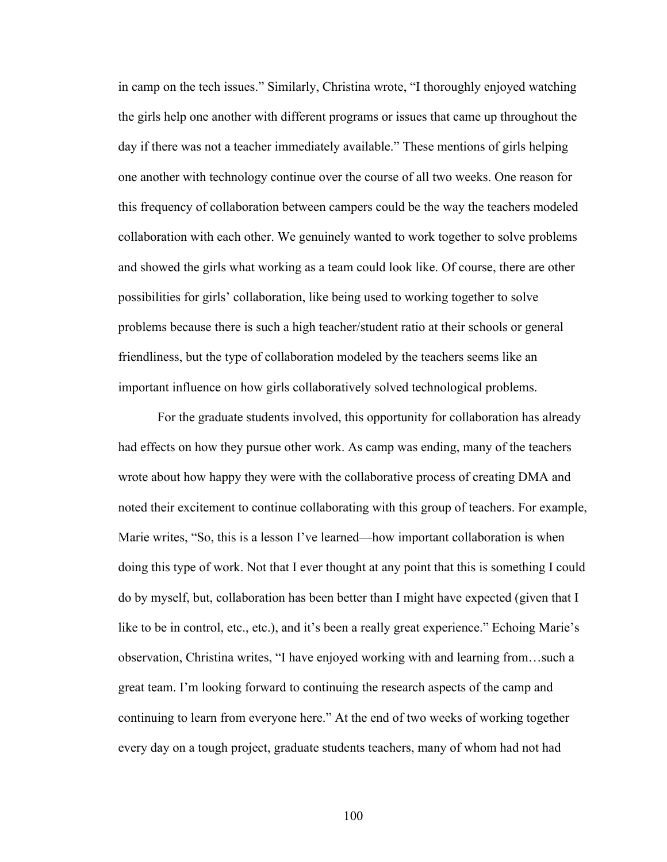in camp on the tech issues." Similarly, Christina wrote, "I thoroughly enjoyed watching the girls help one another with different programs or issues that came up throughout the day if there was not a teacher immediately available." These mentions of girls helping one another with technology continue over the course of all two weeks. One reason for this frequency of collaboration between campers could be the way the teachers modeled collaboration with each other. We genuinely wanted to work together to solve problems and showed the girls what working as a team could look like. Of course, there are other possibilities for girls' collaboration, like being used to working together to solve problems because there is such a high teacher/student ratio at their schools or general friendliness, but the type of collaboration modeled by the teachers seems like an important influence on how girls collaboratively solved technological problems.

For the graduate students involved, this opportunity for collaboration has already had effects on how they pursue other work. As camp was ending, many of the teachers wrote about how happy they were with the collaborative process of creating DMA and noted their excitement to continue collaborating with this group of teachers. For example, Marie writes, "So, this is a lesson I've learned—how important collaboration is when doing this type of work. Not that I ever thought at any point that this is something I could do by myself, but, collaboration has been better than I might have expected (given that I like to be in control, etc., etc.), and it's been a really great experience." Echoing Marie's observation, Christina writes, "I have enjoyed working with and learning from…such a great team. I'm looking forward to continuing the research aspects of the camp and continuing to learn from everyone here." At the end of two weeks of working together every day on a tough project, graduate students teachers, many of whom had not had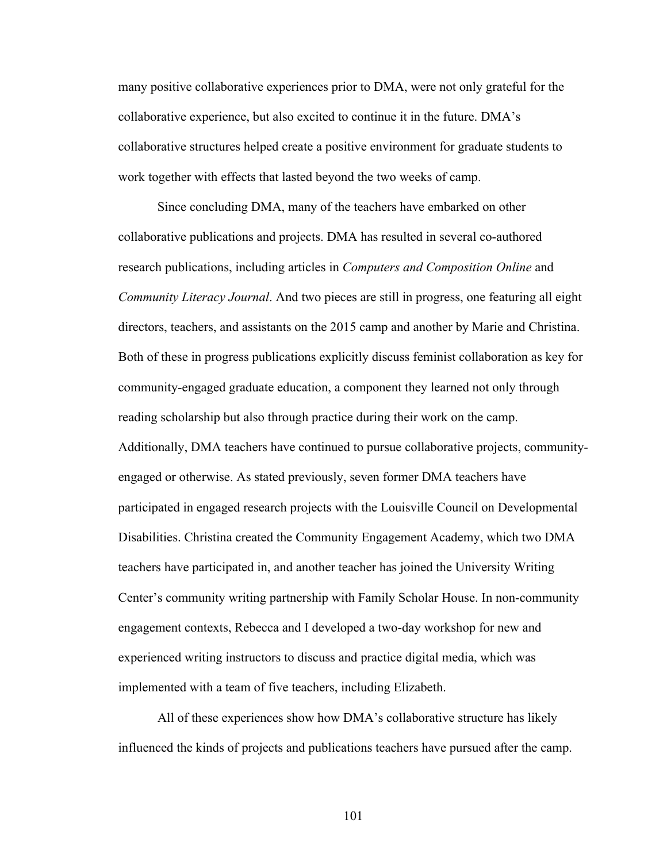many positive collaborative experiences prior to DMA, were not only grateful for the collaborative experience, but also excited to continue it in the future. DMA's collaborative structures helped create a positive environment for graduate students to work together with effects that lasted beyond the two weeks of camp.

Since concluding DMA, many of the teachers have embarked on other collaborative publications and projects. DMA has resulted in several co-authored research publications, including articles in *Computers and Composition Online* and *Community Literacy Journal*. And two pieces are still in progress, one featuring all eight directors, teachers, and assistants on the 2015 camp and another by Marie and Christina. Both of these in progress publications explicitly discuss feminist collaboration as key for community-engaged graduate education, a component they learned not only through reading scholarship but also through practice during their work on the camp. Additionally, DMA teachers have continued to pursue collaborative projects, communityengaged or otherwise. As stated previously, seven former DMA teachers have participated in engaged research projects with the Louisville Council on Developmental Disabilities. Christina created the Community Engagement Academy, which two DMA teachers have participated in, and another teacher has joined the University Writing Center's community writing partnership with Family Scholar House. In non-community engagement contexts, Rebecca and I developed a two-day workshop for new and experienced writing instructors to discuss and practice digital media, which was implemented with a team of five teachers, including Elizabeth.

All of these experiences show how DMA's collaborative structure has likely influenced the kinds of projects and publications teachers have pursued after the camp.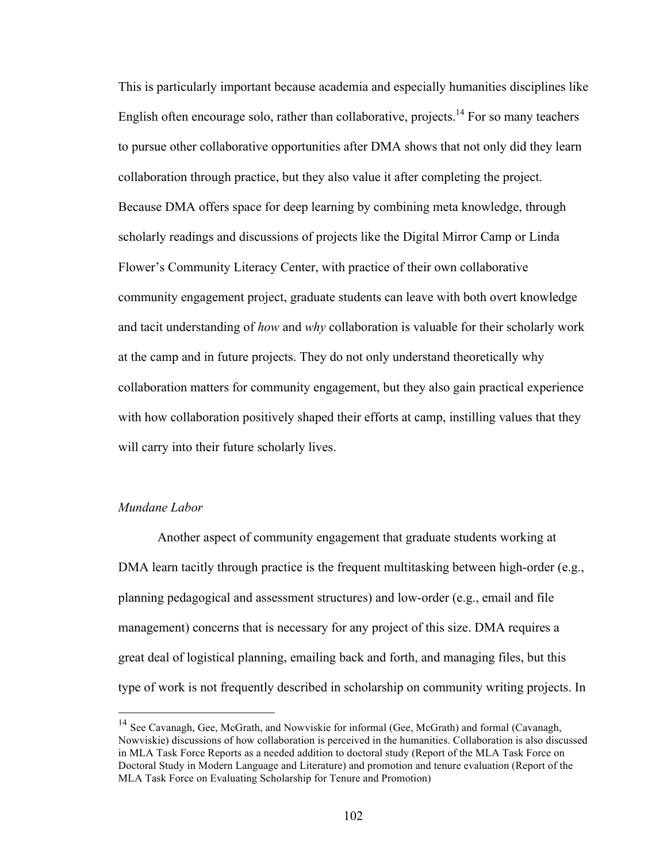This is particularly important because academia and especially humanities disciplines like English often encourage solo, rather than collaborative, projects.<sup>14</sup> For so many teachers to pursue other collaborative opportunities after DMA shows that not only did they learn collaboration through practice, but they also value it after completing the project. Because DMA offers space for deep learning by combining meta knowledge, through scholarly readings and discussions of projects like the Digital Mirror Camp or Linda Flower's Community Literacy Center, with practice of their own collaborative community engagement project, graduate students can leave with both overt knowledge and tacit understanding of *how* and *why* collaboration is valuable for their scholarly work at the camp and in future projects. They do not only understand theoretically why collaboration matters for community engagement, but they also gain practical experience with how collaboration positively shaped their efforts at camp, instilling values that they will carry into their future scholarly lives.

## *Mundane Labor*

Another aspect of community engagement that graduate students working at DMA learn tacitly through practice is the frequent multitasking between high-order (e.g., planning pedagogical and assessment structures) and low-order (e.g., email and file management) concerns that is necessary for any project of this size. DMA requires a great deal of logistical planning, emailing back and forth, and managing files, but this type of work is not frequently described in scholarship on community writing projects. In

<sup>&</sup>lt;sup>14</sup> See Cavanagh, Gee, McGrath, and Nowviskie for informal (Gee, McGrath) and formal (Cavanagh, Nowviskie) discussions of how collaboration is perceived in the humanities. Collaboration is also discussed in MLA Task Force Reports as a needed addition to doctoral study (Report of the MLA Task Force on Doctoral Study in Modern Language and Literature) and promotion and tenure evaluation (Report of the MLA Task Force on Evaluating Scholarship for Tenure and Promotion)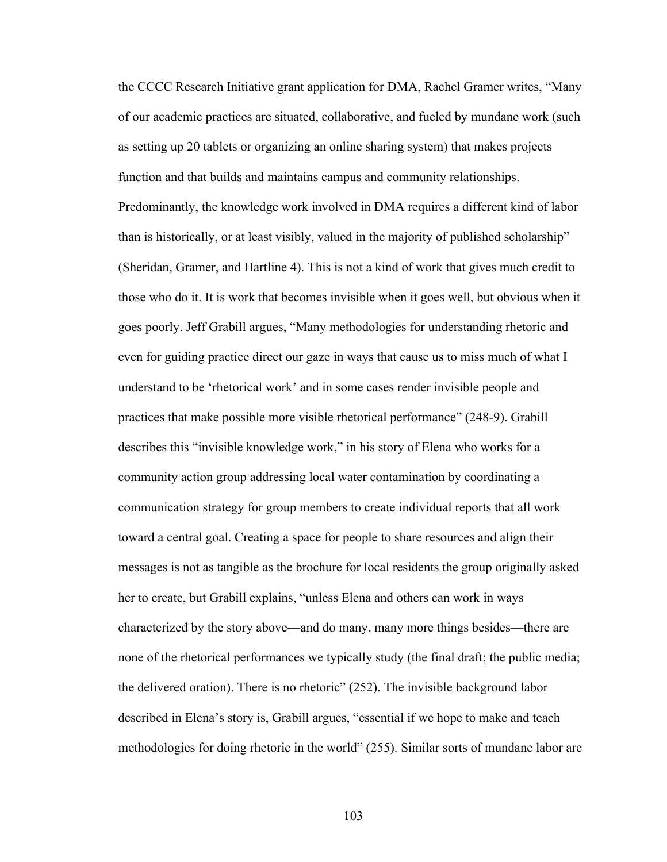the CCCC Research Initiative grant application for DMA, Rachel Gramer writes, "Many of our academic practices are situated, collaborative, and fueled by mundane work (such as setting up 20 tablets or organizing an online sharing system) that makes projects function and that builds and maintains campus and community relationships. Predominantly, the knowledge work involved in DMA requires a different kind of labor than is historically, or at least visibly, valued in the majority of published scholarship" (Sheridan, Gramer, and Hartline 4). This is not a kind of work that gives much credit to those who do it. It is work that becomes invisible when it goes well, but obvious when it goes poorly. Jeff Grabill argues, "Many methodologies for understanding rhetoric and even for guiding practice direct our gaze in ways that cause us to miss much of what I understand to be 'rhetorical work' and in some cases render invisible people and practices that make possible more visible rhetorical performance" (248-9). Grabill describes this "invisible knowledge work," in his story of Elena who works for a community action group addressing local water contamination by coordinating a communication strategy for group members to create individual reports that all work toward a central goal. Creating a space for people to share resources and align their messages is not as tangible as the brochure for local residents the group originally asked her to create, but Grabill explains, "unless Elena and others can work in ways characterized by the story above—and do many, many more things besides—there are none of the rhetorical performances we typically study (the final draft; the public media; the delivered oration). There is no rhetoric" (252). The invisible background labor described in Elena's story is, Grabill argues, "essential if we hope to make and teach methodologies for doing rhetoric in the world" (255). Similar sorts of mundane labor are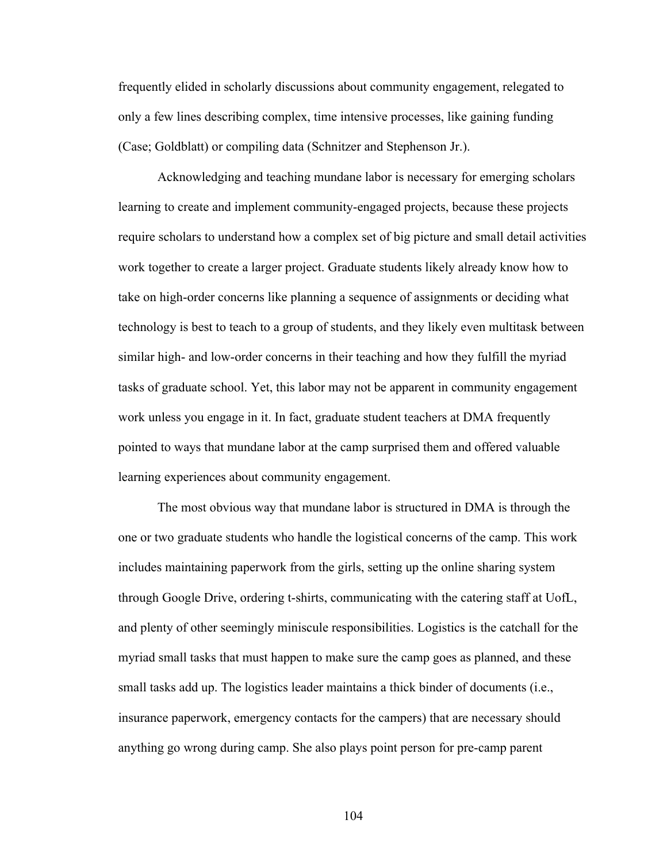frequently elided in scholarly discussions about community engagement, relegated to only a few lines describing complex, time intensive processes, like gaining funding (Case; Goldblatt) or compiling data (Schnitzer and Stephenson Jr.).

Acknowledging and teaching mundane labor is necessary for emerging scholars learning to create and implement community-engaged projects, because these projects require scholars to understand how a complex set of big picture and small detail activities work together to create a larger project. Graduate students likely already know how to take on high-order concerns like planning a sequence of assignments or deciding what technology is best to teach to a group of students, and they likely even multitask between similar high- and low-order concerns in their teaching and how they fulfill the myriad tasks of graduate school. Yet, this labor may not be apparent in community engagement work unless you engage in it. In fact, graduate student teachers at DMA frequently pointed to ways that mundane labor at the camp surprised them and offered valuable learning experiences about community engagement.

The most obvious way that mundane labor is structured in DMA is through the one or two graduate students who handle the logistical concerns of the camp. This work includes maintaining paperwork from the girls, setting up the online sharing system through Google Drive, ordering t-shirts, communicating with the catering staff at UofL, and plenty of other seemingly miniscule responsibilities. Logistics is the catchall for the myriad small tasks that must happen to make sure the camp goes as planned, and these small tasks add up. The logistics leader maintains a thick binder of documents (i.e., insurance paperwork, emergency contacts for the campers) that are necessary should anything go wrong during camp. She also plays point person for pre-camp parent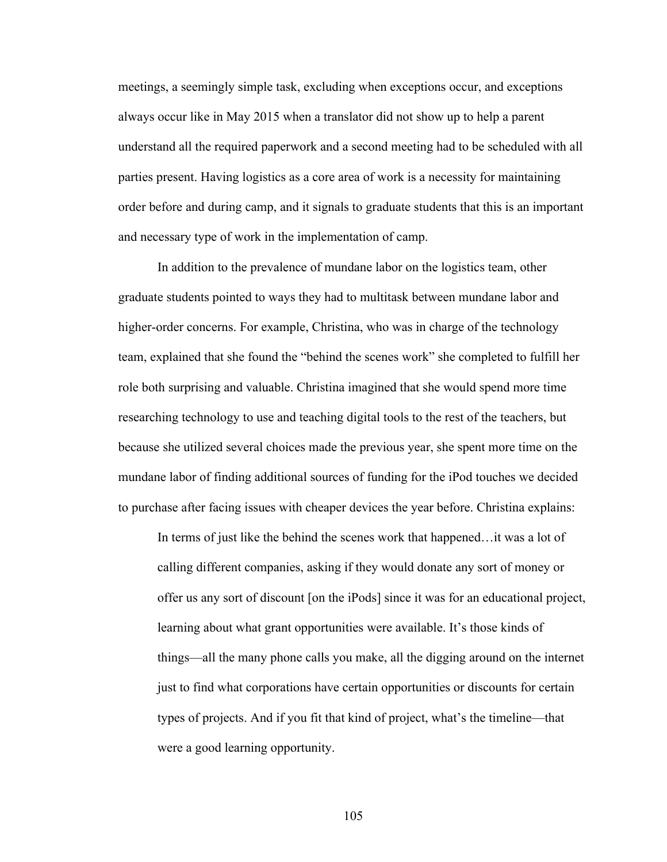meetings, a seemingly simple task, excluding when exceptions occur, and exceptions always occur like in May 2015 when a translator did not show up to help a parent understand all the required paperwork and a second meeting had to be scheduled with all parties present. Having logistics as a core area of work is a necessity for maintaining order before and during camp, and it signals to graduate students that this is an important and necessary type of work in the implementation of camp.

In addition to the prevalence of mundane labor on the logistics team, other graduate students pointed to ways they had to multitask between mundane labor and higher-order concerns. For example, Christina, who was in charge of the technology team, explained that she found the "behind the scenes work" she completed to fulfill her role both surprising and valuable. Christina imagined that she would spend more time researching technology to use and teaching digital tools to the rest of the teachers, but because she utilized several choices made the previous year, she spent more time on the mundane labor of finding additional sources of funding for the iPod touches we decided to purchase after facing issues with cheaper devices the year before. Christina explains:

In terms of just like the behind the scenes work that happened…it was a lot of calling different companies, asking if they would donate any sort of money or offer us any sort of discount [on the iPods] since it was for an educational project, learning about what grant opportunities were available. It's those kinds of things—all the many phone calls you make, all the digging around on the internet just to find what corporations have certain opportunities or discounts for certain types of projects. And if you fit that kind of project, what's the timeline—that were a good learning opportunity.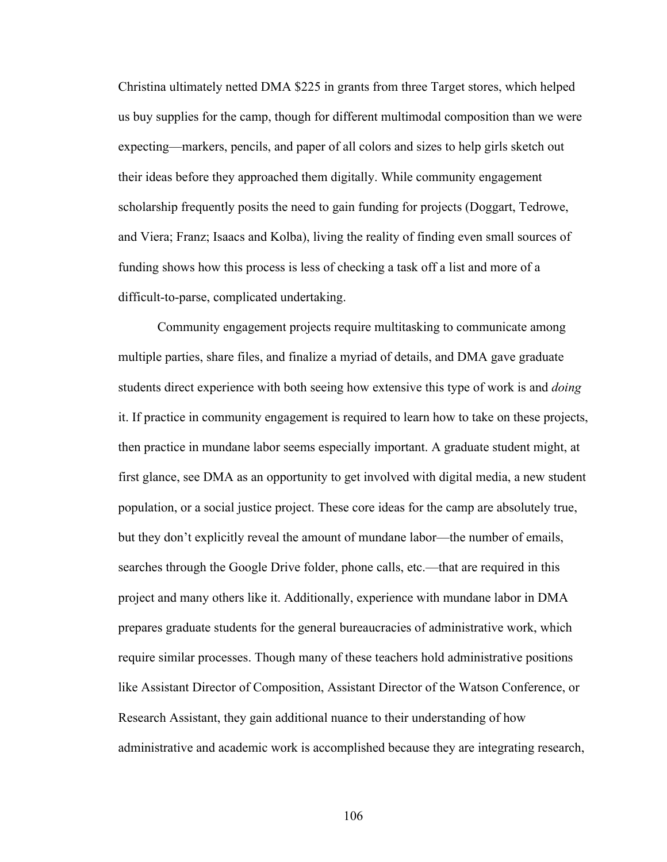Christina ultimately netted DMA \$225 in grants from three Target stores, which helped us buy supplies for the camp, though for different multimodal composition than we were expecting—markers, pencils, and paper of all colors and sizes to help girls sketch out their ideas before they approached them digitally. While community engagement scholarship frequently posits the need to gain funding for projects (Doggart, Tedrowe, and Viera; Franz; Isaacs and Kolba), living the reality of finding even small sources of funding shows how this process is less of checking a task off a list and more of a difficult-to-parse, complicated undertaking.

Community engagement projects require multitasking to communicate among multiple parties, share files, and finalize a myriad of details, and DMA gave graduate students direct experience with both seeing how extensive this type of work is and *doing*  it. If practice in community engagement is required to learn how to take on these projects, then practice in mundane labor seems especially important. A graduate student might, at first glance, see DMA as an opportunity to get involved with digital media, a new student population, or a social justice project. These core ideas for the camp are absolutely true, but they don't explicitly reveal the amount of mundane labor—the number of emails, searches through the Google Drive folder, phone calls, etc.—that are required in this project and many others like it. Additionally, experience with mundane labor in DMA prepares graduate students for the general bureaucracies of administrative work, which require similar processes. Though many of these teachers hold administrative positions like Assistant Director of Composition, Assistant Director of the Watson Conference, or Research Assistant, they gain additional nuance to their understanding of how administrative and academic work is accomplished because they are integrating research,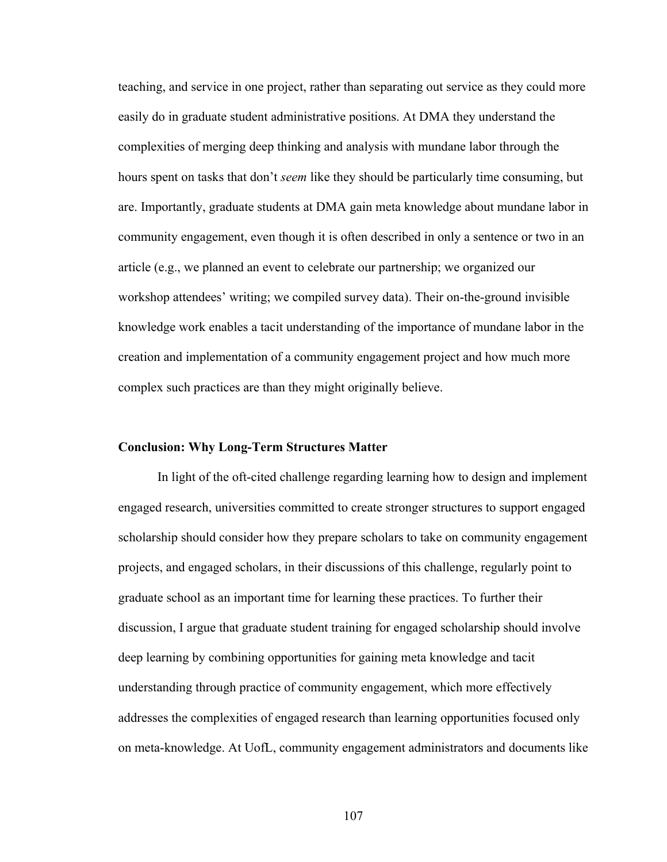teaching, and service in one project, rather than separating out service as they could more easily do in graduate student administrative positions. At DMA they understand the complexities of merging deep thinking and analysis with mundane labor through the hours spent on tasks that don't *seem* like they should be particularly time consuming, but are. Importantly, graduate students at DMA gain meta knowledge about mundane labor in community engagement, even though it is often described in only a sentence or two in an article (e.g., we planned an event to celebrate our partnership; we organized our workshop attendees' writing; we compiled survey data). Their on-the-ground invisible knowledge work enables a tacit understanding of the importance of mundane labor in the creation and implementation of a community engagement project and how much more complex such practices are than they might originally believe.

#### **Conclusion: Why Long-Term Structures Matter**

In light of the oft-cited challenge regarding learning how to design and implement engaged research, universities committed to create stronger structures to support engaged scholarship should consider how they prepare scholars to take on community engagement projects, and engaged scholars, in their discussions of this challenge, regularly point to graduate school as an important time for learning these practices. To further their discussion, I argue that graduate student training for engaged scholarship should involve deep learning by combining opportunities for gaining meta knowledge and tacit understanding through practice of community engagement, which more effectively addresses the complexities of engaged research than learning opportunities focused only on meta-knowledge. At UofL, community engagement administrators and documents like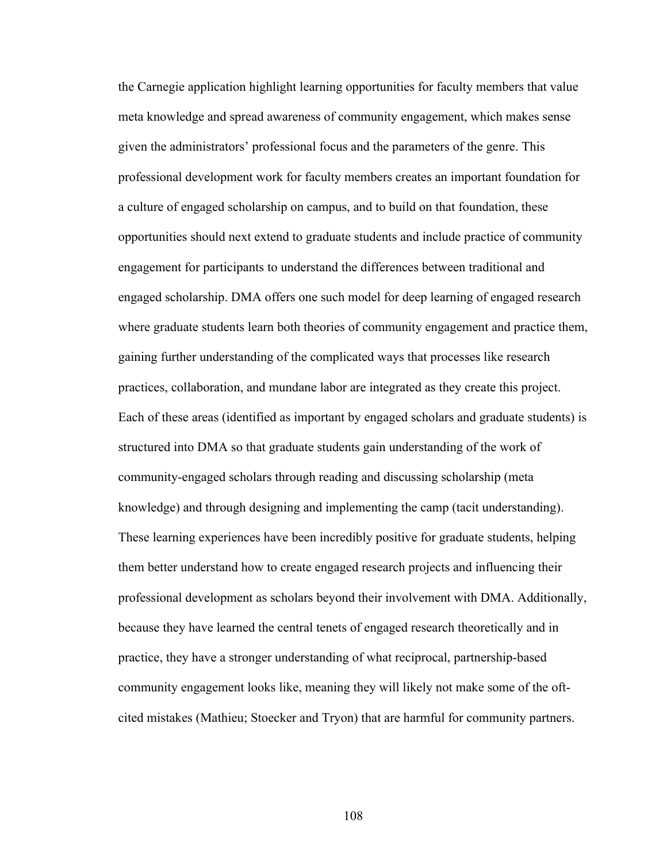the Carnegie application highlight learning opportunities for faculty members that value meta knowledge and spread awareness of community engagement, which makes sense given the administrators' professional focus and the parameters of the genre. This professional development work for faculty members creates an important foundation for a culture of engaged scholarship on campus, and to build on that foundation, these opportunities should next extend to graduate students and include practice of community engagement for participants to understand the differences between traditional and engaged scholarship. DMA offers one such model for deep learning of engaged research where graduate students learn both theories of community engagement and practice them, gaining further understanding of the complicated ways that processes like research practices, collaboration, and mundane labor are integrated as they create this project. Each of these areas (identified as important by engaged scholars and graduate students) is structured into DMA so that graduate students gain understanding of the work of community-engaged scholars through reading and discussing scholarship (meta knowledge) and through designing and implementing the camp (tacit understanding). These learning experiences have been incredibly positive for graduate students, helping them better understand how to create engaged research projects and influencing their professional development as scholars beyond their involvement with DMA. Additionally, because they have learned the central tenets of engaged research theoretically and in practice, they have a stronger understanding of what reciprocal, partnership-based community engagement looks like, meaning they will likely not make some of the oftcited mistakes (Mathieu; Stoecker and Tryon) that are harmful for community partners.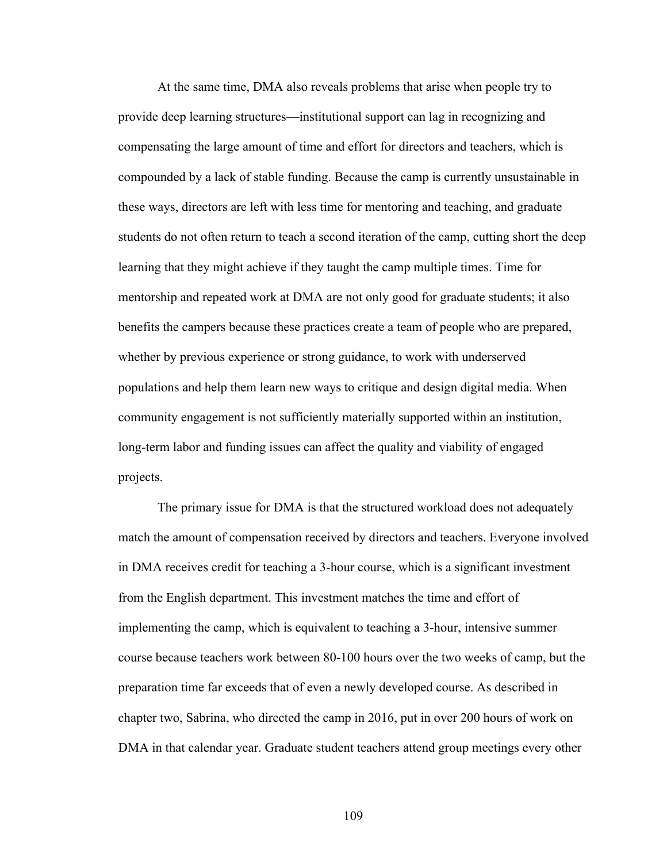At the same time, DMA also reveals problems that arise when people try to provide deep learning structures—institutional support can lag in recognizing and compensating the large amount of time and effort for directors and teachers, which is compounded by a lack of stable funding. Because the camp is currently unsustainable in these ways, directors are left with less time for mentoring and teaching, and graduate students do not often return to teach a second iteration of the camp, cutting short the deep learning that they might achieve if they taught the camp multiple times. Time for mentorship and repeated work at DMA are not only good for graduate students; it also benefits the campers because these practices create a team of people who are prepared, whether by previous experience or strong guidance, to work with underserved populations and help them learn new ways to critique and design digital media. When community engagement is not sufficiently materially supported within an institution, long-term labor and funding issues can affect the quality and viability of engaged projects.

The primary issue for DMA is that the structured workload does not adequately match the amount of compensation received by directors and teachers. Everyone involved in DMA receives credit for teaching a 3-hour course, which is a significant investment from the English department. This investment matches the time and effort of implementing the camp, which is equivalent to teaching a 3-hour, intensive summer course because teachers work between 80-100 hours over the two weeks of camp, but the preparation time far exceeds that of even a newly developed course. As described in chapter two, Sabrina, who directed the camp in 2016, put in over 200 hours of work on DMA in that calendar year. Graduate student teachers attend group meetings every other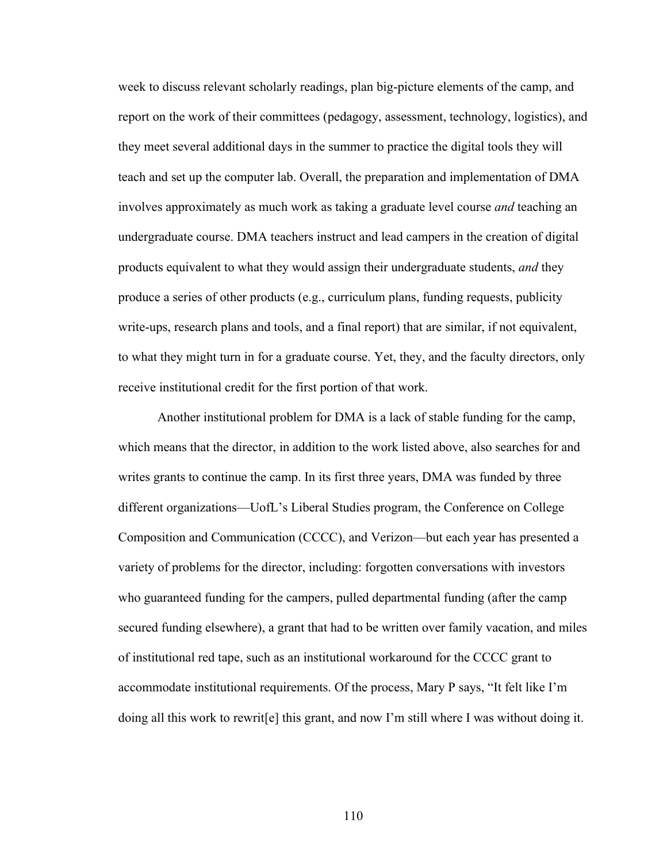week to discuss relevant scholarly readings, plan big-picture elements of the camp, and report on the work of their committees (pedagogy, assessment, technology, logistics), and they meet several additional days in the summer to practice the digital tools they will teach and set up the computer lab. Overall, the preparation and implementation of DMA involves approximately as much work as taking a graduate level course *and* teaching an undergraduate course. DMA teachers instruct and lead campers in the creation of digital products equivalent to what they would assign their undergraduate students, *and* they produce a series of other products (e.g., curriculum plans, funding requests, publicity write-ups, research plans and tools, and a final report) that are similar, if not equivalent, to what they might turn in for a graduate course. Yet, they, and the faculty directors, only receive institutional credit for the first portion of that work.

Another institutional problem for DMA is a lack of stable funding for the camp, which means that the director, in addition to the work listed above, also searches for and writes grants to continue the camp. In its first three years, DMA was funded by three different organizations—UofL's Liberal Studies program, the Conference on College Composition and Communication (CCCC), and Verizon—but each year has presented a variety of problems for the director, including: forgotten conversations with investors who guaranteed funding for the campers, pulled departmental funding (after the camp secured funding elsewhere), a grant that had to be written over family vacation, and miles of institutional red tape, such as an institutional workaround for the CCCC grant to accommodate institutional requirements. Of the process, Mary P says, "It felt like I'm doing all this work to rewrit[e] this grant, and now I'm still where I was without doing it.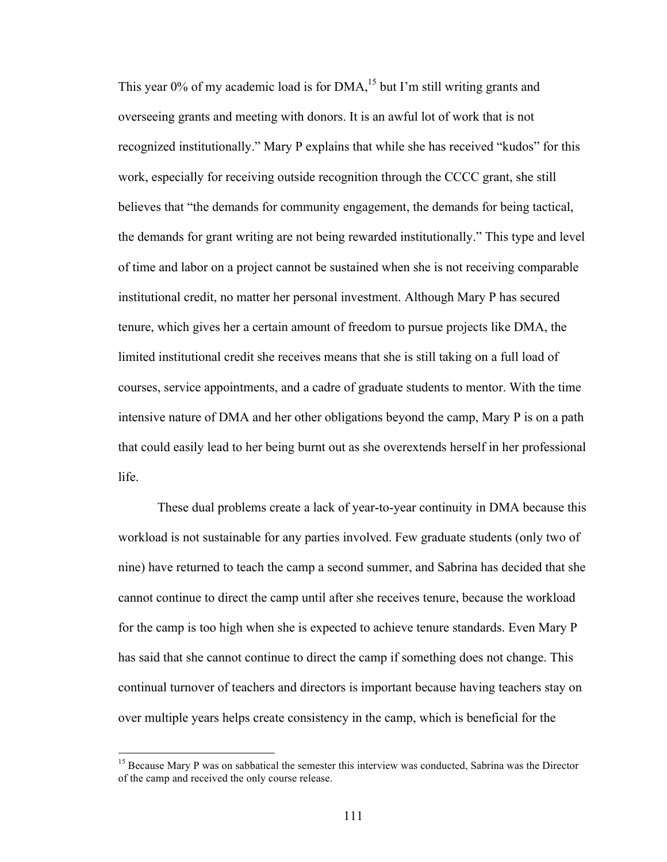This year 0% of my academic load is for  $DMA<sup>15</sup>$  but I'm still writing grants and overseeing grants and meeting with donors. It is an awful lot of work that is not recognized institutionally." Mary P explains that while she has received "kudos" for this work, especially for receiving outside recognition through the CCCC grant, she still believes that "the demands for community engagement, the demands for being tactical, the demands for grant writing are not being rewarded institutionally." This type and level of time and labor on a project cannot be sustained when she is not receiving comparable institutional credit, no matter her personal investment. Although Mary P has secured tenure, which gives her a certain amount of freedom to pursue projects like DMA, the limited institutional credit she receives means that she is still taking on a full load of courses, service appointments, and a cadre of graduate students to mentor. With the time intensive nature of DMA and her other obligations beyond the camp, Mary P is on a path that could easily lead to her being burnt out as she overextends herself in her professional life.

These dual problems create a lack of year-to-year continuity in DMA because this workload is not sustainable for any parties involved. Few graduate students (only two of nine) have returned to teach the camp a second summer, and Sabrina has decided that she cannot continue to direct the camp until after she receives tenure, because the workload for the camp is too high when she is expected to achieve tenure standards. Even Mary P has said that she cannot continue to direct the camp if something does not change. This continual turnover of teachers and directors is important because having teachers stay on over multiple years helps create consistency in the camp, which is beneficial for the

<sup>&</sup>lt;sup>15</sup> Because Mary P was on sabbatical the semester this interview was conducted, Sabrina was the Director of the camp and received the only course release.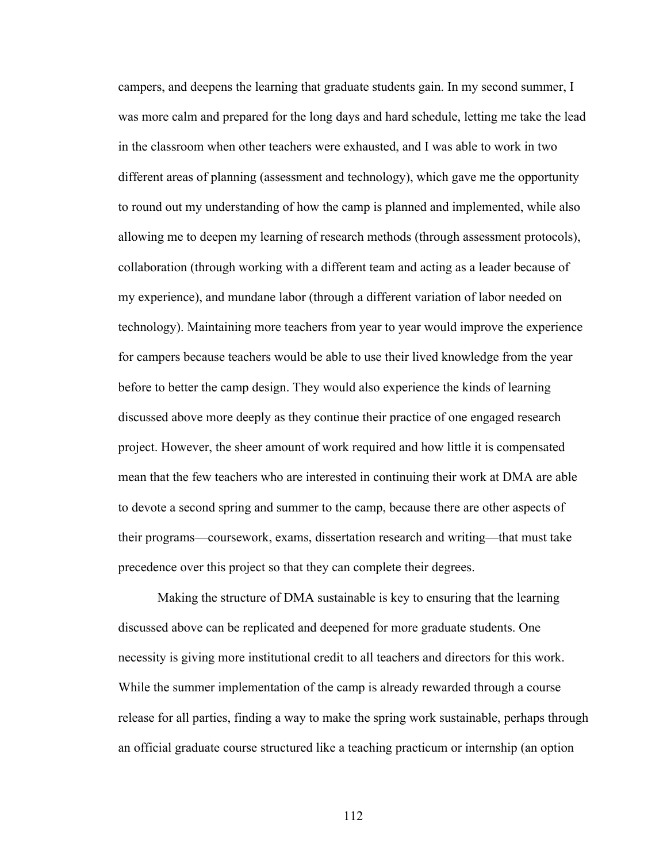campers, and deepens the learning that graduate students gain. In my second summer, I was more calm and prepared for the long days and hard schedule, letting me take the lead in the classroom when other teachers were exhausted, and I was able to work in two different areas of planning (assessment and technology), which gave me the opportunity to round out my understanding of how the camp is planned and implemented, while also allowing me to deepen my learning of research methods (through assessment protocols), collaboration (through working with a different team and acting as a leader because of my experience), and mundane labor (through a different variation of labor needed on technology). Maintaining more teachers from year to year would improve the experience for campers because teachers would be able to use their lived knowledge from the year before to better the camp design. They would also experience the kinds of learning discussed above more deeply as they continue their practice of one engaged research project. However, the sheer amount of work required and how little it is compensated mean that the few teachers who are interested in continuing their work at DMA are able to devote a second spring and summer to the camp, because there are other aspects of their programs—coursework, exams, dissertation research and writing—that must take precedence over this project so that they can complete their degrees.

Making the structure of DMA sustainable is key to ensuring that the learning discussed above can be replicated and deepened for more graduate students. One necessity is giving more institutional credit to all teachers and directors for this work. While the summer implementation of the camp is already rewarded through a course release for all parties, finding a way to make the spring work sustainable, perhaps through an official graduate course structured like a teaching practicum or internship (an option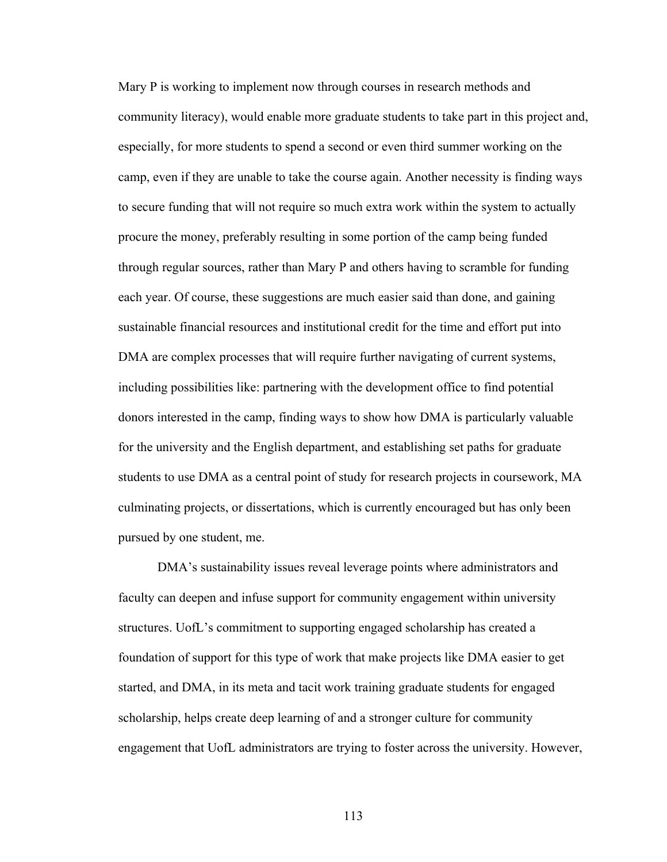Mary P is working to implement now through courses in research methods and community literacy), would enable more graduate students to take part in this project and, especially, for more students to spend a second or even third summer working on the camp, even if they are unable to take the course again. Another necessity is finding ways to secure funding that will not require so much extra work within the system to actually procure the money, preferably resulting in some portion of the camp being funded through regular sources, rather than Mary P and others having to scramble for funding each year. Of course, these suggestions are much easier said than done, and gaining sustainable financial resources and institutional credit for the time and effort put into DMA are complex processes that will require further navigating of current systems, including possibilities like: partnering with the development office to find potential donors interested in the camp, finding ways to show how DMA is particularly valuable for the university and the English department, and establishing set paths for graduate students to use DMA as a central point of study for research projects in coursework, MA culminating projects, or dissertations, which is currently encouraged but has only been pursued by one student, me.

DMA's sustainability issues reveal leverage points where administrators and faculty can deepen and infuse support for community engagement within university structures. UofL's commitment to supporting engaged scholarship has created a foundation of support for this type of work that make projects like DMA easier to get started, and DMA, in its meta and tacit work training graduate students for engaged scholarship, helps create deep learning of and a stronger culture for community engagement that UofL administrators are trying to foster across the university. However,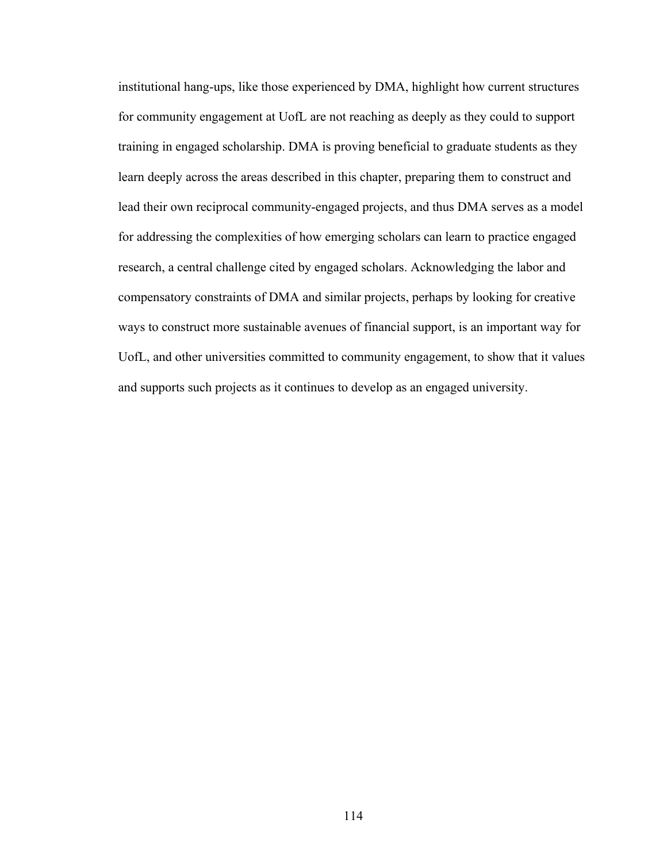institutional hang-ups, like those experienced by DMA, highlight how current structures for community engagement at UofL are not reaching as deeply as they could to support training in engaged scholarship. DMA is proving beneficial to graduate students as they learn deeply across the areas described in this chapter, preparing them to construct and lead their own reciprocal community-engaged projects, and thus DMA serves as a model for addressing the complexities of how emerging scholars can learn to practice engaged research, a central challenge cited by engaged scholars. Acknowledging the labor and compensatory constraints of DMA and similar projects, perhaps by looking for creative ways to construct more sustainable avenues of financial support, is an important way for UofL, and other universities committed to community engagement, to show that it values and supports such projects as it continues to develop as an engaged university.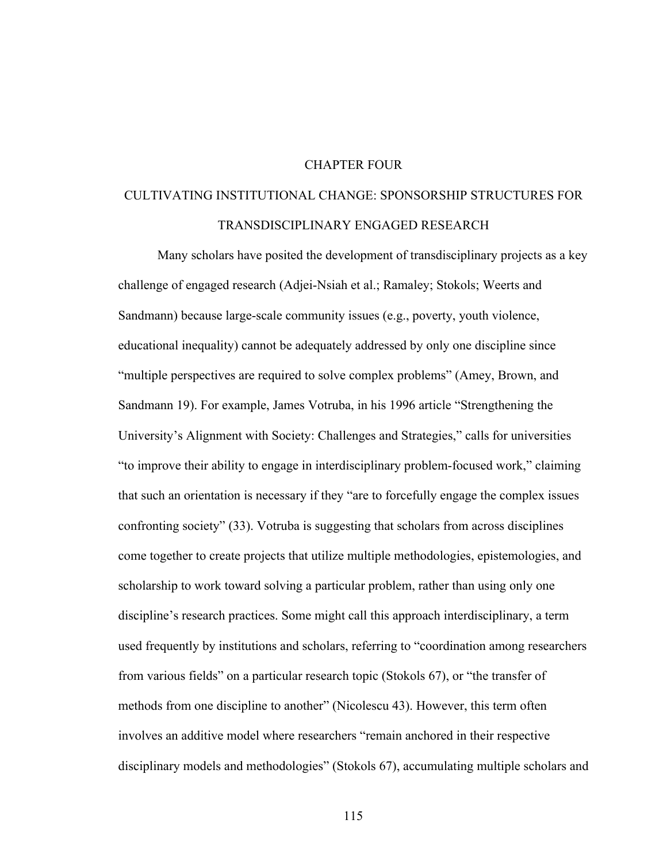## CHAPTER FOUR

# CULTIVATING INSTITUTIONAL CHANGE: SPONSORSHIP STRUCTURES FOR TRANSDISCIPLINARY ENGAGED RESEARCH

Many scholars have posited the development of transdisciplinary projects as a key challenge of engaged research (Adjei-Nsiah et al.; Ramaley; Stokols; Weerts and Sandmann) because large-scale community issues (e.g., poverty, youth violence, educational inequality) cannot be adequately addressed by only one discipline since "multiple perspectives are required to solve complex problems" (Amey, Brown, and Sandmann 19). For example, James Votruba, in his 1996 article "Strengthening the University's Alignment with Society: Challenges and Strategies," calls for universities "to improve their ability to engage in interdisciplinary problem-focused work," claiming that such an orientation is necessary if they "are to forcefully engage the complex issues confronting society" (33). Votruba is suggesting that scholars from across disciplines come together to create projects that utilize multiple methodologies, epistemologies, and scholarship to work toward solving a particular problem, rather than using only one discipline's research practices. Some might call this approach interdisciplinary, a term used frequently by institutions and scholars, referring to "coordination among researchers from various fields" on a particular research topic (Stokols 67), or "the transfer of methods from one discipline to another" (Nicolescu 43). However, this term often involves an additive model where researchers "remain anchored in their respective disciplinary models and methodologies" (Stokols 67), accumulating multiple scholars and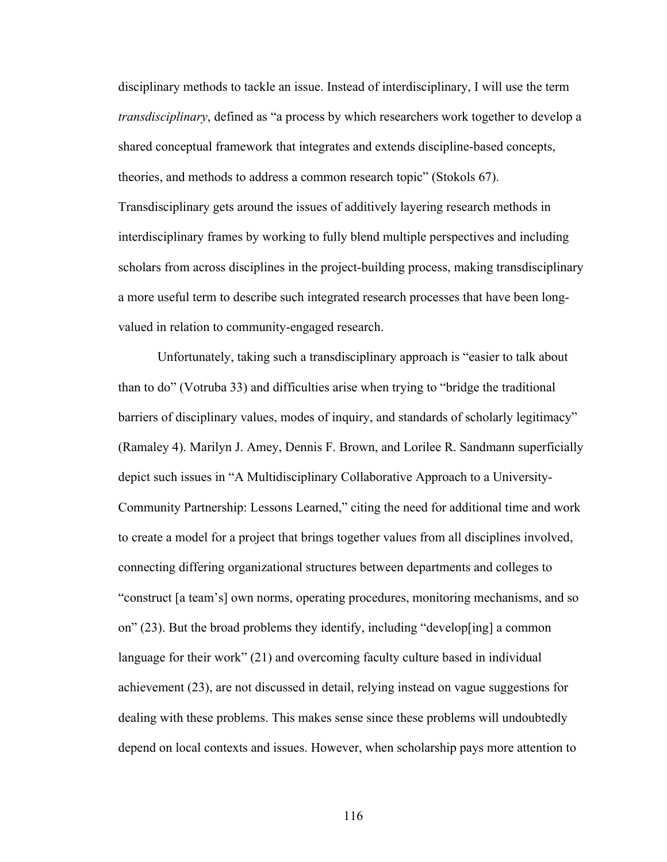disciplinary methods to tackle an issue. Instead of interdisciplinary, I will use the term *transdisciplinary*, defined as "a process by which researchers work together to develop a shared conceptual framework that integrates and extends discipline-based concepts, theories, and methods to address a common research topic" (Stokols 67). Transdisciplinary gets around the issues of additively layering research methods in interdisciplinary frames by working to fully blend multiple perspectives and including scholars from across disciplines in the project-building process, making transdisciplinary a more useful term to describe such integrated research processes that have been longvalued in relation to community-engaged research.

Unfortunately, taking such a transdisciplinary approach is "easier to talk about than to do" (Votruba 33) and difficulties arise when trying to "bridge the traditional barriers of disciplinary values, modes of inquiry, and standards of scholarly legitimacy" (Ramaley 4). Marilyn J. Amey, Dennis F. Brown, and Lorilee R. Sandmann superficially depict such issues in "A Multidisciplinary Collaborative Approach to a University-Community Partnership: Lessons Learned," citing the need for additional time and work to create a model for a project that brings together values from all disciplines involved, connecting differing organizational structures between departments and colleges to "construct [a team's] own norms, operating procedures, monitoring mechanisms, and so on" (23). But the broad problems they identify, including "develop[ing] a common language for their work" (21) and overcoming faculty culture based in individual achievement (23), are not discussed in detail, relying instead on vague suggestions for dealing with these problems. This makes sense since these problems will undoubtedly depend on local contexts and issues. However, when scholarship pays more attention to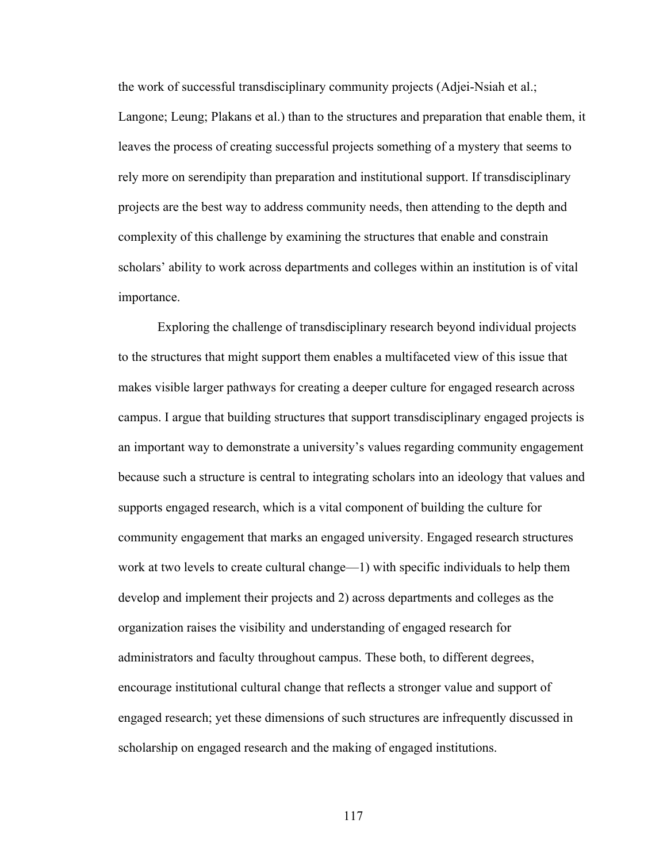the work of successful transdisciplinary community projects (Adjei-Nsiah et al.;

Langone; Leung; Plakans et al.) than to the structures and preparation that enable them, it leaves the process of creating successful projects something of a mystery that seems to rely more on serendipity than preparation and institutional support. If transdisciplinary projects are the best way to address community needs, then attending to the depth and complexity of this challenge by examining the structures that enable and constrain scholars' ability to work across departments and colleges within an institution is of vital importance.

Exploring the challenge of transdisciplinary research beyond individual projects to the structures that might support them enables a multifaceted view of this issue that makes visible larger pathways for creating a deeper culture for engaged research across campus. I argue that building structures that support transdisciplinary engaged projects is an important way to demonstrate a university's values regarding community engagement because such a structure is central to integrating scholars into an ideology that values and supports engaged research, which is a vital component of building the culture for community engagement that marks an engaged university. Engaged research structures work at two levels to create cultural change—1) with specific individuals to help them develop and implement their projects and 2) across departments and colleges as the organization raises the visibility and understanding of engaged research for administrators and faculty throughout campus. These both, to different degrees, encourage institutional cultural change that reflects a stronger value and support of engaged research; yet these dimensions of such structures are infrequently discussed in scholarship on engaged research and the making of engaged institutions.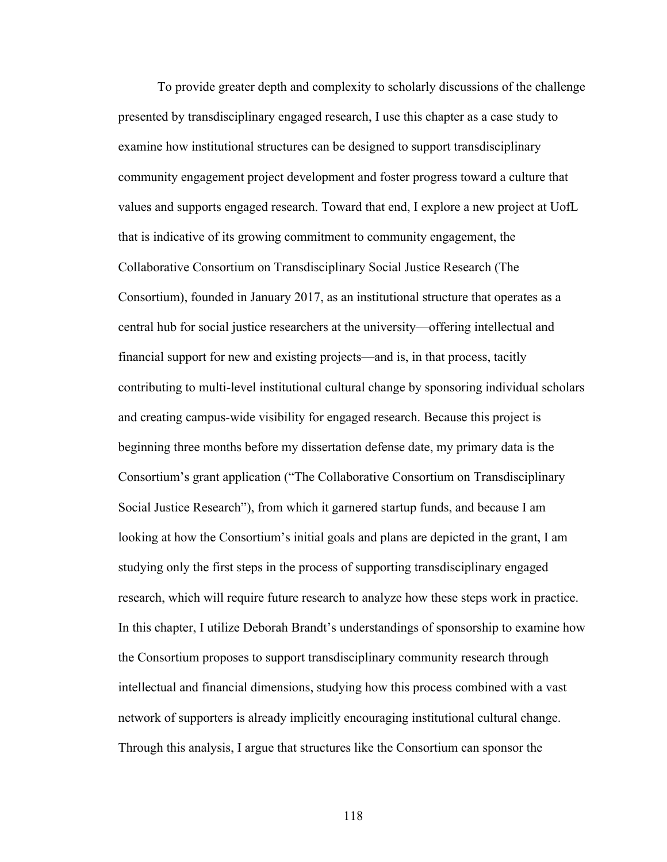To provide greater depth and complexity to scholarly discussions of the challenge presented by transdisciplinary engaged research, I use this chapter as a case study to examine how institutional structures can be designed to support transdisciplinary community engagement project development and foster progress toward a culture that values and supports engaged research. Toward that end, I explore a new project at UofL that is indicative of its growing commitment to community engagement, the Collaborative Consortium on Transdisciplinary Social Justice Research (The Consortium), founded in January 2017, as an institutional structure that operates as a central hub for social justice researchers at the university—offering intellectual and financial support for new and existing projects—and is, in that process, tacitly contributing to multi-level institutional cultural change by sponsoring individual scholars and creating campus-wide visibility for engaged research. Because this project is beginning three months before my dissertation defense date, my primary data is the Consortium's grant application ("The Collaborative Consortium on Transdisciplinary Social Justice Research"), from which it garnered startup funds, and because I am looking at how the Consortium's initial goals and plans are depicted in the grant, I am studying only the first steps in the process of supporting transdisciplinary engaged research, which will require future research to analyze how these steps work in practice. In this chapter, I utilize Deborah Brandt's understandings of sponsorship to examine how the Consortium proposes to support transdisciplinary community research through intellectual and financial dimensions, studying how this process combined with a vast network of supporters is already implicitly encouraging institutional cultural change. Through this analysis, I argue that structures like the Consortium can sponsor the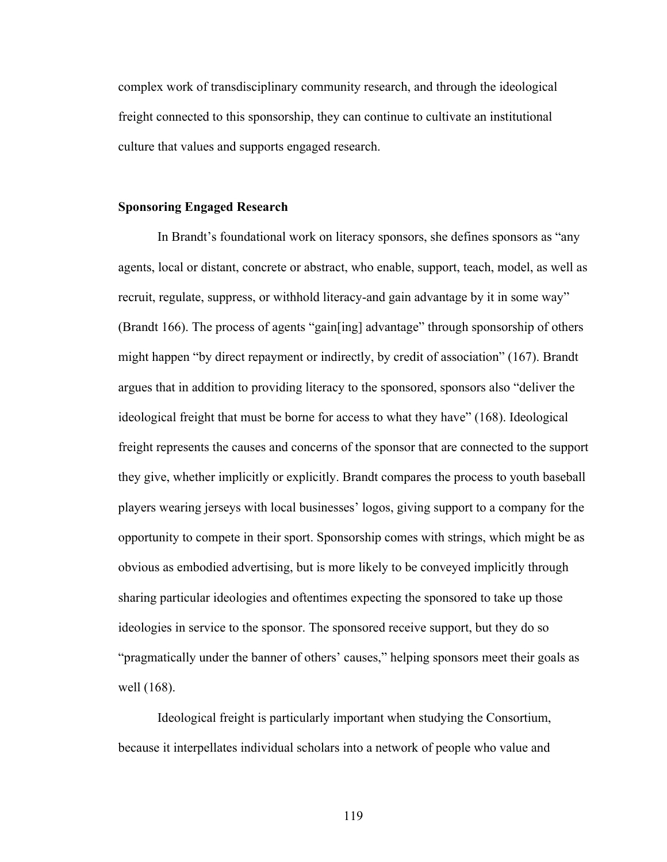complex work of transdisciplinary community research, and through the ideological freight connected to this sponsorship, they can continue to cultivate an institutional culture that values and supports engaged research.

#### **Sponsoring Engaged Research**

In Brandt's foundational work on literacy sponsors, she defines sponsors as "any agents, local or distant, concrete or abstract, who enable, support, teach, model, as well as recruit, regulate, suppress, or withhold literacy-and gain advantage by it in some way" (Brandt 166). The process of agents "gain[ing] advantage" through sponsorship of others might happen "by direct repayment or indirectly, by credit of association" (167). Brandt argues that in addition to providing literacy to the sponsored, sponsors also "deliver the ideological freight that must be borne for access to what they have" (168). Ideological freight represents the causes and concerns of the sponsor that are connected to the support they give, whether implicitly or explicitly. Brandt compares the process to youth baseball players wearing jerseys with local businesses' logos, giving support to a company for the opportunity to compete in their sport. Sponsorship comes with strings, which might be as obvious as embodied advertising, but is more likely to be conveyed implicitly through sharing particular ideologies and oftentimes expecting the sponsored to take up those ideologies in service to the sponsor. The sponsored receive support, but they do so "pragmatically under the banner of others' causes," helping sponsors meet their goals as well (168).

Ideological freight is particularly important when studying the Consortium, because it interpellates individual scholars into a network of people who value and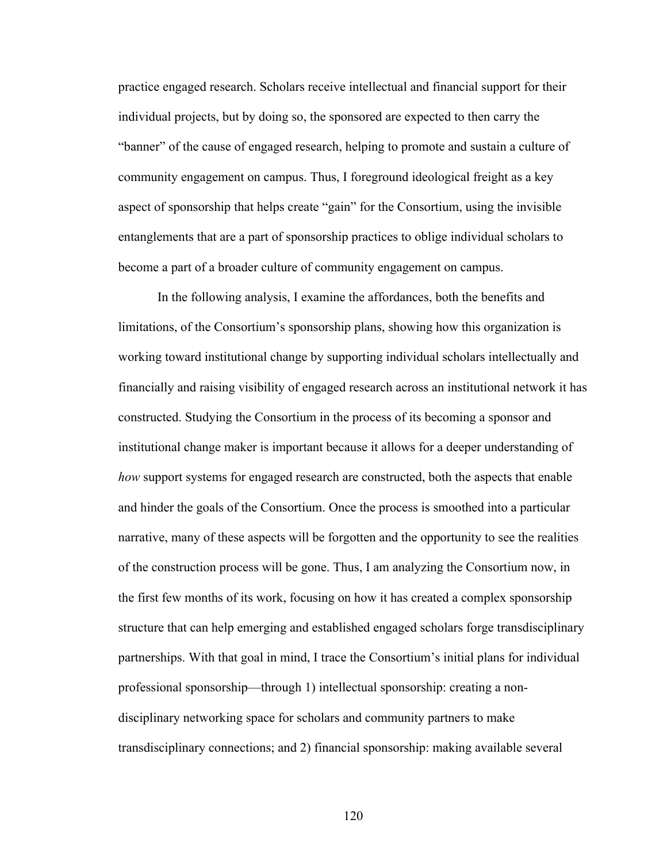practice engaged research. Scholars receive intellectual and financial support for their individual projects, but by doing so, the sponsored are expected to then carry the "banner" of the cause of engaged research, helping to promote and sustain a culture of community engagement on campus. Thus, I foreground ideological freight as a key aspect of sponsorship that helps create "gain" for the Consortium, using the invisible entanglements that are a part of sponsorship practices to oblige individual scholars to become a part of a broader culture of community engagement on campus.

In the following analysis, I examine the affordances, both the benefits and limitations, of the Consortium's sponsorship plans, showing how this organization is working toward institutional change by supporting individual scholars intellectually and financially and raising visibility of engaged research across an institutional network it has constructed. Studying the Consortium in the process of its becoming a sponsor and institutional change maker is important because it allows for a deeper understanding of *how* support systems for engaged research are constructed, both the aspects that enable and hinder the goals of the Consortium. Once the process is smoothed into a particular narrative, many of these aspects will be forgotten and the opportunity to see the realities of the construction process will be gone. Thus, I am analyzing the Consortium now, in the first few months of its work, focusing on how it has created a complex sponsorship structure that can help emerging and established engaged scholars forge transdisciplinary partnerships. With that goal in mind, I trace the Consortium's initial plans for individual professional sponsorship—through 1) intellectual sponsorship: creating a nondisciplinary networking space for scholars and community partners to make transdisciplinary connections; and 2) financial sponsorship: making available several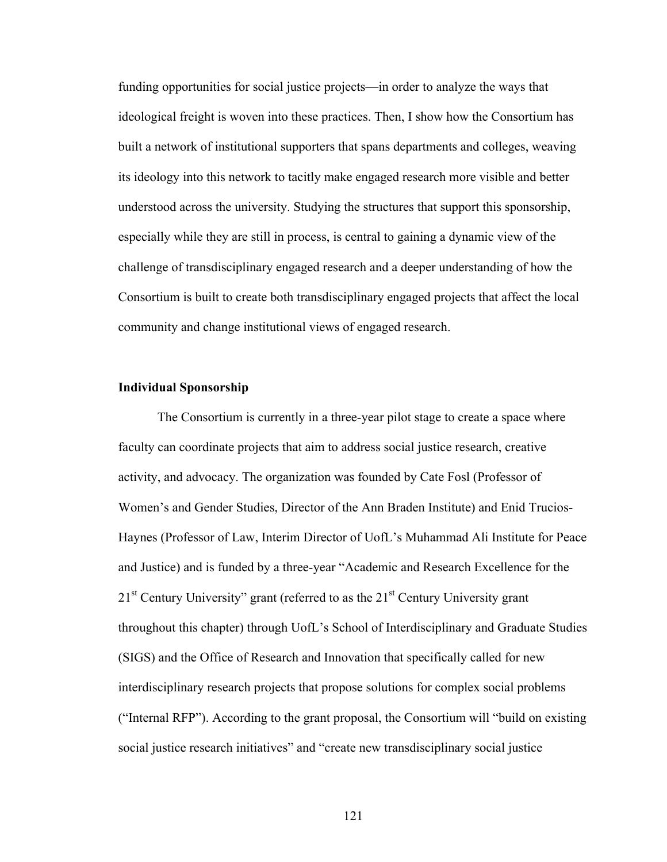funding opportunities for social justice projects—in order to analyze the ways that ideological freight is woven into these practices. Then, I show how the Consortium has built a network of institutional supporters that spans departments and colleges, weaving its ideology into this network to tacitly make engaged research more visible and better understood across the university. Studying the structures that support this sponsorship, especially while they are still in process, is central to gaining a dynamic view of the challenge of transdisciplinary engaged research and a deeper understanding of how the Consortium is built to create both transdisciplinary engaged projects that affect the local community and change institutional views of engaged research.

#### **Individual Sponsorship**

The Consortium is currently in a three-year pilot stage to create a space where faculty can coordinate projects that aim to address social justice research, creative activity, and advocacy. The organization was founded by Cate Fosl (Professor of Women's and Gender Studies, Director of the Ann Braden Institute) and Enid Trucios-Haynes (Professor of Law, Interim Director of UofL's Muhammad Ali Institute for Peace and Justice) and is funded by a three-year "Academic and Research Excellence for the  $21<sup>st</sup>$  Century University" grant (referred to as the  $21<sup>st</sup>$  Century University grant throughout this chapter) through UofL's School of Interdisciplinary and Graduate Studies (SIGS) and the Office of Research and Innovation that specifically called for new interdisciplinary research projects that propose solutions for complex social problems ("Internal RFP"). According to the grant proposal, the Consortium will "build on existing social justice research initiatives" and "create new transdisciplinary social justice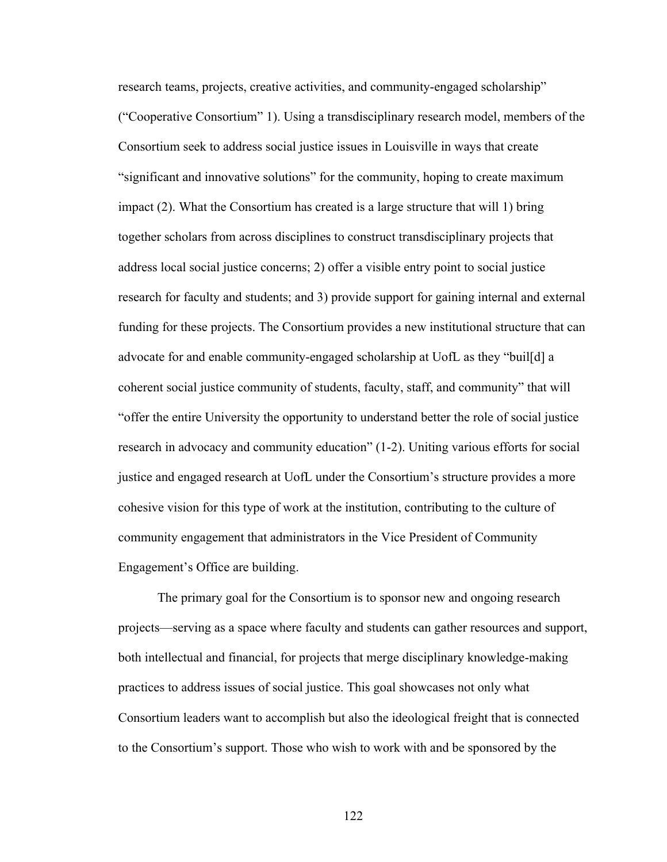research teams, projects, creative activities, and community-engaged scholarship" ("Cooperative Consortium" 1). Using a transdisciplinary research model, members of the Consortium seek to address social justice issues in Louisville in ways that create "significant and innovative solutions" for the community, hoping to create maximum impact (2). What the Consortium has created is a large structure that will 1) bring together scholars from across disciplines to construct transdisciplinary projects that address local social justice concerns; 2) offer a visible entry point to social justice research for faculty and students; and 3) provide support for gaining internal and external funding for these projects. The Consortium provides a new institutional structure that can advocate for and enable community-engaged scholarship at UofL as they "buil[d] a coherent social justice community of students, faculty, staff, and community" that will "offer the entire University the opportunity to understand better the role of social justice research in advocacy and community education" (1-2). Uniting various efforts for social justice and engaged research at UofL under the Consortium's structure provides a more cohesive vision for this type of work at the institution, contributing to the culture of community engagement that administrators in the Vice President of Community Engagement's Office are building.

The primary goal for the Consortium is to sponsor new and ongoing research projects—serving as a space where faculty and students can gather resources and support, both intellectual and financial, for projects that merge disciplinary knowledge-making practices to address issues of social justice. This goal showcases not only what Consortium leaders want to accomplish but also the ideological freight that is connected to the Consortium's support. Those who wish to work with and be sponsored by the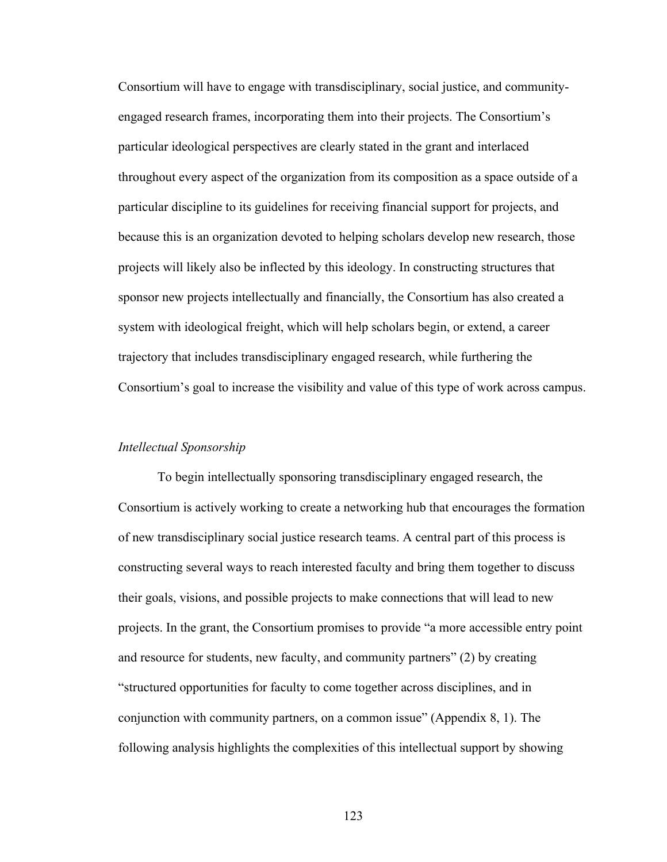Consortium will have to engage with transdisciplinary, social justice, and communityengaged research frames, incorporating them into their projects. The Consortium's particular ideological perspectives are clearly stated in the grant and interlaced throughout every aspect of the organization from its composition as a space outside of a particular discipline to its guidelines for receiving financial support for projects, and because this is an organization devoted to helping scholars develop new research, those projects will likely also be inflected by this ideology. In constructing structures that sponsor new projects intellectually and financially, the Consortium has also created a system with ideological freight, which will help scholars begin, or extend, a career trajectory that includes transdisciplinary engaged research, while furthering the Consortium's goal to increase the visibility and value of this type of work across campus.

#### *Intellectual Sponsorship*

To begin intellectually sponsoring transdisciplinary engaged research, the Consortium is actively working to create a networking hub that encourages the formation of new transdisciplinary social justice research teams. A central part of this process is constructing several ways to reach interested faculty and bring them together to discuss their goals, visions, and possible projects to make connections that will lead to new projects. In the grant, the Consortium promises to provide "a more accessible entry point and resource for students, new faculty, and community partners" (2) by creating "structured opportunities for faculty to come together across disciplines, and in conjunction with community partners, on a common issue" (Appendix 8, 1). The following analysis highlights the complexities of this intellectual support by showing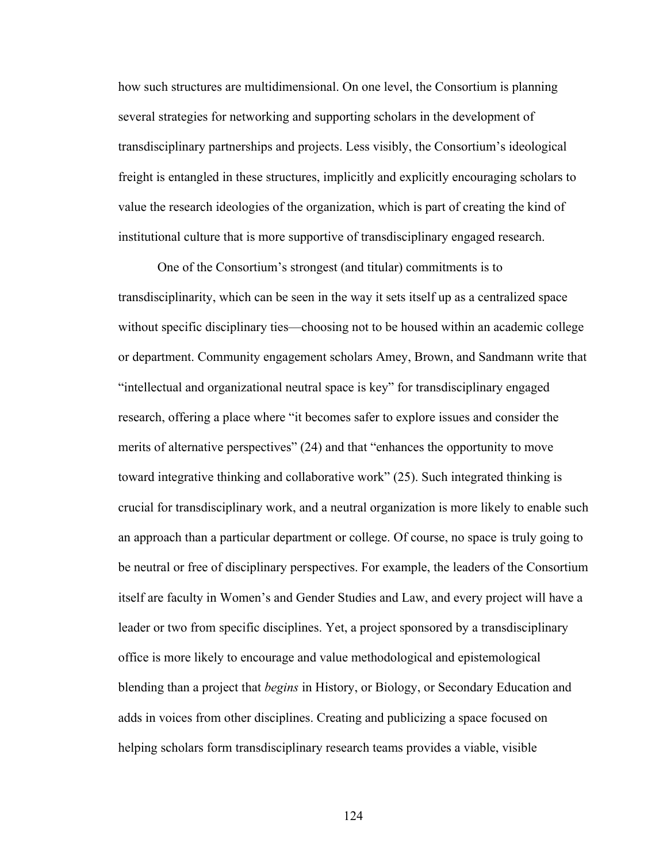how such structures are multidimensional. On one level, the Consortium is planning several strategies for networking and supporting scholars in the development of transdisciplinary partnerships and projects. Less visibly, the Consortium's ideological freight is entangled in these structures, implicitly and explicitly encouraging scholars to value the research ideologies of the organization, which is part of creating the kind of institutional culture that is more supportive of transdisciplinary engaged research.

One of the Consortium's strongest (and titular) commitments is to transdisciplinarity, which can be seen in the way it sets itself up as a centralized space without specific disciplinary ties—choosing not to be housed within an academic college or department. Community engagement scholars Amey, Brown, and Sandmann write that "intellectual and organizational neutral space is key" for transdisciplinary engaged research, offering a place where "it becomes safer to explore issues and consider the merits of alternative perspectives" (24) and that "enhances the opportunity to move toward integrative thinking and collaborative work" (25). Such integrated thinking is crucial for transdisciplinary work, and a neutral organization is more likely to enable such an approach than a particular department or college. Of course, no space is truly going to be neutral or free of disciplinary perspectives. For example, the leaders of the Consortium itself are faculty in Women's and Gender Studies and Law, and every project will have a leader or two from specific disciplines. Yet, a project sponsored by a transdisciplinary office is more likely to encourage and value methodological and epistemological blending than a project that *begins* in History, or Biology, or Secondary Education and adds in voices from other disciplines. Creating and publicizing a space focused on helping scholars form transdisciplinary research teams provides a viable, visible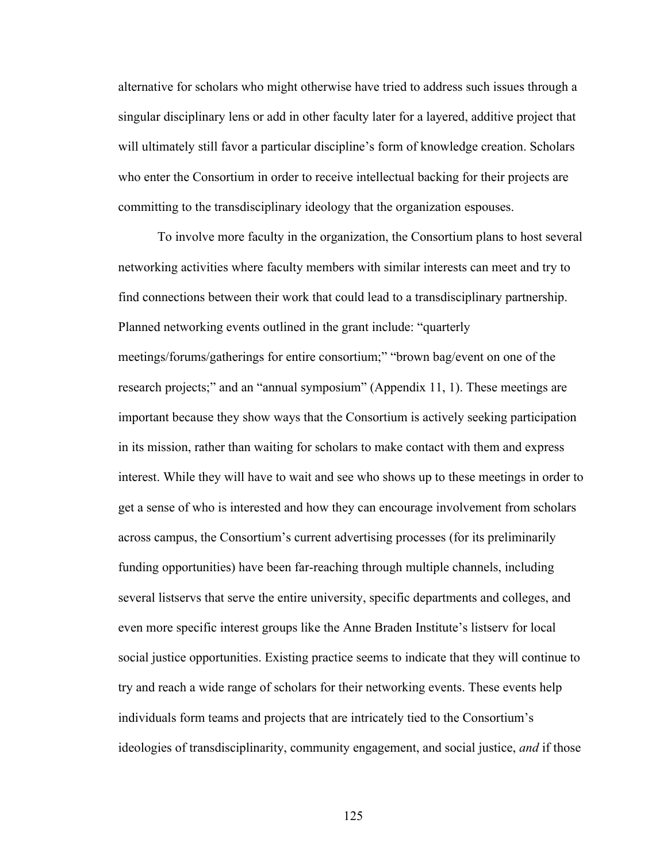alternative for scholars who might otherwise have tried to address such issues through a singular disciplinary lens or add in other faculty later for a layered, additive project that will ultimately still favor a particular discipline's form of knowledge creation. Scholars who enter the Consortium in order to receive intellectual backing for their projects are committing to the transdisciplinary ideology that the organization espouses.

To involve more faculty in the organization, the Consortium plans to host several networking activities where faculty members with similar interests can meet and try to find connections between their work that could lead to a transdisciplinary partnership. Planned networking events outlined in the grant include: "quarterly meetings/forums/gatherings for entire consortium;" "brown bag/event on one of the research projects;" and an "annual symposium" (Appendix 11, 1). These meetings are important because they show ways that the Consortium is actively seeking participation in its mission, rather than waiting for scholars to make contact with them and express interest. While they will have to wait and see who shows up to these meetings in order to get a sense of who is interested and how they can encourage involvement from scholars across campus, the Consortium's current advertising processes (for its preliminarily funding opportunities) have been far-reaching through multiple channels, including several listservs that serve the entire university, specific departments and colleges, and even more specific interest groups like the Anne Braden Institute's listserv for local social justice opportunities. Existing practice seems to indicate that they will continue to try and reach a wide range of scholars for their networking events. These events help individuals form teams and projects that are intricately tied to the Consortium's ideologies of transdisciplinarity, community engagement, and social justice, *and* if those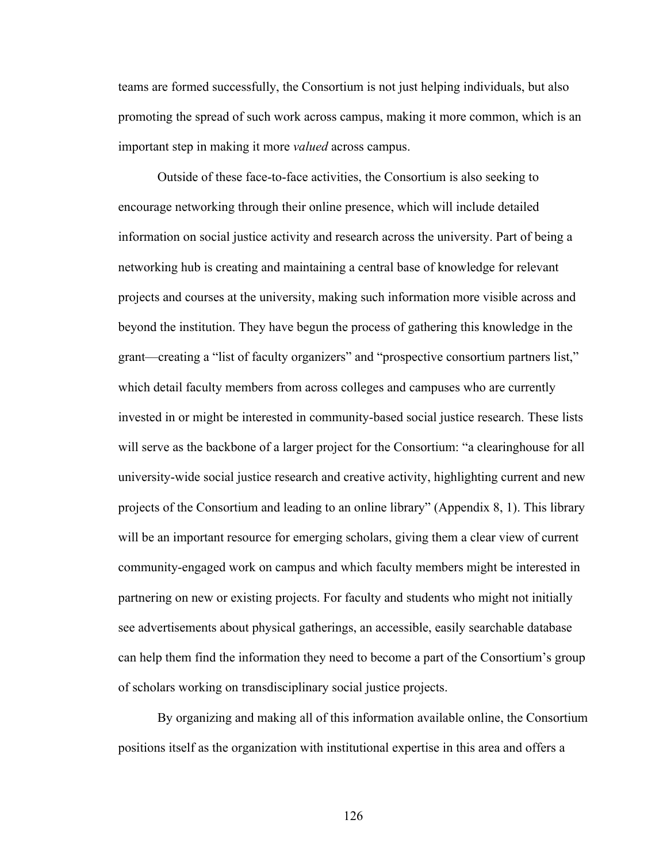teams are formed successfully, the Consortium is not just helping individuals, but also promoting the spread of such work across campus, making it more common, which is an important step in making it more *valued* across campus.

Outside of these face-to-face activities, the Consortium is also seeking to encourage networking through their online presence, which will include detailed information on social justice activity and research across the university. Part of being a networking hub is creating and maintaining a central base of knowledge for relevant projects and courses at the university, making such information more visible across and beyond the institution. They have begun the process of gathering this knowledge in the grant—creating a "list of faculty organizers" and "prospective consortium partners list," which detail faculty members from across colleges and campuses who are currently invested in or might be interested in community-based social justice research. These lists will serve as the backbone of a larger project for the Consortium: "a clearinghouse for all university-wide social justice research and creative activity, highlighting current and new projects of the Consortium and leading to an online library" (Appendix 8, 1). This library will be an important resource for emerging scholars, giving them a clear view of current community-engaged work on campus and which faculty members might be interested in partnering on new or existing projects. For faculty and students who might not initially see advertisements about physical gatherings, an accessible, easily searchable database can help them find the information they need to become a part of the Consortium's group of scholars working on transdisciplinary social justice projects.

By organizing and making all of this information available online, the Consortium positions itself as the organization with institutional expertise in this area and offers a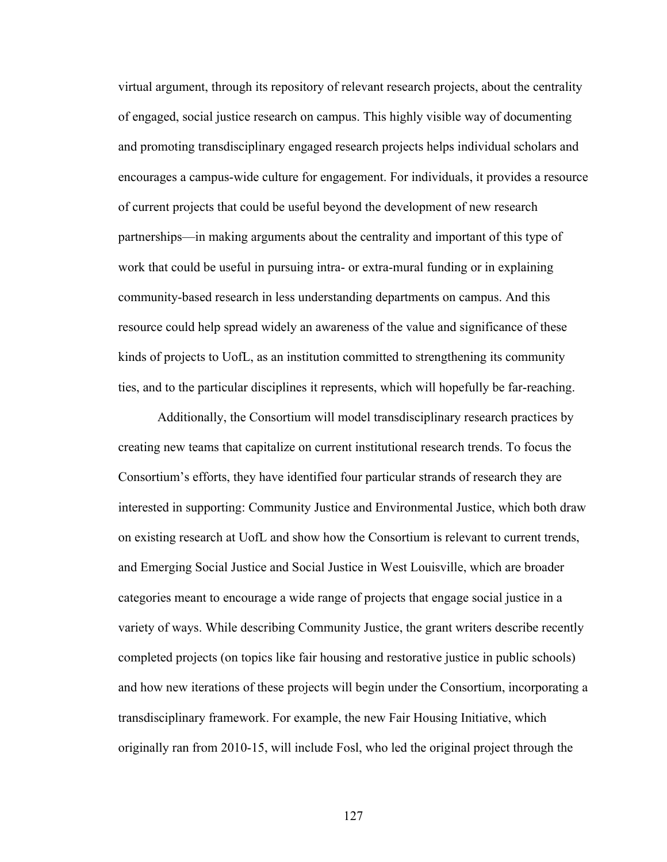virtual argument, through its repository of relevant research projects, about the centrality of engaged, social justice research on campus. This highly visible way of documenting and promoting transdisciplinary engaged research projects helps individual scholars and encourages a campus-wide culture for engagement. For individuals, it provides a resource of current projects that could be useful beyond the development of new research partnerships—in making arguments about the centrality and important of this type of work that could be useful in pursuing intra- or extra-mural funding or in explaining community-based research in less understanding departments on campus. And this resource could help spread widely an awareness of the value and significance of these kinds of projects to UofL, as an institution committed to strengthening its community ties, and to the particular disciplines it represents, which will hopefully be far-reaching.

Additionally, the Consortium will model transdisciplinary research practices by creating new teams that capitalize on current institutional research trends. To focus the Consortium's efforts, they have identified four particular strands of research they are interested in supporting: Community Justice and Environmental Justice, which both draw on existing research at UofL and show how the Consortium is relevant to current trends, and Emerging Social Justice and Social Justice in West Louisville, which are broader categories meant to encourage a wide range of projects that engage social justice in a variety of ways. While describing Community Justice, the grant writers describe recently completed projects (on topics like fair housing and restorative justice in public schools) and how new iterations of these projects will begin under the Consortium, incorporating a transdisciplinary framework. For example, the new Fair Housing Initiative, which originally ran from 2010-15, will include Fosl, who led the original project through the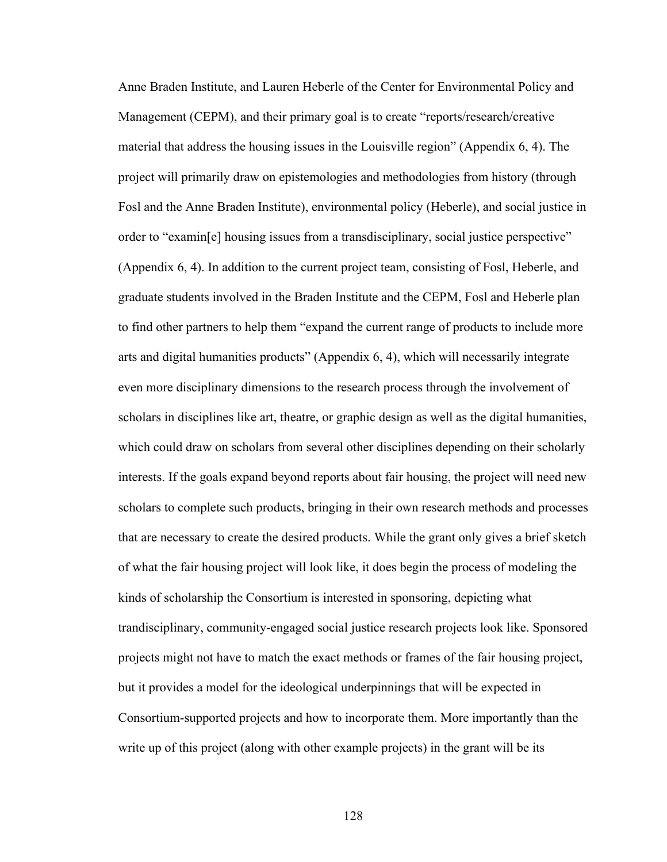Anne Braden Institute, and Lauren Heberle of the Center for Environmental Policy and Management (CEPM), and their primary goal is to create "reports/research/creative material that address the housing issues in the Louisville region" (Appendix 6, 4). The project will primarily draw on epistemologies and methodologies from history (through Fosl and the Anne Braden Institute), environmental policy (Heberle), and social justice in order to "examin[e] housing issues from a transdisciplinary, social justice perspective" (Appendix 6, 4). In addition to the current project team, consisting of Fosl, Heberle, and graduate students involved in the Braden Institute and the CEPM, Fosl and Heberle plan to find other partners to help them "expand the current range of products to include more arts and digital humanities products" (Appendix 6, 4), which will necessarily integrate even more disciplinary dimensions to the research process through the involvement of scholars in disciplines like art, theatre, or graphic design as well as the digital humanities, which could draw on scholars from several other disciplines depending on their scholarly interests. If the goals expand beyond reports about fair housing, the project will need new scholars to complete such products, bringing in their own research methods and processes that are necessary to create the desired products. While the grant only gives a brief sketch of what the fair housing project will look like, it does begin the process of modeling the kinds of scholarship the Consortium is interested in sponsoring, depicting what trandisciplinary, community-engaged social justice research projects look like. Sponsored projects might not have to match the exact methods or frames of the fair housing project, but it provides a model for the ideological underpinnings that will be expected in Consortium-supported projects and how to incorporate them. More importantly than the write up of this project (along with other example projects) in the grant will be its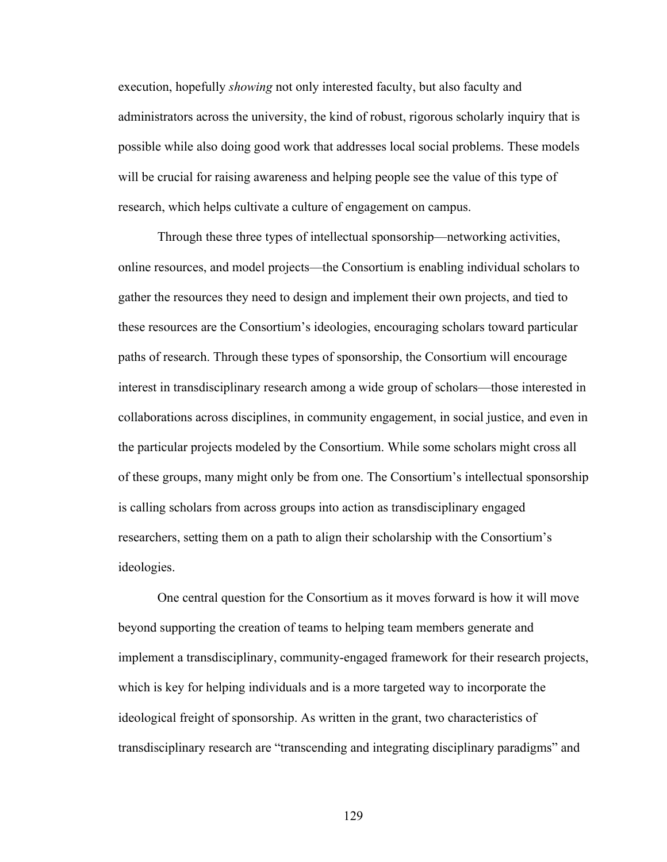execution, hopefully *showing* not only interested faculty, but also faculty and administrators across the university, the kind of robust, rigorous scholarly inquiry that is possible while also doing good work that addresses local social problems. These models will be crucial for raising awareness and helping people see the value of this type of research, which helps cultivate a culture of engagement on campus.

Through these three types of intellectual sponsorship—networking activities, online resources, and model projects—the Consortium is enabling individual scholars to gather the resources they need to design and implement their own projects, and tied to these resources are the Consortium's ideologies, encouraging scholars toward particular paths of research. Through these types of sponsorship, the Consortium will encourage interest in transdisciplinary research among a wide group of scholars—those interested in collaborations across disciplines, in community engagement, in social justice, and even in the particular projects modeled by the Consortium. While some scholars might cross all of these groups, many might only be from one. The Consortium's intellectual sponsorship is calling scholars from across groups into action as transdisciplinary engaged researchers, setting them on a path to align their scholarship with the Consortium's ideologies.

One central question for the Consortium as it moves forward is how it will move beyond supporting the creation of teams to helping team members generate and implement a transdisciplinary, community-engaged framework for their research projects, which is key for helping individuals and is a more targeted way to incorporate the ideological freight of sponsorship. As written in the grant, two characteristics of transdisciplinary research are "transcending and integrating disciplinary paradigms" and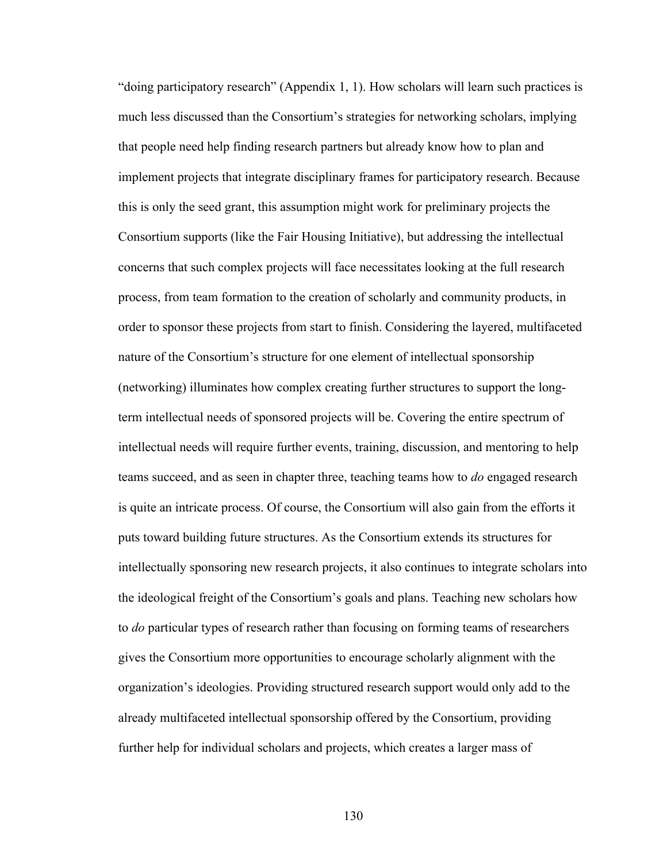"doing participatory research" (Appendix 1, 1). How scholars will learn such practices is much less discussed than the Consortium's strategies for networking scholars, implying that people need help finding research partners but already know how to plan and implement projects that integrate disciplinary frames for participatory research. Because this is only the seed grant, this assumption might work for preliminary projects the Consortium supports (like the Fair Housing Initiative), but addressing the intellectual concerns that such complex projects will face necessitates looking at the full research process, from team formation to the creation of scholarly and community products, in order to sponsor these projects from start to finish. Considering the layered, multifaceted nature of the Consortium's structure for one element of intellectual sponsorship (networking) illuminates how complex creating further structures to support the longterm intellectual needs of sponsored projects will be. Covering the entire spectrum of intellectual needs will require further events, training, discussion, and mentoring to help teams succeed, and as seen in chapter three, teaching teams how to *do* engaged research is quite an intricate process. Of course, the Consortium will also gain from the efforts it puts toward building future structures. As the Consortium extends its structures for intellectually sponsoring new research projects, it also continues to integrate scholars into the ideological freight of the Consortium's goals and plans. Teaching new scholars how to *do* particular types of research rather than focusing on forming teams of researchers gives the Consortium more opportunities to encourage scholarly alignment with the organization's ideologies. Providing structured research support would only add to the already multifaceted intellectual sponsorship offered by the Consortium, providing further help for individual scholars and projects, which creates a larger mass of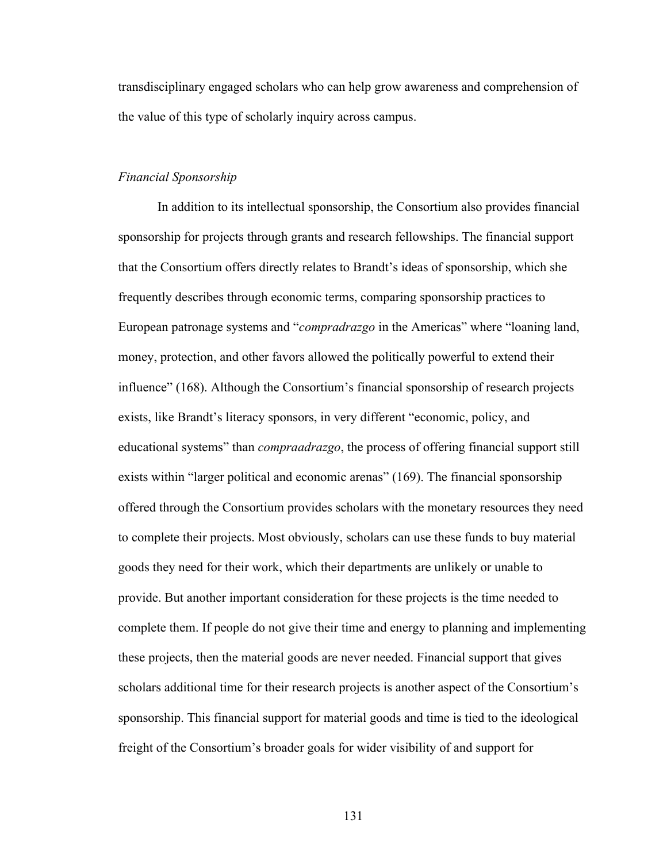transdisciplinary engaged scholars who can help grow awareness and comprehension of the value of this type of scholarly inquiry across campus.

# *Financial Sponsorship*

In addition to its intellectual sponsorship, the Consortium also provides financial sponsorship for projects through grants and research fellowships. The financial support that the Consortium offers directly relates to Brandt's ideas of sponsorship, which she frequently describes through economic terms, comparing sponsorship practices to European patronage systems and "*compradrazgo* in the Americas" where "loaning land, money, protection, and other favors allowed the politically powerful to extend their influence" (168). Although the Consortium's financial sponsorship of research projects exists, like Brandt's literacy sponsors, in very different "economic, policy, and educational systems" than *compraadrazgo*, the process of offering financial support still exists within "larger political and economic arenas" (169). The financial sponsorship offered through the Consortium provides scholars with the monetary resources they need to complete their projects. Most obviously, scholars can use these funds to buy material goods they need for their work, which their departments are unlikely or unable to provide. But another important consideration for these projects is the time needed to complete them. If people do not give their time and energy to planning and implementing these projects, then the material goods are never needed. Financial support that gives scholars additional time for their research projects is another aspect of the Consortium's sponsorship. This financial support for material goods and time is tied to the ideological freight of the Consortium's broader goals for wider visibility of and support for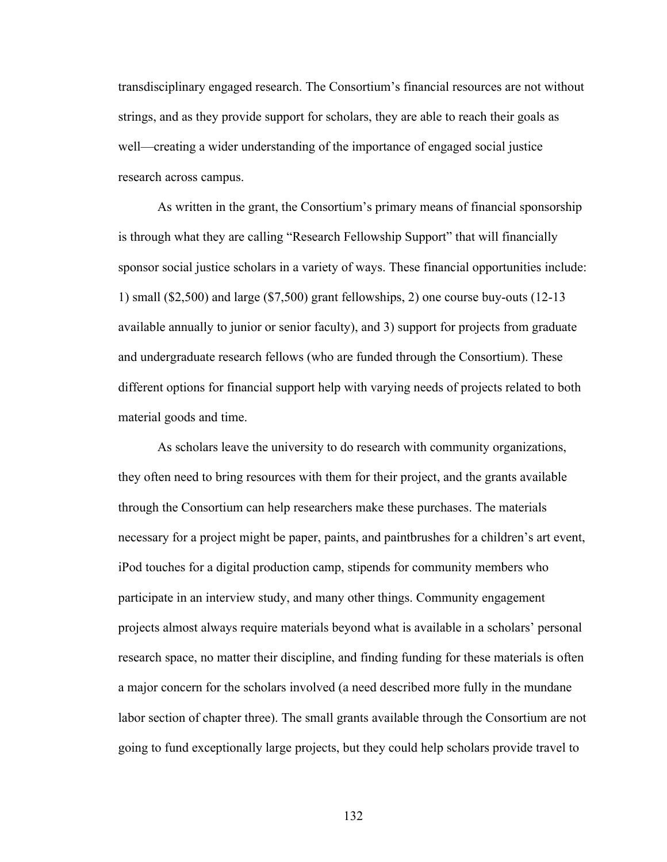transdisciplinary engaged research. The Consortium's financial resources are not without strings, and as they provide support for scholars, they are able to reach their goals as well—creating a wider understanding of the importance of engaged social justice research across campus.

As written in the grant, the Consortium's primary means of financial sponsorship is through what they are calling "Research Fellowship Support" that will financially sponsor social justice scholars in a variety of ways. These financial opportunities include: 1) small (\$2,500) and large (\$7,500) grant fellowships, 2) one course buy-outs (12-13 available annually to junior or senior faculty), and 3) support for projects from graduate and undergraduate research fellows (who are funded through the Consortium). These different options for financial support help with varying needs of projects related to both material goods and time.

As scholars leave the university to do research with community organizations, they often need to bring resources with them for their project, and the grants available through the Consortium can help researchers make these purchases. The materials necessary for a project might be paper, paints, and paintbrushes for a children's art event, iPod touches for a digital production camp, stipends for community members who participate in an interview study, and many other things. Community engagement projects almost always require materials beyond what is available in a scholars' personal research space, no matter their discipline, and finding funding for these materials is often a major concern for the scholars involved (a need described more fully in the mundane labor section of chapter three). The small grants available through the Consortium are not going to fund exceptionally large projects, but they could help scholars provide travel to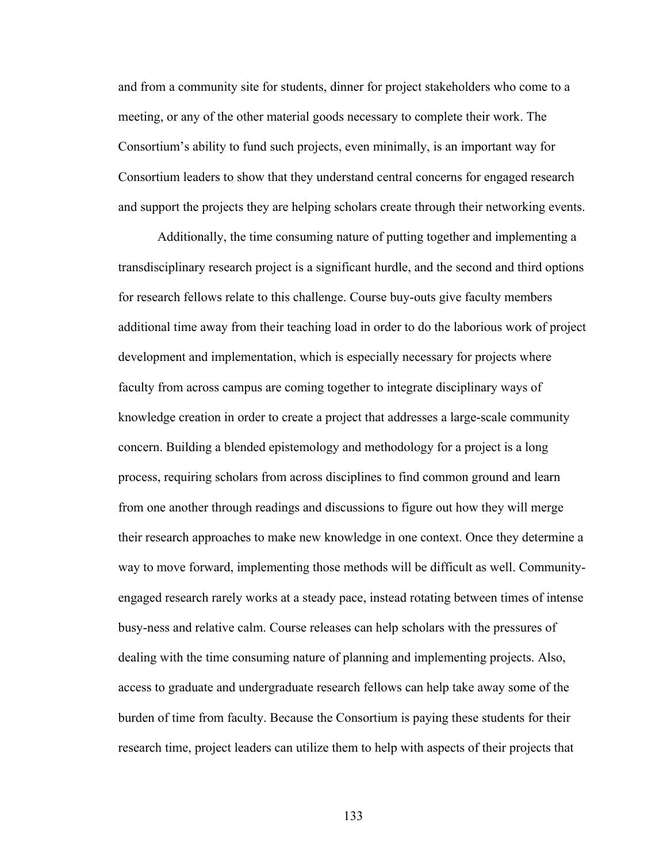and from a community site for students, dinner for project stakeholders who come to a meeting, or any of the other material goods necessary to complete their work. The Consortium's ability to fund such projects, even minimally, is an important way for Consortium leaders to show that they understand central concerns for engaged research and support the projects they are helping scholars create through their networking events.

Additionally, the time consuming nature of putting together and implementing a transdisciplinary research project is a significant hurdle, and the second and third options for research fellows relate to this challenge. Course buy-outs give faculty members additional time away from their teaching load in order to do the laborious work of project development and implementation, which is especially necessary for projects where faculty from across campus are coming together to integrate disciplinary ways of knowledge creation in order to create a project that addresses a large-scale community concern. Building a blended epistemology and methodology for a project is a long process, requiring scholars from across disciplines to find common ground and learn from one another through readings and discussions to figure out how they will merge their research approaches to make new knowledge in one context. Once they determine a way to move forward, implementing those methods will be difficult as well. Communityengaged research rarely works at a steady pace, instead rotating between times of intense busy-ness and relative calm. Course releases can help scholars with the pressures of dealing with the time consuming nature of planning and implementing projects. Also, access to graduate and undergraduate research fellows can help take away some of the burden of time from faculty. Because the Consortium is paying these students for their research time, project leaders can utilize them to help with aspects of their projects that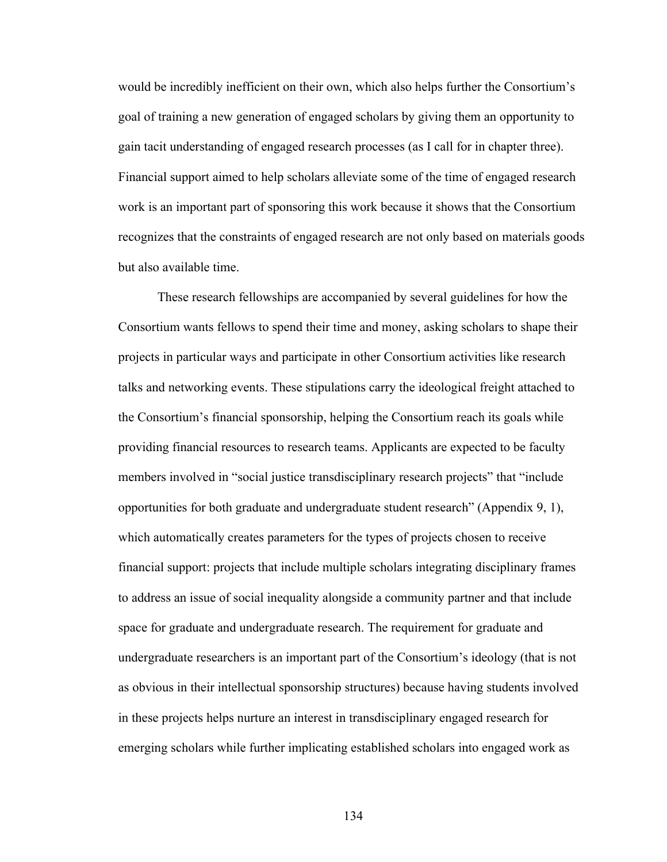would be incredibly inefficient on their own, which also helps further the Consortium's goal of training a new generation of engaged scholars by giving them an opportunity to gain tacit understanding of engaged research processes (as I call for in chapter three). Financial support aimed to help scholars alleviate some of the time of engaged research work is an important part of sponsoring this work because it shows that the Consortium recognizes that the constraints of engaged research are not only based on materials goods but also available time.

These research fellowships are accompanied by several guidelines for how the Consortium wants fellows to spend their time and money, asking scholars to shape their projects in particular ways and participate in other Consortium activities like research talks and networking events. These stipulations carry the ideological freight attached to the Consortium's financial sponsorship, helping the Consortium reach its goals while providing financial resources to research teams. Applicants are expected to be faculty members involved in "social justice transdisciplinary research projects" that "include opportunities for both graduate and undergraduate student research" (Appendix 9, 1), which automatically creates parameters for the types of projects chosen to receive financial support: projects that include multiple scholars integrating disciplinary frames to address an issue of social inequality alongside a community partner and that include space for graduate and undergraduate research. The requirement for graduate and undergraduate researchers is an important part of the Consortium's ideology (that is not as obvious in their intellectual sponsorship structures) because having students involved in these projects helps nurture an interest in transdisciplinary engaged research for emerging scholars while further implicating established scholars into engaged work as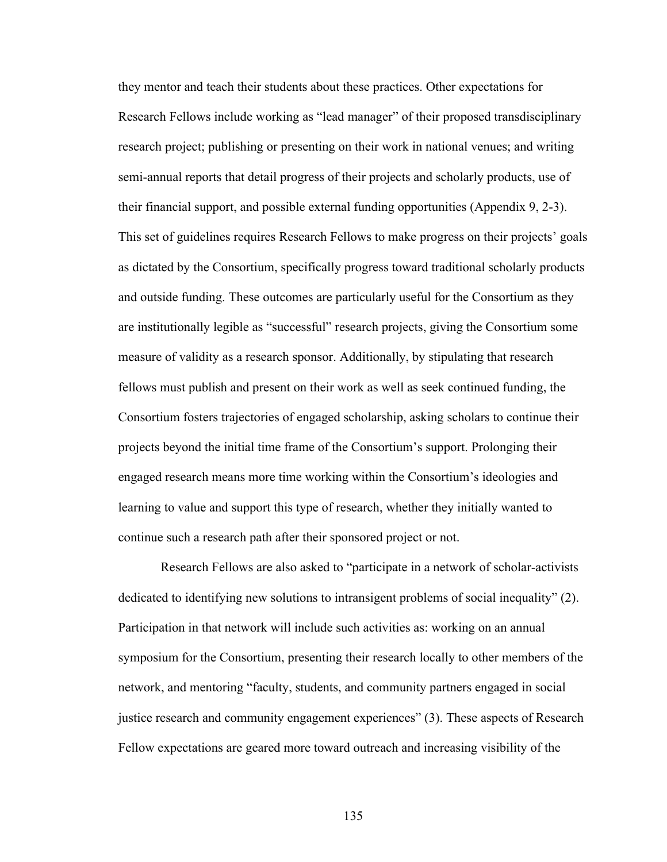they mentor and teach their students about these practices. Other expectations for Research Fellows include working as "lead manager" of their proposed transdisciplinary research project; publishing or presenting on their work in national venues; and writing semi-annual reports that detail progress of their projects and scholarly products, use of their financial support, and possible external funding opportunities (Appendix 9, 2-3). This set of guidelines requires Research Fellows to make progress on their projects' goals as dictated by the Consortium, specifically progress toward traditional scholarly products and outside funding. These outcomes are particularly useful for the Consortium as they are institutionally legible as "successful" research projects, giving the Consortium some measure of validity as a research sponsor. Additionally, by stipulating that research fellows must publish and present on their work as well as seek continued funding, the Consortium fosters trajectories of engaged scholarship, asking scholars to continue their projects beyond the initial time frame of the Consortium's support. Prolonging their engaged research means more time working within the Consortium's ideologies and learning to value and support this type of research, whether they initially wanted to continue such a research path after their sponsored project or not.

Research Fellows are also asked to "participate in a network of scholar-activists dedicated to identifying new solutions to intransigent problems of social inequality" (2). Participation in that network will include such activities as: working on an annual symposium for the Consortium, presenting their research locally to other members of the network, and mentoring "faculty, students, and community partners engaged in social justice research and community engagement experiences" (3). These aspects of Research Fellow expectations are geared more toward outreach and increasing visibility of the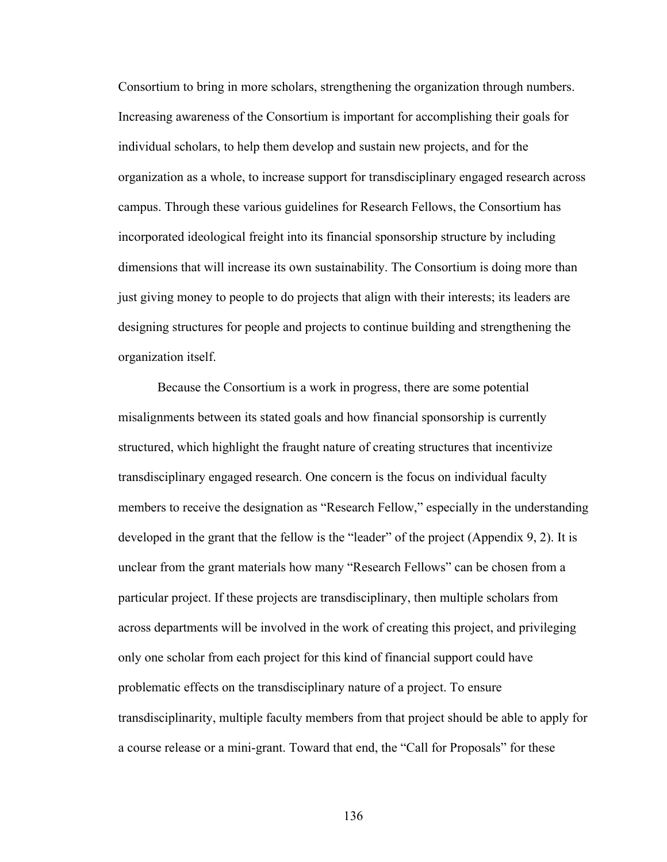Consortium to bring in more scholars, strengthening the organization through numbers. Increasing awareness of the Consortium is important for accomplishing their goals for individual scholars, to help them develop and sustain new projects, and for the organization as a whole, to increase support for transdisciplinary engaged research across campus. Through these various guidelines for Research Fellows, the Consortium has incorporated ideological freight into its financial sponsorship structure by including dimensions that will increase its own sustainability. The Consortium is doing more than just giving money to people to do projects that align with their interests; its leaders are designing structures for people and projects to continue building and strengthening the organization itself.

Because the Consortium is a work in progress, there are some potential misalignments between its stated goals and how financial sponsorship is currently structured, which highlight the fraught nature of creating structures that incentivize transdisciplinary engaged research. One concern is the focus on individual faculty members to receive the designation as "Research Fellow," especially in the understanding developed in the grant that the fellow is the "leader" of the project (Appendix 9, 2). It is unclear from the grant materials how many "Research Fellows" can be chosen from a particular project. If these projects are transdisciplinary, then multiple scholars from across departments will be involved in the work of creating this project, and privileging only one scholar from each project for this kind of financial support could have problematic effects on the transdisciplinary nature of a project. To ensure transdisciplinarity, multiple faculty members from that project should be able to apply for a course release or a mini-grant. Toward that end, the "Call for Proposals" for these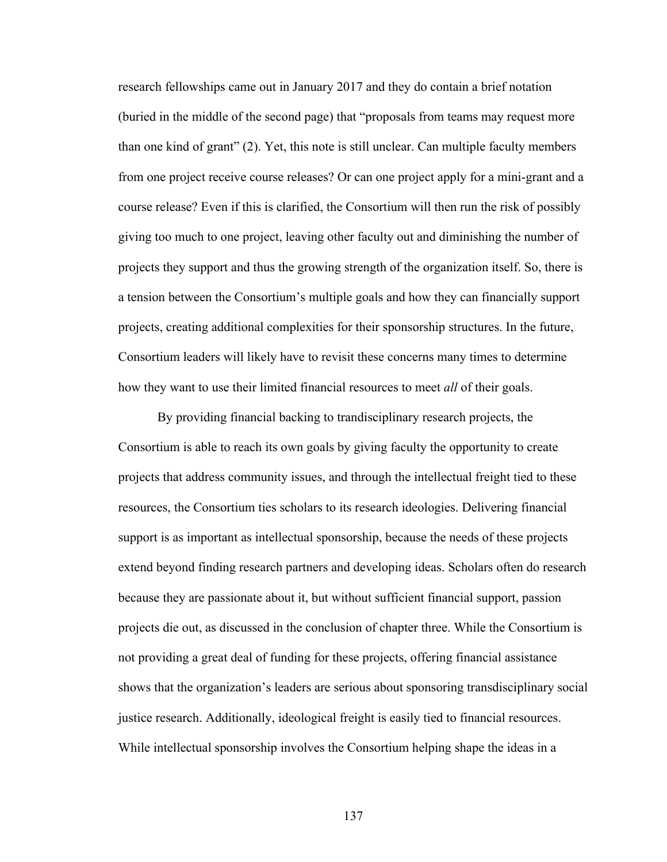research fellowships came out in January 2017 and they do contain a brief notation (buried in the middle of the second page) that "proposals from teams may request more than one kind of grant" (2). Yet, this note is still unclear. Can multiple faculty members from one project receive course releases? Or can one project apply for a mini-grant and a course release? Even if this is clarified, the Consortium will then run the risk of possibly giving too much to one project, leaving other faculty out and diminishing the number of projects they support and thus the growing strength of the organization itself. So, there is a tension between the Consortium's multiple goals and how they can financially support projects, creating additional complexities for their sponsorship structures. In the future, Consortium leaders will likely have to revisit these concerns many times to determine how they want to use their limited financial resources to meet *all* of their goals.

By providing financial backing to trandisciplinary research projects, the Consortium is able to reach its own goals by giving faculty the opportunity to create projects that address community issues, and through the intellectual freight tied to these resources, the Consortium ties scholars to its research ideologies. Delivering financial support is as important as intellectual sponsorship, because the needs of these projects extend beyond finding research partners and developing ideas. Scholars often do research because they are passionate about it, but without sufficient financial support, passion projects die out, as discussed in the conclusion of chapter three. While the Consortium is not providing a great deal of funding for these projects, offering financial assistance shows that the organization's leaders are serious about sponsoring transdisciplinary social justice research. Additionally, ideological freight is easily tied to financial resources. While intellectual sponsorship involves the Consortium helping shape the ideas in a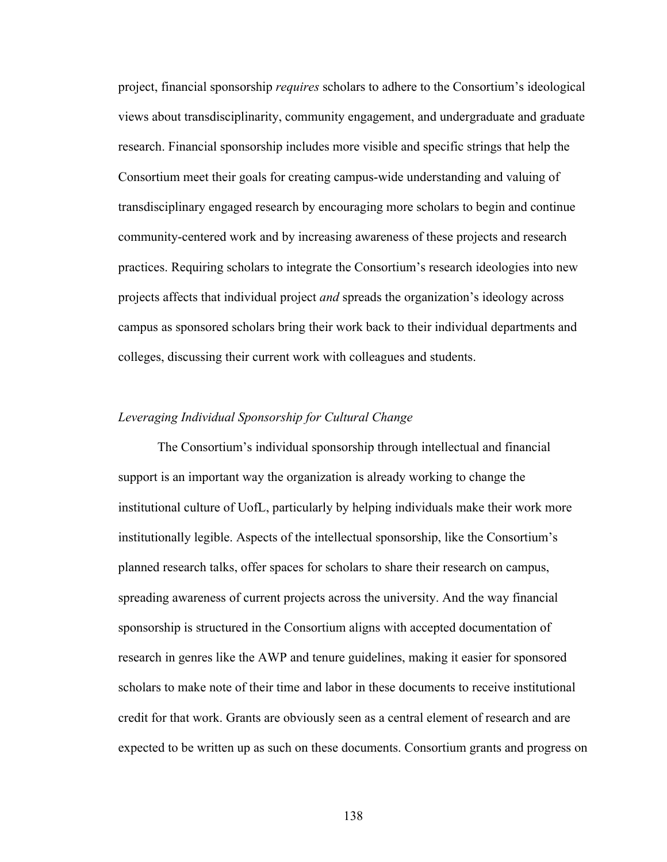project, financial sponsorship *requires* scholars to adhere to the Consortium's ideological views about transdisciplinarity, community engagement, and undergraduate and graduate research. Financial sponsorship includes more visible and specific strings that help the Consortium meet their goals for creating campus-wide understanding and valuing of transdisciplinary engaged research by encouraging more scholars to begin and continue community-centered work and by increasing awareness of these projects and research practices. Requiring scholars to integrate the Consortium's research ideologies into new projects affects that individual project *and* spreads the organization's ideology across campus as sponsored scholars bring their work back to their individual departments and colleges, discussing their current work with colleagues and students.

#### *Leveraging Individual Sponsorship for Cultural Change*

The Consortium's individual sponsorship through intellectual and financial support is an important way the organization is already working to change the institutional culture of UofL, particularly by helping individuals make their work more institutionally legible. Aspects of the intellectual sponsorship, like the Consortium's planned research talks, offer spaces for scholars to share their research on campus, spreading awareness of current projects across the university. And the way financial sponsorship is structured in the Consortium aligns with accepted documentation of research in genres like the AWP and tenure guidelines, making it easier for sponsored scholars to make note of their time and labor in these documents to receive institutional credit for that work. Grants are obviously seen as a central element of research and are expected to be written up as such on these documents. Consortium grants and progress on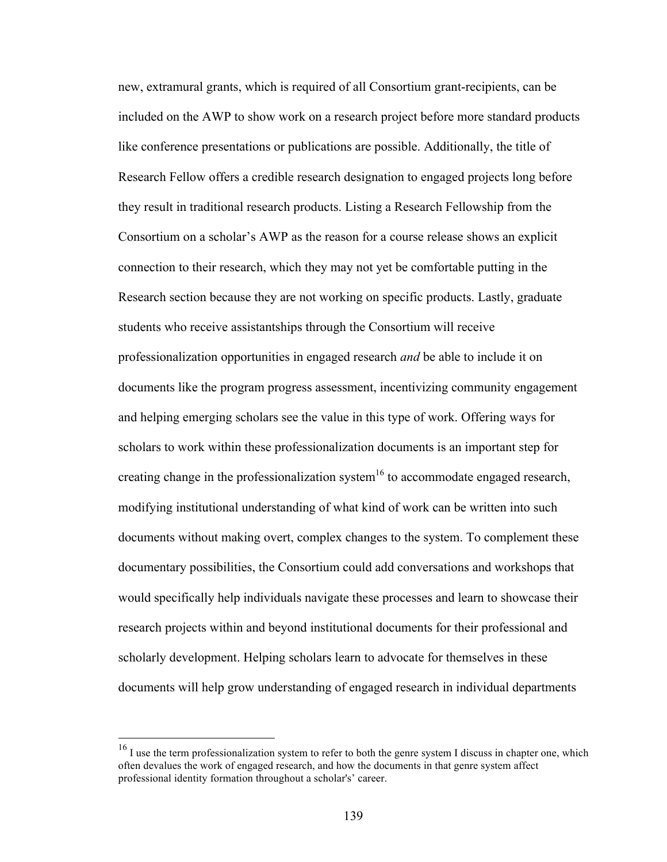new, extramural grants, which is required of all Consortium grant-recipients, can be included on the AWP to show work on a research project before more standard products like conference presentations or publications are possible. Additionally, the title of Research Fellow offers a credible research designation to engaged projects long before they result in traditional research products. Listing a Research Fellowship from the Consortium on a scholar's AWP as the reason for a course release shows an explicit connection to their research, which they may not yet be comfortable putting in the Research section because they are not working on specific products. Lastly, graduate students who receive assistantships through the Consortium will receive professionalization opportunities in engaged research *and* be able to include it on documents like the program progress assessment, incentivizing community engagement and helping emerging scholars see the value in this type of work. Offering ways for scholars to work within these professionalization documents is an important step for creating change in the professionalization system<sup>16</sup> to accommodate engaged research, modifying institutional understanding of what kind of work can be written into such documents without making overt, complex changes to the system. To complement these documentary possibilities, the Consortium could add conversations and workshops that would specifically help individuals navigate these processes and learn to showcase their research projects within and beyond institutional documents for their professional and scholarly development. Helping scholars learn to advocate for themselves in these documents will help grow understanding of engaged research in individual departments

<sup>&</sup>lt;sup>16</sup> I use the term professionalization system to refer to both the genre system I discuss in chapter one, which often devalues the work of engaged research, and how the documents in that genre system affect professional identity formation throughout a scholar's' career.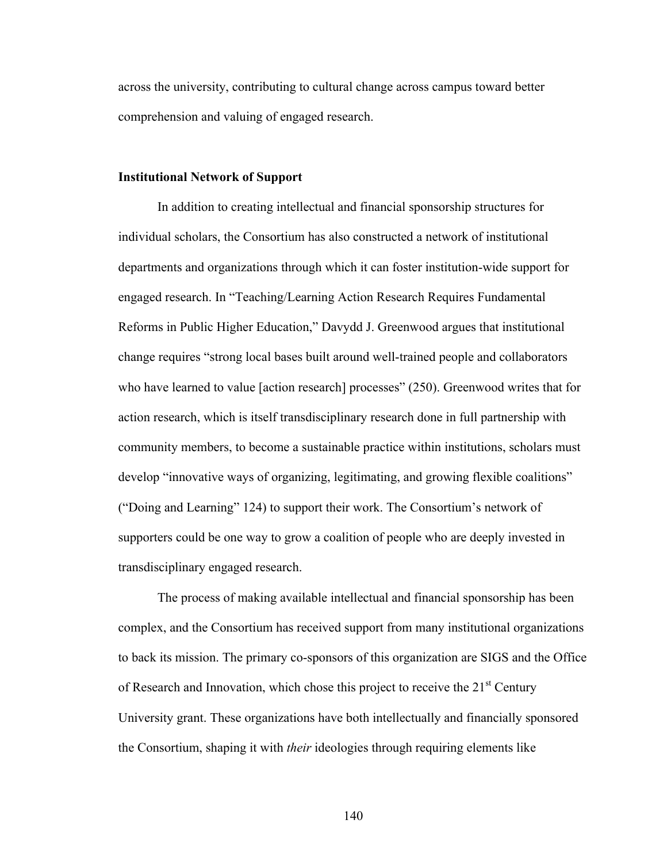across the university, contributing to cultural change across campus toward better comprehension and valuing of engaged research.

### **Institutional Network of Support**

In addition to creating intellectual and financial sponsorship structures for individual scholars, the Consortium has also constructed a network of institutional departments and organizations through which it can foster institution-wide support for engaged research. In "Teaching/Learning Action Research Requires Fundamental Reforms in Public Higher Education," Davydd J. Greenwood argues that institutional change requires "strong local bases built around well-trained people and collaborators who have learned to value [action research] processes" (250). Greenwood writes that for action research, which is itself transdisciplinary research done in full partnership with community members, to become a sustainable practice within institutions, scholars must develop "innovative ways of organizing, legitimating, and growing flexible coalitions" ("Doing and Learning" 124) to support their work. The Consortium's network of supporters could be one way to grow a coalition of people who are deeply invested in transdisciplinary engaged research.

The process of making available intellectual and financial sponsorship has been complex, and the Consortium has received support from many institutional organizations to back its mission. The primary co-sponsors of this organization are SIGS and the Office of Research and Innovation, which chose this project to receive the  $21<sup>st</sup>$  Century University grant. These organizations have both intellectually and financially sponsored the Consortium, shaping it with *their* ideologies through requiring elements like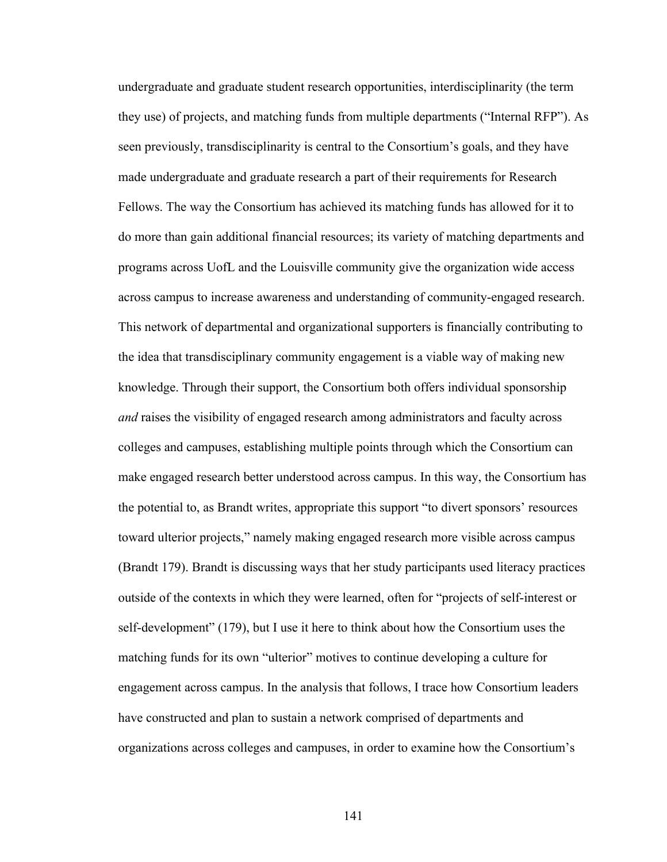undergraduate and graduate student research opportunities, interdisciplinarity (the term they use) of projects, and matching funds from multiple departments ("Internal RFP"). As seen previously, transdisciplinarity is central to the Consortium's goals, and they have made undergraduate and graduate research a part of their requirements for Research Fellows. The way the Consortium has achieved its matching funds has allowed for it to do more than gain additional financial resources; its variety of matching departments and programs across UofL and the Louisville community give the organization wide access across campus to increase awareness and understanding of community-engaged research. This network of departmental and organizational supporters is financially contributing to the idea that transdisciplinary community engagement is a viable way of making new knowledge. Through their support, the Consortium both offers individual sponsorship *and* raises the visibility of engaged research among administrators and faculty across colleges and campuses, establishing multiple points through which the Consortium can make engaged research better understood across campus. In this way, the Consortium has the potential to, as Brandt writes, appropriate this support "to divert sponsors' resources toward ulterior projects," namely making engaged research more visible across campus (Brandt 179). Brandt is discussing ways that her study participants used literacy practices outside of the contexts in which they were learned, often for "projects of self-interest or self-development" (179), but I use it here to think about how the Consortium uses the matching funds for its own "ulterior" motives to continue developing a culture for engagement across campus. In the analysis that follows, I trace how Consortium leaders have constructed and plan to sustain a network comprised of departments and organizations across colleges and campuses, in order to examine how the Consortium's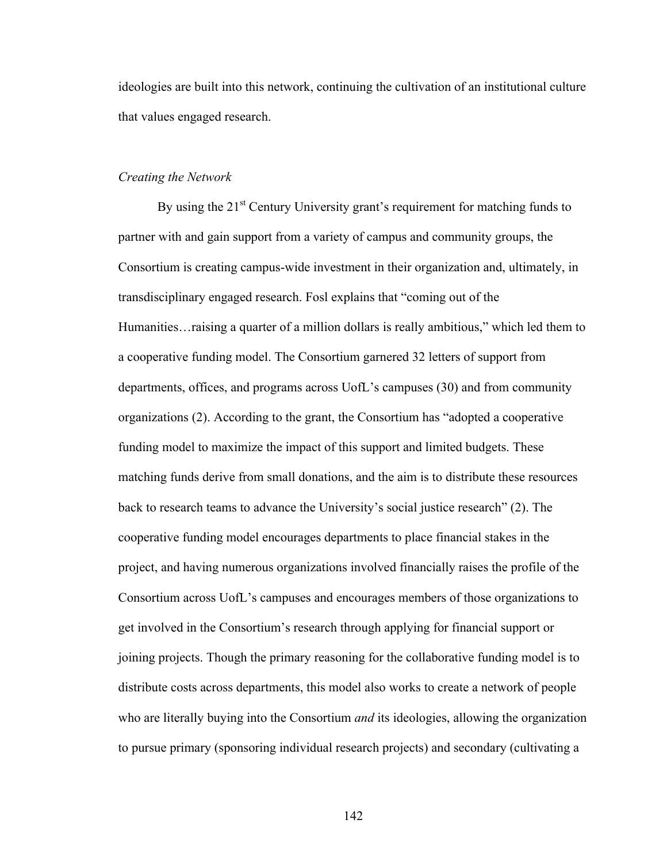ideologies are built into this network, continuing the cultivation of an institutional culture that values engaged research.

### *Creating the Network*

By using the  $21<sup>st</sup>$  Century University grant's requirement for matching funds to partner with and gain support from a variety of campus and community groups, the Consortium is creating campus-wide investment in their organization and, ultimately, in transdisciplinary engaged research. Fosl explains that "coming out of the Humanities…raising a quarter of a million dollars is really ambitious," which led them to a cooperative funding model. The Consortium garnered 32 letters of support from departments, offices, and programs across UofL's campuses (30) and from community organizations (2). According to the grant, the Consortium has "adopted a cooperative funding model to maximize the impact of this support and limited budgets. These matching funds derive from small donations, and the aim is to distribute these resources back to research teams to advance the University's social justice research" (2). The cooperative funding model encourages departments to place financial stakes in the project, and having numerous organizations involved financially raises the profile of the Consortium across UofL's campuses and encourages members of those organizations to get involved in the Consortium's research through applying for financial support or joining projects. Though the primary reasoning for the collaborative funding model is to distribute costs across departments, this model also works to create a network of people who are literally buying into the Consortium *and* its ideologies, allowing the organization to pursue primary (sponsoring individual research projects) and secondary (cultivating a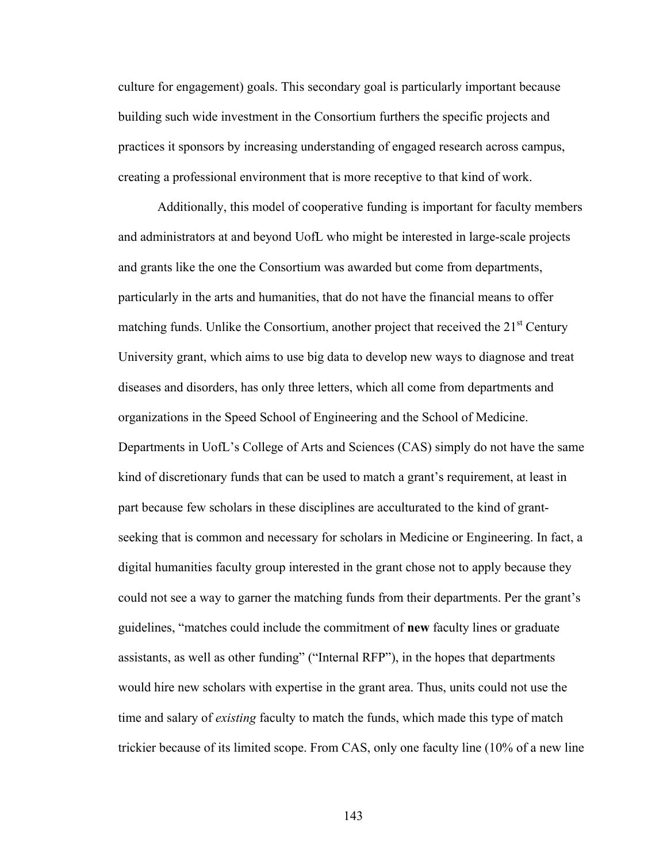culture for engagement) goals. This secondary goal is particularly important because building such wide investment in the Consortium furthers the specific projects and practices it sponsors by increasing understanding of engaged research across campus, creating a professional environment that is more receptive to that kind of work.

Additionally, this model of cooperative funding is important for faculty members and administrators at and beyond UofL who might be interested in large-scale projects and grants like the one the Consortium was awarded but come from departments, particularly in the arts and humanities, that do not have the financial means to offer matching funds. Unlike the Consortium, another project that received the  $21<sup>st</sup>$  Century University grant, which aims to use big data to develop new ways to diagnose and treat diseases and disorders, has only three letters, which all come from departments and organizations in the Speed School of Engineering and the School of Medicine. Departments in UofL's College of Arts and Sciences (CAS) simply do not have the same kind of discretionary funds that can be used to match a grant's requirement, at least in part because few scholars in these disciplines are acculturated to the kind of grantseeking that is common and necessary for scholars in Medicine or Engineering. In fact, a digital humanities faculty group interested in the grant chose not to apply because they could not see a way to garner the matching funds from their departments. Per the grant's guidelines, "matches could include the commitment of **new** faculty lines or graduate assistants, as well as other funding" ("Internal RFP"), in the hopes that departments would hire new scholars with expertise in the grant area. Thus, units could not use the time and salary of *existing* faculty to match the funds, which made this type of match trickier because of its limited scope. From CAS, only one faculty line (10% of a new line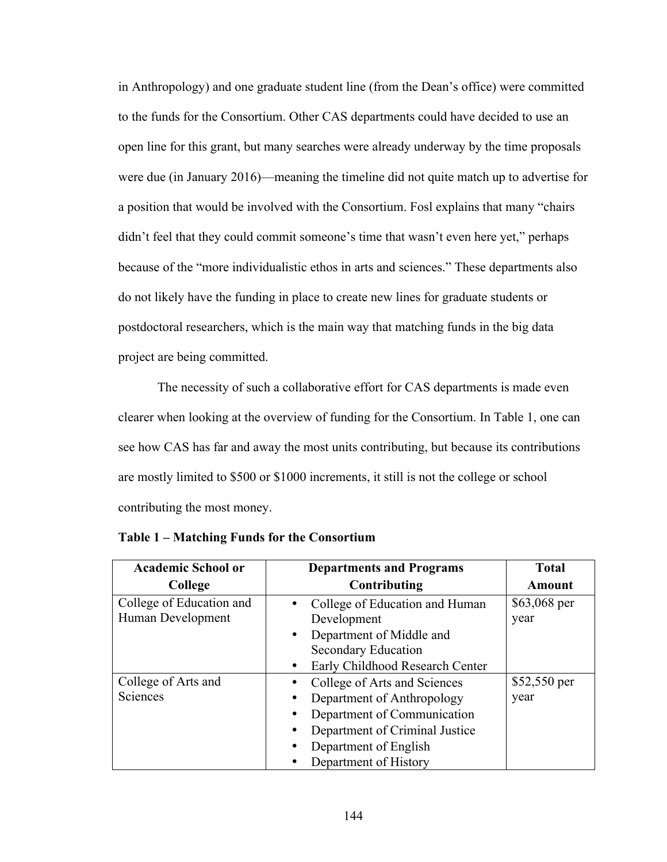in Anthropology) and one graduate student line (from the Dean's office) were committed to the funds for the Consortium. Other CAS departments could have decided to use an open line for this grant, but many searches were already underway by the time proposals were due (in January 2016)—meaning the timeline did not quite match up to advertise for a position that would be involved with the Consortium. Fosl explains that many "chairs didn't feel that they could commit someone's time that wasn't even here yet," perhaps because of the "more individualistic ethos in arts and sciences." These departments also do not likely have the funding in place to create new lines for graduate students or postdoctoral researchers, which is the main way that matching funds in the big data project are being committed.

The necessity of such a collaborative effort for CAS departments is made even clearer when looking at the overview of funding for the Consortium. In Table 1, one can see how CAS has far and away the most units contributing, but because its contributions are mostly limited to \$500 or \$1000 increments, it still is not the college or school contributing the most money.

| <b>Academic School or</b>                     | <b>Departments and Programs</b>                                                                                                                                                            | <b>Total</b>         |
|-----------------------------------------------|--------------------------------------------------------------------------------------------------------------------------------------------------------------------------------------------|----------------------|
| College                                       | Contributing                                                                                                                                                                               | <b>Amount</b>        |
| College of Education and<br>Human Development | College of Education and Human<br>Development<br>Department of Middle and<br>$\bullet$<br><b>Secondary Education</b><br>Early Childhood Research Center                                    | \$63,068 per<br>year |
| College of Arts and<br>Sciences               | College of Arts and Sciences<br>Department of Anthropology<br>Department of Communication<br>Department of Criminal Justice<br>Department of English<br>$\bullet$<br>Department of History | \$52,550 per<br>year |

**Table 1 – Matching Funds for the Consortium**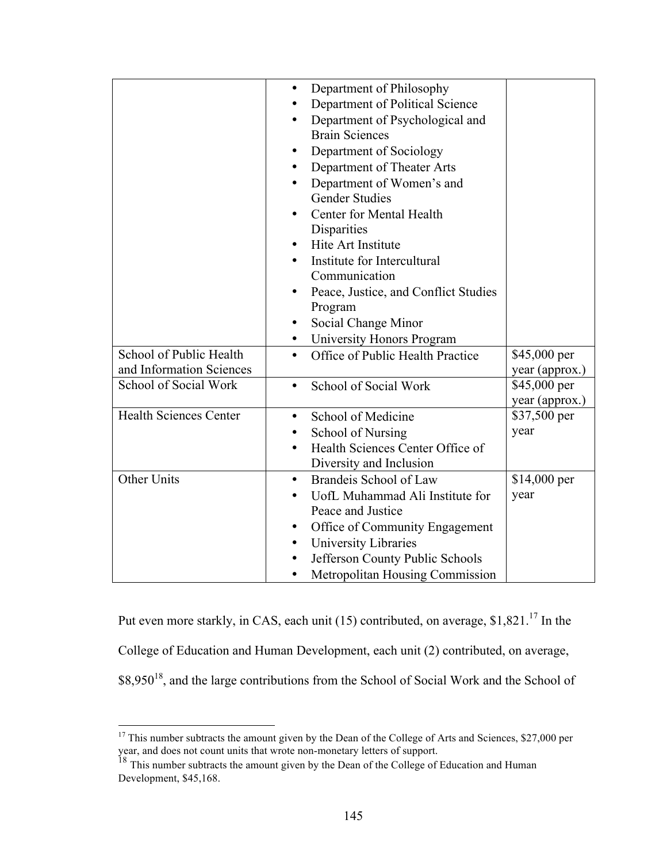|                               | Department of Philosophy<br>٠<br>Department of Political Science<br>٠<br>Department of Psychological and<br>$\bullet$<br><b>Brain Sciences</b><br>Department of Sociology<br>٠<br>Department of Theater Arts<br>٠<br>Department of Women's and<br><b>Gender Studies</b><br>Center for Mental Health<br>٠<br>Disparities<br>Hite Art Institute<br>$\bullet$<br>Institute for Intercultural<br>Communication<br>Peace, Justice, and Conflict Studies<br>Program<br>Social Change Minor<br>٠ |                                |
|-------------------------------|-------------------------------------------------------------------------------------------------------------------------------------------------------------------------------------------------------------------------------------------------------------------------------------------------------------------------------------------------------------------------------------------------------------------------------------------------------------------------------------------|--------------------------------|
| School of Public Health       | University Honors Program<br>$\bullet$<br>Office of Public Health Practice<br>$\bullet$                                                                                                                                                                                                                                                                                                                                                                                                   | \$45,000 per                   |
| and Information Sciences      |                                                                                                                                                                                                                                                                                                                                                                                                                                                                                           | year (approx.)                 |
| School of Social Work         | School of Social Work<br>$\bullet$                                                                                                                                                                                                                                                                                                                                                                                                                                                        | \$45,000 per<br>year (approx.) |
| <b>Health Sciences Center</b> | School of Medicine<br>$\bullet$                                                                                                                                                                                                                                                                                                                                                                                                                                                           | \$37,500 per                   |
|                               | School of Nursing<br>٠                                                                                                                                                                                                                                                                                                                                                                                                                                                                    | year                           |
|                               | Health Sciences Center Office of                                                                                                                                                                                                                                                                                                                                                                                                                                                          |                                |
| Other Units                   | Diversity and Inclusion<br>Brandeis School of Law<br>$\bullet$                                                                                                                                                                                                                                                                                                                                                                                                                            | $$14,000$ per                  |
|                               | UofL Muhammad Ali Institute for<br>$\bullet$                                                                                                                                                                                                                                                                                                                                                                                                                                              | year                           |
|                               | Peace and Justice                                                                                                                                                                                                                                                                                                                                                                                                                                                                         |                                |
|                               | Office of Community Engagement<br>$\bullet$                                                                                                                                                                                                                                                                                                                                                                                                                                               |                                |
|                               | University Libraries<br>$\bullet$                                                                                                                                                                                                                                                                                                                                                                                                                                                         |                                |
|                               | Jefferson County Public Schools<br>٠                                                                                                                                                                                                                                                                                                                                                                                                                                                      |                                |
|                               | Metropolitan Housing Commission<br>٠                                                                                                                                                                                                                                                                                                                                                                                                                                                      |                                |

Put even more starkly, in CAS, each unit (15) contributed, on average,  $$1,821$ .<sup>17</sup> In the College of Education and Human Development, each unit (2) contributed, on average, \$8,950<sup>18</sup>, and the large contributions from the School of Social Work and the School of

<sup>&</sup>lt;sup>17</sup> This number subtracts the amount given by the Dean of the College of Arts and Sciences, \$27,000 per

year, and does not count units that wrote non-monetary letters of support.<br><sup>18</sup> This number subtracts the amount given by the Dean of the College of Education and Human Development, \$45,168.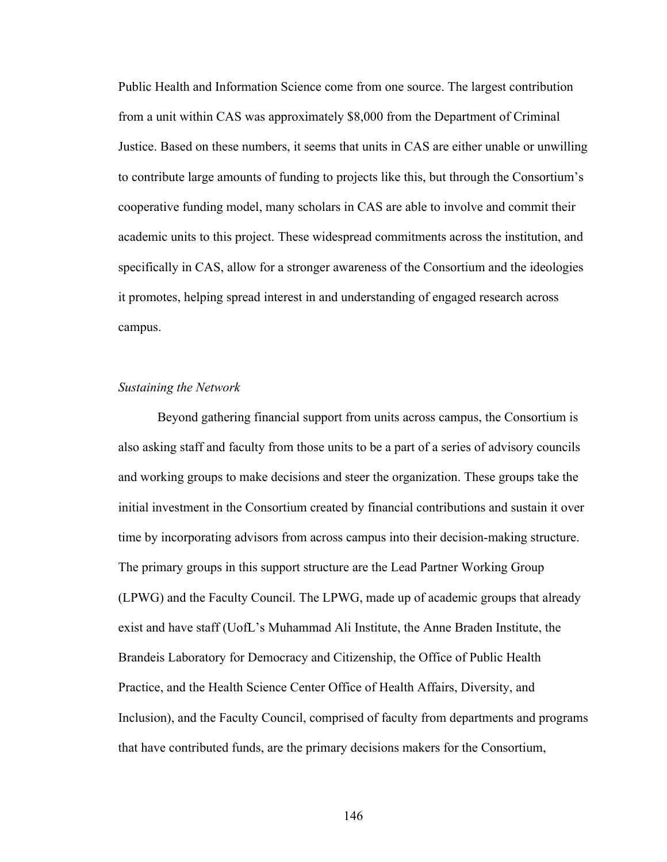Public Health and Information Science come from one source. The largest contribution from a unit within CAS was approximately \$8,000 from the Department of Criminal Justice. Based on these numbers, it seems that units in CAS are either unable or unwilling to contribute large amounts of funding to projects like this, but through the Consortium's cooperative funding model, many scholars in CAS are able to involve and commit their academic units to this project. These widespread commitments across the institution, and specifically in CAS, allow for a stronger awareness of the Consortium and the ideologies it promotes, helping spread interest in and understanding of engaged research across campus.

## *Sustaining the Network*

Beyond gathering financial support from units across campus, the Consortium is also asking staff and faculty from those units to be a part of a series of advisory councils and working groups to make decisions and steer the organization. These groups take the initial investment in the Consortium created by financial contributions and sustain it over time by incorporating advisors from across campus into their decision-making structure. The primary groups in this support structure are the Lead Partner Working Group (LPWG) and the Faculty Council. The LPWG, made up of academic groups that already exist and have staff (UofL's Muhammad Ali Institute, the Anne Braden Institute, the Brandeis Laboratory for Democracy and Citizenship, the Office of Public Health Practice, and the Health Science Center Office of Health Affairs, Diversity, and Inclusion), and the Faculty Council, comprised of faculty from departments and programs that have contributed funds, are the primary decisions makers for the Consortium,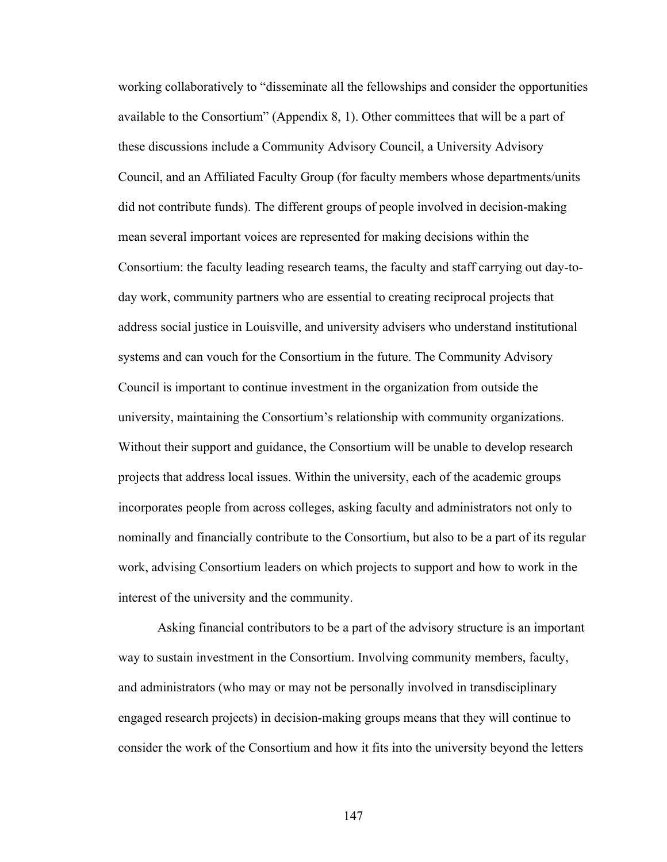working collaboratively to "disseminate all the fellowships and consider the opportunities available to the Consortium" (Appendix 8, 1). Other committees that will be a part of these discussions include a Community Advisory Council, a University Advisory Council, and an Affiliated Faculty Group (for faculty members whose departments/units did not contribute funds). The different groups of people involved in decision-making mean several important voices are represented for making decisions within the Consortium: the faculty leading research teams, the faculty and staff carrying out day-today work, community partners who are essential to creating reciprocal projects that address social justice in Louisville, and university advisers who understand institutional systems and can vouch for the Consortium in the future. The Community Advisory Council is important to continue investment in the organization from outside the university, maintaining the Consortium's relationship with community organizations. Without their support and guidance, the Consortium will be unable to develop research projects that address local issues. Within the university, each of the academic groups incorporates people from across colleges, asking faculty and administrators not only to nominally and financially contribute to the Consortium, but also to be a part of its regular work, advising Consortium leaders on which projects to support and how to work in the interest of the university and the community.

Asking financial contributors to be a part of the advisory structure is an important way to sustain investment in the Consortium. Involving community members, faculty, and administrators (who may or may not be personally involved in transdisciplinary engaged research projects) in decision-making groups means that they will continue to consider the work of the Consortium and how it fits into the university beyond the letters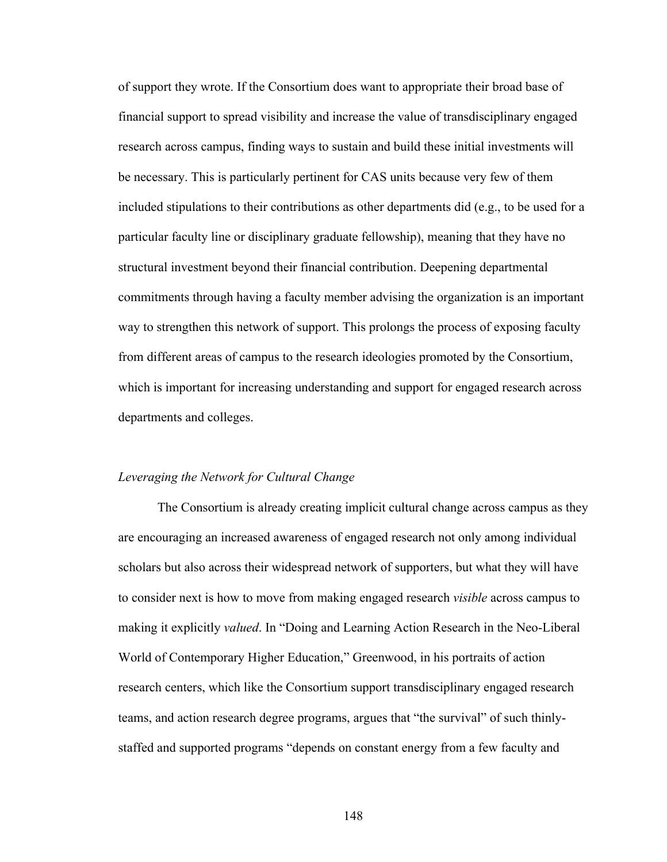of support they wrote. If the Consortium does want to appropriate their broad base of financial support to spread visibility and increase the value of transdisciplinary engaged research across campus, finding ways to sustain and build these initial investments will be necessary. This is particularly pertinent for CAS units because very few of them included stipulations to their contributions as other departments did (e.g., to be used for a particular faculty line or disciplinary graduate fellowship), meaning that they have no structural investment beyond their financial contribution. Deepening departmental commitments through having a faculty member advising the organization is an important way to strengthen this network of support. This prolongs the process of exposing faculty from different areas of campus to the research ideologies promoted by the Consortium, which is important for increasing understanding and support for engaged research across departments and colleges.

#### *Leveraging the Network for Cultural Change*

The Consortium is already creating implicit cultural change across campus as they are encouraging an increased awareness of engaged research not only among individual scholars but also across their widespread network of supporters, but what they will have to consider next is how to move from making engaged research *visible* across campus to making it explicitly *valued*. In "Doing and Learning Action Research in the Neo-Liberal World of Contemporary Higher Education," Greenwood, in his portraits of action research centers, which like the Consortium support transdisciplinary engaged research teams, and action research degree programs, argues that "the survival" of such thinlystaffed and supported programs "depends on constant energy from a few faculty and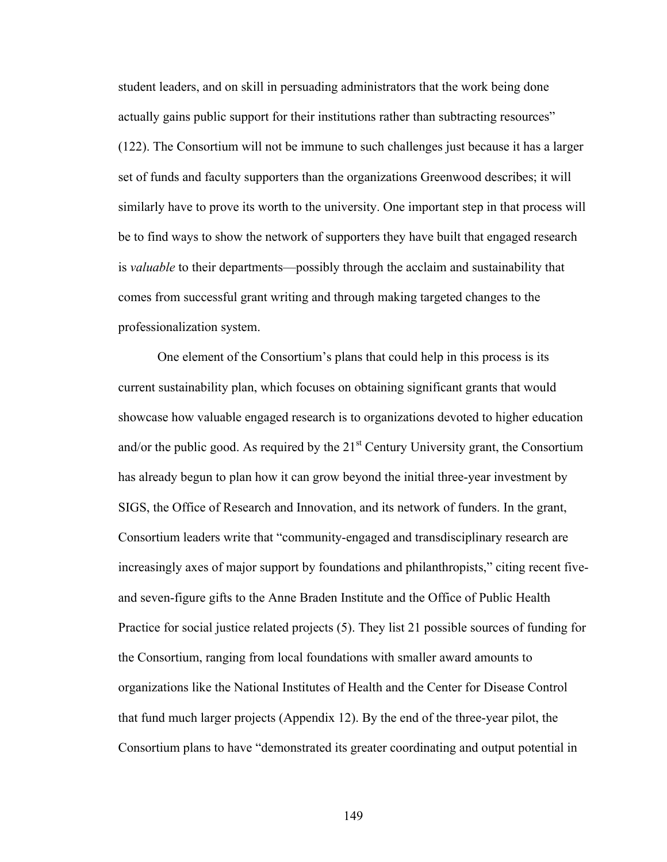student leaders, and on skill in persuading administrators that the work being done actually gains public support for their institutions rather than subtracting resources" (122). The Consortium will not be immune to such challenges just because it has a larger set of funds and faculty supporters than the organizations Greenwood describes; it will similarly have to prove its worth to the university. One important step in that process will be to find ways to show the network of supporters they have built that engaged research is *valuable* to their departments—possibly through the acclaim and sustainability that comes from successful grant writing and through making targeted changes to the professionalization system.

One element of the Consortium's plans that could help in this process is its current sustainability plan, which focuses on obtaining significant grants that would showcase how valuable engaged research is to organizations devoted to higher education and/or the public good. As required by the  $21<sup>st</sup>$  Century University grant, the Consortium has already begun to plan how it can grow beyond the initial three-year investment by SIGS, the Office of Research and Innovation, and its network of funders. In the grant, Consortium leaders write that "community-engaged and transdisciplinary research are increasingly axes of major support by foundations and philanthropists," citing recent fiveand seven-figure gifts to the Anne Braden Institute and the Office of Public Health Practice for social justice related projects (5). They list 21 possible sources of funding for the Consortium, ranging from local foundations with smaller award amounts to organizations like the National Institutes of Health and the Center for Disease Control that fund much larger projects (Appendix 12). By the end of the three-year pilot, the Consortium plans to have "demonstrated its greater coordinating and output potential in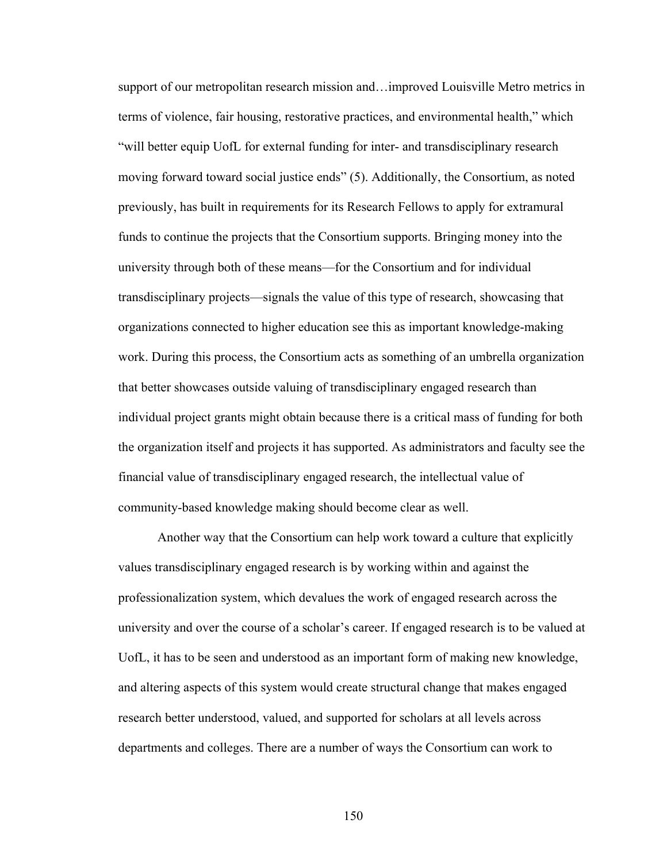support of our metropolitan research mission and…improved Louisville Metro metrics in terms of violence, fair housing, restorative practices, and environmental health," which "will better equip UofL for external funding for inter- and transdisciplinary research moving forward toward social justice ends" (5). Additionally, the Consortium, as noted previously, has built in requirements for its Research Fellows to apply for extramural funds to continue the projects that the Consortium supports. Bringing money into the university through both of these means—for the Consortium and for individual transdisciplinary projects—signals the value of this type of research, showcasing that organizations connected to higher education see this as important knowledge-making work. During this process, the Consortium acts as something of an umbrella organization that better showcases outside valuing of transdisciplinary engaged research than individual project grants might obtain because there is a critical mass of funding for both the organization itself and projects it has supported. As administrators and faculty see the financial value of transdisciplinary engaged research, the intellectual value of community-based knowledge making should become clear as well.

Another way that the Consortium can help work toward a culture that explicitly values transdisciplinary engaged research is by working within and against the professionalization system, which devalues the work of engaged research across the university and over the course of a scholar's career. If engaged research is to be valued at UofL, it has to be seen and understood as an important form of making new knowledge, and altering aspects of this system would create structural change that makes engaged research better understood, valued, and supported for scholars at all levels across departments and colleges. There are a number of ways the Consortium can work to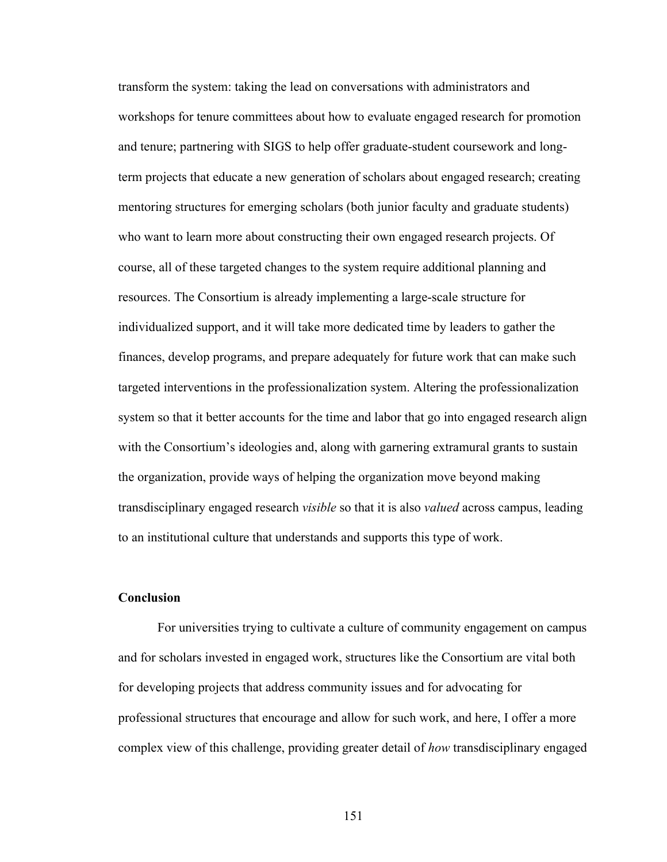transform the system: taking the lead on conversations with administrators and workshops for tenure committees about how to evaluate engaged research for promotion and tenure; partnering with SIGS to help offer graduate-student coursework and longterm projects that educate a new generation of scholars about engaged research; creating mentoring structures for emerging scholars (both junior faculty and graduate students) who want to learn more about constructing their own engaged research projects. Of course, all of these targeted changes to the system require additional planning and resources. The Consortium is already implementing a large-scale structure for individualized support, and it will take more dedicated time by leaders to gather the finances, develop programs, and prepare adequately for future work that can make such targeted interventions in the professionalization system. Altering the professionalization system so that it better accounts for the time and labor that go into engaged research align with the Consortium's ideologies and, along with garnering extramural grants to sustain the organization, provide ways of helping the organization move beyond making transdisciplinary engaged research *visible* so that it is also *valued* across campus, leading to an institutional culture that understands and supports this type of work.

# **Conclusion**

For universities trying to cultivate a culture of community engagement on campus and for scholars invested in engaged work, structures like the Consortium are vital both for developing projects that address community issues and for advocating for professional structures that encourage and allow for such work, and here, I offer a more complex view of this challenge, providing greater detail of *how* transdisciplinary engaged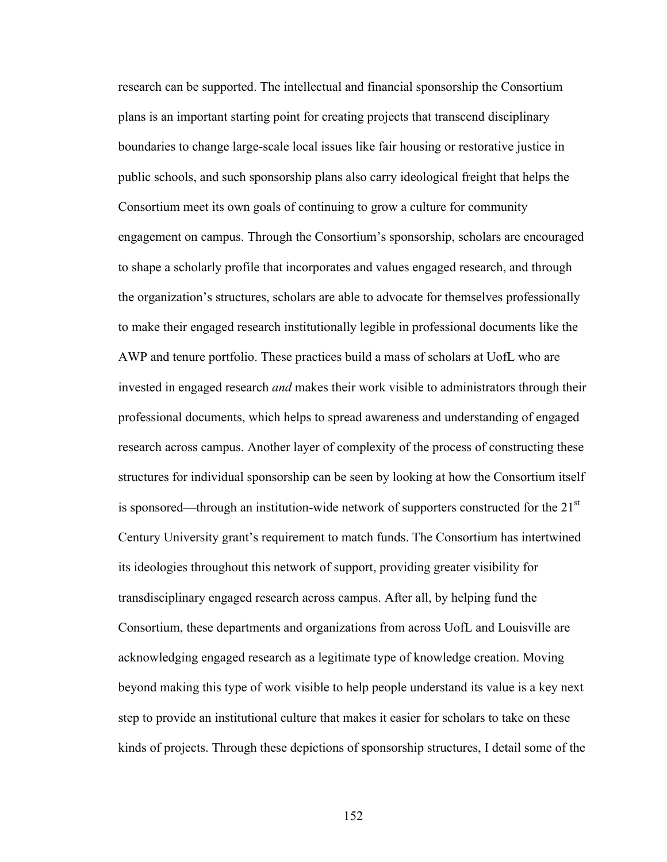research can be supported. The intellectual and financial sponsorship the Consortium plans is an important starting point for creating projects that transcend disciplinary boundaries to change large-scale local issues like fair housing or restorative justice in public schools, and such sponsorship plans also carry ideological freight that helps the Consortium meet its own goals of continuing to grow a culture for community engagement on campus. Through the Consortium's sponsorship, scholars are encouraged to shape a scholarly profile that incorporates and values engaged research, and through the organization's structures, scholars are able to advocate for themselves professionally to make their engaged research institutionally legible in professional documents like the AWP and tenure portfolio. These practices build a mass of scholars at UofL who are invested in engaged research *and* makes their work visible to administrators through their professional documents, which helps to spread awareness and understanding of engaged research across campus. Another layer of complexity of the process of constructing these structures for individual sponsorship can be seen by looking at how the Consortium itself is sponsored—through an institution-wide network of supporters constructed for the 21<sup>st</sup> Century University grant's requirement to match funds. The Consortium has intertwined its ideologies throughout this network of support, providing greater visibility for transdisciplinary engaged research across campus. After all, by helping fund the Consortium, these departments and organizations from across UofL and Louisville are acknowledging engaged research as a legitimate type of knowledge creation. Moving beyond making this type of work visible to help people understand its value is a key next step to provide an institutional culture that makes it easier for scholars to take on these kinds of projects. Through these depictions of sponsorship structures, I detail some of the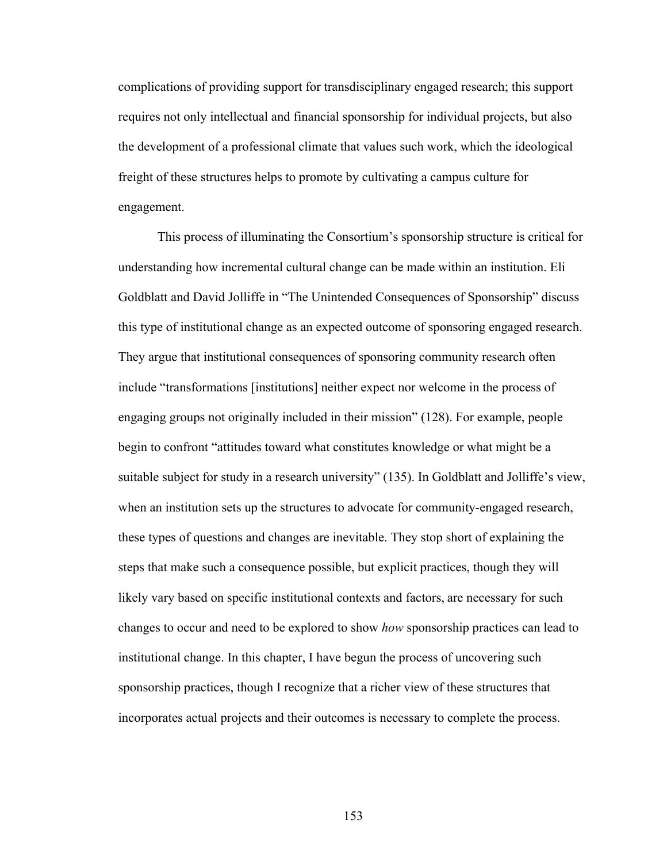complications of providing support for transdisciplinary engaged research; this support requires not only intellectual and financial sponsorship for individual projects, but also the development of a professional climate that values such work, which the ideological freight of these structures helps to promote by cultivating a campus culture for engagement.

This process of illuminating the Consortium's sponsorship structure is critical for understanding how incremental cultural change can be made within an institution. Eli Goldblatt and David Jolliffe in "The Unintended Consequences of Sponsorship" discuss this type of institutional change as an expected outcome of sponsoring engaged research. They argue that institutional consequences of sponsoring community research often include "transformations [institutions] neither expect nor welcome in the process of engaging groups not originally included in their mission" (128). For example, people begin to confront "attitudes toward what constitutes knowledge or what might be a suitable subject for study in a research university" (135). In Goldblatt and Jolliffe's view, when an institution sets up the structures to advocate for community-engaged research, these types of questions and changes are inevitable. They stop short of explaining the steps that make such a consequence possible, but explicit practices, though they will likely vary based on specific institutional contexts and factors, are necessary for such changes to occur and need to be explored to show *how* sponsorship practices can lead to institutional change. In this chapter, I have begun the process of uncovering such sponsorship practices, though I recognize that a richer view of these structures that incorporates actual projects and their outcomes is necessary to complete the process.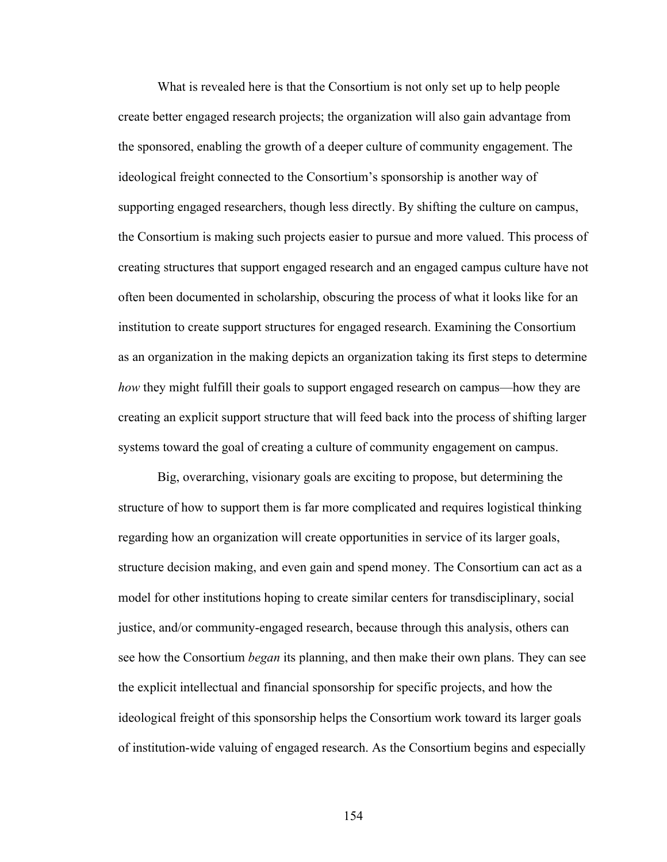What is revealed here is that the Consortium is not only set up to help people create better engaged research projects; the organization will also gain advantage from the sponsored, enabling the growth of a deeper culture of community engagement. The ideological freight connected to the Consortium's sponsorship is another way of supporting engaged researchers, though less directly. By shifting the culture on campus, the Consortium is making such projects easier to pursue and more valued. This process of creating structures that support engaged research and an engaged campus culture have not often been documented in scholarship, obscuring the process of what it looks like for an institution to create support structures for engaged research. Examining the Consortium as an organization in the making depicts an organization taking its first steps to determine *how* they might fulfill their goals to support engaged research on campus—how they are creating an explicit support structure that will feed back into the process of shifting larger systems toward the goal of creating a culture of community engagement on campus.

Big, overarching, visionary goals are exciting to propose, but determining the structure of how to support them is far more complicated and requires logistical thinking regarding how an organization will create opportunities in service of its larger goals, structure decision making, and even gain and spend money. The Consortium can act as a model for other institutions hoping to create similar centers for transdisciplinary, social justice, and/or community-engaged research, because through this analysis, others can see how the Consortium *began* its planning, and then make their own plans. They can see the explicit intellectual and financial sponsorship for specific projects, and how the ideological freight of this sponsorship helps the Consortium work toward its larger goals of institution-wide valuing of engaged research. As the Consortium begins and especially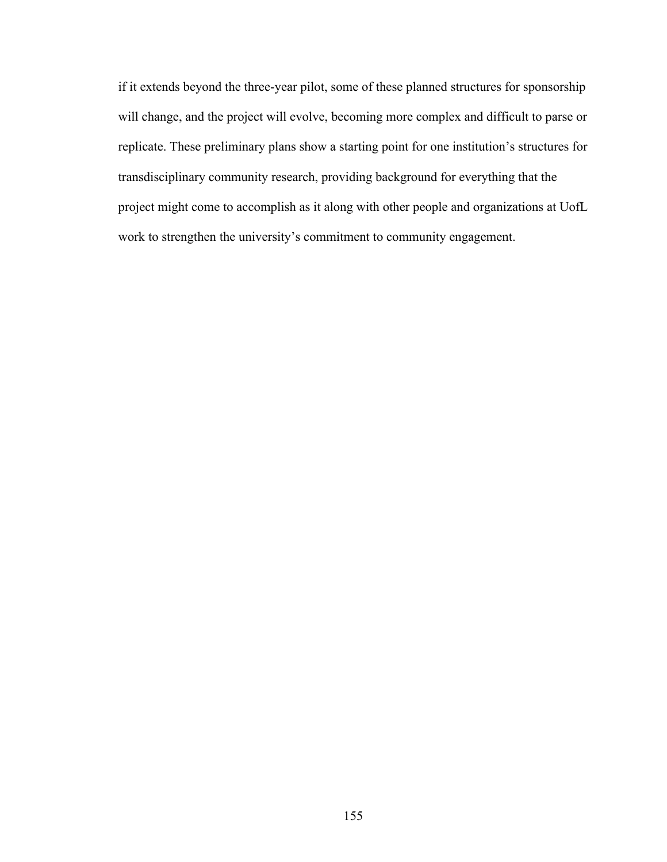if it extends beyond the three-year pilot, some of these planned structures for sponsorship will change, and the project will evolve, becoming more complex and difficult to parse or replicate. These preliminary plans show a starting point for one institution's structures for transdisciplinary community research, providing background for everything that the project might come to accomplish as it along with other people and organizations at UofL work to strengthen the university's commitment to community engagement.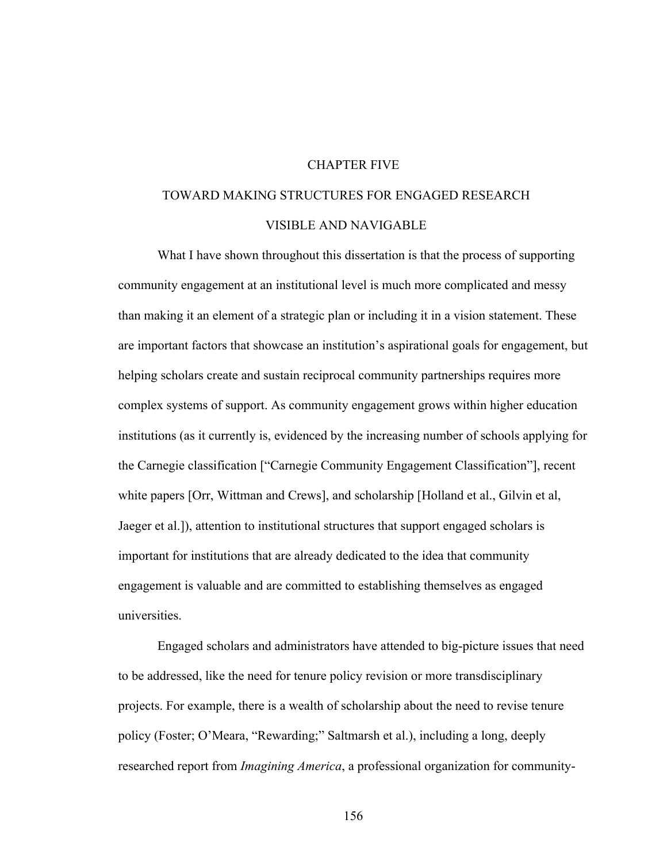# CHAPTER FIVE

# TOWARD MAKING STRUCTURES FOR ENGAGED RESEARCH VISIBLE AND NAVIGABLE

What I have shown throughout this dissertation is that the process of supporting community engagement at an institutional level is much more complicated and messy than making it an element of a strategic plan or including it in a vision statement. These are important factors that showcase an institution's aspirational goals for engagement, but helping scholars create and sustain reciprocal community partnerships requires more complex systems of support. As community engagement grows within higher education institutions (as it currently is, evidenced by the increasing number of schools applying for the Carnegie classification ["Carnegie Community Engagement Classification"], recent white papers [Orr, Wittman and Crews], and scholarship [Holland et al., Gilvin et al, Jaeger et al.]), attention to institutional structures that support engaged scholars is important for institutions that are already dedicated to the idea that community engagement is valuable and are committed to establishing themselves as engaged universities.

Engaged scholars and administrators have attended to big-picture issues that need to be addressed, like the need for tenure policy revision or more transdisciplinary projects. For example, there is a wealth of scholarship about the need to revise tenure policy (Foster; O'Meara, "Rewarding;" Saltmarsh et al.), including a long, deeply researched report from *Imagining America*, a professional organization for community-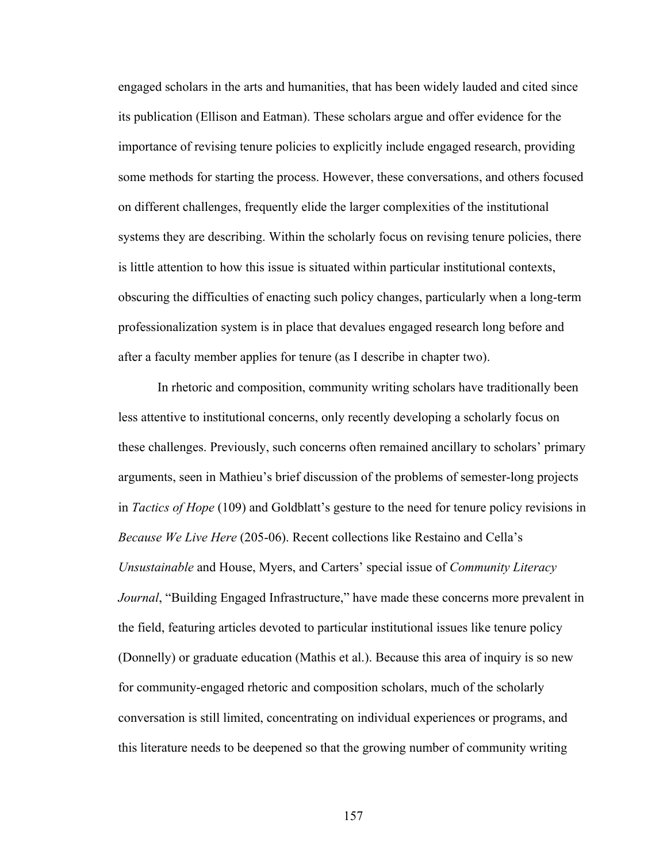engaged scholars in the arts and humanities, that has been widely lauded and cited since its publication (Ellison and Eatman). These scholars argue and offer evidence for the importance of revising tenure policies to explicitly include engaged research, providing some methods for starting the process. However, these conversations, and others focused on different challenges, frequently elide the larger complexities of the institutional systems they are describing. Within the scholarly focus on revising tenure policies, there is little attention to how this issue is situated within particular institutional contexts, obscuring the difficulties of enacting such policy changes, particularly when a long-term professionalization system is in place that devalues engaged research long before and after a faculty member applies for tenure (as I describe in chapter two).

In rhetoric and composition, community writing scholars have traditionally been less attentive to institutional concerns, only recently developing a scholarly focus on these challenges. Previously, such concerns often remained ancillary to scholars' primary arguments, seen in Mathieu's brief discussion of the problems of semester-long projects in *Tactics of Hope* (109) and Goldblatt's gesture to the need for tenure policy revisions in *Because We Live Here* (205-06). Recent collections like Restaino and Cella's *Unsustainable* and House, Myers, and Carters' special issue of *Community Literacy Journal*, "Building Engaged Infrastructure," have made these concerns more prevalent in the field, featuring articles devoted to particular institutional issues like tenure policy (Donnelly) or graduate education (Mathis et al.). Because this area of inquiry is so new for community-engaged rhetoric and composition scholars, much of the scholarly conversation is still limited, concentrating on individual experiences or programs, and this literature needs to be deepened so that the growing number of community writing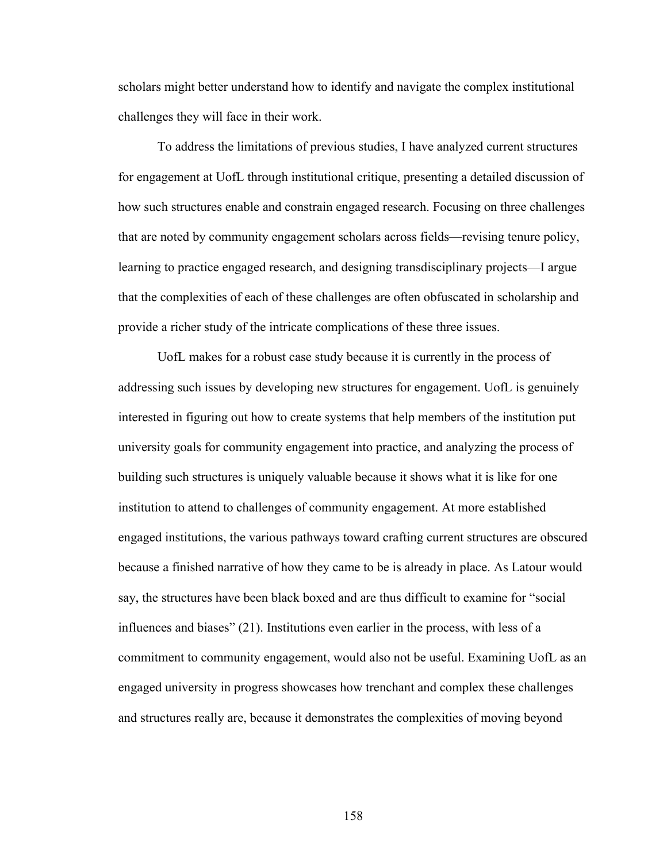scholars might better understand how to identify and navigate the complex institutional challenges they will face in their work.

To address the limitations of previous studies, I have analyzed current structures for engagement at UofL through institutional critique, presenting a detailed discussion of how such structures enable and constrain engaged research. Focusing on three challenges that are noted by community engagement scholars across fields—revising tenure policy, learning to practice engaged research, and designing transdisciplinary projects—I argue that the complexities of each of these challenges are often obfuscated in scholarship and provide a richer study of the intricate complications of these three issues.

UofL makes for a robust case study because it is currently in the process of addressing such issues by developing new structures for engagement. UofL is genuinely interested in figuring out how to create systems that help members of the institution put university goals for community engagement into practice, and analyzing the process of building such structures is uniquely valuable because it shows what it is like for one institution to attend to challenges of community engagement. At more established engaged institutions, the various pathways toward crafting current structures are obscured because a finished narrative of how they came to be is already in place. As Latour would say, the structures have been black boxed and are thus difficult to examine for "social influences and biases" (21). Institutions even earlier in the process, with less of a commitment to community engagement, would also not be useful. Examining UofL as an engaged university in progress showcases how trenchant and complex these challenges and structures really are, because it demonstrates the complexities of moving beyond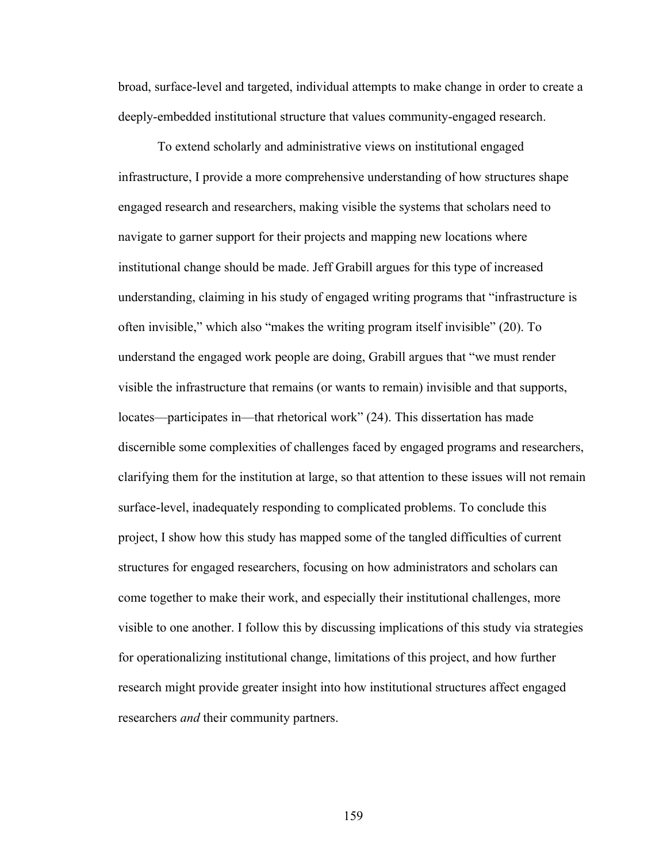broad, surface-level and targeted, individual attempts to make change in order to create a deeply-embedded institutional structure that values community-engaged research.

To extend scholarly and administrative views on institutional engaged infrastructure, I provide a more comprehensive understanding of how structures shape engaged research and researchers, making visible the systems that scholars need to navigate to garner support for their projects and mapping new locations where institutional change should be made. Jeff Grabill argues for this type of increased understanding, claiming in his study of engaged writing programs that "infrastructure is often invisible," which also "makes the writing program itself invisible" (20). To understand the engaged work people are doing, Grabill argues that "we must render visible the infrastructure that remains (or wants to remain) invisible and that supports, locates—participates in—that rhetorical work" (24). This dissertation has made discernible some complexities of challenges faced by engaged programs and researchers, clarifying them for the institution at large, so that attention to these issues will not remain surface-level, inadequately responding to complicated problems. To conclude this project, I show how this study has mapped some of the tangled difficulties of current structures for engaged researchers, focusing on how administrators and scholars can come together to make their work, and especially their institutional challenges, more visible to one another. I follow this by discussing implications of this study via strategies for operationalizing institutional change, limitations of this project, and how further research might provide greater insight into how institutional structures affect engaged researchers *and* their community partners.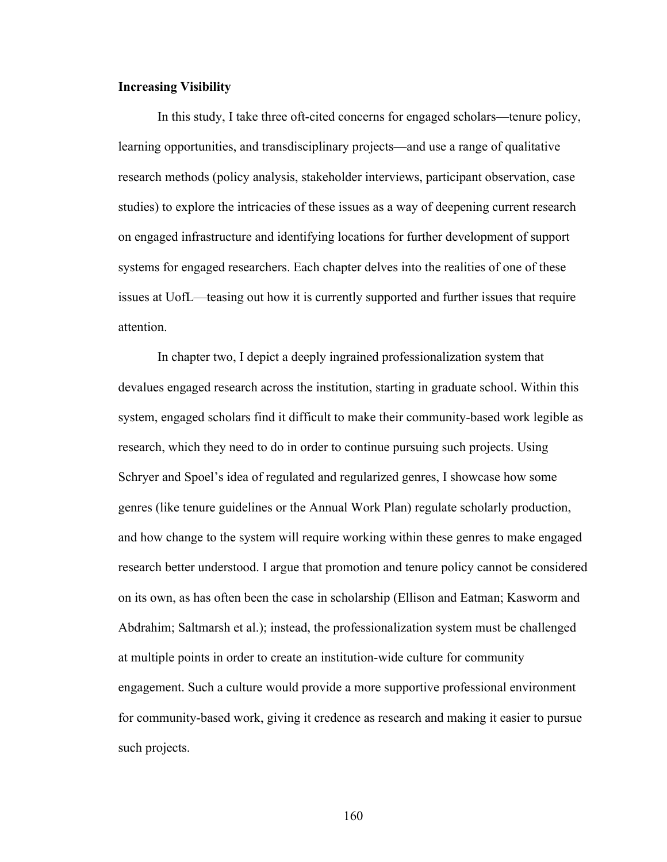# **Increasing Visibility**

In this study, I take three oft-cited concerns for engaged scholars—tenure policy, learning opportunities, and transdisciplinary projects—and use a range of qualitative research methods (policy analysis, stakeholder interviews, participant observation, case studies) to explore the intricacies of these issues as a way of deepening current research on engaged infrastructure and identifying locations for further development of support systems for engaged researchers. Each chapter delves into the realities of one of these issues at UofL—teasing out how it is currently supported and further issues that require attention.

In chapter two, I depict a deeply ingrained professionalization system that devalues engaged research across the institution, starting in graduate school. Within this system, engaged scholars find it difficult to make their community-based work legible as research, which they need to do in order to continue pursuing such projects. Using Schryer and Spoel's idea of regulated and regularized genres, I showcase how some genres (like tenure guidelines or the Annual Work Plan) regulate scholarly production, and how change to the system will require working within these genres to make engaged research better understood. I argue that promotion and tenure policy cannot be considered on its own, as has often been the case in scholarship (Ellison and Eatman; Kasworm and Abdrahim; Saltmarsh et al.); instead, the professionalization system must be challenged at multiple points in order to create an institution-wide culture for community engagement. Such a culture would provide a more supportive professional environment for community-based work, giving it credence as research and making it easier to pursue such projects.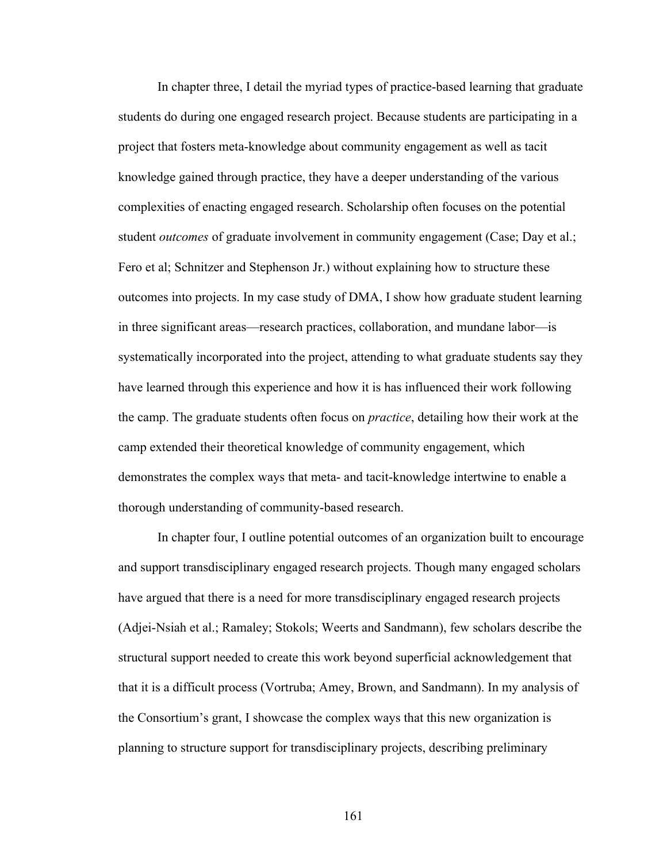In chapter three, I detail the myriad types of practice-based learning that graduate students do during one engaged research project. Because students are participating in a project that fosters meta-knowledge about community engagement as well as tacit knowledge gained through practice, they have a deeper understanding of the various complexities of enacting engaged research. Scholarship often focuses on the potential student *outcomes* of graduate involvement in community engagement (Case; Day et al.; Fero et al; Schnitzer and Stephenson Jr.) without explaining how to structure these outcomes into projects. In my case study of DMA, I show how graduate student learning in three significant areas—research practices, collaboration, and mundane labor—is systematically incorporated into the project, attending to what graduate students say they have learned through this experience and how it is has influenced their work following the camp. The graduate students often focus on *practice*, detailing how their work at the camp extended their theoretical knowledge of community engagement, which demonstrates the complex ways that meta- and tacit-knowledge intertwine to enable a thorough understanding of community-based research.

In chapter four, I outline potential outcomes of an organization built to encourage and support transdisciplinary engaged research projects. Though many engaged scholars have argued that there is a need for more transdisciplinary engaged research projects (Adjei-Nsiah et al.; Ramaley; Stokols; Weerts and Sandmann), few scholars describe the structural support needed to create this work beyond superficial acknowledgement that that it is a difficult process (Vortruba; Amey, Brown, and Sandmann). In my analysis of the Consortium's grant, I showcase the complex ways that this new organization is planning to structure support for transdisciplinary projects, describing preliminary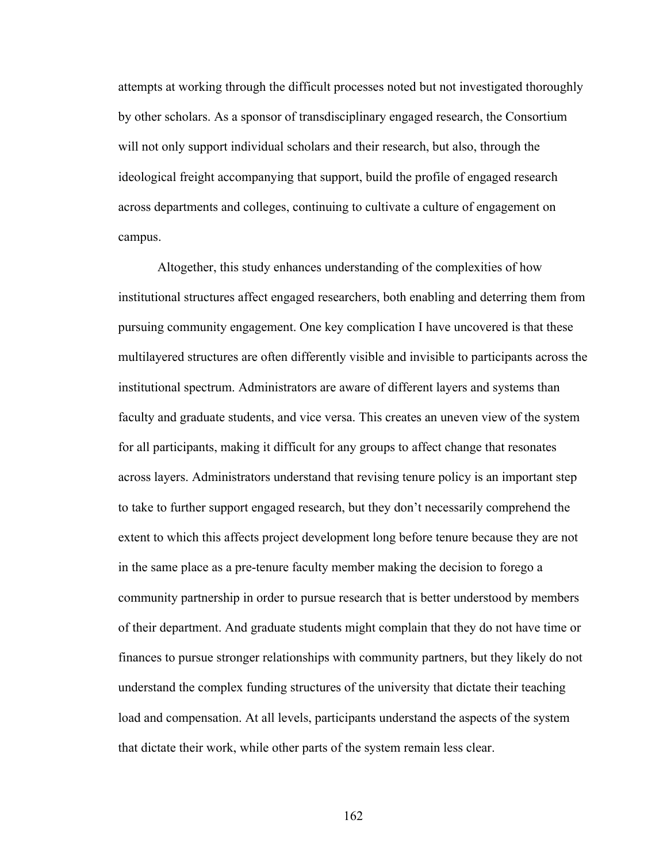attempts at working through the difficult processes noted but not investigated thoroughly by other scholars. As a sponsor of transdisciplinary engaged research, the Consortium will not only support individual scholars and their research, but also, through the ideological freight accompanying that support, build the profile of engaged research across departments and colleges, continuing to cultivate a culture of engagement on campus.

Altogether, this study enhances understanding of the complexities of how institutional structures affect engaged researchers, both enabling and deterring them from pursuing community engagement. One key complication I have uncovered is that these multilayered structures are often differently visible and invisible to participants across the institutional spectrum. Administrators are aware of different layers and systems than faculty and graduate students, and vice versa. This creates an uneven view of the system for all participants, making it difficult for any groups to affect change that resonates across layers. Administrators understand that revising tenure policy is an important step to take to further support engaged research, but they don't necessarily comprehend the extent to which this affects project development long before tenure because they are not in the same place as a pre-tenure faculty member making the decision to forego a community partnership in order to pursue research that is better understood by members of their department. And graduate students might complain that they do not have time or finances to pursue stronger relationships with community partners, but they likely do not understand the complex funding structures of the university that dictate their teaching load and compensation. At all levels, participants understand the aspects of the system that dictate their work, while other parts of the system remain less clear.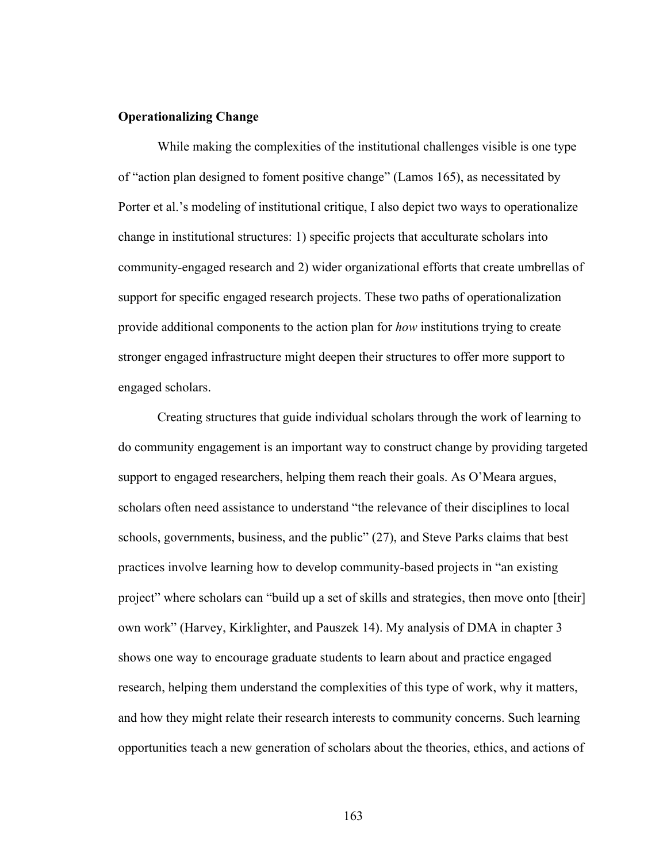# **Operationalizing Change**

While making the complexities of the institutional challenges visible is one type of "action plan designed to foment positive change" (Lamos 165), as necessitated by Porter et al.'s modeling of institutional critique, I also depict two ways to operationalize change in institutional structures: 1) specific projects that acculturate scholars into community-engaged research and 2) wider organizational efforts that create umbrellas of support for specific engaged research projects. These two paths of operationalization provide additional components to the action plan for *how* institutions trying to create stronger engaged infrastructure might deepen their structures to offer more support to engaged scholars.

Creating structures that guide individual scholars through the work of learning to do community engagement is an important way to construct change by providing targeted support to engaged researchers, helping them reach their goals. As O'Meara argues, scholars often need assistance to understand "the relevance of their disciplines to local schools, governments, business, and the public" (27), and Steve Parks claims that best practices involve learning how to develop community-based projects in "an existing project" where scholars can "build up a set of skills and strategies, then move onto [their] own work" (Harvey, Kirklighter, and Pauszek 14). My analysis of DMA in chapter 3 shows one way to encourage graduate students to learn about and practice engaged research, helping them understand the complexities of this type of work, why it matters, and how they might relate their research interests to community concerns. Such learning opportunities teach a new generation of scholars about the theories, ethics, and actions of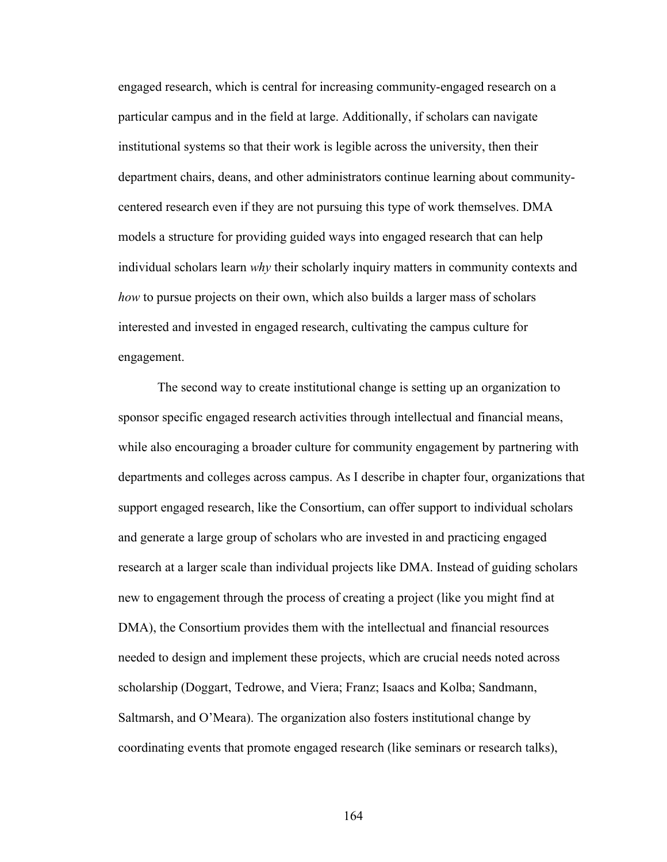engaged research, which is central for increasing community-engaged research on a particular campus and in the field at large. Additionally, if scholars can navigate institutional systems so that their work is legible across the university, then their department chairs, deans, and other administrators continue learning about communitycentered research even if they are not pursuing this type of work themselves. DMA models a structure for providing guided ways into engaged research that can help individual scholars learn *why* their scholarly inquiry matters in community contexts and *how* to pursue projects on their own, which also builds a larger mass of scholars interested and invested in engaged research, cultivating the campus culture for engagement.

The second way to create institutional change is setting up an organization to sponsor specific engaged research activities through intellectual and financial means, while also encouraging a broader culture for community engagement by partnering with departments and colleges across campus. As I describe in chapter four, organizations that support engaged research, like the Consortium, can offer support to individual scholars and generate a large group of scholars who are invested in and practicing engaged research at a larger scale than individual projects like DMA. Instead of guiding scholars new to engagement through the process of creating a project (like you might find at DMA), the Consortium provides them with the intellectual and financial resources needed to design and implement these projects, which are crucial needs noted across scholarship (Doggart, Tedrowe, and Viera; Franz; Isaacs and Kolba; Sandmann, Saltmarsh, and O'Meara). The organization also fosters institutional change by coordinating events that promote engaged research (like seminars or research talks),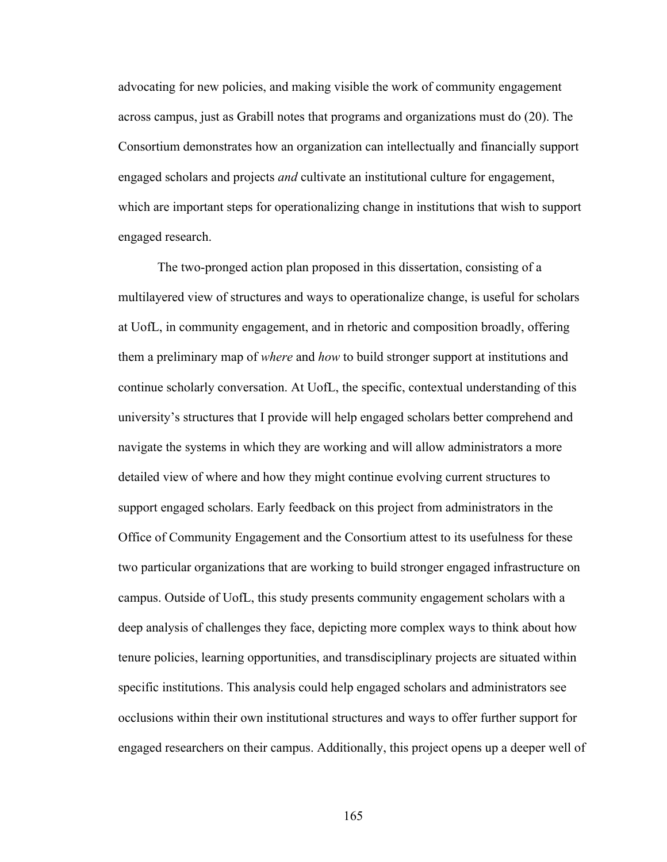advocating for new policies, and making visible the work of community engagement across campus, just as Grabill notes that programs and organizations must do (20). The Consortium demonstrates how an organization can intellectually and financially support engaged scholars and projects *and* cultivate an institutional culture for engagement, which are important steps for operationalizing change in institutions that wish to support engaged research.

The two-pronged action plan proposed in this dissertation, consisting of a multilayered view of structures and ways to operationalize change, is useful for scholars at UofL, in community engagement, and in rhetoric and composition broadly, offering them a preliminary map of *where* and *how* to build stronger support at institutions and continue scholarly conversation. At UofL, the specific, contextual understanding of this university's structures that I provide will help engaged scholars better comprehend and navigate the systems in which they are working and will allow administrators a more detailed view of where and how they might continue evolving current structures to support engaged scholars. Early feedback on this project from administrators in the Office of Community Engagement and the Consortium attest to its usefulness for these two particular organizations that are working to build stronger engaged infrastructure on campus. Outside of UofL, this study presents community engagement scholars with a deep analysis of challenges they face, depicting more complex ways to think about how tenure policies, learning opportunities, and transdisciplinary projects are situated within specific institutions. This analysis could help engaged scholars and administrators see occlusions within their own institutional structures and ways to offer further support for engaged researchers on their campus. Additionally, this project opens up a deeper well of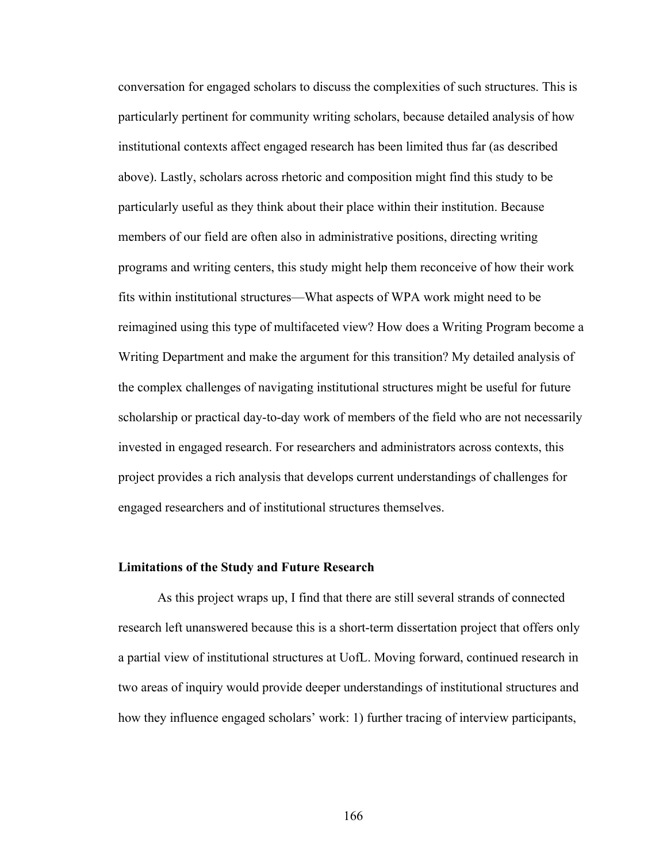conversation for engaged scholars to discuss the complexities of such structures. This is particularly pertinent for community writing scholars, because detailed analysis of how institutional contexts affect engaged research has been limited thus far (as described above). Lastly, scholars across rhetoric and composition might find this study to be particularly useful as they think about their place within their institution. Because members of our field are often also in administrative positions, directing writing programs and writing centers, this study might help them reconceive of how their work fits within institutional structures—What aspects of WPA work might need to be reimagined using this type of multifaceted view? How does a Writing Program become a Writing Department and make the argument for this transition? My detailed analysis of the complex challenges of navigating institutional structures might be useful for future scholarship or practical day-to-day work of members of the field who are not necessarily invested in engaged research. For researchers and administrators across contexts, this project provides a rich analysis that develops current understandings of challenges for engaged researchers and of institutional structures themselves.

#### **Limitations of the Study and Future Research**

As this project wraps up, I find that there are still several strands of connected research left unanswered because this is a short-term dissertation project that offers only a partial view of institutional structures at UofL. Moving forward, continued research in two areas of inquiry would provide deeper understandings of institutional structures and how they influence engaged scholars' work: 1) further tracing of interview participants,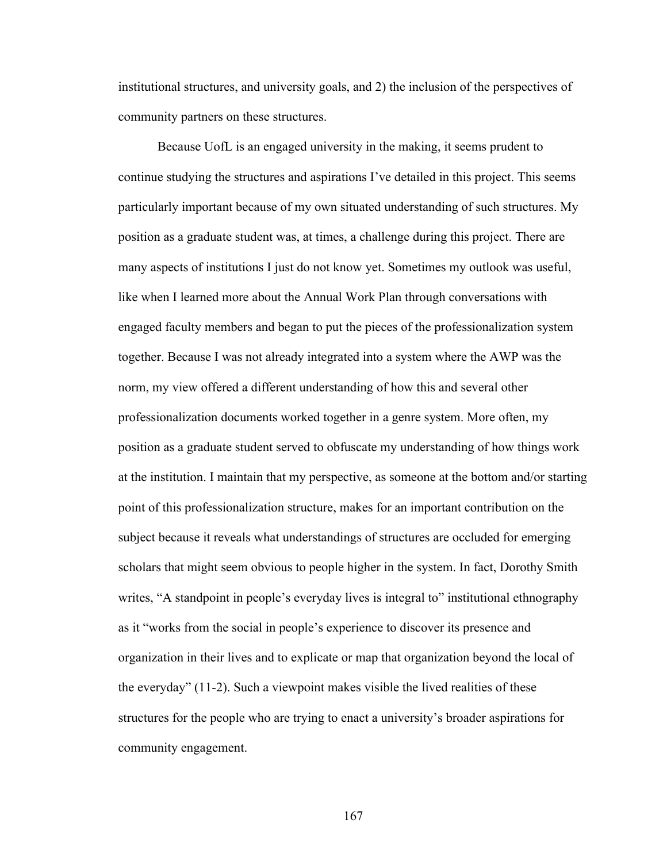institutional structures, and university goals, and 2) the inclusion of the perspectives of community partners on these structures.

Because UofL is an engaged university in the making, it seems prudent to continue studying the structures and aspirations I've detailed in this project. This seems particularly important because of my own situated understanding of such structures. My position as a graduate student was, at times, a challenge during this project. There are many aspects of institutions I just do not know yet. Sometimes my outlook was useful, like when I learned more about the Annual Work Plan through conversations with engaged faculty members and began to put the pieces of the professionalization system together. Because I was not already integrated into a system where the AWP was the norm, my view offered a different understanding of how this and several other professionalization documents worked together in a genre system. More often, my position as a graduate student served to obfuscate my understanding of how things work at the institution. I maintain that my perspective, as someone at the bottom and/or starting point of this professionalization structure, makes for an important contribution on the subject because it reveals what understandings of structures are occluded for emerging scholars that might seem obvious to people higher in the system. In fact, Dorothy Smith writes, "A standpoint in people's everyday lives is integral to" institutional ethnography as it "works from the social in people's experience to discover its presence and organization in their lives and to explicate or map that organization beyond the local of the everyday" (11-2). Such a viewpoint makes visible the lived realities of these structures for the people who are trying to enact a university's broader aspirations for community engagement.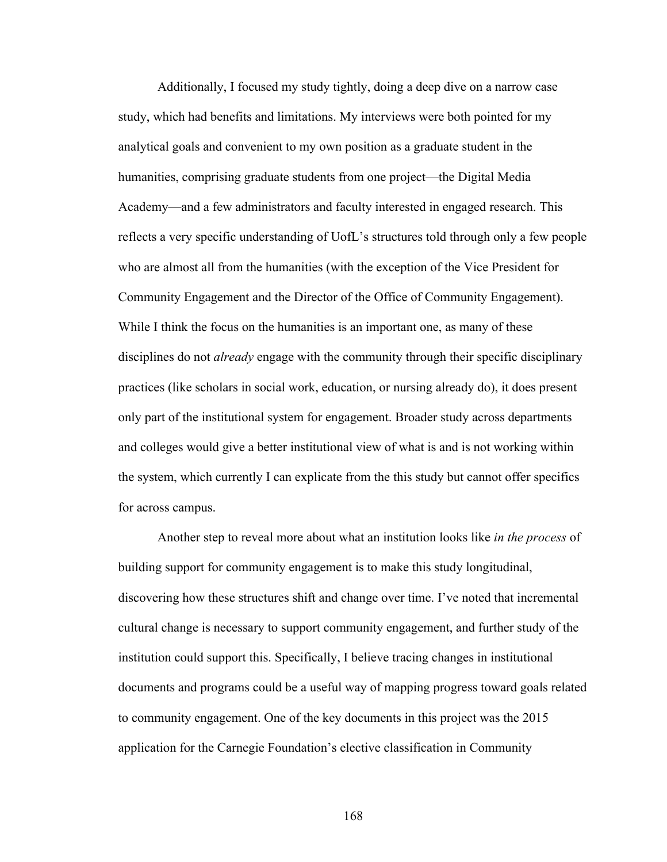Additionally, I focused my study tightly, doing a deep dive on a narrow case study, which had benefits and limitations. My interviews were both pointed for my analytical goals and convenient to my own position as a graduate student in the humanities, comprising graduate students from one project—the Digital Media Academy—and a few administrators and faculty interested in engaged research. This reflects a very specific understanding of UofL's structures told through only a few people who are almost all from the humanities (with the exception of the Vice President for Community Engagement and the Director of the Office of Community Engagement). While I think the focus on the humanities is an important one, as many of these disciplines do not *already* engage with the community through their specific disciplinary practices (like scholars in social work, education, or nursing already do), it does present only part of the institutional system for engagement. Broader study across departments and colleges would give a better institutional view of what is and is not working within the system, which currently I can explicate from the this study but cannot offer specifics for across campus.

Another step to reveal more about what an institution looks like *in the process* of building support for community engagement is to make this study longitudinal, discovering how these structures shift and change over time. I've noted that incremental cultural change is necessary to support community engagement, and further study of the institution could support this. Specifically, I believe tracing changes in institutional documents and programs could be a useful way of mapping progress toward goals related to community engagement. One of the key documents in this project was the 2015 application for the Carnegie Foundation's elective classification in Community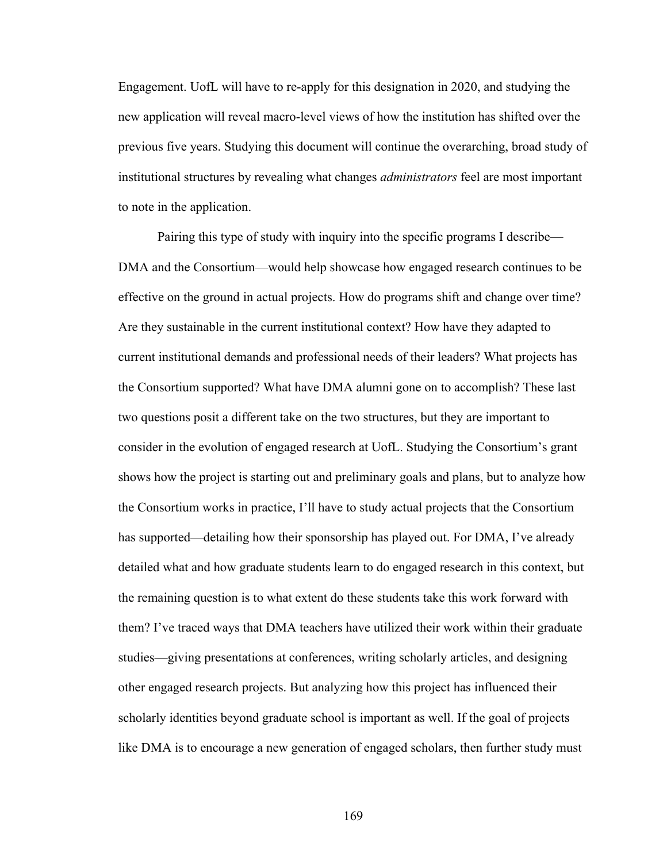Engagement. UofL will have to re-apply for this designation in 2020, and studying the new application will reveal macro-level views of how the institution has shifted over the previous five years. Studying this document will continue the overarching, broad study of institutional structures by revealing what changes *administrators* feel are most important to note in the application.

Pairing this type of study with inquiry into the specific programs I describe— DMA and the Consortium—would help showcase how engaged research continues to be effective on the ground in actual projects. How do programs shift and change over time? Are they sustainable in the current institutional context? How have they adapted to current institutional demands and professional needs of their leaders? What projects has the Consortium supported? What have DMA alumni gone on to accomplish? These last two questions posit a different take on the two structures, but they are important to consider in the evolution of engaged research at UofL. Studying the Consortium's grant shows how the project is starting out and preliminary goals and plans, but to analyze how the Consortium works in practice, I'll have to study actual projects that the Consortium has supported—detailing how their sponsorship has played out. For DMA, I've already detailed what and how graduate students learn to do engaged research in this context, but the remaining question is to what extent do these students take this work forward with them? I've traced ways that DMA teachers have utilized their work within their graduate studies—giving presentations at conferences, writing scholarly articles, and designing other engaged research projects. But analyzing how this project has influenced their scholarly identities beyond graduate school is important as well. If the goal of projects like DMA is to encourage a new generation of engaged scholars, then further study must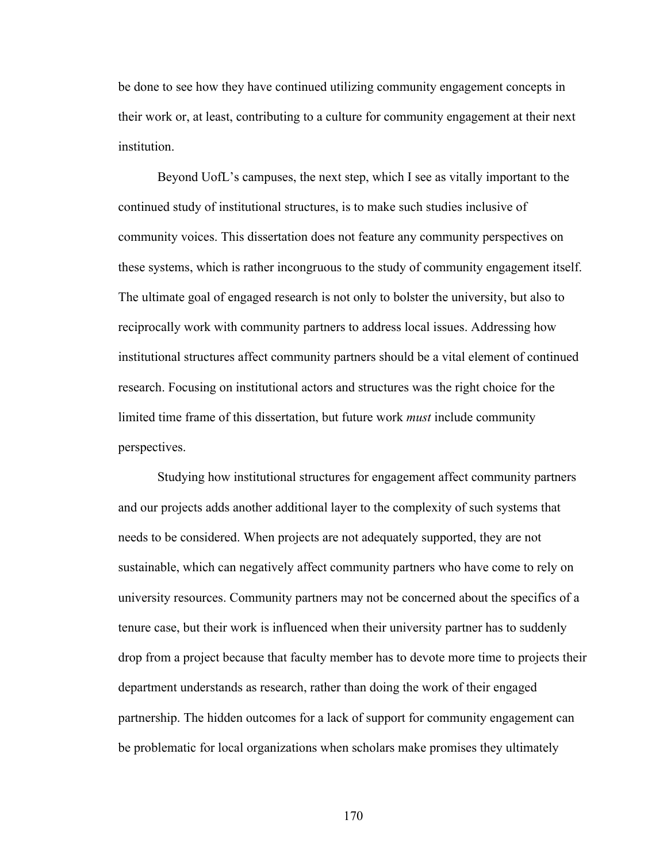be done to see how they have continued utilizing community engagement concepts in their work or, at least, contributing to a culture for community engagement at their next institution.

Beyond UofL's campuses, the next step, which I see as vitally important to the continued study of institutional structures, is to make such studies inclusive of community voices. This dissertation does not feature any community perspectives on these systems, which is rather incongruous to the study of community engagement itself. The ultimate goal of engaged research is not only to bolster the university, but also to reciprocally work with community partners to address local issues. Addressing how institutional structures affect community partners should be a vital element of continued research. Focusing on institutional actors and structures was the right choice for the limited time frame of this dissertation, but future work *must* include community perspectives.

Studying how institutional structures for engagement affect community partners and our projects adds another additional layer to the complexity of such systems that needs to be considered. When projects are not adequately supported, they are not sustainable, which can negatively affect community partners who have come to rely on university resources. Community partners may not be concerned about the specifics of a tenure case, but their work is influenced when their university partner has to suddenly drop from a project because that faculty member has to devote more time to projects their department understands as research, rather than doing the work of their engaged partnership. The hidden outcomes for a lack of support for community engagement can be problematic for local organizations when scholars make promises they ultimately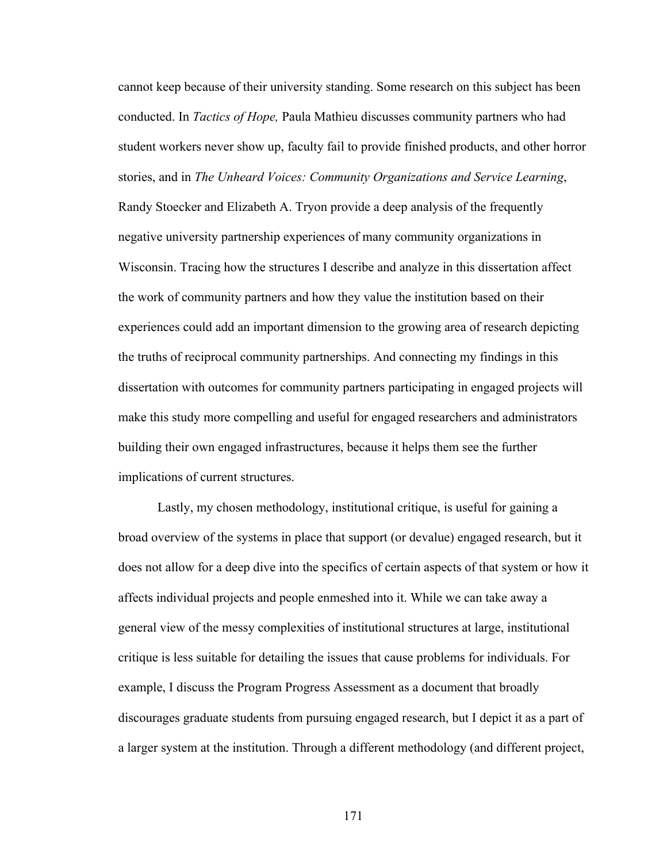cannot keep because of their university standing. Some research on this subject has been conducted. In *Tactics of Hope,* Paula Mathieu discusses community partners who had student workers never show up, faculty fail to provide finished products, and other horror stories, and in *The Unheard Voices: Community Organizations and Service Learning*, Randy Stoecker and Elizabeth A. Tryon provide a deep analysis of the frequently negative university partnership experiences of many community organizations in Wisconsin. Tracing how the structures I describe and analyze in this dissertation affect the work of community partners and how they value the institution based on their experiences could add an important dimension to the growing area of research depicting the truths of reciprocal community partnerships. And connecting my findings in this dissertation with outcomes for community partners participating in engaged projects will make this study more compelling and useful for engaged researchers and administrators building their own engaged infrastructures, because it helps them see the further implications of current structures.

Lastly, my chosen methodology, institutional critique, is useful for gaining a broad overview of the systems in place that support (or devalue) engaged research, but it does not allow for a deep dive into the specifics of certain aspects of that system or how it affects individual projects and people enmeshed into it. While we can take away a general view of the messy complexities of institutional structures at large, institutional critique is less suitable for detailing the issues that cause problems for individuals. For example, I discuss the Program Progress Assessment as a document that broadly discourages graduate students from pursuing engaged research, but I depict it as a part of a larger system at the institution. Through a different methodology (and different project,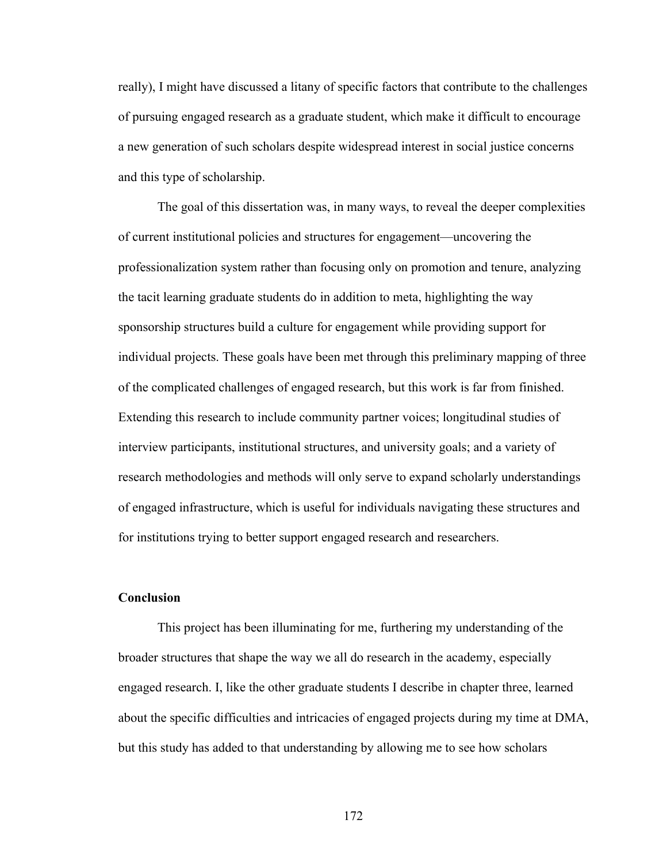really), I might have discussed a litany of specific factors that contribute to the challenges of pursuing engaged research as a graduate student, which make it difficult to encourage a new generation of such scholars despite widespread interest in social justice concerns and this type of scholarship.

The goal of this dissertation was, in many ways, to reveal the deeper complexities of current institutional policies and structures for engagement—uncovering the professionalization system rather than focusing only on promotion and tenure, analyzing the tacit learning graduate students do in addition to meta, highlighting the way sponsorship structures build a culture for engagement while providing support for individual projects. These goals have been met through this preliminary mapping of three of the complicated challenges of engaged research, but this work is far from finished. Extending this research to include community partner voices; longitudinal studies of interview participants, institutional structures, and university goals; and a variety of research methodologies and methods will only serve to expand scholarly understandings of engaged infrastructure, which is useful for individuals navigating these structures and for institutions trying to better support engaged research and researchers.

#### **Conclusion**

This project has been illuminating for me, furthering my understanding of the broader structures that shape the way we all do research in the academy, especially engaged research. I, like the other graduate students I describe in chapter three, learned about the specific difficulties and intricacies of engaged projects during my time at DMA, but this study has added to that understanding by allowing me to see how scholars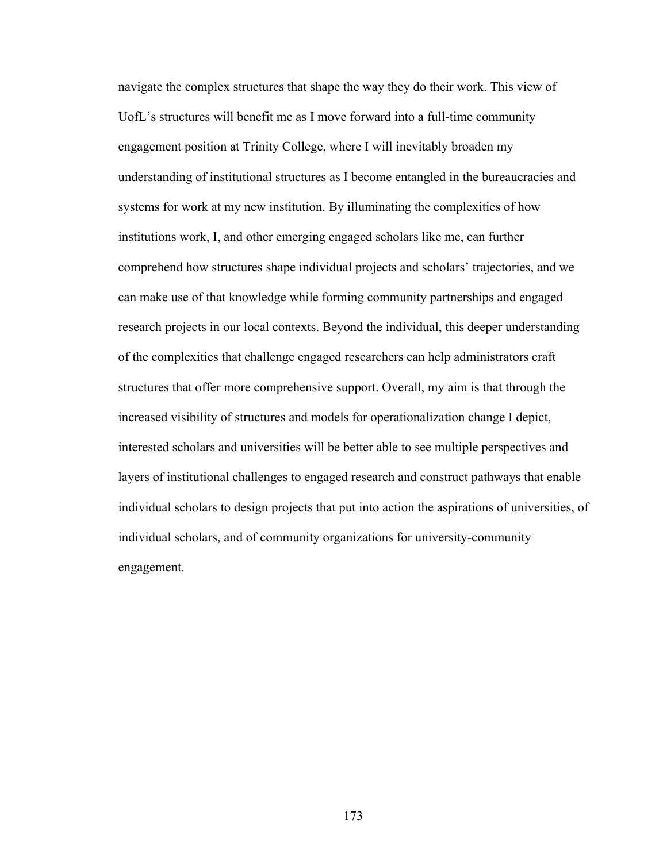navigate the complex structures that shape the way they do their work. This view of UofL's structures will benefit me as I move forward into a full-time community engagement position at Trinity College, where I will inevitably broaden my understanding of institutional structures as I become entangled in the bureaucracies and systems for work at my new institution. By illuminating the complexities of how institutions work, I, and other emerging engaged scholars like me, can further comprehend how structures shape individual projects and scholars' trajectories, and we can make use of that knowledge while forming community partnerships and engaged research projects in our local contexts. Beyond the individual, this deeper understanding of the complexities that challenge engaged researchers can help administrators craft structures that offer more comprehensive support. Overall, my aim is that through the increased visibility of structures and models for operationalization change I depict, interested scholars and universities will be better able to see multiple perspectives and layers of institutional challenges to engaged research and construct pathways that enable individual scholars to design projects that put into action the aspirations of universities, of individual scholars, and of community organizations for university-community engagement.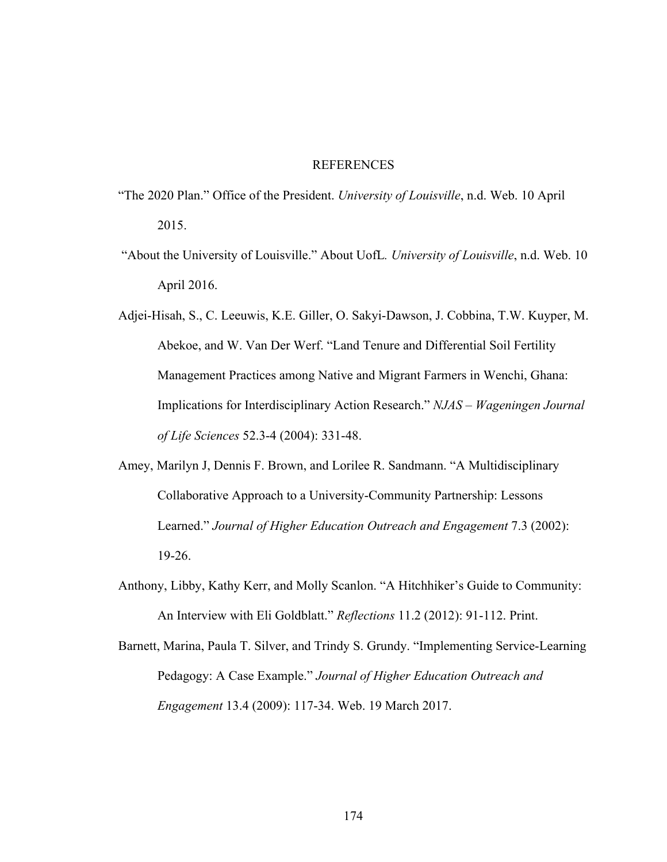#### REFERENCES

- "The 2020 Plan." Office of the President. *University of Louisville*, n.d. Web. 10 April 2015.
- "About the University of Louisville." About UofL*. University of Louisville*, n.d. Web. 10 April 2016.
- Adjei-Hisah, S., C. Leeuwis, K.E. Giller, O. Sakyi-Dawson, J. Cobbina, T.W. Kuyper, M. Abekoe, and W. Van Der Werf. "Land Tenure and Differential Soil Fertility Management Practices among Native and Migrant Farmers in Wenchi, Ghana: Implications for Interdisciplinary Action Research." *NJAS – Wageningen Journal of Life Sciences* 52.3-4 (2004): 331-48.
- Amey, Marilyn J, Dennis F. Brown, and Lorilee R. Sandmann. "A Multidisciplinary Collaborative Approach to a University-Community Partnership: Lessons Learned." *Journal of Higher Education Outreach and Engagement* 7.3 (2002): 19-26.
- Anthony, Libby, Kathy Kerr, and Molly Scanlon. "A Hitchhiker's Guide to Community: An Interview with Eli Goldblatt." *Reflections* 11.2 (2012): 91-112. Print.
- Barnett, Marina, Paula T. Silver, and Trindy S. Grundy. "Implementing Service-Learning Pedagogy: A Case Example." *Journal of Higher Education Outreach and Engagement* 13.4 (2009): 117-34. Web. 19 March 2017.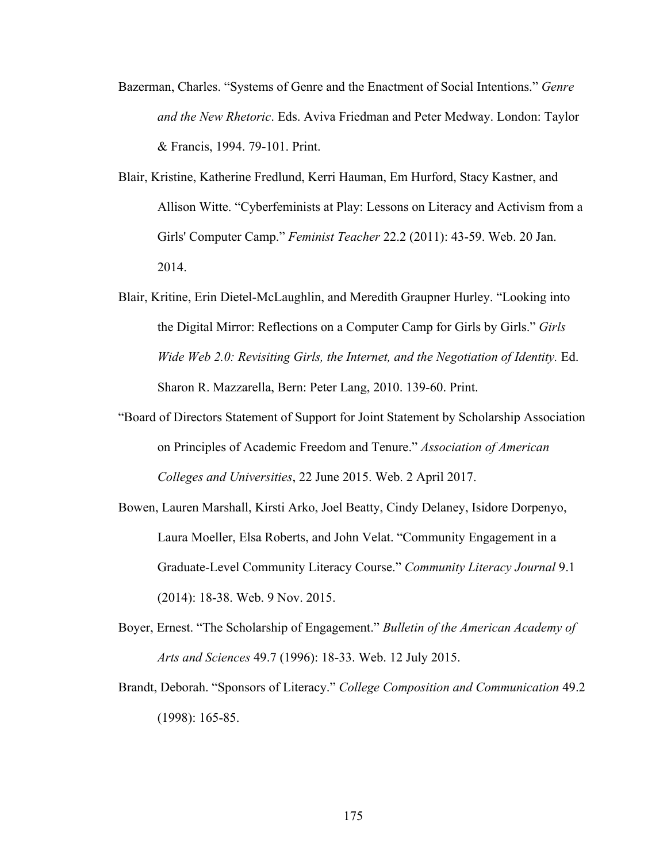- Bazerman, Charles. "Systems of Genre and the Enactment of Social Intentions." *Genre and the New Rhetoric*. Eds. Aviva Friedman and Peter Medway. London: Taylor & Francis, 1994. 79-101. Print.
- Blair, Kristine, Katherine Fredlund, Kerri Hauman, Em Hurford, Stacy Kastner, and Allison Witte. "Cyberfeminists at Play: Lessons on Literacy and Activism from a Girls' Computer Camp." *Feminist Teacher* 22.2 (2011): 43-59. Web. 20 Jan. 2014.
- Blair, Kritine, Erin Dietel-McLaughlin, and Meredith Graupner Hurley. "Looking into the Digital Mirror: Reflections on a Computer Camp for Girls by Girls." *Girls Wide Web 2.0: Revisiting Girls, the Internet, and the Negotiation of Identity.* Ed. Sharon R. Mazzarella, Bern: Peter Lang, 2010. 139-60. Print.
- "Board of Directors Statement of Support for Joint Statement by Scholarship Association on Principles of Academic Freedom and Tenure." *Association of American Colleges and Universities*, 22 June 2015. Web. 2 April 2017.
- Bowen, Lauren Marshall, Kirsti Arko, Joel Beatty, Cindy Delaney, Isidore Dorpenyo, Laura Moeller, Elsa Roberts, and John Velat. "Community Engagement in a Graduate-Level Community Literacy Course." *Community Literacy Journal* 9.1 (2014): 18-38. Web. 9 Nov. 2015.
- Boyer, Ernest. "The Scholarship of Engagement." *Bulletin of the American Academy of Arts and Sciences* 49.7 (1996): 18-33. Web. 12 July 2015.
- Brandt, Deborah. "Sponsors of Literacy." *College Composition and Communication* 49.2 (1998): 165-85.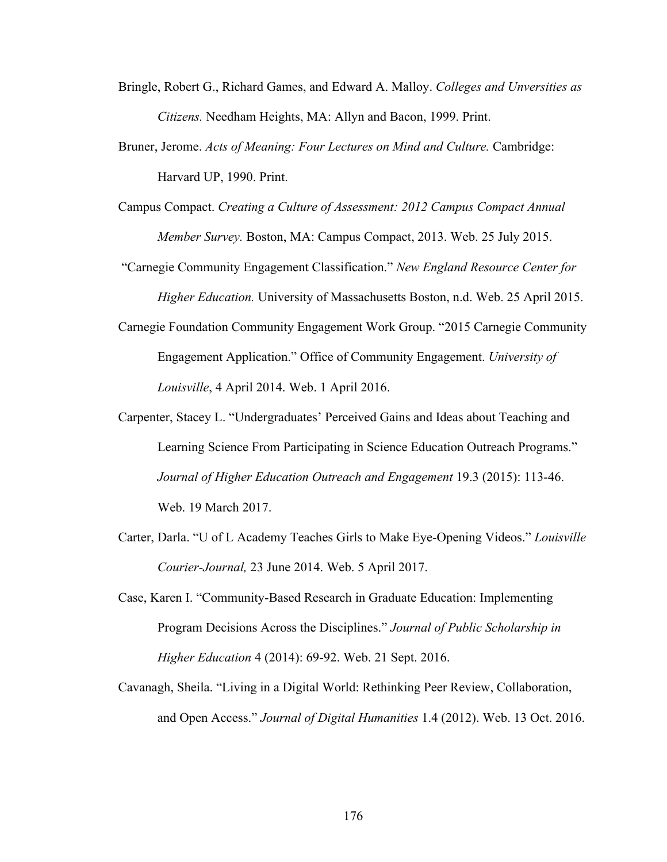- Bringle, Robert G., Richard Games, and Edward A. Malloy. *Colleges and Unversities as Citizens.* Needham Heights, MA: Allyn and Bacon, 1999. Print.
- Bruner, Jerome. *Acts of Meaning: Four Lectures on Mind and Culture.* Cambridge: Harvard UP, 1990. Print.
- Campus Compact. *Creating a Culture of Assessment: 2012 Campus Compact Annual Member Survey.* Boston, MA: Campus Compact, 2013. Web. 25 July 2015.
- "Carnegie Community Engagement Classification." *New England Resource Center for Higher Education.* University of Massachusetts Boston, n.d. Web. 25 April 2015.
- Carnegie Foundation Community Engagement Work Group. "2015 Carnegie Community Engagement Application." Office of Community Engagement. *University of Louisville*, 4 April 2014. Web. 1 April 2016.
- Carpenter, Stacey L. "Undergraduates' Perceived Gains and Ideas about Teaching and Learning Science From Participating in Science Education Outreach Programs." *Journal of Higher Education Outreach and Engagement* 19.3 (2015): 113-46. Web. 19 March 2017.
- Carter, Darla. "U of L Academy Teaches Girls to Make Eye-Opening Videos." *Louisville Courier-Journal,* 23 June 2014. Web. 5 April 2017.
- Case, Karen I. "Community-Based Research in Graduate Education: Implementing Program Decisions Across the Disciplines." *Journal of Public Scholarship in Higher Education* 4 (2014): 69-92. Web. 21 Sept. 2016.
- Cavanagh, Sheila. "Living in a Digital World: Rethinking Peer Review, Collaboration, and Open Access." *Journal of Digital Humanities* 1.4 (2012). Web. 13 Oct. 2016.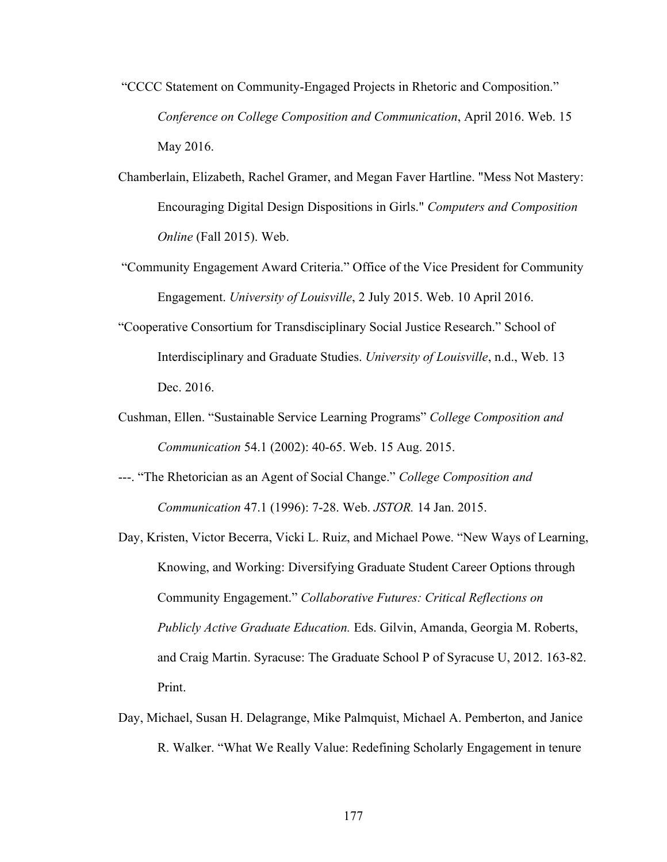- "CCCC Statement on Community-Engaged Projects in Rhetoric and Composition." *Conference on College Composition and Communication*, April 2016. Web. 15 May 2016.
- Chamberlain, Elizabeth, Rachel Gramer, and Megan Faver Hartline. "Mess Not Mastery: Encouraging Digital Design Dispositions in Girls." *Computers and Composition Online* (Fall 2015). Web.
- "Community Engagement Award Criteria." Office of the Vice President for Community Engagement. *University of Louisville*, 2 July 2015. Web. 10 April 2016.
- "Cooperative Consortium for Transdisciplinary Social Justice Research." School of Interdisciplinary and Graduate Studies. *University of Louisville*, n.d., Web. 13 Dec. 2016.
- Cushman, Ellen. "Sustainable Service Learning Programs" *College Composition and Communication* 54.1 (2002): 40-65. Web. 15 Aug. 2015.
- ---. "The Rhetorician as an Agent of Social Change." *College Composition and Communication* 47.1 (1996): 7-28. Web. *JSTOR.* 14 Jan. 2015.
- Day, Kristen, Victor Becerra, Vicki L. Ruiz, and Michael Powe. "New Ways of Learning, Knowing, and Working: Diversifying Graduate Student Career Options through Community Engagement." *Collaborative Futures: Critical Reflections on Publicly Active Graduate Education.* Eds. Gilvin, Amanda, Georgia M. Roberts, and Craig Martin. Syracuse: The Graduate School P of Syracuse U, 2012. 163-82. Print.
- Day, Michael, Susan H. Delagrange, Mike Palmquist, Michael A. Pemberton, and Janice R. Walker. "What We Really Value: Redefining Scholarly Engagement in tenure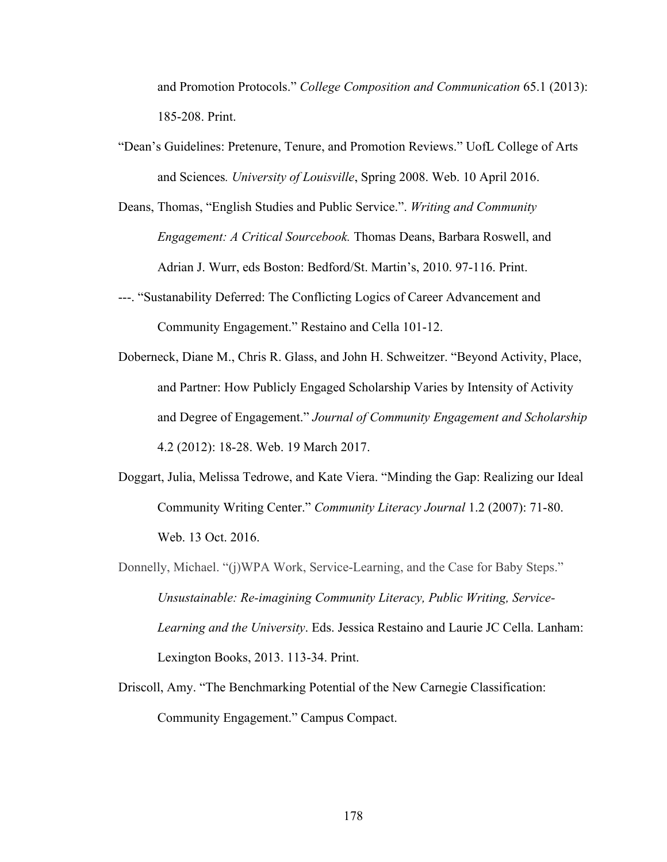and Promotion Protocols." *College Composition and Communication* 65.1 (2013): 185-208. Print.

- "Dean's Guidelines: Pretenure, Tenure, and Promotion Reviews." UofL College of Arts and Sciences*. University of Louisville*, Spring 2008. Web. 10 April 2016.
- Deans, Thomas, "English Studies and Public Service.". *Writing and Community Engagement: A Critical Sourcebook.* Thomas Deans, Barbara Roswell, and Adrian J. Wurr, eds Boston: Bedford/St. Martin's, 2010. 97-116. Print.
- ---. "Sustanability Deferred: The Conflicting Logics of Career Advancement and Community Engagement." Restaino and Cella 101-12.
- Doberneck, Diane M., Chris R. Glass, and John H. Schweitzer. "Beyond Activity, Place, and Partner: How Publicly Engaged Scholarship Varies by Intensity of Activity and Degree of Engagement." *Journal of Community Engagement and Scholarship*  4.2 (2012): 18-28. Web. 19 March 2017.
- Doggart, Julia, Melissa Tedrowe, and Kate Viera. "Minding the Gap: Realizing our Ideal Community Writing Center." *Community Literacy Journal* 1.2 (2007): 71-80. Web. 13 Oct. 2016.
- Donnelly, Michael. "(j)WPA Work, Service-Learning, and the Case for Baby Steps." *Unsustainable: Re-imagining Community Literacy, Public Writing, Service-Learning and the University*. Eds. Jessica Restaino and Laurie JC Cella. Lanham: Lexington Books, 2013. 113-34. Print.
- Driscoll, Amy. "The Benchmarking Potential of the New Carnegie Classification: Community Engagement." Campus Compact.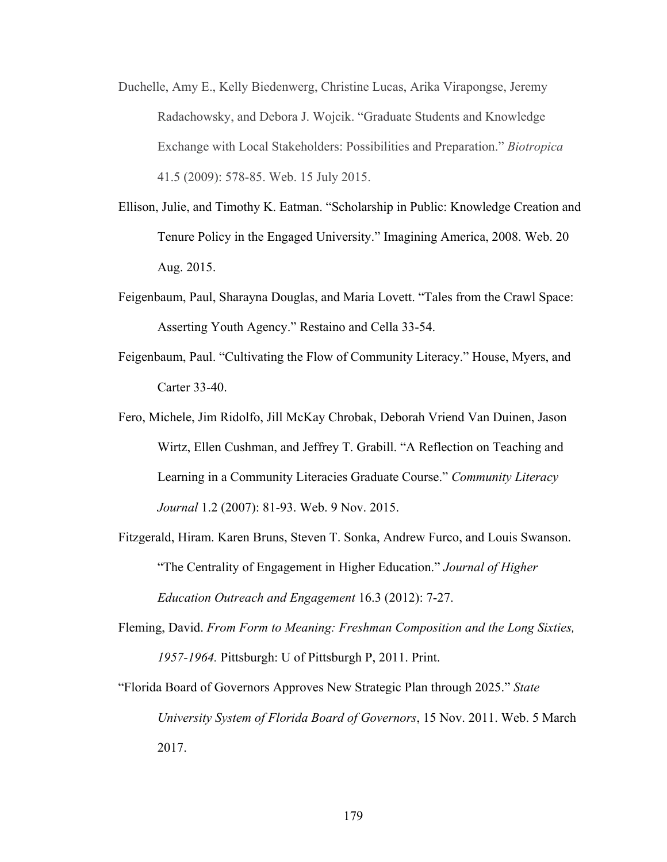- Duchelle, Amy E., Kelly Biedenwerg, Christine Lucas, Arika Virapongse, Jeremy Radachowsky, and Debora J. Wojcik. "Graduate Students and Knowledge Exchange with Local Stakeholders: Possibilities and Preparation." *Biotropica*  41.5 (2009): 578-85. Web. 15 July 2015.
- Ellison, Julie, and Timothy K. Eatman. "Scholarship in Public: Knowledge Creation and Tenure Policy in the Engaged University." Imagining America, 2008. Web. 20 Aug. 2015.
- Feigenbaum, Paul, Sharayna Douglas, and Maria Lovett. "Tales from the Crawl Space: Asserting Youth Agency." Restaino and Cella 33-54.
- Feigenbaum, Paul. "Cultivating the Flow of Community Literacy." House, Myers, and Carter 33-40.
- Fero, Michele, Jim Ridolfo, Jill McKay Chrobak, Deborah Vriend Van Duinen, Jason Wirtz, Ellen Cushman, and Jeffrey T. Grabill. "A Reflection on Teaching and Learning in a Community Literacies Graduate Course." *Community Literacy Journal* 1.2 (2007): 81-93. Web. 9 Nov. 2015.
- Fitzgerald, Hiram. Karen Bruns, Steven T. Sonka, Andrew Furco, and Louis Swanson. "The Centrality of Engagement in Higher Education." *Journal of Higher Education Outreach and Engagement* 16.3 (2012): 7-27.
- Fleming, David. *From Form to Meaning: Freshman Composition and the Long Sixties, 1957-1964.* Pittsburgh: U of Pittsburgh P, 2011. Print.
- "Florida Board of Governors Approves New Strategic Plan through 2025." *State University System of Florida Board of Governors*, 15 Nov. 2011. Web. 5 March 2017.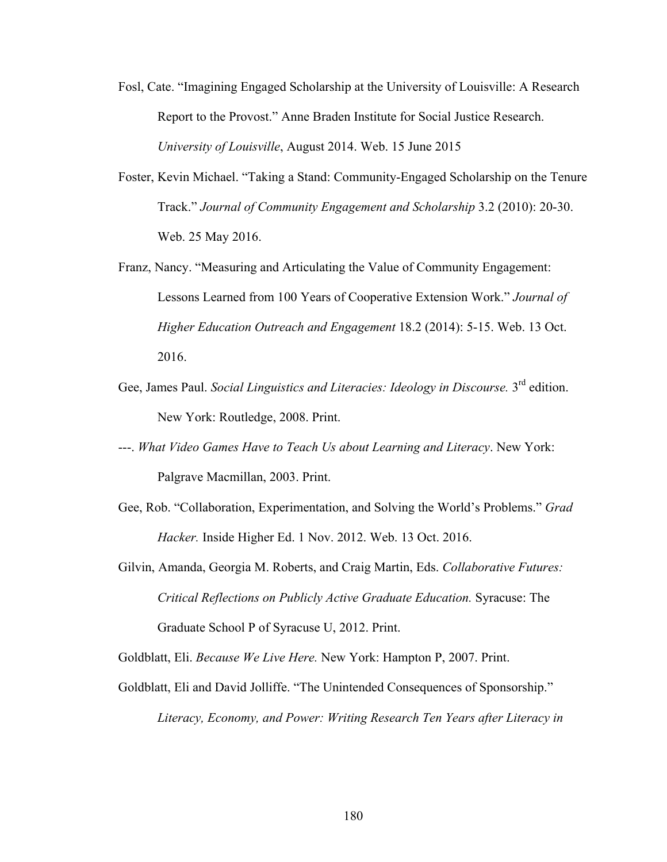- Fosl, Cate. "Imagining Engaged Scholarship at the University of Louisville: A Research Report to the Provost." Anne Braden Institute for Social Justice Research. *University of Louisville*, August 2014. Web. 15 June 2015
- Foster, Kevin Michael. "Taking a Stand: Community-Engaged Scholarship on the Tenure Track." *Journal of Community Engagement and Scholarship* 3.2 (2010): 20-30. Web. 25 May 2016.
- Franz, Nancy. "Measuring and Articulating the Value of Community Engagement: Lessons Learned from 100 Years of Cooperative Extension Work." *Journal of Higher Education Outreach and Engagement* 18.2 (2014): 5-15. Web. 13 Oct. 2016.
- Gee, James Paul. *Social Linguistics and Literacies: Ideology in Discourse*. 3<sup>rd</sup> edition. New York: Routledge, 2008. Print.
- ---. *What Video Games Have to Teach Us about Learning and Literacy*. New York: Palgrave Macmillan, 2003. Print.
- Gee, Rob. "Collaboration, Experimentation, and Solving the World's Problems." *Grad Hacker.* Inside Higher Ed. 1 Nov. 2012. Web. 13 Oct. 2016.
- Gilvin, Amanda, Georgia M. Roberts, and Craig Martin, Eds. *Collaborative Futures: Critical Reflections on Publicly Active Graduate Education.* Syracuse: The Graduate School P of Syracuse U, 2012. Print.

Goldblatt, Eli. *Because We Live Here.* New York: Hampton P, 2007. Print.

Goldblatt, Eli and David Jolliffe. "The Unintended Consequences of Sponsorship." *Literacy, Economy, and Power: Writing Research Ten Years after Literacy in*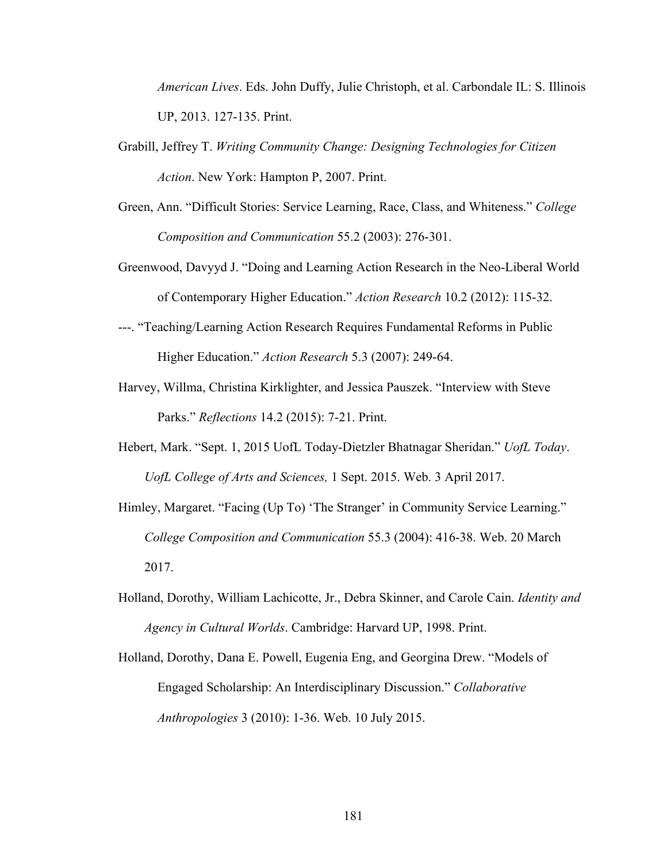*American Lives*. Eds. John Duffy, Julie Christoph, et al. Carbondale IL: S. Illinois UP, 2013. 127-135. Print.

- Grabill, Jeffrey T. *Writing Community Change: Designing Technologies for Citizen Action*. New York: Hampton P, 2007. Print.
- Green, Ann. "Difficult Stories: Service Learning, Race, Class, and Whiteness." *College Composition and Communication* 55.2 (2003): 276-301.
- Greenwood, Davyyd J. "Doing and Learning Action Research in the Neo-Liberal World of Contemporary Higher Education." *Action Research* 10.2 (2012): 115-32.
- ---. "Teaching/Learning Action Research Requires Fundamental Reforms in Public Higher Education." *Action Research* 5.3 (2007): 249-64.
- Harvey, Willma, Christina Kirklighter, and Jessica Pauszek. "Interview with Steve Parks." *Reflections* 14.2 (2015): 7-21. Print.
- Hebert, Mark. "Sept. 1, 2015 UofL Today-Dietzler Bhatnagar Sheridan." *UofL Today*. *UofL College of Arts and Sciences,* 1 Sept. 2015. Web. 3 April 2017.
- Himley, Margaret. "Facing (Up To) 'The Stranger' in Community Service Learning." *College Composition and Communication* 55.3 (2004): 416-38. Web. 20 March 2017.
- Holland, Dorothy, William Lachicotte, Jr., Debra Skinner, and Carole Cain. *Identity and Agency in Cultural Worlds*. Cambridge: Harvard UP, 1998. Print.
- Holland, Dorothy, Dana E. Powell, Eugenia Eng, and Georgina Drew. "Models of Engaged Scholarship: An Interdisciplinary Discussion." *Collaborative Anthropologies* 3 (2010): 1-36. Web. 10 July 2015.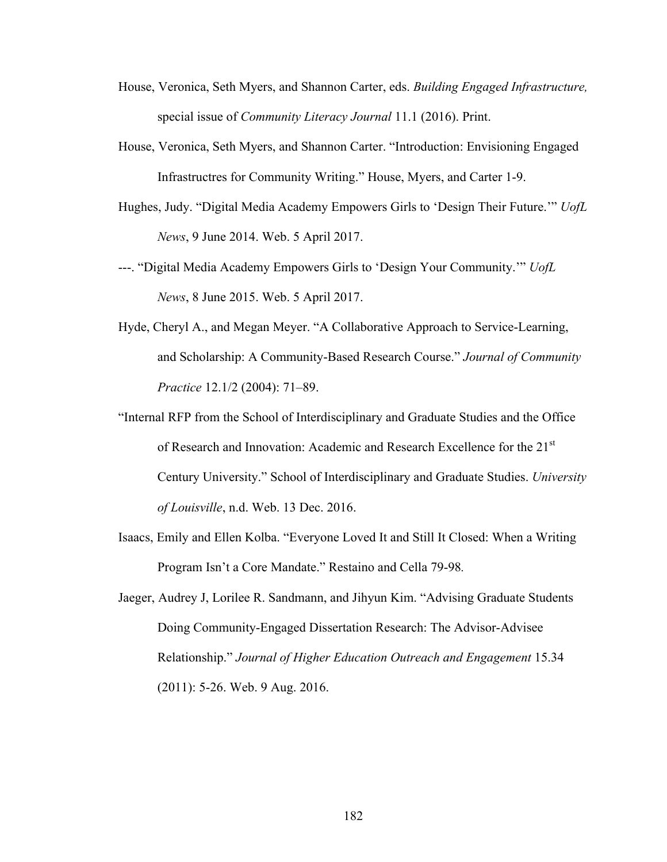- House, Veronica, Seth Myers, and Shannon Carter, eds. *Building Engaged Infrastructure,*  special issue of *Community Literacy Journal* 11.1 (2016). Print.
- House, Veronica, Seth Myers, and Shannon Carter. "Introduction: Envisioning Engaged Infrastructres for Community Writing." House, Myers, and Carter 1-9.
- Hughes, Judy. "Digital Media Academy Empowers Girls to 'Design Their Future.'" *UofL News*, 9 June 2014. Web. 5 April 2017.
- ---. "Digital Media Academy Empowers Girls to 'Design Your Community.'" *UofL News*, 8 June 2015. Web. 5 April 2017.
- Hyde, Cheryl A., and Megan Meyer. "A Collaborative Approach to Service-Learning, and Scholarship: A Community-Based Research Course." *Journal of Community Practice* 12.1/2 (2004): 71–89.
- "Internal RFP from the School of Interdisciplinary and Graduate Studies and the Office of Research and Innovation: Academic and Research Excellence for the 21<sup>st</sup> Century University." School of Interdisciplinary and Graduate Studies. *University of Louisville*, n.d. Web. 13 Dec. 2016.
- Isaacs, Emily and Ellen Kolba. "Everyone Loved It and Still It Closed: When a Writing Program Isn't a Core Mandate." Restaino and Cella 79-98*.*
- Jaeger, Audrey J, Lorilee R. Sandmann, and Jihyun Kim. "Advising Graduate Students Doing Community-Engaged Dissertation Research: The Advisor-Advisee Relationship." *Journal of Higher Education Outreach and Engagement* 15.34 (2011): 5-26. Web. 9 Aug. 2016.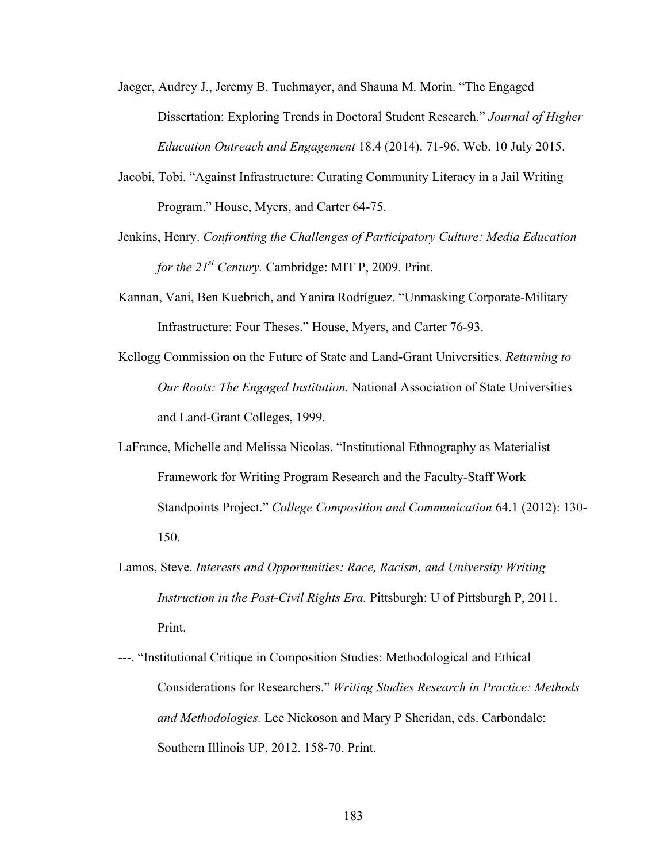- Jaeger, Audrey J., Jeremy B. Tuchmayer, and Shauna M. Morin. "The Engaged Dissertation: Exploring Trends in Doctoral Student Research." *Journal of Higher Education Outreach and Engagement* 18.4 (2014). 71-96. Web. 10 July 2015.
- Jacobi, Tobi. "Against Infrastructure: Curating Community Literacy in a Jail Writing Program." House, Myers, and Carter 64-75.
- Jenkins, Henry. *Confronting the Challenges of Participatory Culture: Media Education for the 21st Century.* Cambridge: MIT P, 2009. Print.
- Kannan, Vani, Ben Kuebrich, and Yanira Rodríguez. "Unmasking Corporate-Military Infrastructure: Four Theses." House, Myers, and Carter 76-93.
- Kellogg Commission on the Future of State and Land-Grant Universities. *Returning to Our Roots: The Engaged Institution.* National Association of State Universities and Land-Grant Colleges, 1999.
- LaFrance, Michelle and Melissa Nicolas. "Institutional Ethnography as Materialist Framework for Writing Program Research and the Faculty-Staff Work Standpoints Project." *College Composition and Communication* 64.1 (2012): 130- 150.
- Lamos, Steve. *Interests and Opportunities: Race, Racism, and University Writing Instruction in the Post-Civil Rights Era.* Pittsburgh: U of Pittsburgh P, 2011. Print.
- ---. "Institutional Critique in Composition Studies: Methodological and Ethical Considerations for Researchers." *Writing Studies Research in Practice: Methods and Methodologies.* Lee Nickoson and Mary P Sheridan, eds. Carbondale: Southern Illinois UP, 2012. 158-70. Print.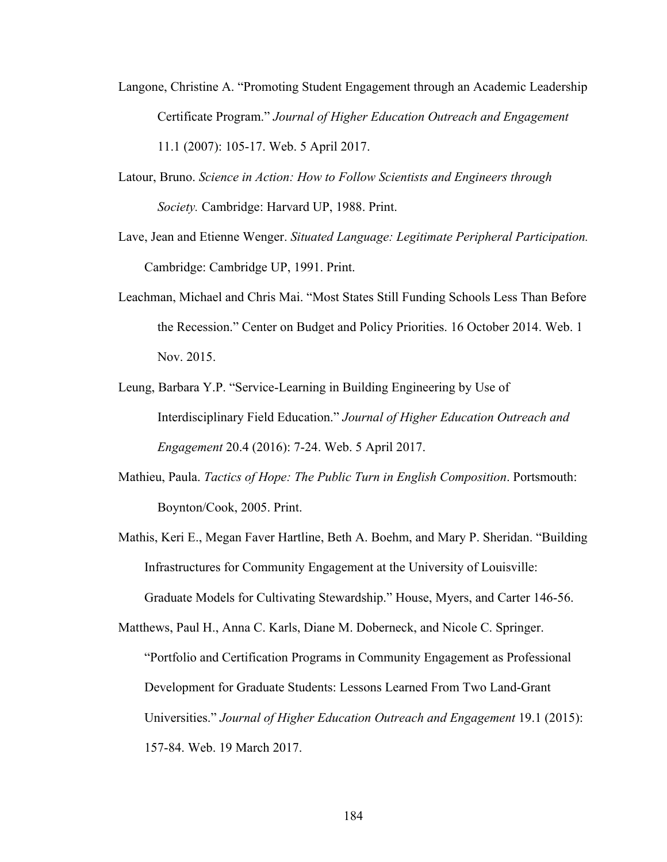- Langone, Christine A. "Promoting Student Engagement through an Academic Leadership Certificate Program." *Journal of Higher Education Outreach and Engagement*  11.1 (2007): 105-17. Web. 5 April 2017.
- Latour, Bruno. *Science in Action: How to Follow Scientists and Engineers through Society.* Cambridge: Harvard UP, 1988. Print.
- Lave, Jean and Etienne Wenger. *Situated Language: Legitimate Peripheral Participation.*  Cambridge: Cambridge UP, 1991. Print.
- Leachman, Michael and Chris Mai. "Most States Still Funding Schools Less Than Before the Recession." Center on Budget and Policy Priorities. 16 October 2014. Web. 1 Nov. 2015.
- Leung, Barbara Y.P. "Service-Learning in Building Engineering by Use of Interdisciplinary Field Education." *Journal of Higher Education Outreach and Engagement* 20.4 (2016): 7-24. Web. 5 April 2017.
- Mathieu, Paula. *Tactics of Hope: The Public Turn in English Composition*. Portsmouth: Boynton/Cook, 2005. Print.
- Mathis, Keri E., Megan Faver Hartline, Beth A. Boehm, and Mary P. Sheridan. "Building Infrastructures for Community Engagement at the University of Louisville: Graduate Models for Cultivating Stewardship." House, Myers, and Carter 146-56.

Matthews, Paul H., Anna C. Karls, Diane M. Doberneck, and Nicole C. Springer. "Portfolio and Certification Programs in Community Engagement as Professional Development for Graduate Students: Lessons Learned From Two Land-Grant Universities." *Journal of Higher Education Outreach and Engagement* 19.1 (2015): 157-84. Web. 19 March 2017.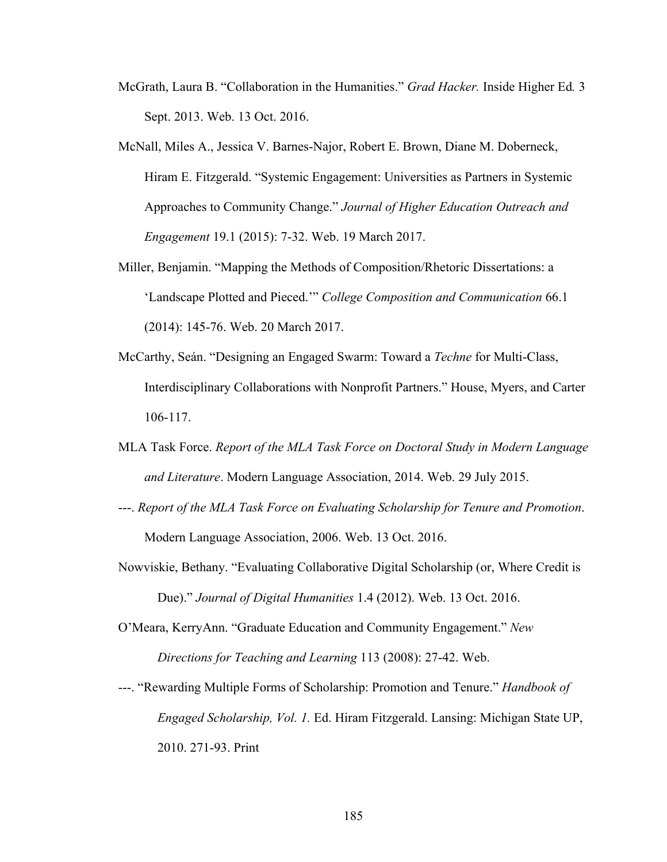- McGrath, Laura B. "Collaboration in the Humanities." *Grad Hacker.* Inside Higher Ed*.* 3 Sept. 2013. Web. 13 Oct. 2016.
- McNall, Miles A., Jessica V. Barnes-Najor, Robert E. Brown, Diane M. Doberneck, Hiram E. Fitzgerald. "Systemic Engagement: Universities as Partners in Systemic Approaches to Community Change." *Journal of Higher Education Outreach and Engagement* 19.1 (2015): 7-32. Web. 19 March 2017.
- Miller, Benjamin. "Mapping the Methods of Composition/Rhetoric Dissertations: a 'Landscape Plotted and Pieced.'" *College Composition and Communication* 66.1 (2014): 145-76. Web. 20 March 2017.
- McCarthy, Seán. "Designing an Engaged Swarm: Toward a *Techne* for Multi-Class, Interdisciplinary Collaborations with Nonprofit Partners." House, Myers, and Carter 106-117.
- MLA Task Force. *Report of the MLA Task Force on Doctoral Study in Modern Language and Literature*. Modern Language Association, 2014. Web. 29 July 2015.
- ---. *Report of the MLA Task Force on Evaluating Scholarship for Tenure and Promotion*. Modern Language Association, 2006. Web. 13 Oct. 2016.
- Nowviskie, Bethany. "Evaluating Collaborative Digital Scholarship (or, Where Credit is Due)." *Journal of Digital Humanities* 1.4 (2012). Web. 13 Oct. 2016.
- O'Meara, KerryAnn. "Graduate Education and Community Engagement." *New Directions for Teaching and Learning* 113 (2008): 27-42. Web.
- ---. "Rewarding Multiple Forms of Scholarship: Promotion and Tenure." *Handbook of Engaged Scholarship, Vol. 1.* Ed. Hiram Fitzgerald. Lansing: Michigan State UP, 2010. 271-93. Print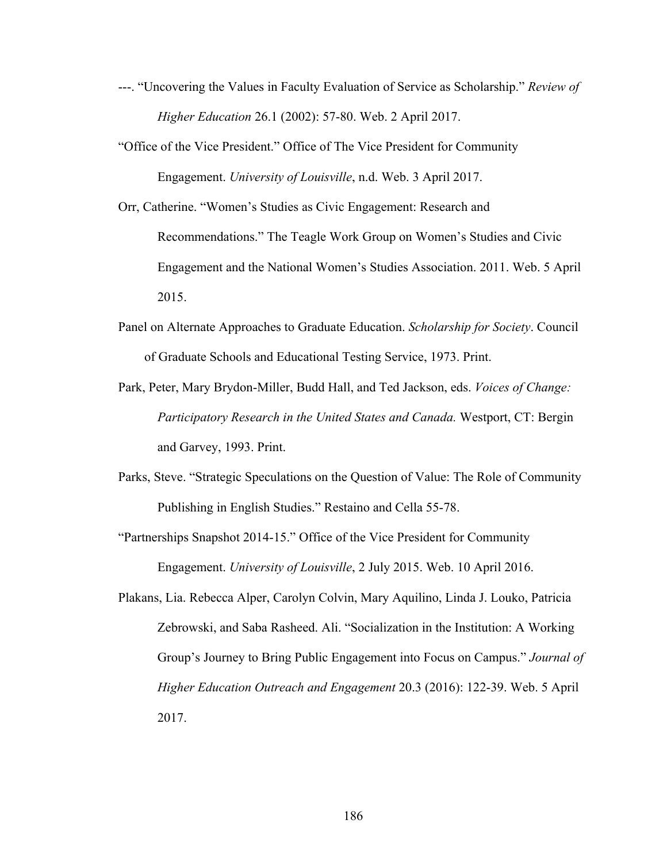- ---. "Uncovering the Values in Faculty Evaluation of Service as Scholarship." *Review of Higher Education* 26.1 (2002): 57-80. Web. 2 April 2017.
- "Office of the Vice President." Office of The Vice President for Community Engagement. *University of Louisville*, n.d. Web. 3 April 2017.
- Orr, Catherine. "Women's Studies as Civic Engagement: Research and Recommendations." The Teagle Work Group on Women's Studies and Civic Engagement and the National Women's Studies Association. 2011. Web. 5 April 2015.
- Panel on Alternate Approaches to Graduate Education. *Scholarship for Society*. Council of Graduate Schools and Educational Testing Service, 1973. Print.
- Park, Peter, Mary Brydon-Miller, Budd Hall, and Ted Jackson, eds. *Voices of Change: Participatory Research in the United States and Canada.* Westport, CT: Bergin and Garvey, 1993. Print.
- Parks, Steve. "Strategic Speculations on the Question of Value: The Role of Community Publishing in English Studies." Restaino and Cella 55-78.
- "Partnerships Snapshot 2014-15." Office of the Vice President for Community Engagement. *University of Louisville*, 2 July 2015. Web. 10 April 2016.
- Plakans, Lia. Rebecca Alper, Carolyn Colvin, Mary Aquilino, Linda J. Louko, Patricia Zebrowski, and Saba Rasheed. Ali. "Socialization in the Institution: A Working Group's Journey to Bring Public Engagement into Focus on Campus." *Journal of Higher Education Outreach and Engagement* 20.3 (2016): 122-39. Web. 5 April 2017.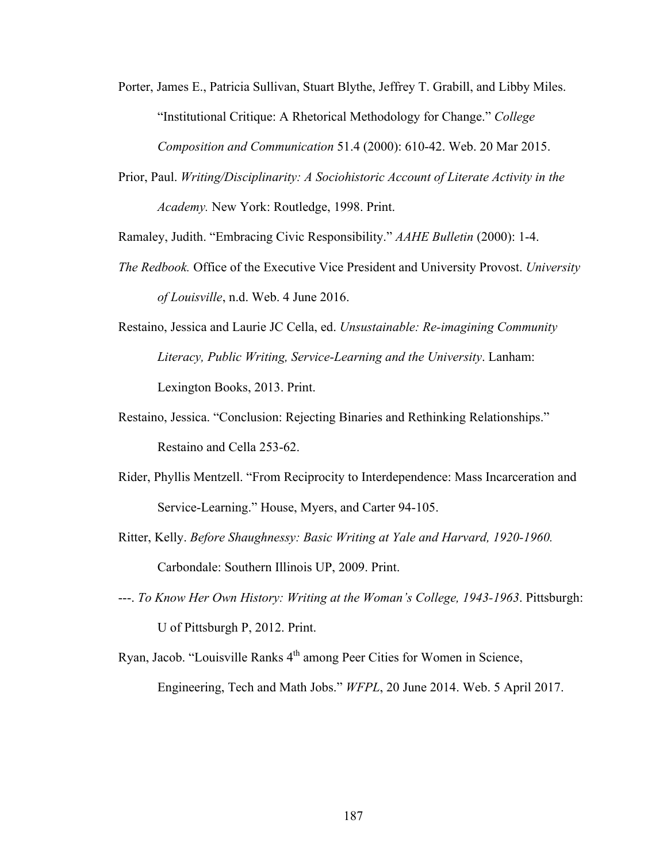Porter, James E., Patricia Sullivan, Stuart Blythe, Jeffrey T. Grabill, and Libby Miles. "Institutional Critique: A Rhetorical Methodology for Change." *College Composition and Communication* 51.4 (2000): 610-42. Web. 20 Mar 2015.

Prior, Paul. *Writing/Disciplinarity: A Sociohistoric Account of Literate Activity in the Academy.* New York: Routledge, 1998. Print.

Ramaley, Judith. "Embracing Civic Responsibility." *AAHE Bulletin* (2000): 1-4.

- *The Redbook.* Office of the Executive Vice President and University Provost. *University of Louisville*, n.d. Web. 4 June 2016.
- Restaino, Jessica and Laurie JC Cella, ed. *Unsustainable: Re-imagining Community Literacy, Public Writing, Service-Learning and the University*. Lanham: Lexington Books, 2013. Print.
- Restaino, Jessica. "Conclusion: Rejecting Binaries and Rethinking Relationships." Restaino and Cella 253-62.
- Rider, Phyllis Mentzell. "From Reciprocity to Interdependence: Mass Incarceration and Service-Learning." House, Myers, and Carter 94-105.
- Ritter, Kelly. *Before Shaughnessy: Basic Writing at Yale and Harvard, 1920-1960.*  Carbondale: Southern Illinois UP, 2009. Print.
- ---. *To Know Her Own History: Writing at the Woman's College, 1943-1963*. Pittsburgh: U of Pittsburgh P, 2012. Print.
- Ryan, Jacob. "Louisville Ranks 4th among Peer Cities for Women in Science, Engineering, Tech and Math Jobs." *WFPL*, 20 June 2014. Web. 5 April 2017.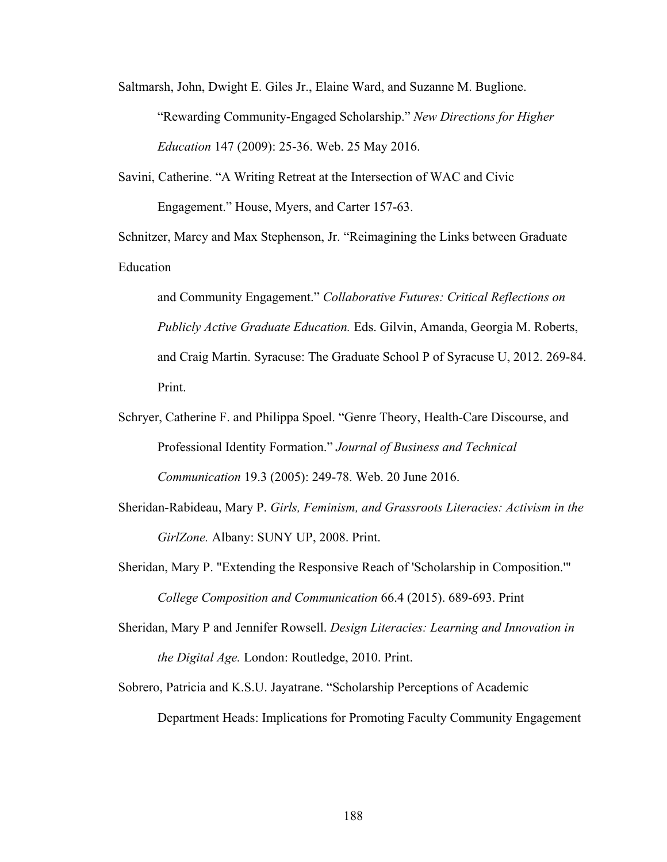Saltmarsh, John, Dwight E. Giles Jr., Elaine Ward, and Suzanne M. Buglione. "Rewarding Community-Engaged Scholarship." *New Directions for Higher Education* 147 (2009): 25-36. Web. 25 May 2016.

Savini, Catherine. "A Writing Retreat at the Intersection of WAC and Civic Engagement." House, Myers, and Carter 157-63.

Schnitzer, Marcy and Max Stephenson, Jr. "Reimagining the Links between Graduate Education

and Community Engagement." *Collaborative Futures: Critical Reflections on Publicly Active Graduate Education.* Eds. Gilvin, Amanda, Georgia M. Roberts, and Craig Martin. Syracuse: The Graduate School P of Syracuse U, 2012. 269-84. Print.

- Schryer, Catherine F. and Philippa Spoel. "Genre Theory, Health-Care Discourse, and Professional Identity Formation." *Journal of Business and Technical Communication* 19.3 (2005): 249-78. Web. 20 June 2016.
- Sheridan-Rabideau, Mary P. *Girls, Feminism, and Grassroots Literacies: Activism in the GirlZone.* Albany: SUNY UP, 2008. Print.
- Sheridan, Mary P. "Extending the Responsive Reach of 'Scholarship in Composition.'" *College Composition and Communication* 66.4 (2015). 689-693. Print
- Sheridan, Mary P and Jennifer Rowsell. *Design Literacies: Learning and Innovation in the Digital Age.* London: Routledge, 2010. Print.
- Sobrero, Patricia and K.S.U. Jayatrane. "Scholarship Perceptions of Academic Department Heads: Implications for Promoting Faculty Community Engagement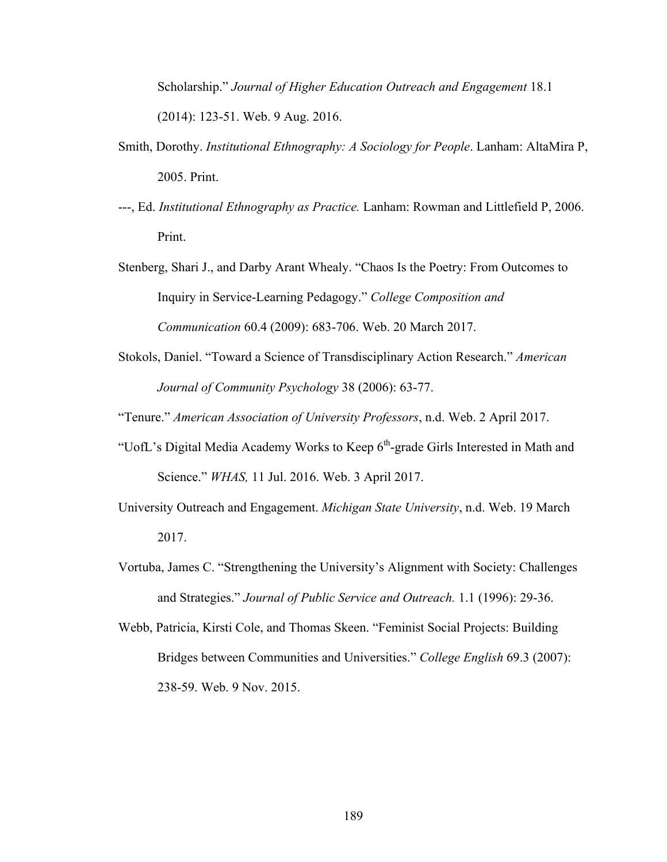Scholarship." *Journal of Higher Education Outreach and Engagement* 18.1 (2014): 123-51. Web. 9 Aug. 2016.

- Smith, Dorothy. *Institutional Ethnography: A Sociology for People*. Lanham: AltaMira P, 2005. Print.
- ---, Ed. *Institutional Ethnography as Practice.* Lanham: Rowman and Littlefield P, 2006. Print.
- Stenberg, Shari J., and Darby Arant Whealy. "Chaos Is the Poetry: From Outcomes to Inquiry in Service-Learning Pedagogy." *College Composition and Communication* 60.4 (2009): 683-706. Web. 20 March 2017.
- Stokols, Daniel. "Toward a Science of Transdisciplinary Action Research." *American Journal of Community Psychology* 38 (2006): 63-77.

"Tenure." *American Association of University Professors*, n.d. Web. 2 April 2017.

- "UofL's Digital Media Academy Works to Keep  $6<sup>th</sup>$ -grade Girls Interested in Math and Science." *WHAS,* 11 Jul. 2016. Web. 3 April 2017.
- University Outreach and Engagement. *Michigan State University*, n.d. Web. 19 March 2017.
- Vortuba, James C. "Strengthening the University's Alignment with Society: Challenges and Strategies." *Journal of Public Service and Outreach.* 1.1 (1996): 29-36.
- Webb, Patricia, Kirsti Cole, and Thomas Skeen. "Feminist Social Projects: Building Bridges between Communities and Universities." *College English* 69.3 (2007): 238-59. Web. 9 Nov. 2015.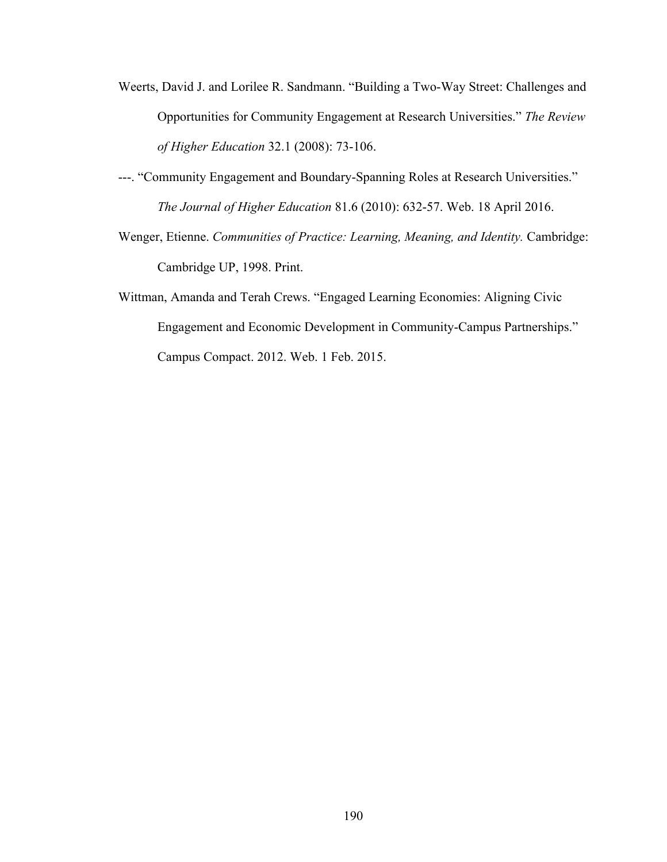- Weerts, David J. and Lorilee R. Sandmann. "Building a Two-Way Street: Challenges and Opportunities for Community Engagement at Research Universities." *The Review of Higher Education* 32.1 (2008): 73-106.
- ---. "Community Engagement and Boundary-Spanning Roles at Research Universities." *The Journal of Higher Education* 81.6 (2010): 632-57. Web. 18 April 2016.
- Wenger, Etienne. *Communities of Practice: Learning, Meaning, and Identity.* Cambridge: Cambridge UP, 1998. Print.
- Wittman, Amanda and Terah Crews. "Engaged Learning Economies: Aligning Civic Engagement and Economic Development in Community-Campus Partnerships." Campus Compact. 2012. Web. 1 Feb. 2015.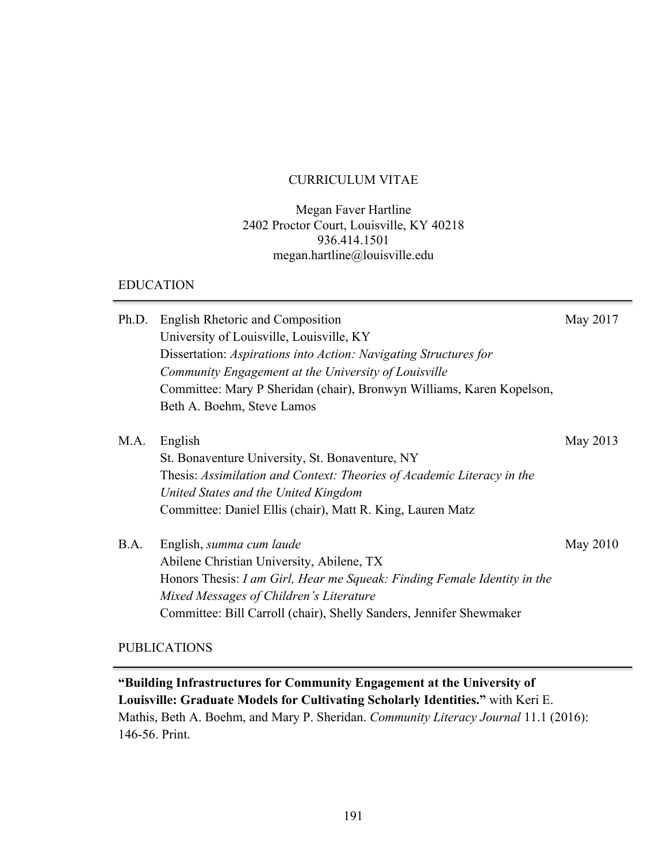#### CURRICULUM VITAE

#### Megan Faver Hartline 2402 Proctor Court, Louisville, KY 40218 936.414.1501 megan.hartline@louisville.edu

#### EDUCATION

| Ph.D. | English Rhetoric and Composition                                         | May 2017 |
|-------|--------------------------------------------------------------------------|----------|
|       | University of Louisville, Louisville, KY                                 |          |
|       | Dissertation: Aspirations into Action: Navigating Structures for         |          |
|       | Community Engagement at the University of Louisville                     |          |
|       | Committee: Mary P Sheridan (chair), Bronwyn Williams, Karen Kopelson,    |          |
|       | Beth A. Boehm, Steve Lamos                                               |          |
| M.A.  | English                                                                  | May 2013 |
|       | St. Bonaventure University, St. Bonaventure, NY                          |          |
|       | Thesis: Assimilation and Context: Theories of Academic Literacy in the   |          |
|       | United States and the United Kingdom                                     |          |
|       | Committee: Daniel Ellis (chair), Matt R. King, Lauren Matz               |          |
| B.A.  | English, summa cum laude                                                 | May 2010 |
|       | Abilene Christian University, Abilene, TX                                |          |
|       | Honors Thesis: I am Girl, Hear me Squeak: Finding Female Identity in the |          |
|       | Mixed Messages of Children's Literature                                  |          |
|       | Committee: Bill Carroll (chair), Shelly Sanders, Jennifer Shewmaker      |          |
|       |                                                                          |          |

# PUBLICATIONS

**"Building Infrastructures for Community Engagement at the University of Louisville: Graduate Models for Cultivating Scholarly Identities."** with Keri E. Mathis, Beth A. Boehm, and Mary P. Sheridan. *Community Literacy Journal* 11.1 (2016): 146-56. Print.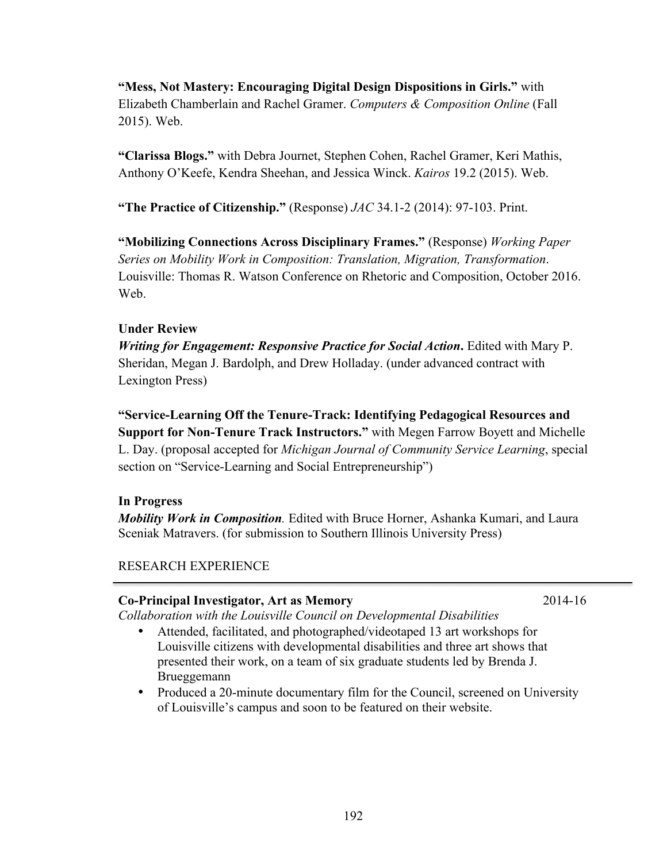**"Mess, Not Mastery: Encouraging Digital Design Dispositions in Girls."** with Elizabeth Chamberlain and Rachel Gramer. *Computers & Composition Online* (Fall 2015). Web.

**"Clarissa Blogs."** with Debra Journet, Stephen Cohen, Rachel Gramer, Keri Mathis, Anthony O'Keefe, Kendra Sheehan, and Jessica Winck. *Kairos* 19.2 (2015). Web.

**"The Practice of Citizenship."** (Response) *JAC* 34.1-2 (2014): 97-103. Print.

**"Mobilizing Connections Across Disciplinary Frames."** (Response) *Working Paper Series on Mobility Work in Composition: Translation, Migration, Transformation*. Louisville: Thomas R. Watson Conference on Rhetoric and Composition, October 2016. We<sub>b</sub>

# **Under Review**

*Writing for Engagement: Responsive Practice for Social Action***.** Edited with Mary P. Sheridan, Megan J. Bardolph, and Drew Holladay. (under advanced contract with Lexington Press)

**"Service-Learning Off the Tenure-Track: Identifying Pedagogical Resources and Support for Non-Tenure Track Instructors."** with Megen Farrow Boyett and Michelle L. Day. (proposal accepted for *Michigan Journal of Community Service Learning*, special section on "Service-Learning and Social Entrepreneurship")

# **In Progress**

*Mobility Work in Composition.* Edited with Bruce Horner, Ashanka Kumari, and Laura Sceniak Matravers. (for submission to Southern Illinois University Press)

# RESEARCH EXPERIENCE

# **Co-Principal Investigator, Art as Memory** 2014-16

*Collaboration with the Louisville Council on Developmental Disabilities*

- Attended, facilitated, and photographed/videotaped 13 art workshops for Louisville citizens with developmental disabilities and three art shows that presented their work, on a team of six graduate students led by Brenda J. Brueggemann
- Produced a 20-minute documentary film for the Council, screened on University of Louisville's campus and soon to be featured on their website.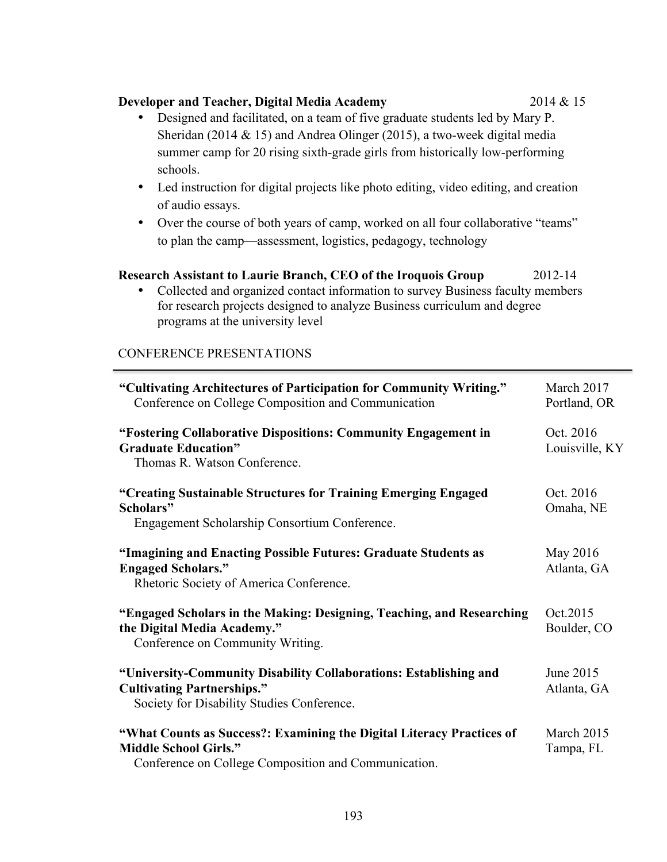#### **"Cultivating Architectures of Participation for Community Writing."**  Conference on College Composition and Communication

| Conference on College Composition and Communication                                                                                                           | Portland, OR                |
|---------------------------------------------------------------------------------------------------------------------------------------------------------------|-----------------------------|
| "Fostering Collaborative Dispositions: Community Engagement in<br><b>Graduate Education"</b><br>Thomas R. Watson Conference.                                  | Oct. 2016<br>Louisville, KY |
| "Creating Sustainable Structures for Training Emerging Engaged<br>Scholars"<br>Engagement Scholarship Consortium Conference.                                  | Oct. 2016<br>Omaha, NE      |
| "Imagining and Enacting Possible Futures: Graduate Students as<br><b>Engaged Scholars."</b><br>Rhetoric Society of America Conference.                        | May 2016<br>Atlanta, GA     |
| "Engaged Scholars in the Making: Designing, Teaching, and Researching<br>the Digital Media Academy."<br>Conference on Community Writing.                      | Oct.2015<br>Boulder, CO     |
| "University-Community Disability Collaborations: Establishing and<br><b>Cultivating Partnerships."</b><br>Society for Disability Studies Conference.          | June 2015<br>Atlanta, GA    |
| "What Counts as Success?: Examining the Digital Literacy Practices of<br><b>Middle School Girls."</b><br>Conference on College Composition and Communication. | March 2015<br>Tampa, FL     |

#### **Developer and Teacher, Digital Media Academy** 2014 & 15

- Designed and facilitated, on a team of five graduate students led by Mary P. Sheridan (2014 & 15) and Andrea Olinger (2015), a two-week digital media summer camp for 20 rising sixth-grade girls from historically low-performing schools.
- Led instruction for digital projects like photo editing, video editing, and creation of audio essays.
- Over the course of both years of camp, worked on all four collaborative "teams" to plan the camp—assessment, logistics, pedagogy, technology

#### **Research Assistant to Laurie Branch, CEO of the Iroquois Group** 2012-14

• Collected and organized contact information to survey Business faculty members for research projects designed to analyze Business curriculum and degree programs at the university level

March 2017

CONFERENCE PRESENTATIONS

Conference on College Composition and Communication.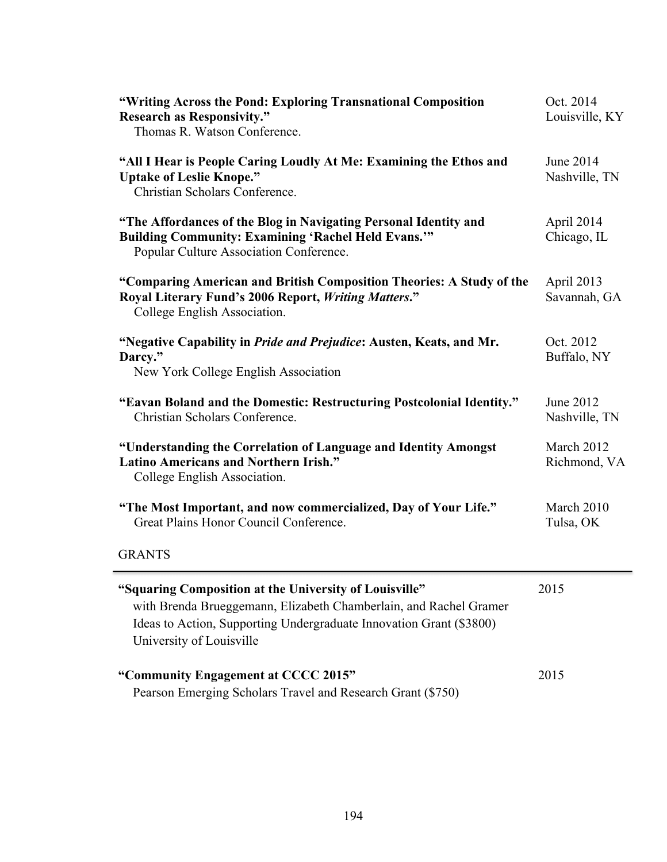| "Writing Across the Pond: Exploring Transnational Composition<br><b>Research as Responsivity."</b><br>Thomas R. Watson Conference.                                                                                             | Oct. 2014<br>Louisville, KY |
|--------------------------------------------------------------------------------------------------------------------------------------------------------------------------------------------------------------------------------|-----------------------------|
| "All I Hear is People Caring Loudly At Me: Examining the Ethos and<br><b>Uptake of Leslie Knope."</b><br>Christian Scholars Conference.                                                                                        | June 2014<br>Nashville, TN  |
| "The Affordances of the Blog in Navigating Personal Identity and<br><b>Building Community: Examining 'Rachel Held Evans.'"</b><br>Popular Culture Association Conference.                                                      | April 2014<br>Chicago, IL   |
| "Comparing American and British Composition Theories: A Study of the<br>Royal Literary Fund's 2006 Report, Writing Matters."<br>College English Association.                                                                   | April 2013<br>Savannah, GA  |
| "Negative Capability in <i>Pride and Prejudice</i> : Austen, Keats, and Mr.<br>Darcy."<br>New York College English Association                                                                                                 | Oct. 2012<br>Buffalo, NY    |
| "Eavan Boland and the Domestic: Restructuring Postcolonial Identity."<br>Christian Scholars Conference.                                                                                                                        | June 2012<br>Nashville, TN  |
| "Understanding the Correlation of Language and Identity Amongst<br><b>Latino Americans and Northern Irish."</b><br>College English Association.                                                                                | March 2012<br>Richmond, VA  |
| "The Most Important, and now commercialized, Day of Your Life."<br>Great Plains Honor Council Conference.                                                                                                                      | March 2010<br>Tulsa, OK     |
| <b>GRANTS</b>                                                                                                                                                                                                                  |                             |
| "Squaring Composition at the University of Louisville"<br>with Brenda Brueggemann, Elizabeth Chamberlain, and Rachel Gramer<br>Ideas to Action, Supporting Undergraduate Innovation Grant (\$3800)<br>University of Louisville | 2015                        |
| "Community Engagement at CCCC 2015"<br>Pearson Emerging Scholars Travel and Research Grant (\$750)                                                                                                                             | 2015                        |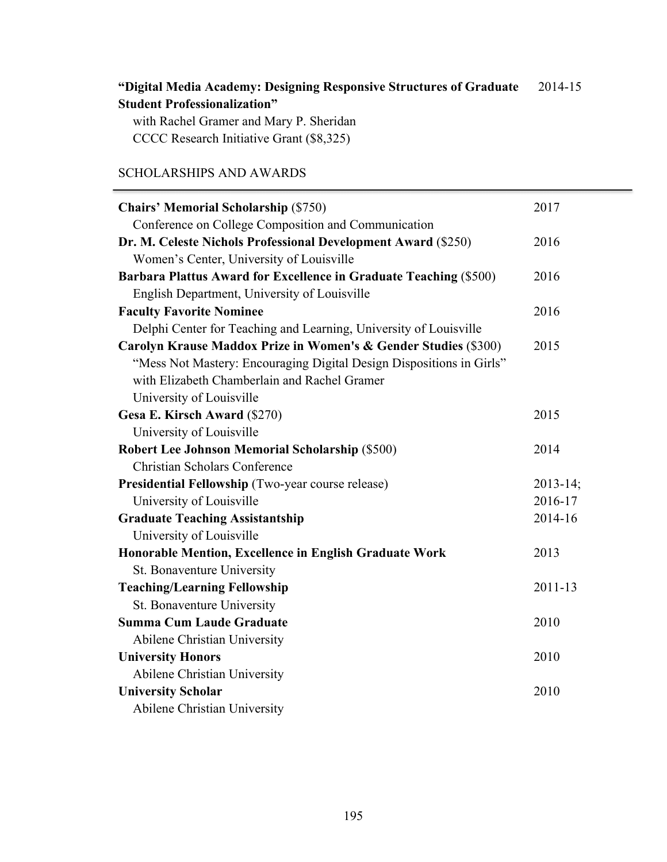#### **"Digital Media Academy: Designing Responsive Structures of Graduate Student Professionalization"** 2014-15

with Rachel Gramer and Mary P. Sheridan CCCC Research Initiative Grant (\$8,325)

# SCHOLARSHIPS AND AWARDS

| <b>Chairs' Memorial Scholarship (\$750)</b>                          | 2017          |
|----------------------------------------------------------------------|---------------|
| Conference on College Composition and Communication                  |               |
| Dr. M. Celeste Nichols Professional Development Award (\$250)        | 2016          |
| Women's Center, University of Louisville                             |               |
| Barbara Plattus Award for Excellence in Graduate Teaching (\$500)    | 2016          |
| English Department, University of Louisville                         |               |
| <b>Faculty Favorite Nominee</b>                                      | 2016          |
| Delphi Center for Teaching and Learning, University of Louisville    |               |
| Carolyn Krause Maddox Prize in Women's & Gender Studies (\$300)      | 2015          |
| "Mess Not Mastery: Encouraging Digital Design Dispositions in Girls" |               |
| with Elizabeth Chamberlain and Rachel Gramer                         |               |
| University of Louisville                                             |               |
| Gesa E. Kirsch Award (\$270)                                         | 2015          |
| University of Louisville                                             |               |
| <b>Robert Lee Johnson Memorial Scholarship (\$500)</b>               | 2014          |
| <b>Christian Scholars Conference</b>                                 |               |
| Presidential Fellowship (Two-year course release)                    | $2013 - 14$ ; |
| University of Louisville                                             | 2016-17       |
| <b>Graduate Teaching Assistantship</b>                               | 2014-16       |
| University of Louisville                                             |               |
| Honorable Mention, Excellence in English Graduate Work               | 2013          |
| St. Bonaventure University                                           |               |
| <b>Teaching/Learning Fellowship</b>                                  | $2011 - 13$   |
| St. Bonaventure University                                           |               |
| <b>Summa Cum Laude Graduate</b>                                      | 2010          |
| Abilene Christian University                                         |               |
| <b>University Honors</b>                                             | 2010          |
| Abilene Christian University                                         |               |
| <b>University Scholar</b>                                            | 2010          |
| Abilene Christian University                                         |               |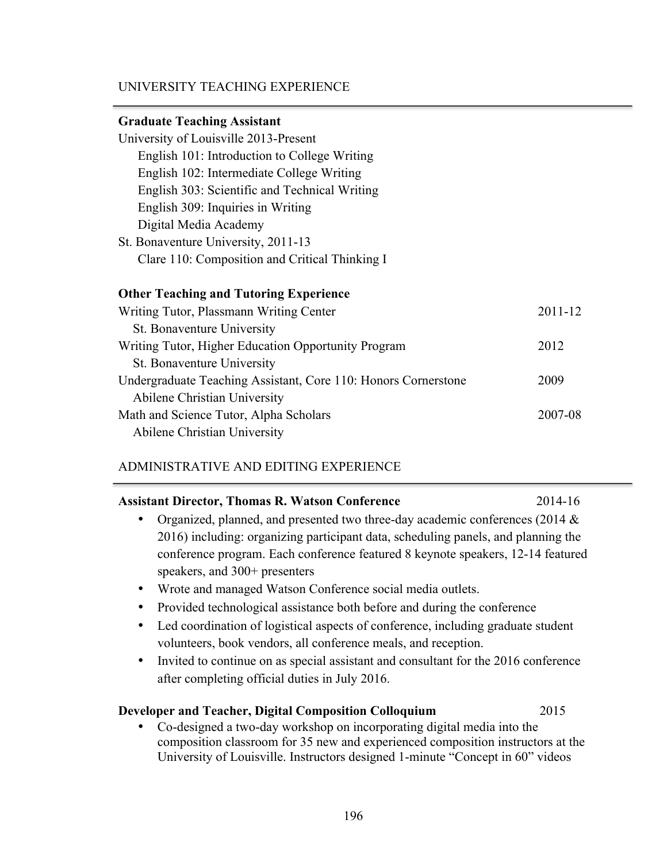# UNIVERSITY TEACHING EXPERIENCE

# **Graduate Teaching Assistant**

| University of Louisville 2013-Present                          |         |
|----------------------------------------------------------------|---------|
| English 101: Introduction to College Writing                   |         |
| English 102: Intermediate College Writing                      |         |
| English 303: Scientific and Technical Writing                  |         |
| English 309: Inquiries in Writing                              |         |
| Digital Media Academy                                          |         |
| St. Bonaventure University, 2011-13                            |         |
| Clare 110: Composition and Critical Thinking I                 |         |
|                                                                |         |
| <b>Other Teaching and Tutoring Experience</b>                  |         |
| Writing Tutor, Plassmann Writing Center                        |         |
| St. Bonaventure University                                     |         |
| Writing Tutor, Higher Education Opportunity Program            |         |
| St. Bonaventure University                                     |         |
| Undergraduate Teaching Assistant, Core 110: Honors Cornerstone | 2009    |
| Abilene Christian University                                   |         |
| Math and Science Tutor, Alpha Scholars                         | 2007-08 |
|                                                                |         |

Abilene Christian University

# ADMINISTRATIVE AND EDITING EXPERIENCE

| <b>Assistant Director, Thomas R. Watson Conference</b>                                        | 2014-16 |
|-----------------------------------------------------------------------------------------------|---------|
| Organized, planned, and presented two three-day academic conferences (2014 $\&$               |         |
| 2016) including: organizing participant data, scheduling panels, and planning the             |         |
| conference program. Each conference featured 8 keynote speakers, 12-14 featured               |         |
| speakers, and $300+$ presenters                                                               |         |
| Wrote and managed Watson Conference social media outlets.<br>$\bullet$                        |         |
| Provided technological assistance both before and during the conference<br>٠                  |         |
| Led coordination of logistical aspects of conference, including graduate student<br>$\bullet$ |         |
| volunteers, book vendors, all conference meals, and reception.                                |         |
| Invited to continue on as special assistant and consultant for the 2016 conference            |         |
| after completing official duties in July 2016.                                                |         |
| <b>Developer and Teacher, Digital Composition Colloquium</b>                                  | 2015    |
| Co-designed a two-day workshop on incorporating digital media into the                        |         |
| composition classroom for 35 new and experienced composition instructors at the               |         |

University of Louisville. Instructors designed 1-minute "Concept in 60" videos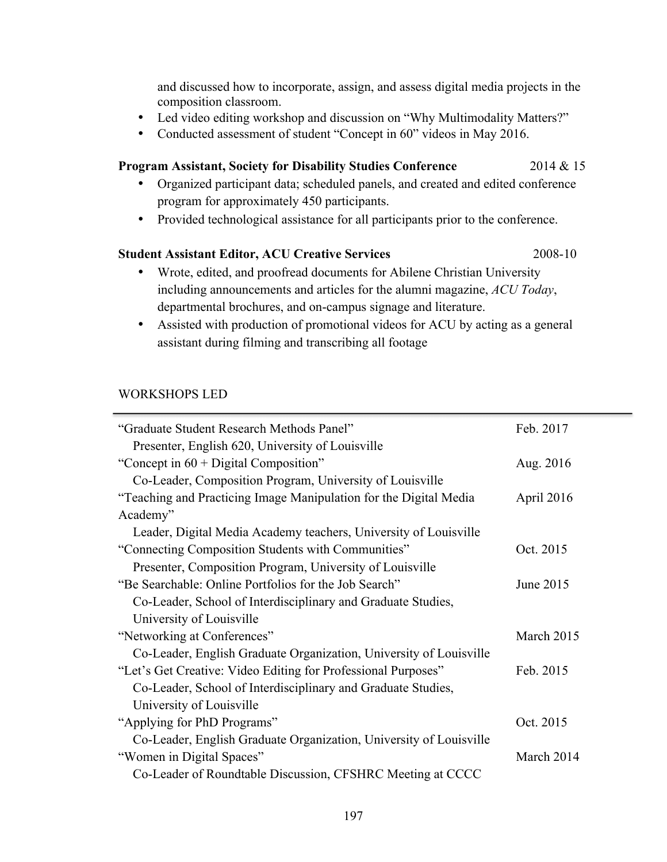and discussed how to incorporate, assign, and assess digital media projects in the composition classroom.

- Led video editing workshop and discussion on "Why Multimodality Matters?"
- Conducted assessment of student "Concept in 60" videos in May 2016.

#### **Program Assistant, Society for Disability Studies Conference** 2014 & 15

- Organized participant data; scheduled panels, and created and edited conference program for approximately 450 participants.
- Provided technological assistance for all participants prior to the conference.

# **Student Assistant Editor, ACU Creative Services** 2008-10

- Wrote, edited, and proofread documents for Abilene Christian University including announcements and articles for the alumni magazine, *ACU Today*, departmental brochures, and on-campus signage and literature.
- Assisted with production of promotional videos for ACU by acting as a general assistant during filming and transcribing all footage

# WORKSHOPS LED

| "Graduate Student Research Methods Panel"                          | Feb. 2017  |
|--------------------------------------------------------------------|------------|
| Presenter, English 620, University of Louisville                   |            |
| "Concept in $60 + Digital Composition$ "                           | Aug. 2016  |
| Co-Leader, Composition Program, University of Louisville           |            |
| "Teaching and Practicing Image Manipulation for the Digital Media  | April 2016 |
| Academy"                                                           |            |
| Leader, Digital Media Academy teachers, University of Louisville   |            |
| "Connecting Composition Students with Communities"                 | Oct. 2015  |
| Presenter, Composition Program, University of Louisville           |            |
| "Be Searchable: Online Portfolios for the Job Search"              | June 2015  |
| Co-Leader, School of Interdisciplinary and Graduate Studies,       |            |
| University of Louisville                                           |            |
| "Networking at Conferences"                                        | March 2015 |
| Co-Leader, English Graduate Organization, University of Louisville |            |
| "Let's Get Creative: Video Editing for Professional Purposes"      | Feb. 2015  |
| Co-Leader, School of Interdisciplinary and Graduate Studies,       |            |
| University of Louisville                                           |            |
| "Applying for PhD Programs"                                        | Oct. 2015  |
| Co-Leader, English Graduate Organization, University of Louisville |            |
| "Women in Digital Spaces"                                          | March 2014 |
| Co-Leader of Roundtable Discussion, CFSHRC Meeting at CCCC         |            |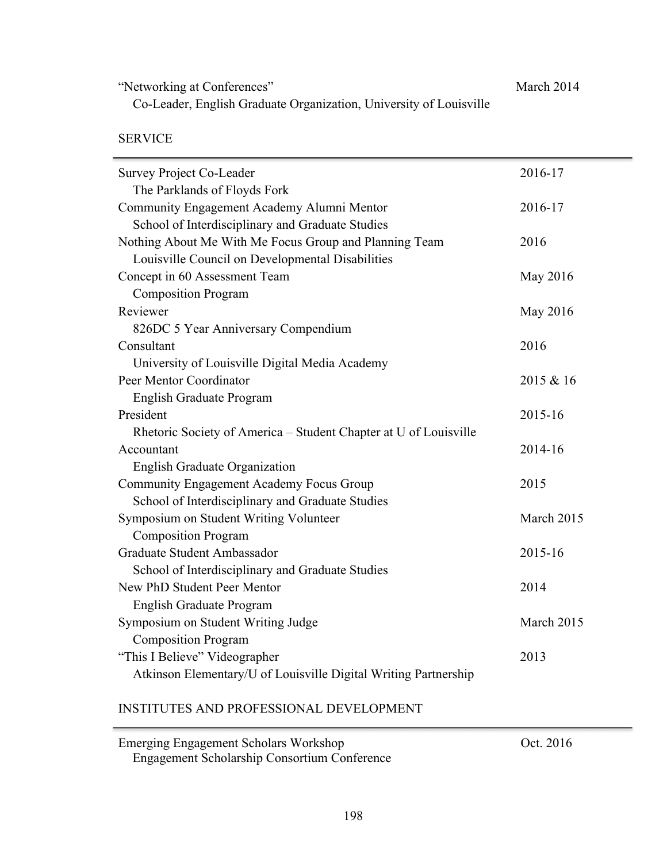"Networking at Conferences" Co-Leader, English Graduate Organization, University of Louisville March 2014

SERVICE

| <b>Survey Project Co-Leader</b>                                  | 2016-17    |
|------------------------------------------------------------------|------------|
| The Parklands of Floyds Fork                                     |            |
| Community Engagement Academy Alumni Mentor                       | 2016-17    |
| School of Interdisciplinary and Graduate Studies                 |            |
| Nothing About Me With Me Focus Group and Planning Team           | 2016       |
| Louisville Council on Developmental Disabilities                 |            |
| Concept in 60 Assessment Team                                    | May 2016   |
| <b>Composition Program</b>                                       |            |
| Reviewer                                                         | May 2016   |
| 826DC 5 Year Anniversary Compendium                              |            |
| Consultant                                                       | 2016       |
| University of Louisville Digital Media Academy                   |            |
| Peer Mentor Coordinator                                          | 2015 & 16  |
| English Graduate Program                                         |            |
| President                                                        | 2015-16    |
| Rhetoric Society of America - Student Chapter at U of Louisville |            |
| Accountant                                                       | 2014-16    |
| <b>English Graduate Organization</b>                             |            |
| <b>Community Engagement Academy Focus Group</b>                  | 2015       |
| School of Interdisciplinary and Graduate Studies                 |            |
| Symposium on Student Writing Volunteer                           | March 2015 |
| <b>Composition Program</b>                                       |            |
| Graduate Student Ambassador                                      | 2015-16    |
| School of Interdisciplinary and Graduate Studies                 |            |
| New PhD Student Peer Mentor                                      | 2014       |
| <b>English Graduate Program</b>                                  |            |
| Symposium on Student Writing Judge                               | March 2015 |
| <b>Composition Program</b>                                       |            |
| "This I Believe" Videographer                                    | 2013       |
| Atkinson Elementary/U of Louisville Digital Writing Partnership  |            |
|                                                                  |            |

# INSTITUTES AND PROFESSIONAL DEVELOPMENT

| Emerging Engagement Scholars Workshop               | Oct. 2016 |
|-----------------------------------------------------|-----------|
| <b>Engagement Scholarship Consortium Conference</b> |           |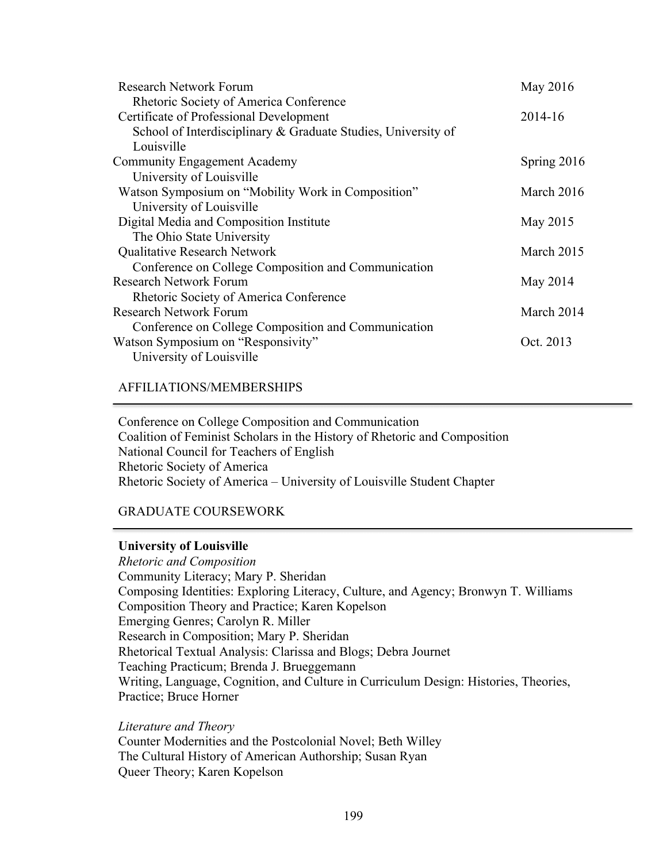| <b>Research Network Forum</b>                                 | May 2016    |
|---------------------------------------------------------------|-------------|
| Rhetoric Society of America Conference                        |             |
| Certificate of Professional Development                       | 2014-16     |
| School of Interdisciplinary & Graduate Studies, University of |             |
| Louisville                                                    |             |
| <b>Community Engagement Academy</b>                           | Spring 2016 |
| University of Louisville                                      |             |
| Watson Symposium on "Mobility Work in Composition"            | March 2016  |
| University of Louisville                                      |             |
| Digital Media and Composition Institute                       | May 2015    |
| The Ohio State University                                     |             |
| <b>Qualitative Research Network</b>                           | March 2015  |
| Conference on College Composition and Communication           |             |
| <b>Research Network Forum</b>                                 | May 2014    |
| Rhetoric Society of America Conference                        |             |
| <b>Research Network Forum</b>                                 | March 2014  |
| Conference on College Composition and Communication           |             |
| Watson Symposium on "Responsivity"                            | Oct. 2013   |
| University of Louisville                                      |             |
|                                                               |             |

#### AFFILIATIONS/MEMBERSHIPS

Conference on College Composition and Communication Coalition of Feminist Scholars in the History of Rhetoric and Composition National Council for Teachers of English Rhetoric Society of America Rhetoric Society of America – University of Louisville Student Chapter

# GRADUATE COURSEWORK

#### **University of Louisville**

*Rhetoric and Composition* Community Literacy; Mary P. Sheridan Composing Identities: Exploring Literacy, Culture, and Agency; Bronwyn T. Williams Composition Theory and Practice; Karen Kopelson Emerging Genres; Carolyn R. Miller Research in Composition; Mary P. Sheridan Rhetorical Textual Analysis: Clarissa and Blogs; Debra Journet Teaching Practicum; Brenda J. Brueggemann Writing, Language, Cognition, and Culture in Curriculum Design: Histories, Theories, Practice; Bruce Horner

#### *Literature and Theory*

Counter Modernities and the Postcolonial Novel; Beth Willey The Cultural History of American Authorship; Susan Ryan Queer Theory; Karen Kopelson